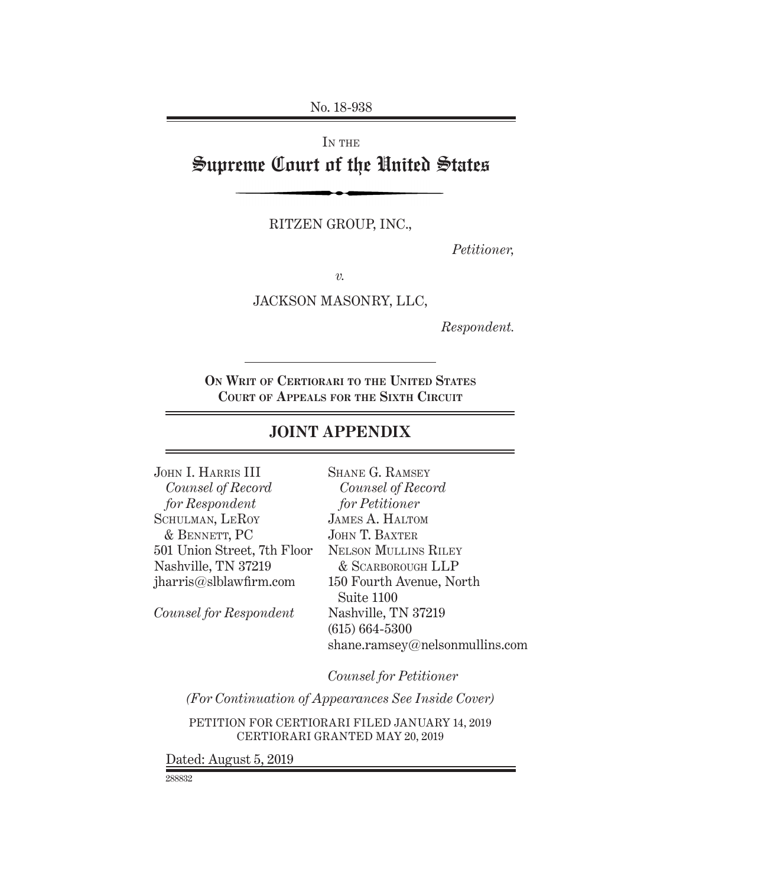No. 18-938

IN THE Supreme Court of the United States

RITZEN GROUP, INC.,

*Petitioner,*

*v.*

JACKSON MASONRY, LLC,

*Respondent.*

**On Writ of Certiorari to the United States Court of Appeals for the Sixth Circuit**

# **JOINT APPENDIX**

| JOHN I. HARRIS III          | <b>SHANE G. RAMSEY</b>         |
|-----------------------------|--------------------------------|
| Counsel of Record           | Counsel of Record              |
| for Respondent              | for Petitioner                 |
| SCHULMAN, LEROY             | <b>JAMES A. HALTOM</b>         |
| & BENNETT, PC               | JOHN T. BAXTER                 |
| 501 Union Street, 7th Floor | <b>NELSON MULLINS RILEY</b>    |
| Nashville, TN 37219         | & SCARBOROUGH LLP              |
| jharris@slblawfirm.com      | 150 Fourth Avenue, North       |
|                             | Suite 1100                     |
| Counsel for Respondent      | Nashville, TN 37219            |
|                             | $(615) 664 - 5300$             |
|                             | shane.ramsey@nelsonmullins.com |
|                             |                                |

*Counsel for Petitioner*

*(For Continuation of Appearances See Inside Cover)*

PETITION FOR CERTIORARI FILED January 14, 2019 CERTIORARI GRANTED May 20, 2019

Dated: August 5, 2019

288832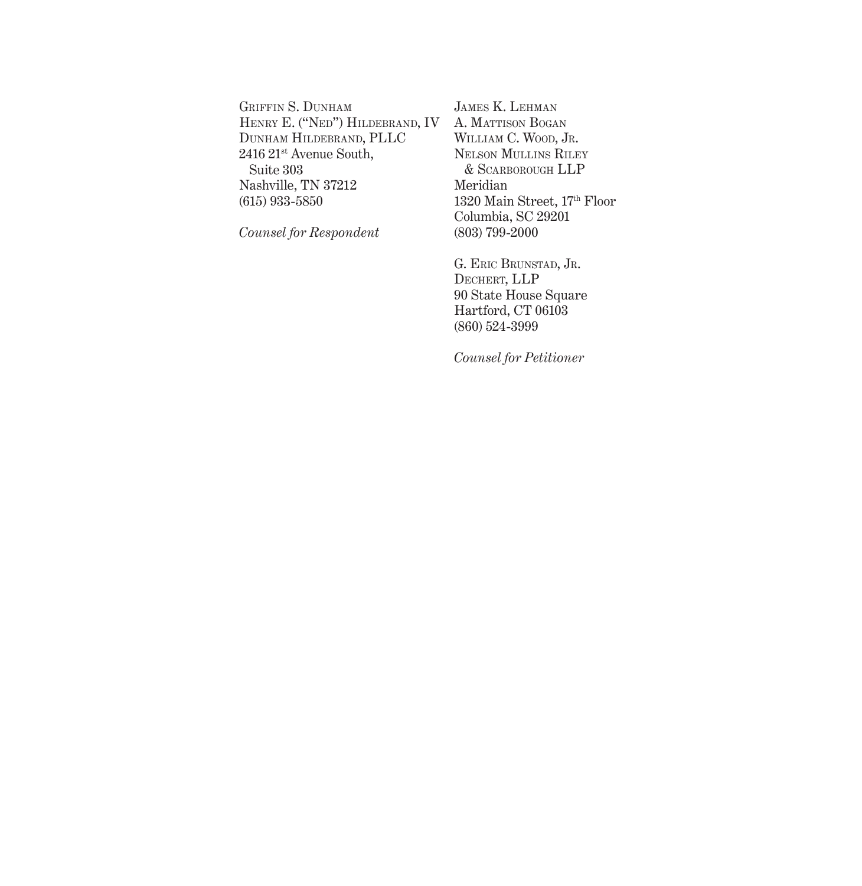GRIFFIN S. DUNHAM Henry E. ("Ned") Hildebrand, IV Dunham Hildebrand, PLLC 2416 21st Avenue South, Suite 303 Nashville, TN 37212 (615) 933-5850

*Counsel for Respondent*

James K. Lehman A. MATTISON BOGAN WILLIAM C. WOOD, JR. Nelson Mullins Riley & Scarborough LLP Meridian 1320 Main Street, 17th Floor Columbia, SC 29201 (803) 799-2000

G. Eric Brunstad, Jr. Dechert, LLP 90 State House Square Hartford, CT 06103 (860) 524-3999

*Counsel for Petitioner*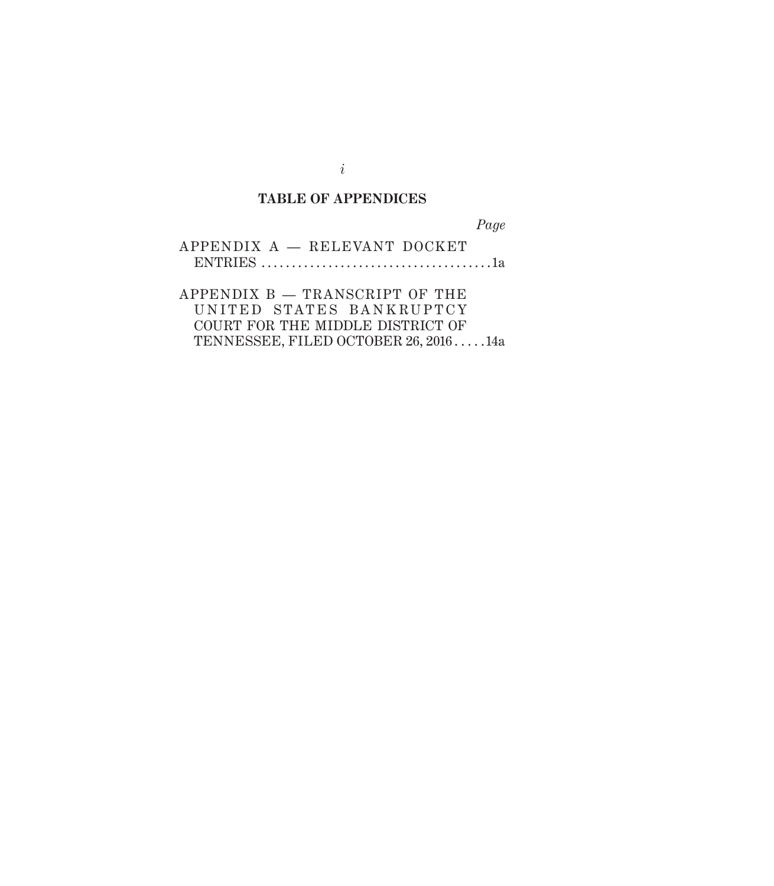# **TABLE OF APPENDICES**

*Page*

| APPENDIX A - RELEVANT DOCKET |  |
|------------------------------|--|
|                              |  |

APPENDIX B — TRANSCRIPT OF THE UNITED STATES BANKRUPTCY COURT FOR THE MIDDLE DISTRICT OF TENNESSEE, FILED OCTOBER 26, 2016 . . . . 14a

*i*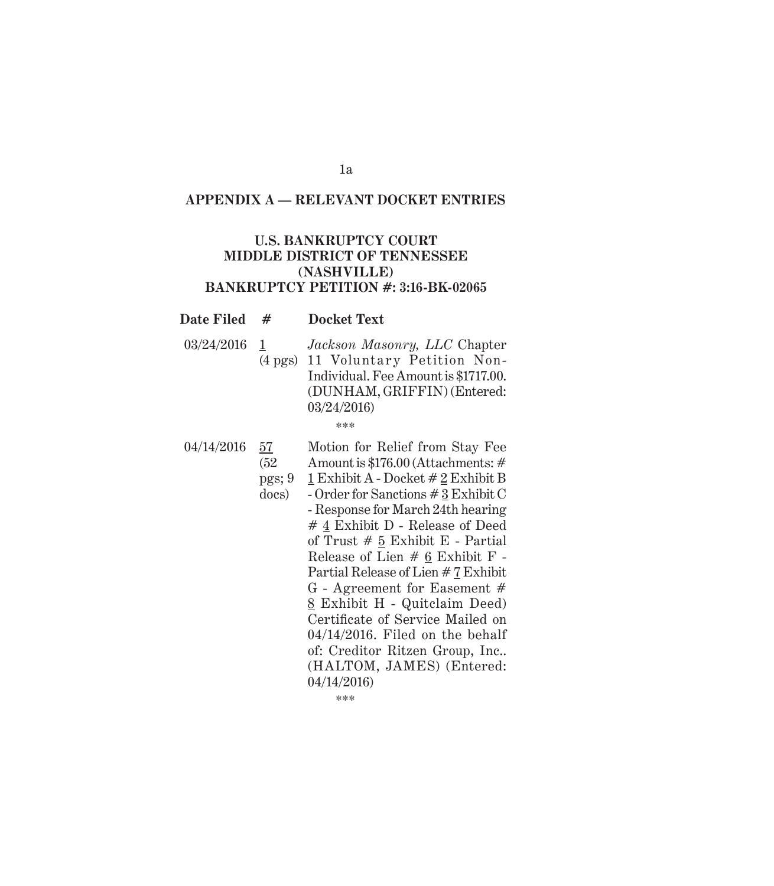# *Appendix A* **APPENDIX A — RELEVANT DOCKET ENTRIES**

# **U.S. BANKRUPTCY COURT MIDDLE DISTRICT OF TENNESSEE (NASHVILLE) BANKRUPTCY PETITION #: 3:16-BK-02065**

#### **Date Filed # Docket Text**

03/24/2016 1 (4 pgs) 11 Voluntary Petition Non-*Jackson Masonry, LLC* Chapter Individual. Fee Amount is \$1717.00. (DUNHAM, GRIFFIN) (Entered: 03/24/2016)

\*\*\*

04/14/2016 57 (52 pgs; 9 docs) Motion for Relief from Stay Fee Amount is \$176.00 (Attachments: # 1 Exhibit A - Docket # 2 Exhibit B - Order for Sanctions # 3 Exhibit C - Response for March 24th hearing # 4 Exhibit D - Release of Deed of Trust  $# 5$  Exhibit E - Partial Release of Lien # 6 Exhibit F - Partial Release of Lien # 7 Exhibit G - Agreement for Easement # 8 Exhibit H - Quitclaim Deed) Certificate of Service Mailed on 04/14/2016. Filed on the behalf of: Creditor Ritzen Group, Inc.. (HALTOM, JAMES) (Entered: 04/14/2016)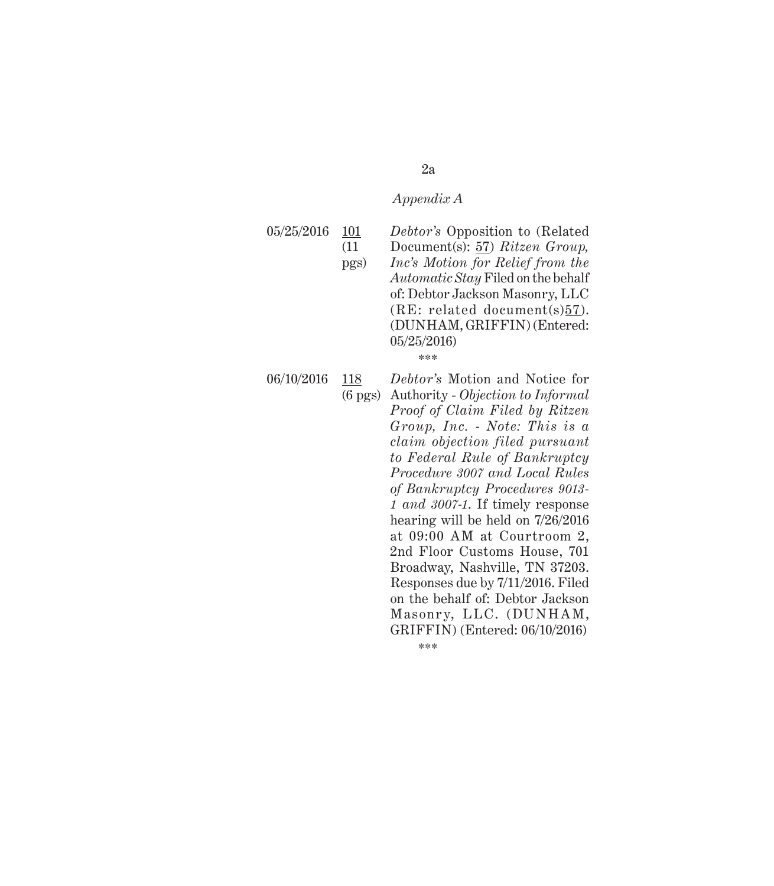#### 05/25/2016 101 (11 pgs) *Debtor's* Opposition to (Related Document(s): 57) *Ritzen Group, Inc's Motion for Relief from the Automatic Stay* Filed on the behalf of: Debtor Jackson Masonry, LLC  $(RE: related document(s)57).$ (DUNHAM, GRIFFIN) (Entered: 05/25/2016)

\*\*\*

06/10/2016 118

(6 pgs) Authority - *Objection to Informal Debtor's* Motion and Notice for *Proof of Claim Filed by Ritzen Group, Inc. - Note: This is a claim objection filed pursuant to Federal Rule of Bankruptcy Procedure 3007 and Local Rules of Bankruptcy Procedures 9013- 1 and 3007-1*. If timely response hearing will be held on 7/26/2016 at 09:00 AM at Courtroom 2, 2nd Floor Customs House, 701 Broadway, Nashville, TN 37203. Responses due by 7/11/2016. Filed on the behalf of: Debtor Jackson Masonry, LLC. (DUNHAM, GRIFFIN) (Entered: 06/10/2016)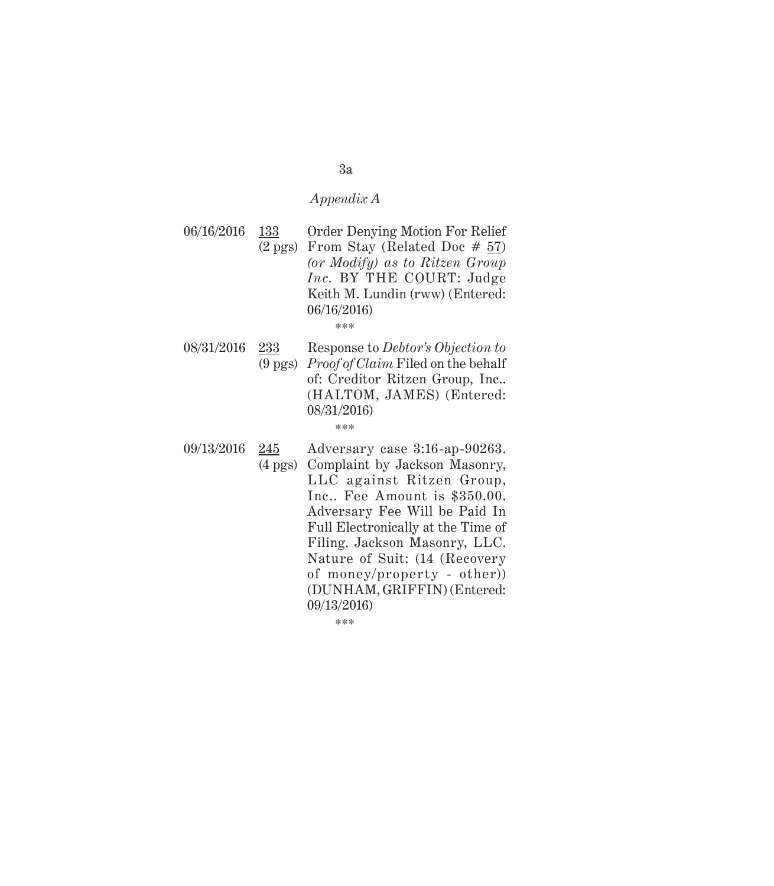06/16/2016 133 (2 pgs) From Stay (Related Doc  $# 57$ ) Order Denying Motion For Relief *(or Modify) as to Ritzen Group Inc.* BY THE COURT: Judge Keith M. Lundin (rww) (Entered: 06/16/2016)

\*\*\*

- 08/31/2016 233 (9 pgs) *Proof of Claim* Filed on the behalf Response to *Debtor's Objection to*  of: Creditor Ritzen Group, Inc.. (HALTOM, JAMES) (Entered: 08/31/2016) \*\*\*
- 09/13/2016 245 (4 pgs) Adversary case 3:16-ap-90263. Complaint by Jackson Masonry, LLC against Ritzen Group, Inc.. Fee Amount is \$350.00. Adversary Fee Will be Paid In Full Electronically at the Time of Filing. Jackson Masonry, LLC. Nature of Suit: (14 (Recovery of money/property - other)) (DUNHAM, GRIFFIN) (Entered: 09/13/2016)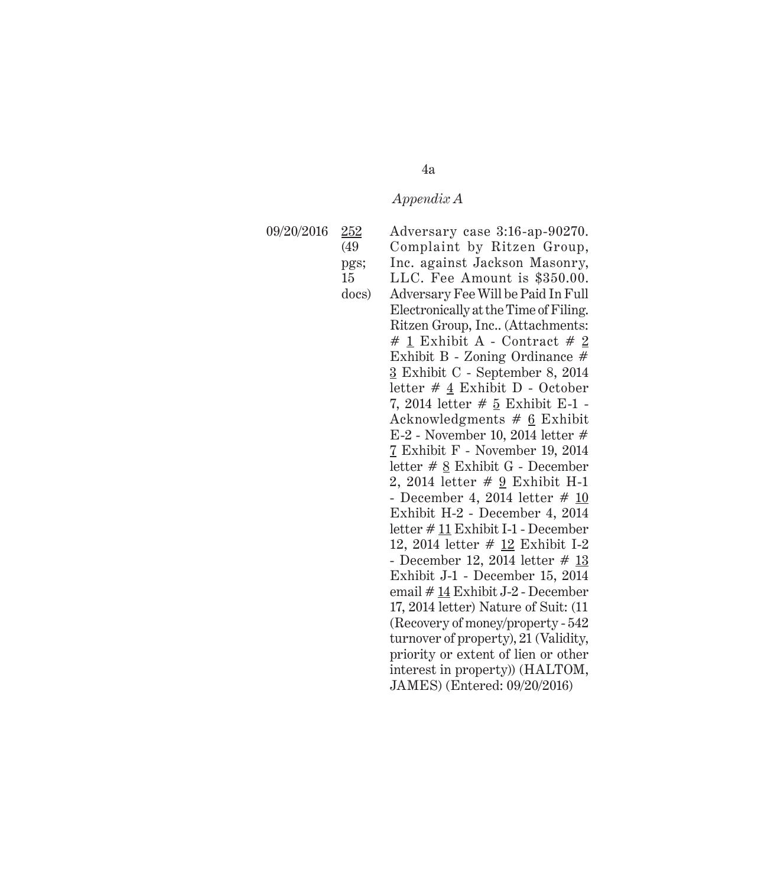09/20/2016 252 (49 pgs; 15 docs) Adversary case 3:16-ap-90270. Complaint by Ritzen Group, Inc. against Jackson Masonry, LLC. Fee Amount is \$350.00. Adversary Fee Will be Paid In Full Electronically at the Time of Filing. Ritzen Group, Inc.. (Attachments:  $# 1$  Exhibit A - Contract  $# 2$ Exhibit B - Zoning Ordinance # 3 Exhibit C - September 8, 2014 letter # 4 Exhibit D - October 7, 2014 letter # 5 Exhibit E-1 - Acknowledgments # 6 Exhibit E-2 - November 10, 2014 letter # 7 Exhibit F - November 19, 2014 letter # 8 Exhibit G - December 2, 2014 letter # 9 Exhibit H-1 - December 4, 2014 letter # 10 Exhibit H-2 - December 4, 2014 letter # 11 Exhibit I-1 - December 12, 2014 letter # 12 Exhibit I-2 - December 12, 2014 letter # 13 Exhibit J-1 - December 15, 2014 email # 14 Exhibit J-2 - December 17, 2014 letter) Nature of Suit: (11 (Recovery of money/property - 542 turnover of property), 21 (Validity, priority or extent of lien or other interest in property)) (HALTOM, JAMES) (Entered: 09/20/2016)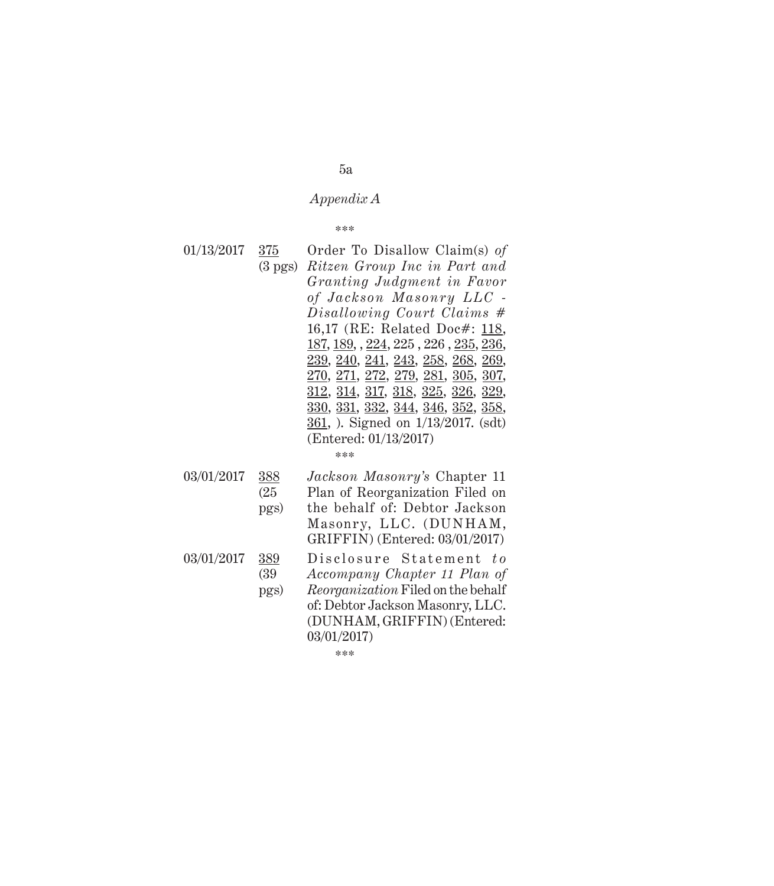\*\*\*

- 01/13/2017 375 (3 pgs) *Ritzen Group Inc in Part and*  Order To Disallow Claim(s) *of Granting Judgment in Favor*   $of$  Jackson Masonry LLC -*Disallowing Court Claims* # 16,17 (RE: Related Doc#: 118, 187, 189, , 224, 225 , 226 , 235, 236, 239, 240, 241, 243, 258, 268, 269, 270, 271, 272, 279, 281, 305, 307, 312, 314, 317, 318, 325, 326, 329, 330, 331, 332, 344, 346, 352, 358, 361, ). Signed on 1/13/2017. (sdt) (Entered: 01/13/2017)
	- \*\*\*
- 03/01/2017 388 (25 pgs) *Jackson Masonry's* Chapter 11 Plan of Reorganization Filed on the behalf of: Debtor Jackson Masonry, LLC. (DUNHAM, GRIFFIN) (Entered: 03/01/2017) 03/01/2017 389 (39 pgs) Disclosure Statement to *Accompany Chapter 11 Plan of Reorganization* Filed on the behalf
	- of: Debtor Jackson Masonry, LLC. (DUNHAM, GRIFFIN) (Entered: 03/01/2017)

\*\*\*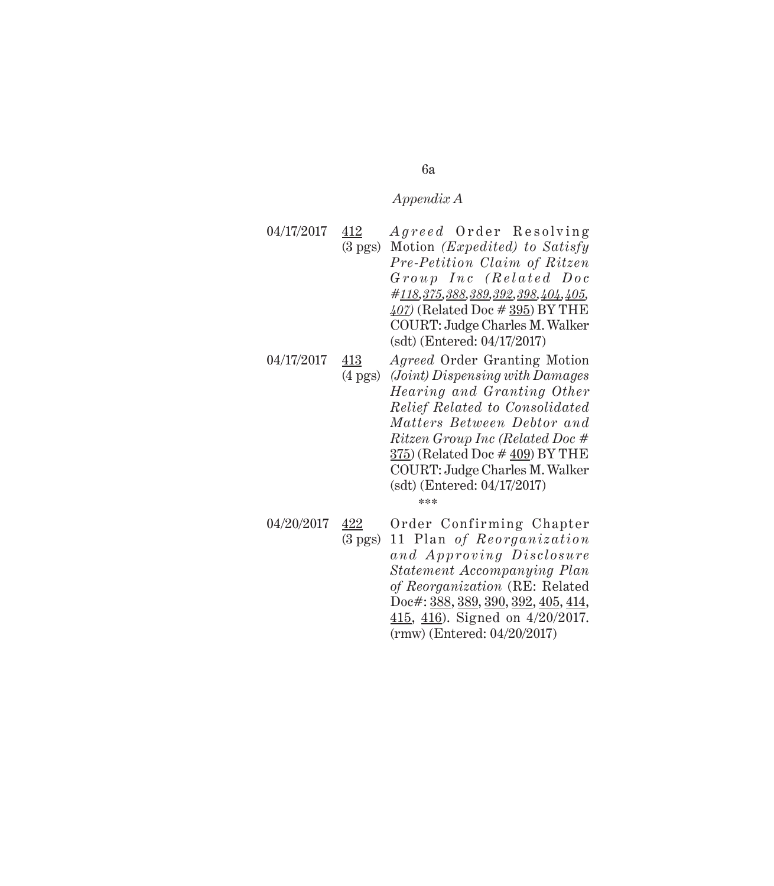04/17/2017 412 (3 pgs) Motion *(Expedited) to Satisfy Agreed* Order Resolving *Pre-Petition Claim of Ritzen*   $Group$  Inc (Related Doc *#118,375,388,389,392,398,404,405, 407)* (Related Doc # 395) BY THE COURT: Judge Charles M. Walker (sdt) (Entered: 04/17/2017)

04/17/2017 413 (4 pgs) *(Joint) Dispensing with Damages Agreed* Order Granting Motion *Hearing and Granting Other Relief Related to Consolidated Matters Between Debtor and Ritzen Group Inc (Related Doc* # 375) (Related Doc # 409) BY THE COURT: Judge Charles M. Walker (sdt) (Entered: 04/17/2017) \*\*\*

04/20/2017 422 (3 pgs) 11 Plan of Reorganization Order Confirming Chapter *an d Ap p r o v in g Di scl os ure Statement Accompanying Plan of Reorganization* (RE: Related Doc#: 388, 389, 390, 392, 405, 414, 415, 416). Signed on 4/20/2017. (rmw) (Entered: 04/20/2017)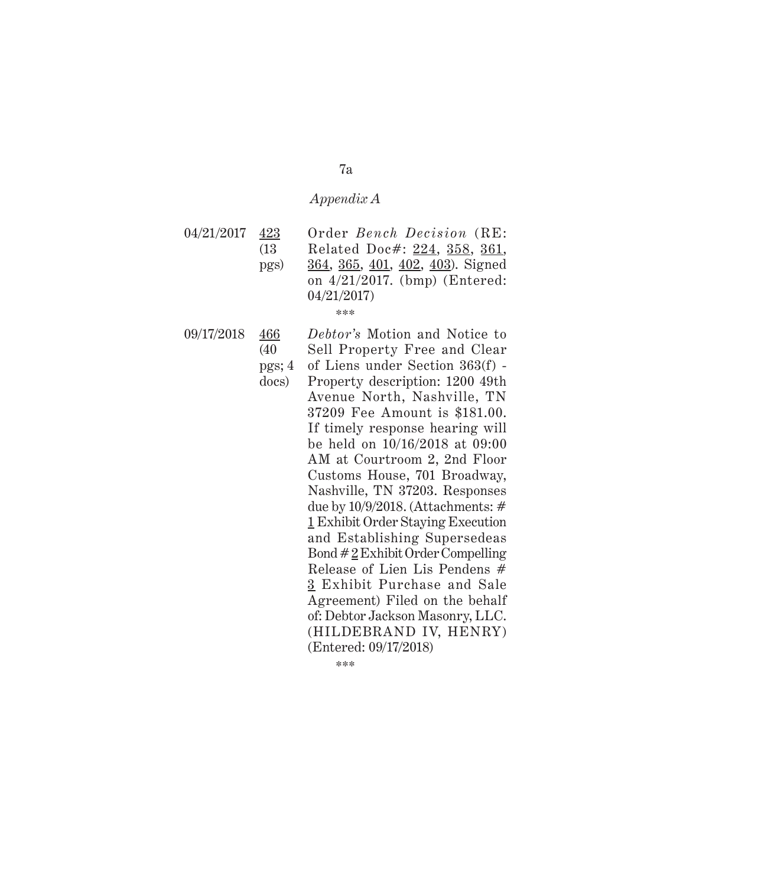04/21/2017 423 (13 pgs) Order *Bench Decision* (RE: Related Doc#: 224, 358, 361, 364, 365, 401, 402, 403). Signed on 4/21/2017. (bmp) (Entered: 04/21/2017) \*\*\*

09/17/2018 466 (40 *Debtor's* Motion and Notice to Sell Property Free and Clear

- pgs; 4 docs) of Liens under Section 363(f) - Property description: 1200 49th Avenue North, Nashville, TN 37209 Fee Amount is \$181.00. If timely response hearing will be held on 10/16/2018 at 09:00 AM at Courtroom 2, 2nd Floor Customs House, 701 Broadway, Nashville, TN 37203. Responses due by 10/9/2018. (Attachments: # 1 Exhibit Order Staying Execution and Establishing Supersedeas Bond  $\#\underline{2}$  Exhibit Order Compelling Release of Lien Lis Pendens # 3 Exhibit Purchase and Sale Agreement) Filed on the behalf of: Debtor Jackson Masonry, LLC. (HILDEBRAND IV, HENRY) (Entered: 09/17/2018)
	- \*\*\*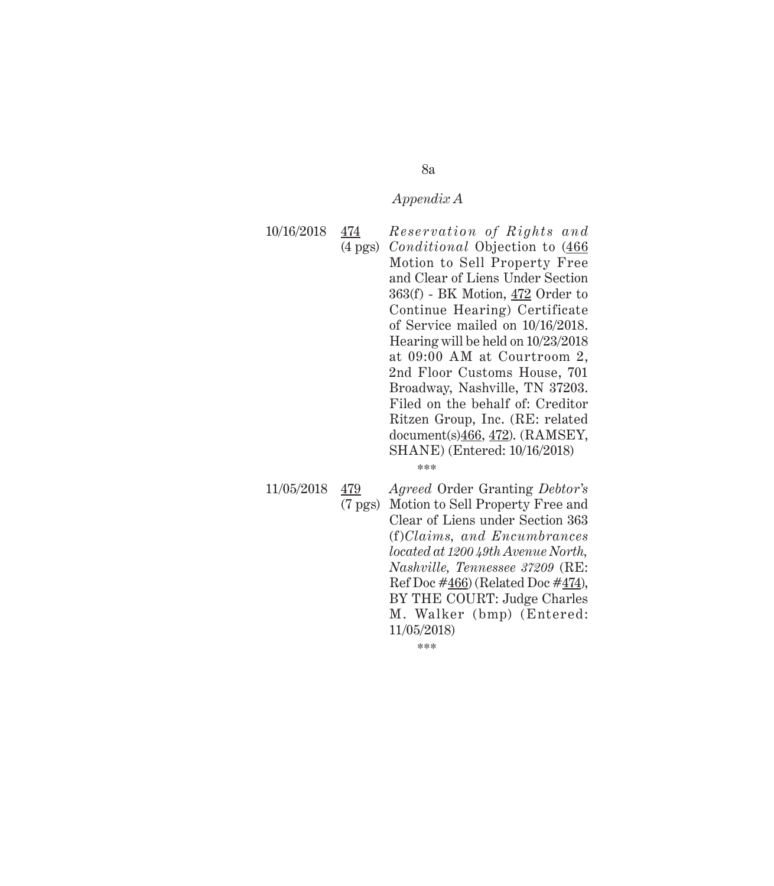10/16/2018 474

(4 pgs) *Conditional* Objection to (466 *Reservation of Rights and* Motion to Sell Property Free and Clear of Liens Under Section 363(f) - BK Motion, 472 Order to Continue Hearing) Certificate of Service mailed on 10/16/2018. Hearing will be held on 10/23/2018 at 09:00 AM at Courtroom 2, 2nd Floor Customs House, 701 Broadway, Nashville, TN 37203. Filed on the behalf of: Creditor Ritzen Group, Inc. (RE: related document(s)466, 472). (RAMSEY, SHANE) (Entered: 10/16/2018)

\*\*\*

11/05/2018 479 (7 pgs) Motion to Sell Property Free and *Agreed* Order Granting *Debtor's* Clear of Liens under Section 363 (f)*Claims, and Encumbrances located at 1200 49th Avenue North, Nashville, Tennessee 37209* (RE: Ref Doc  $\#466$ ) (Related Doc  $\#474$ ), BY THE COURT: Judge Charles M. Walker (bmp) (Entered: 11/05/2018)

\*\*\*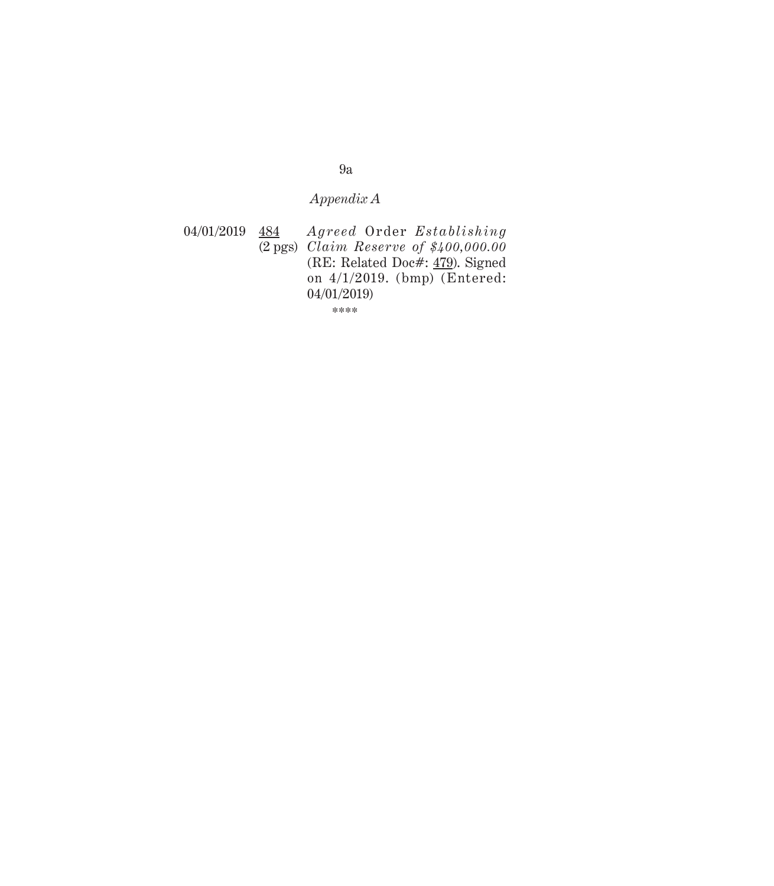04/01/2019 484 (2 pgs) *Claim Reserve of \$400,000.00*  $A\,greed$  Order  $Estability$ (RE: Related Doc#: 479). Signed on 4/1/2019. (bmp) (Entered: 04/01/2019)

\*\*\*\*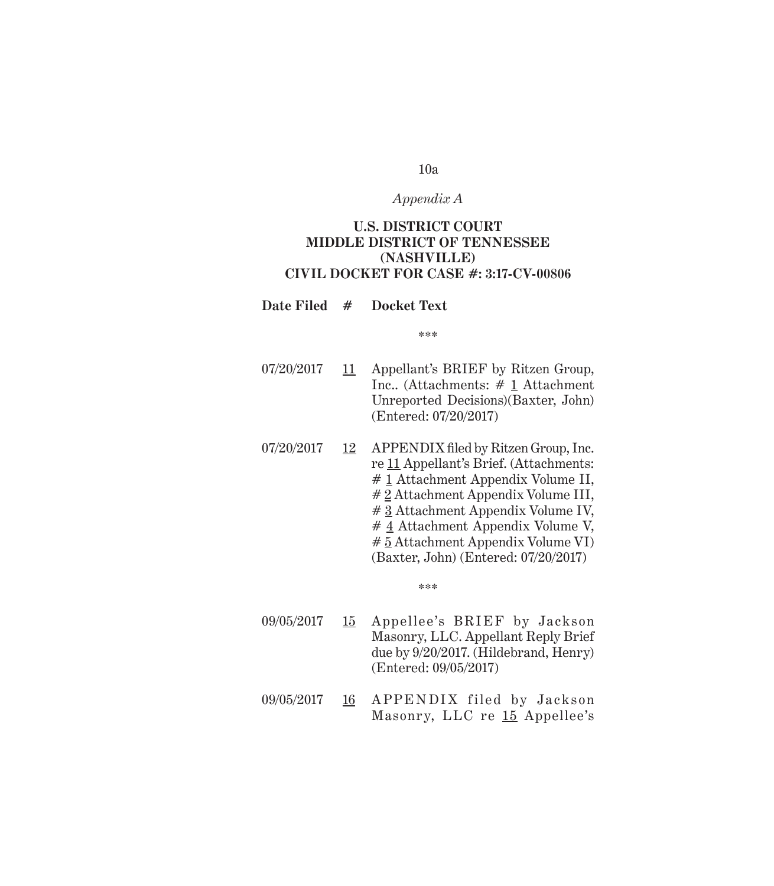# *Appendix A*

# **U.S. DISTRICT COURT MIDDLE DISTRICT OF TENNESSEE (NASHVILLE) CIVIL DOCKET FOR CASE #: 3:17-CV-00806**

# **Date Filed # Docket Text**

\*\*\*

- 07/20/2017 11 Appellant's BRIEF by Ritzen Group, Inc.. (Attachments: # 1 Attachment Unreported Decisions)(Baxter, John) (Entered: 07/20/2017)
- 07/20/2017 12 APPENDIX filed by Ritzen Group, Inc. re 11 Appellant's Brief. (Attachments: # 1 Attachment Appendix Volume II, # 2 Attachment Appendix Volume III, # 3 Attachment Appendix Volume IV, # 4 Attachment Appendix Volume V, # 5 Attachment Appendix Volume VI) (Baxter, John) (Entered: 07/20/2017)

- 09/05/2017 15 Appellee's BRIEF by Jackson Masonry, LLC. Appellant Reply Brief due by 9/20/2017. (Hildebrand, Henry) (Entered: 09/05/2017)
- 09/05/2017 16 APPENDIX filed by Jackson Masonry, LLC re 15 Appellee's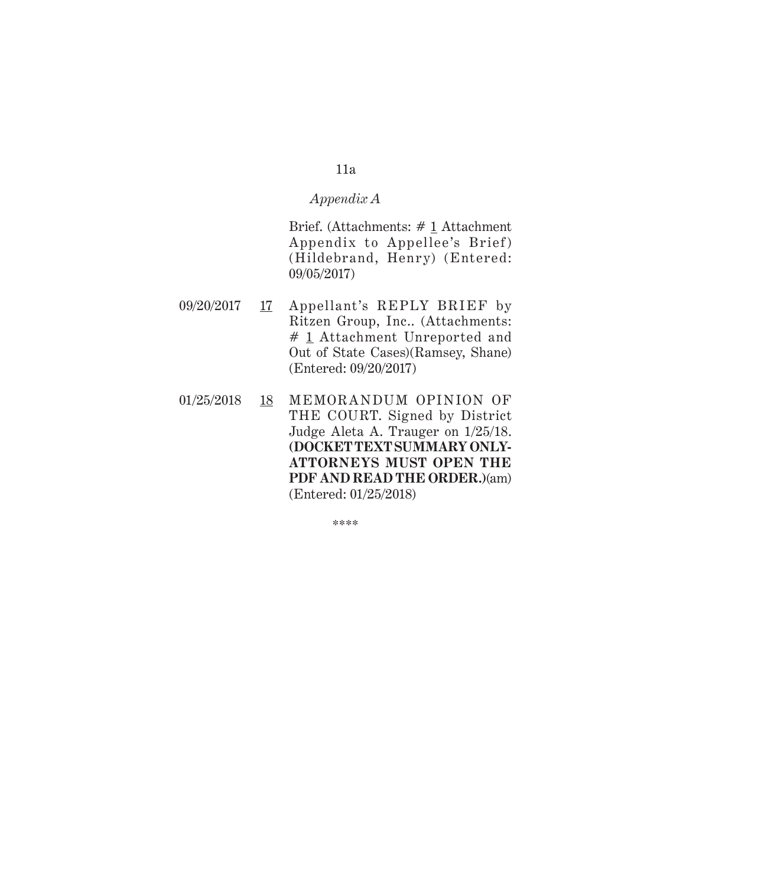# *Appendix A*

Brief. (Attachments: # 1 Attachment Appendix to Appellee's Brief) (Hildebrand, Henry) (Entered: 09/05/2017)

- 09/20/2017 17 Appellant's REPLY BRIEF by Ritzen Group, Inc.. (Attachments: # 1 Attachment Unreported and Out of State Cases)(Ramsey, Shane) (Entered: 09/20/2017)
- 01/25/2018 18 MEMORA NDUM OPINION OF THE COURT. Signed by District Judge Aleta A. Trauger on 1/25/18. **(DOCKET TEXT SUMMARY ONLY-ATTORNEYS MUST OPEN THE PDF AND READ THE ORDER.)**(am) (Entered: 01/25/2018)

\*\*\*\*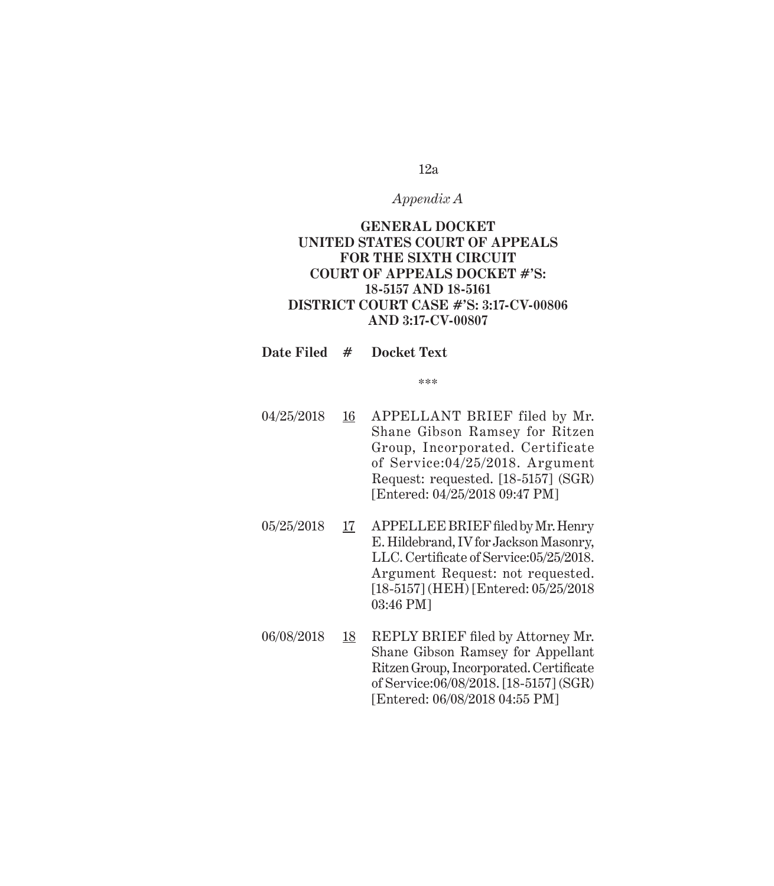# *Appendix A*

# **GENERAL DOCKET UNITED STATES COURT OF APPEALS FOR THE SIXTH CIRCUIT COURT OF APPEALS DOCKET #'S: 18-5157 AND 18-5161 DISTRICT COURT CASE #'S: 3:17-CV-00806 AND 3:17-CV-00807**

# **Date Filed # Docket Text**

- 04/25/2018 16 APPELLANT BRIEF filed by Mr. Shane Gibson Ramsey for Ritzen Group, Incorporated. Certificate of Service:04/25/2018. Argument Request: requested. [18-5157] (SGR) [Entered: 04/25/2018 09:47 PM]
- 05/25/2018 17 APPELLEE BRIEF filed by Mr. Henry E. Hildebrand, IV for Jackson Masonry, LLC. Certificate of Service:05/25/2018. Argument Request: not requested. [18-5157] (HEH) [Entered: 05/25/2018 03:46 PM]
- 06/08/2018 18 REPLY BRIEF filed by Attorney Mr. Shane Gibson Ramsey for Appellant Ritzen Group, Incorporated. Certificate of Service:06/08/2018. [18-5157] (SGR) [Entered: 06/08/2018 04:55 PM]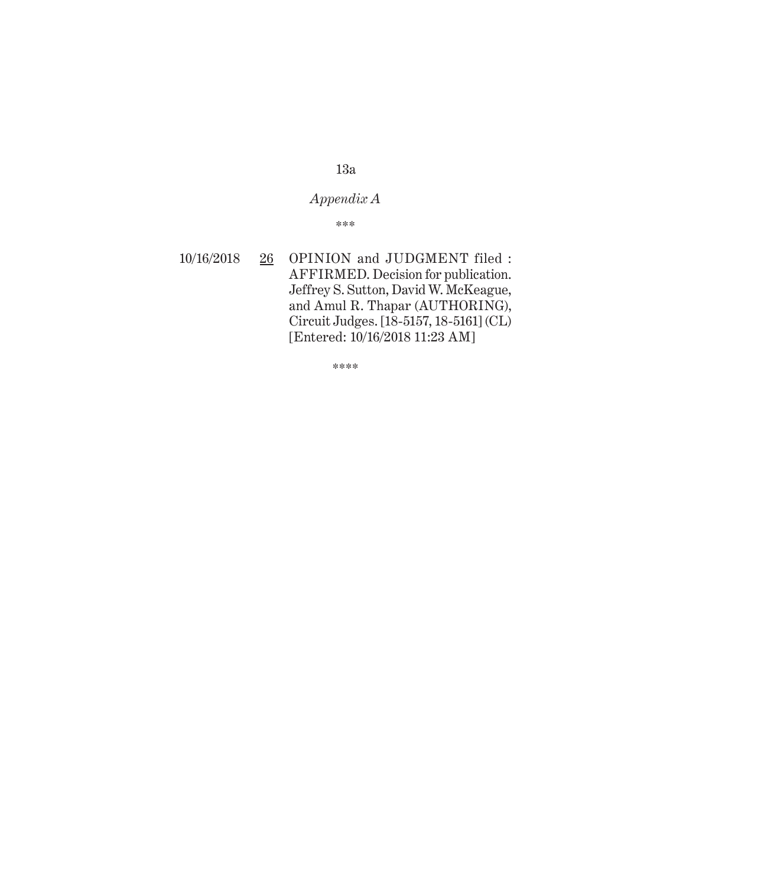# *Appendix A*

\*\*\*

10/16/2018 26 OPINION and JUDGMENT filed : AFFIRMED. Decision for publication. Jeffrey S. Sutton, David W. McKeague, and Amul R. Thapar (AUTHORING), Circuit Judges. [18-5157, 18-5161] (CL) [Entered: 10/16/2018 11:23 AM]

\*\*\*\*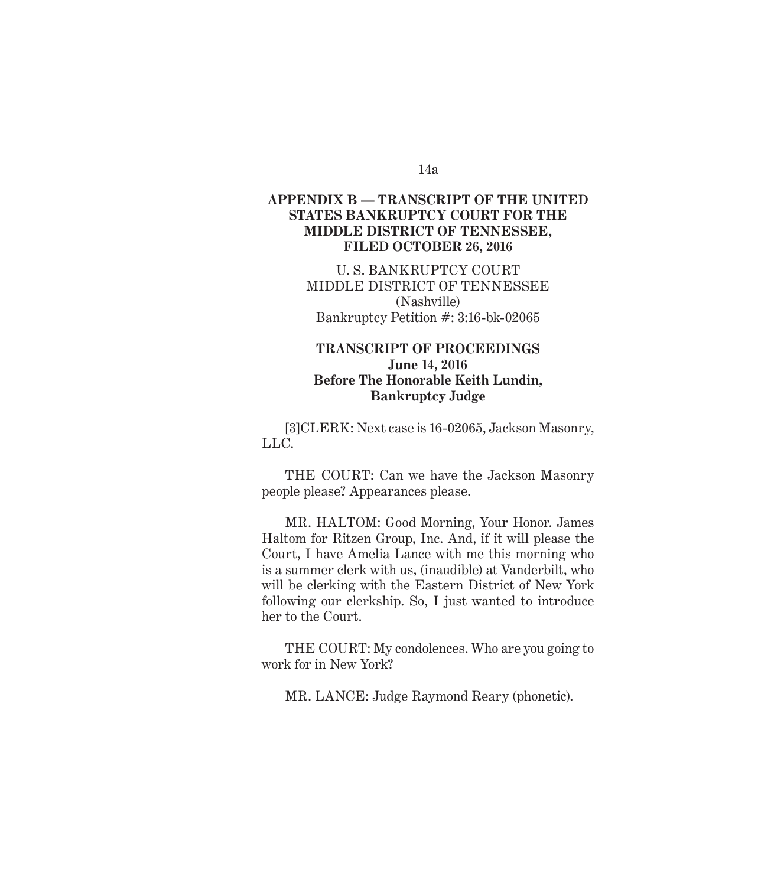# *Appendix B* **APPENDIX B — TRANSCRIPT OF THE UNITED STATES BANKRUPTCY COURT FOR THE MIDDLE DISTRICT OF TENNESSEE, FILED OCTOBER 26, 2016**

U. S. BANKRUPTCY COURT MIDDLE DISTRICT OF TENNESSEE (Nashville) Bankruptcy Petition #: 3:16-bk-02065

# **TRANSCRIPT OF PROCEEDINGS June 14, 2016 Before The Honorable Keith Lundin, Bankruptcy Judge**

[3]CLERK: Next case is 16-02065, Jackson Masonry, LLC.

THE COURT: Can we have the Jackson Masonry people please? Appearances please.

MR. HALTOM: Good Morning, Your Honor. James Haltom for Ritzen Group, Inc. And, if it will please the Court, I have Amelia Lance with me this morning who is a summer clerk with us, (inaudible) at Vanderbilt, who will be clerking with the Eastern District of New York following our clerkship. So, I just wanted to introduce her to the Court.

THE COURT: My condolences. Who are you going to work for in New York?

MR. LANCE: Judge Raymond Reary (phonetic).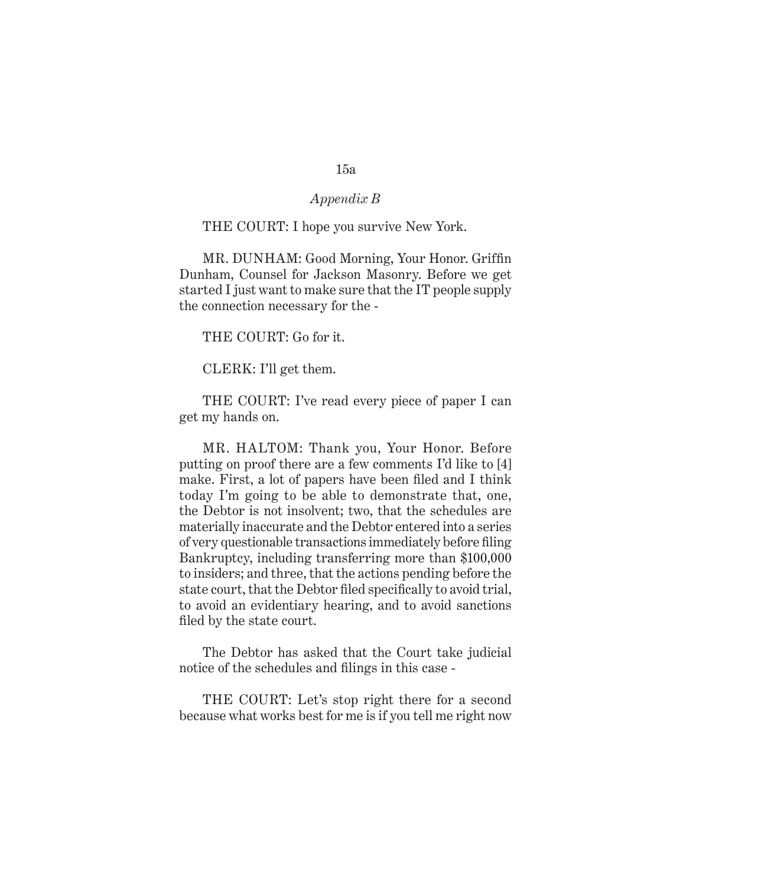# *Appendix B*

#### THE COURT: I hope you survive New York.

MR. DUNHAM: Good Morning, Your Honor. Griffin Dunham, Counsel for Jackson Masonry. Before we get started I just want to make sure that the IT people supply the connection necessary for the -

THE COURT: Go for it.

CLERK: I'll get them.

THE COURT: I've read every piece of paper I can get my hands on.

MR. HALTOM: Thank you, Your Honor. Before putting on proof there are a few comments I'd like to [4] make. First, a lot of papers have been filed and I think today I'm going to be able to demonstrate that, one, the Debtor is not insolvent; two, that the schedules are materially inaccurate and the Debtor entered into a series of very questionable transactions immediately before filing Bankruptcy, including transferring more than \$100,000 to insiders; and three, that the actions pending before the state court, that the Debtor filed specifically to avoid trial, to avoid an evidentiary hearing, and to avoid sanctions filed by the state court.

The Debtor has asked that the Court take judicial notice of the schedules and filings in this case -

THE COURT: Let's stop right there for a second because what works best for me is if you tell me right now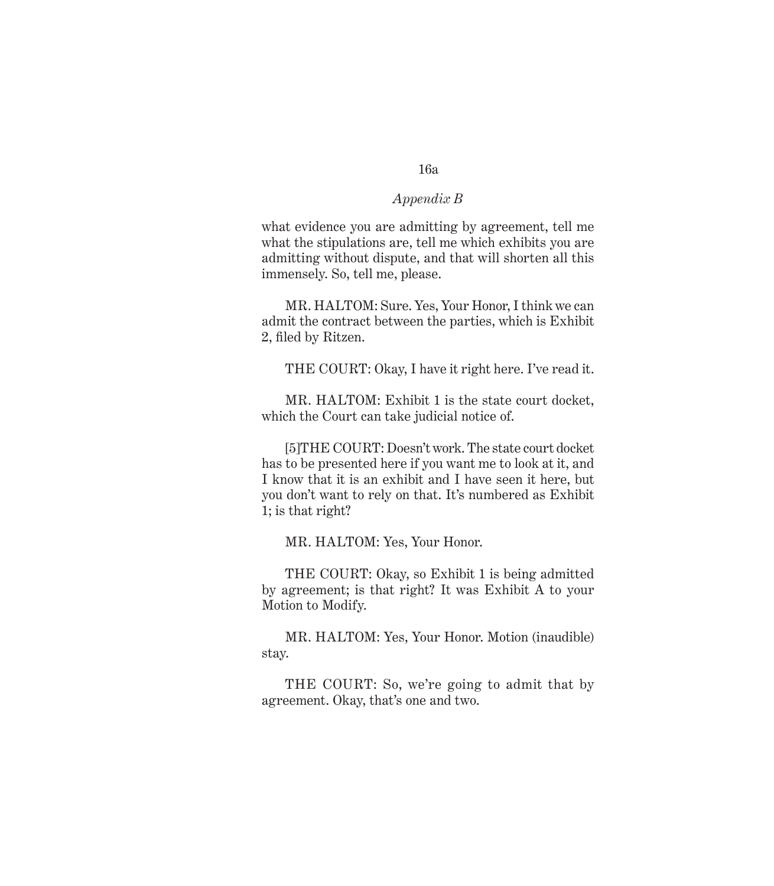# *Appendix B*

what evidence you are admitting by agreement, tell me what the stipulations are, tell me which exhibits you are admitting without dispute, and that will shorten all this immensely. So, tell me, please.

MR. HALTOM: Sure. Yes, Your Honor, I think we can admit the contract between the parties, which is Exhibit 2, filed by Ritzen.

THE COURT: Okay, I have it right here. I've read it.

MR. HALTOM: Exhibit 1 is the state court docket, which the Court can take judicial notice of.

[5]THE COURT: Doesn't work. The state court docket has to be presented here if you want me to look at it, and I know that it is an exhibit and I have seen it here, but you don't want to rely on that. It's numbered as Exhibit 1; is that right?

MR. HALTOM: Yes, Your Honor.

THE COURT: Okay, so Exhibit 1 is being admitted by agreement; is that right? It was Exhibit A to your Motion to Modify.

MR. HALTOM: Yes, Your Honor. Motion (inaudible) stay.

THE COURT: So, we're going to admit that by agreement. Okay, that's one and two.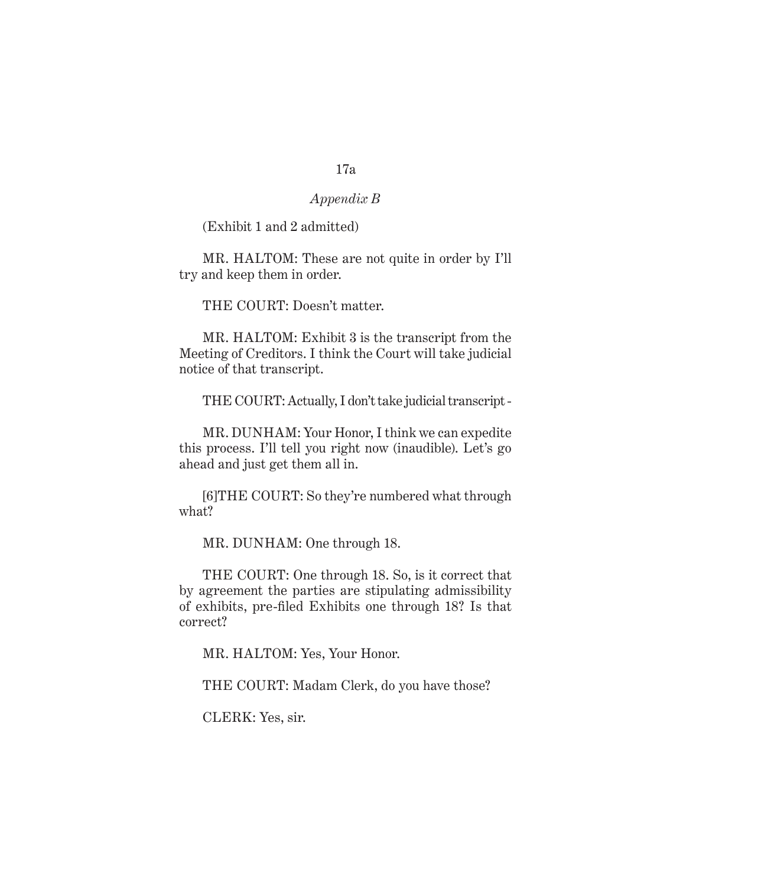# *Appendix B*

(Exhibit 1 and 2 admitted)

MR. HALTOM: These are not quite in order by I'll try and keep them in order.

THE COURT: Doesn't matter.

MR. HALTOM: Exhibit 3 is the transcript from the Meeting of Creditors. I think the Court will take judicial notice of that transcript.

THE COURT: Actually, I don't take judicial transcript -

MR. DUNHAM: Your Honor, I think we can expedite this process. I'll tell you right now (inaudible). Let's go ahead and just get them all in.

[6]THE COURT: So they're numbered what through what?

MR. DUNHAM: One through 18.

THE COURT: One through 18. So, is it correct that by agreement the parties are stipulating admissibility of exhibits, pre-filed Exhibits one through 18? Is that correct?

MR. HALTOM: Yes, Your Honor.

THE COURT: Madam Clerk, do you have those?

CLERK: Yes, sir.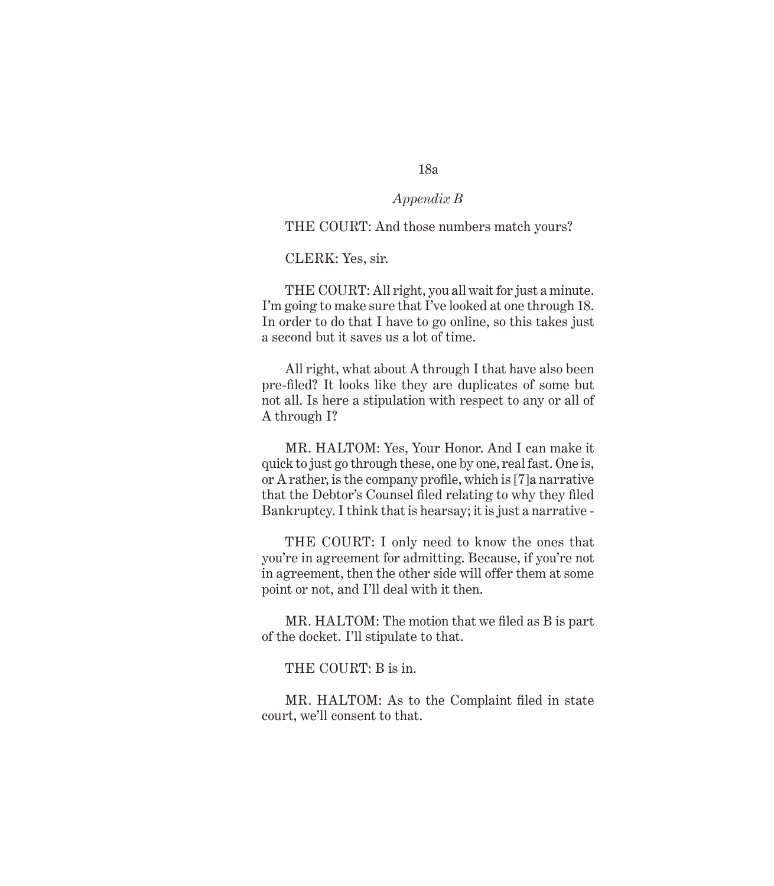# *Appendix B*

# THE COURT: And those numbers match yours?

CLERK: Yes, sir.

THE COURT: All right, you all wait for just a minute. I'm going to make sure that I've looked at one through 18. In order to do that I have to go online, so this takes just a second but it saves us a lot of time.

All right, what about A through I that have also been pre-filed? It looks like they are duplicates of some but not all. Is here a stipulation with respect to any or all of A through I?

MR. HALTOM: Yes, Your Honor. And I can make it quick to just go through these, one by one, real fast. One is, or A rather, is the company profile, which is [7]a narrative that the Debtor's Counsel filed relating to why they filed Bankruptcy. I think that is hearsay; it is just a narrative -

THE COURT: I only need to know the ones that you're in agreement for admitting. Because, if you're not in agreement, then the other side will offer them at some point or not, and I'll deal with it then.

MR. HALTOM: The motion that we filed as B is part of the docket. I'll stipulate to that.

THE COURT: B is in.

MR. HALTOM: As to the Complaint filed in state court, we'll consent to that.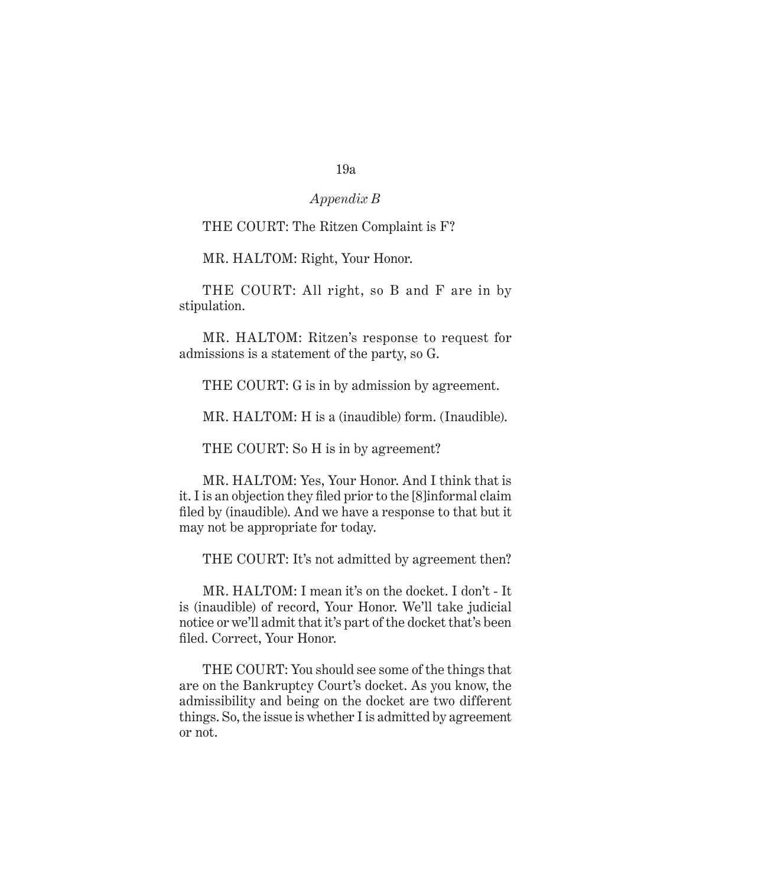# *Appendix B*

#### THE COURT: The Ritzen Complaint is F?

MR. HALTOM: Right, Your Honor.

THE COURT: All right, so B and F are in by stipulation.

MR. HALTOM: Ritzen's response to request for admissions is a statement of the party, so G.

THE COURT: G is in by admission by agreement.

MR. HALTOM: H is a (inaudible) form. (Inaudible).

THE COURT: So H is in by agreement?

MR. HALTOM: Yes, Your Honor. And I think that is it. I is an objection they filed prior to the [8]informal claim filed by (inaudible). And we have a response to that but it may not be appropriate for today.

THE COURT: It's not admitted by agreement then?

MR. HALTOM: I mean it's on the docket. I don't - It is (inaudible) of record, Your Honor. We'll take judicial notice or we'll admit that it's part of the docket that's been filed. Correct, Your Honor.

THE COURT: You should see some of the things that are on the Bankruptcy Court's docket. As you know, the admissibility and being on the docket are two different things. So, the issue is whether I is admitted by agreement or not.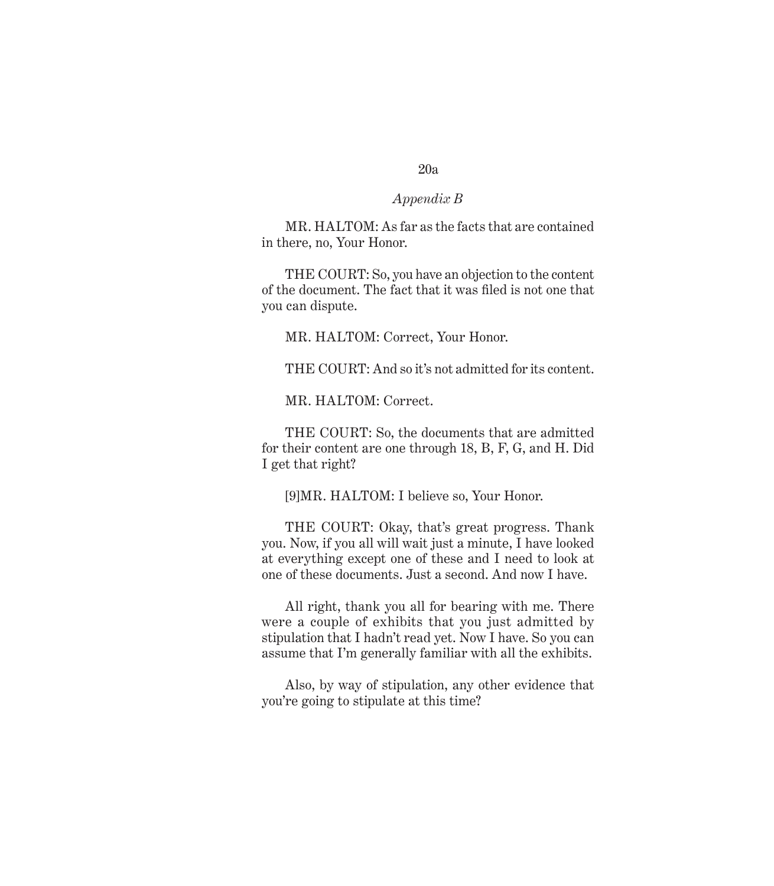# *Appendix B*

MR. HALTOM: As far as the facts that are contained in there, no, Your Honor.

THE COURT: So, you have an objection to the content of the document. The fact that it was filed is not one that you can dispute.

MR. HALTOM: Correct, Your Honor.

THE COURT: And so it's not admitted for its content.

MR. HALTOM: Correct.

THE COURT: So, the documents that are admitted for their content are one through 18, B, F, G, and H. Did I get that right?

[9]MR. HALTOM: I believe so, Your Honor.

THE COURT: Okay, that's great progress. Thank you. Now, if you all will wait just a minute, I have looked at everything except one of these and I need to look at one of these documents. Just a second. And now I have.

All right, thank you all for bearing with me. There were a couple of exhibits that you just admitted by stipulation that I hadn't read yet. Now I have. So you can assume that I'm generally familiar with all the exhibits.

Also, by way of stipulation, any other evidence that you're going to stipulate at this time?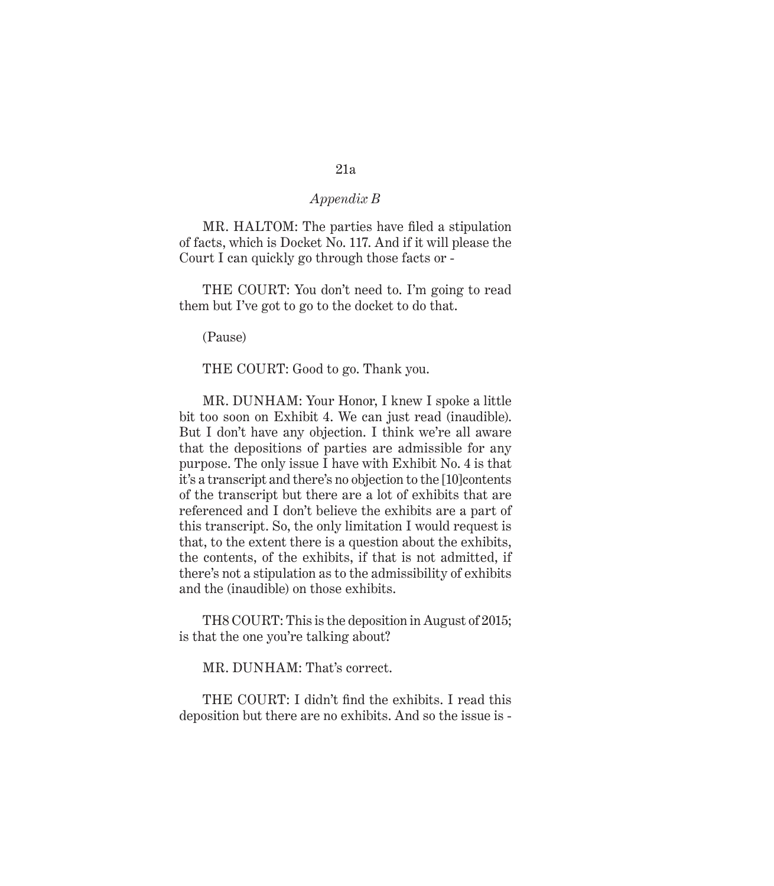MR. HALTOM: The parties have filed a stipulation of facts, which is Docket No. 117. And if it will please the Court I can quickly go through those facts or -

THE COURT: You don't need to. I'm going to read them but I've got to go to the docket to do that.

(Pause)

THE COURT: Good to go. Thank you.

MR. DUNHAM: Your Honor, I knew I spoke a little bit too soon on Exhibit 4. We can just read (inaudible). But I don't have any objection. I think we're all aware that the depositions of parties are admissible for any purpose. The only issue I have with Exhibit No. 4 is that it's a transcript and there's no objection to the [10]contents of the transcript but there are a lot of exhibits that are referenced and I don't believe the exhibits are a part of this transcript. So, the only limitation I would request is that, to the extent there is a question about the exhibits, the contents, of the exhibits, if that is not admitted, if there's not a stipulation as to the admissibility of exhibits and the (inaudible) on those exhibits.

TH8 COURT: This is the deposition in August of 2015; is that the one you're talking about?

MR. DUNHAM: That's correct.

THE COURT: I didn't find the exhibits. I read this deposition but there are no exhibits. And so the issue is -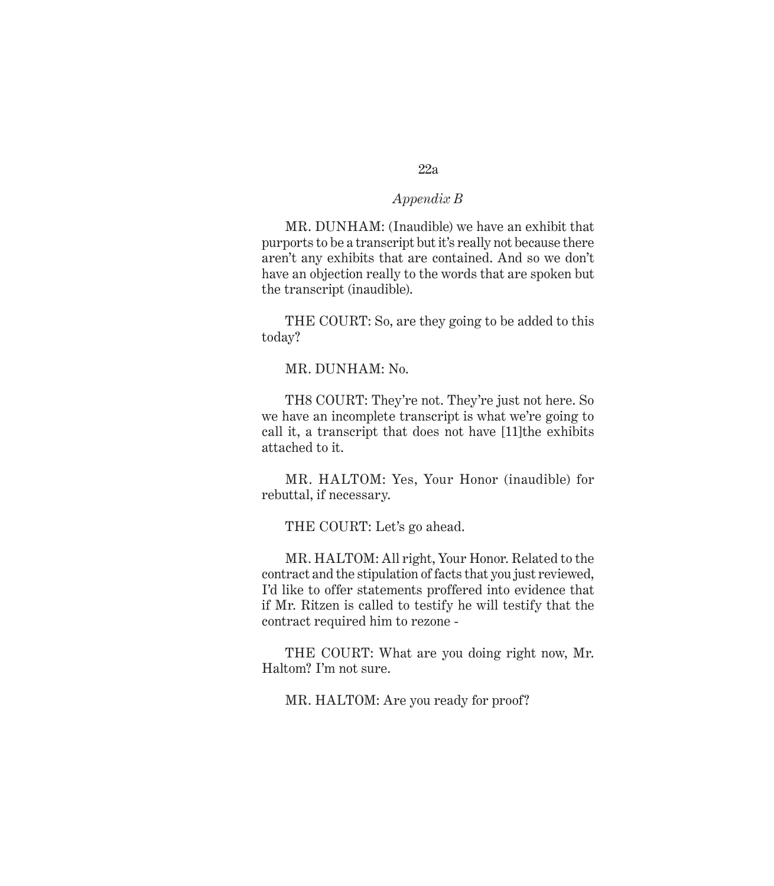# *Appendix B*

MR. DUNHAM: (Inaudible) we have an exhibit that purports to be a transcript but it's really not because there aren't any exhibits that are contained. And so we don't have an objection really to the words that are spoken but the transcript (inaudible).

THE COURT: So, are they going to be added to this today?

MR. DUNHAM: No.

TH8 COURT: They're not. They're just not here. So we have an incomplete transcript is what we're going to call it, a transcript that does not have [11]the exhibits attached to it.

MR. HALTOM: Yes, Your Honor (inaudible) for rebuttal, if necessary.

THE COURT: Let's go ahead.

MR. HALTOM: All right, Your Honor. Related to the contract and the stipulation of facts that you just reviewed, I'd like to offer statements proffered into evidence that if Mr. Ritzen is called to testify he will testify that the contract required him to rezone -

THE COURT: What are you doing right now, Mr. Haltom? I'm not sure.

MR. HALTOM: Are you ready for proof?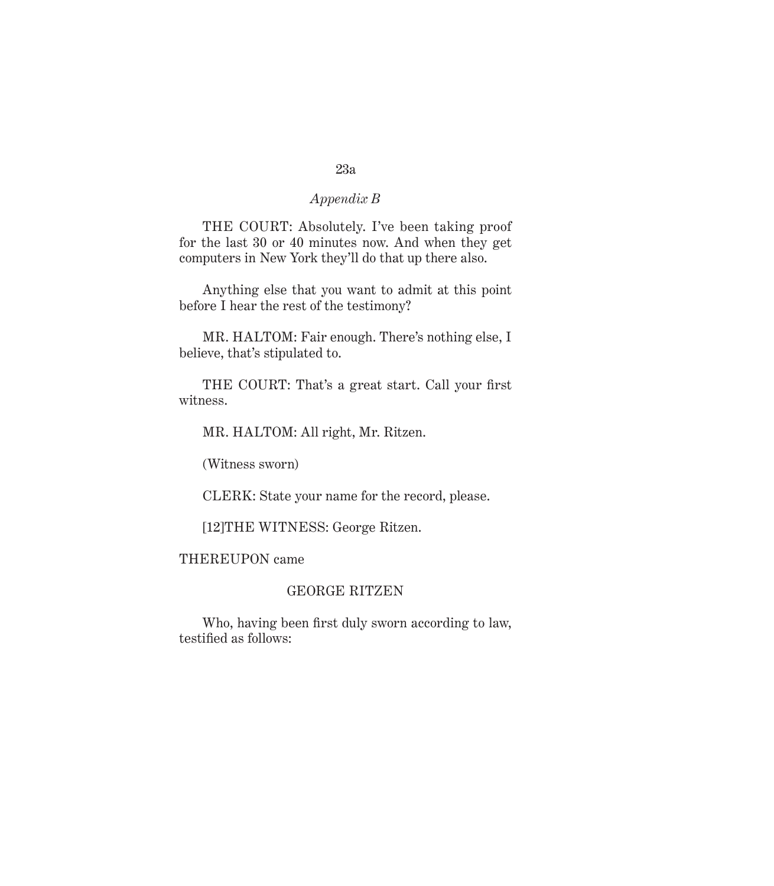THE COURT: Absolutely. I've been taking proof for the last 30 or 40 minutes now. And when they get computers in New York they'll do that up there also.

Anything else that you want to admit at this point before I hear the rest of the testimony?

MR. HALTOM: Fair enough. There's nothing else, I believe, that's stipulated to.

THE COURT: That's a great start. Call your first witness.

MR. HALTOM: All right, Mr. Ritzen.

(Witness sworn)

CLERK: State your name for the record, please.

[12]THE WITNESS: George Ritzen.

THEREUPON came

# GEORGE RITZEN

Who, having been first duly sworn according to law, testified as follows: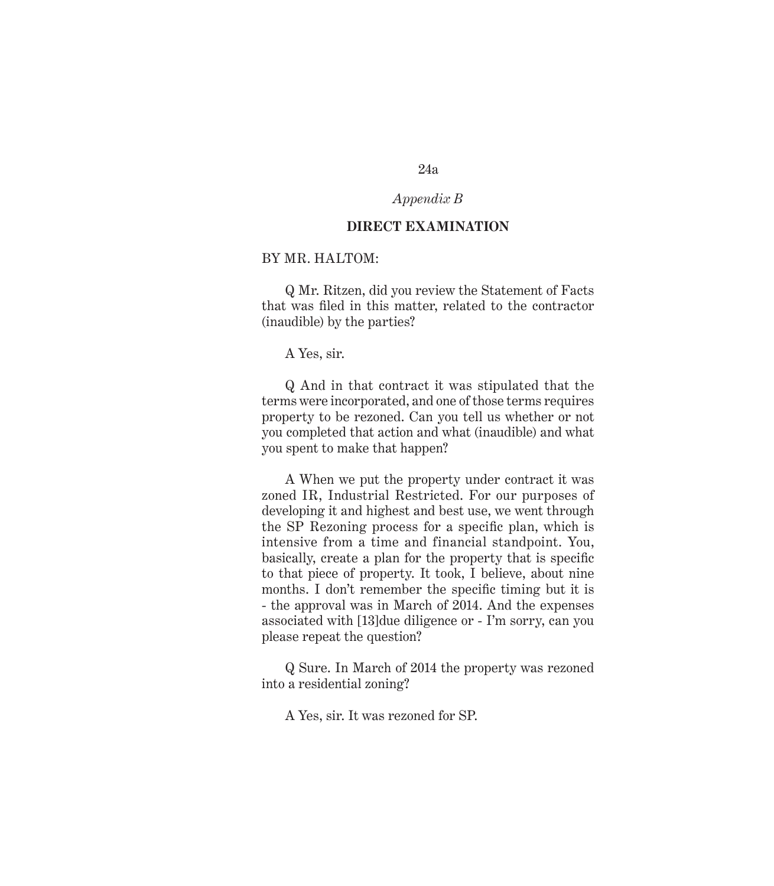# *Appendix B*

### **DIRECT EXAMINATION**

# BY MR. HALTOM:

Q Mr. Ritzen, did you review the Statement of Facts that was filed in this matter, related to the contractor (inaudible) by the parties?

A Yes, sir.

Q And in that contract it was stipulated that the terms were incorporated, and one of those terms requires property to be rezoned. Can you tell us whether or not you completed that action and what (inaudible) and what you spent to make that happen?

A When we put the property under contract it was zoned IR, Industrial Restricted. For our purposes of developing it and highest and best use, we went through the SP Rezoning process for a specific plan, which is intensive from a time and financial standpoint. You, basically, create a plan for the property that is specific to that piece of property. It took, I believe, about nine months. I don't remember the specific timing but it is - the approval was in March of 2014. And the expenses associated with [13]due diligence or - I'm sorry, can you please repeat the question?

Q Sure. In March of 2014 the property was rezoned into a residential zoning?

A Yes, sir. It was rezoned for SP.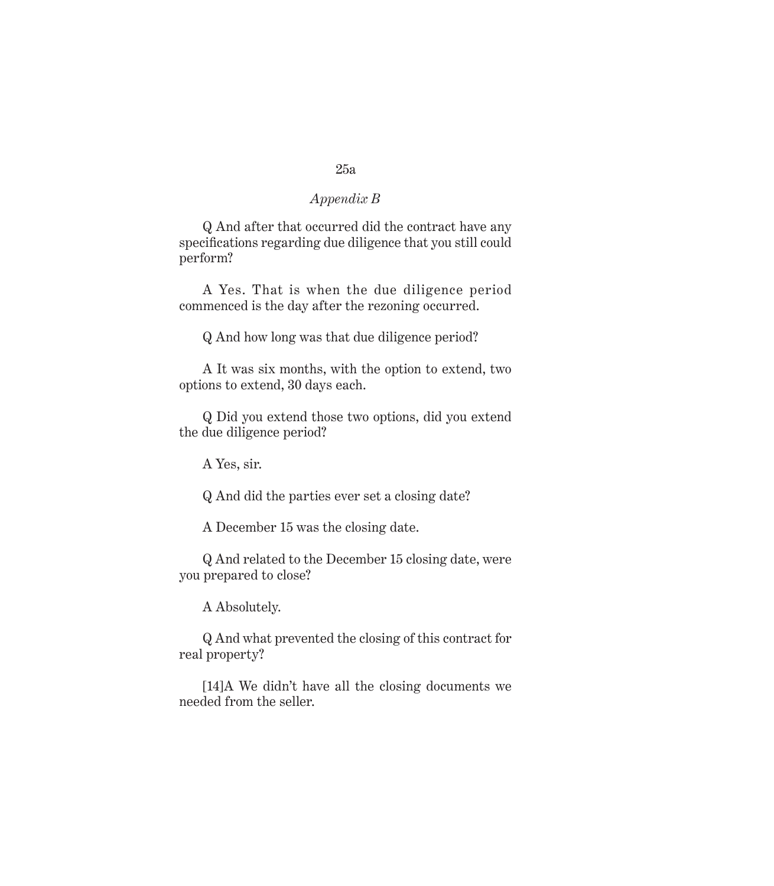Q And after that occurred did the contract have any specifications regarding due diligence that you still could perform?

A Yes. That is when the due diligence period commenced is the day after the rezoning occurred.

Q And how long was that due diligence period?

A It was six months, with the option to extend, two options to extend, 30 days each.

Q Did you extend those two options, did you extend the due diligence period?

A Yes, sir.

Q And did the parties ever set a closing date?

A December 15 was the closing date.

Q And related to the December 15 closing date, were you prepared to close?

A Absolutely.

Q And what prevented the closing of this contract for real property?

[14]A We didn't have all the closing documents we needed from the seller.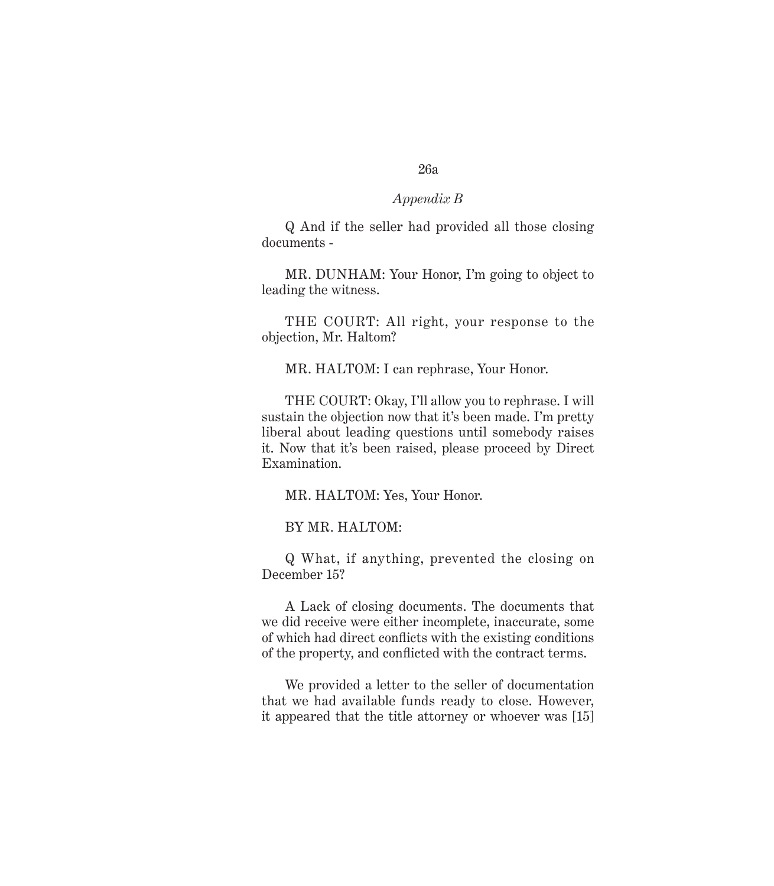Q And if the seller had provided all those closing documents -

MR. DUNHAM: Your Honor, I'm going to object to leading the witness.

THE COURT: All right, your response to the objection, Mr. Haltom?

MR. HALTOM: I can rephrase, Your Honor.

THE COURT: Okay, I'll allow you to rephrase. I will sustain the objection now that it's been made. I'm pretty liberal about leading questions until somebody raises it. Now that it's been raised, please proceed by Direct Examination.

MR. HALTOM: Yes, Your Honor.

BY MR. HALTOM:

Q What, if anything, prevented the closing on December 15?

A Lack of closing documents. The documents that we did receive were either incomplete, inaccurate, some of which had direct conflicts with the existing conditions of the property, and conflicted with the contract terms.

We provided a letter to the seller of documentation that we had available funds ready to close. However, it appeared that the title attorney or whoever was [15]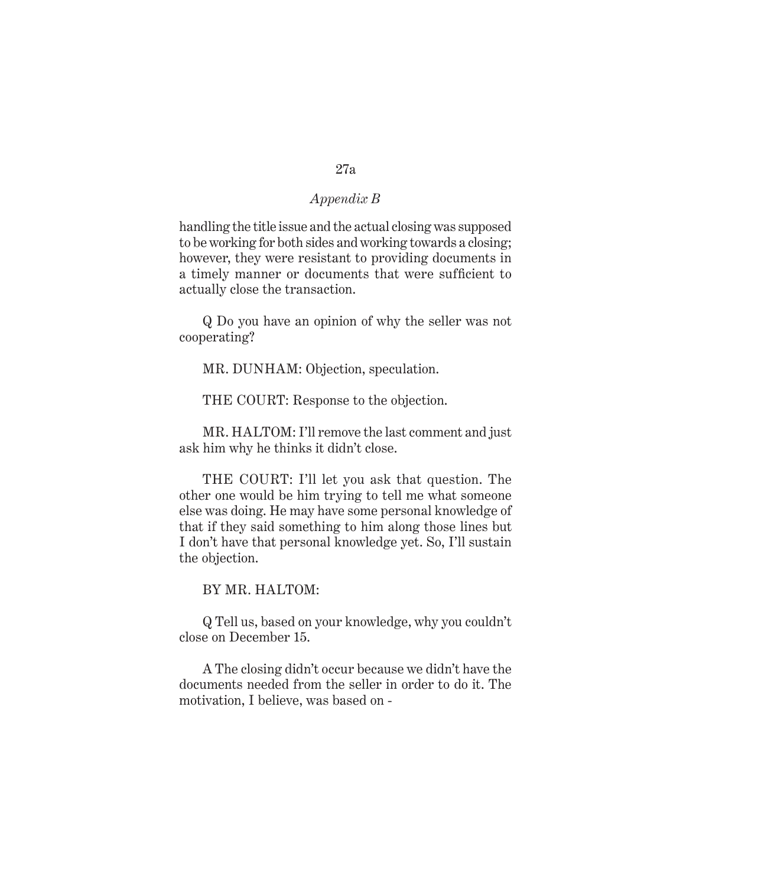handling the title issue and the actual closing was supposed to be working for both sides and working towards a closing; however, they were resistant to providing documents in a timely manner or documents that were sufficient to actually close the transaction.

Q Do you have an opinion of why the seller was not cooperating?

MR. DUNHAM: Objection, speculation.

THE COURT: Response to the objection.

MR. HALTOM: I'll remove the last comment and just ask him why he thinks it didn't close.

THE COURT: I'll let you ask that question. The other one would be him trying to tell me what someone else was doing. He may have some personal knowledge of that if they said something to him along those lines but I don't have that personal knowledge yet. So, I'll sustain the objection.

BY MR. HALTOM:

Q Tell us, based on your knowledge, why you couldn't close on December 15.

A The closing didn't occur because we didn't have the documents needed from the seller in order to do it. The motivation, I believe, was based on -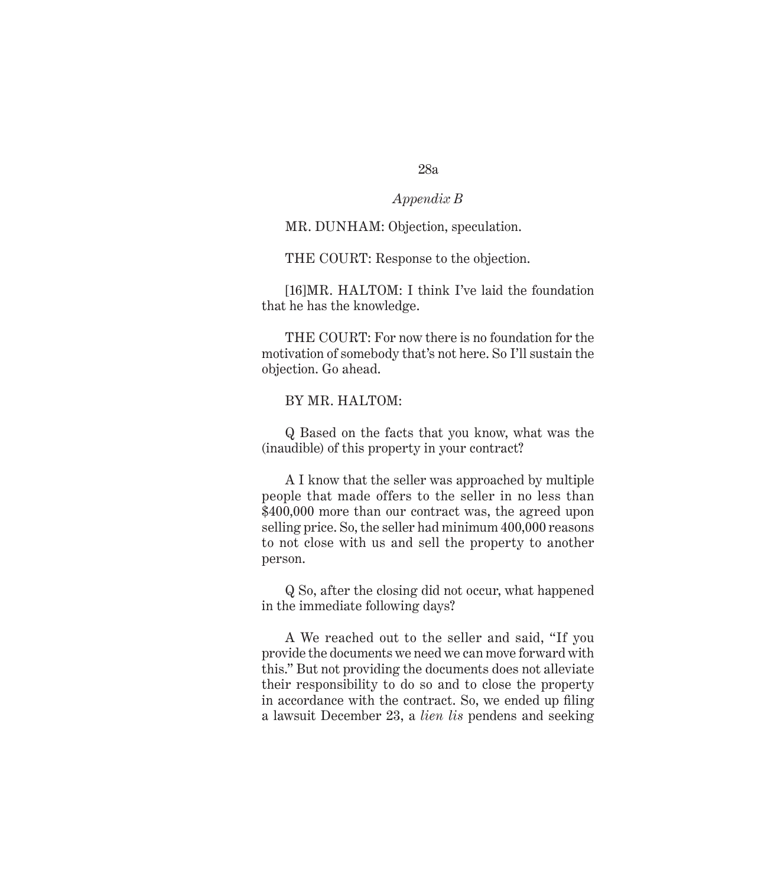# *Appendix B*

### MR. DUNHAM: Objection, speculation.

THE COURT: Response to the objection.

[16]MR. HALTOM: I think I've laid the foundation that he has the knowledge.

THE COURT: For now there is no foundation for the motivation of somebody that's not here. So I'll sustain the objection. Go ahead.

# BY MR. HALTOM:

Q Based on the facts that you know, what was the (inaudible) of this property in your contract?

A I know that the seller was approached by multiple people that made offers to the seller in no less than \$400,000 more than our contract was, the agreed upon selling price. So, the seller had minimum 400,000 reasons to not close with us and sell the property to another person.

Q So, after the closing did not occur, what happened in the immediate following days?

A We reached out to the seller and said, "If you provide the documents we need we can move forward with this." But not providing the documents does not alleviate their responsibility to do so and to close the property in accordance with the contract. So, we ended up filing a lawsuit December 23, a *lien lis* pendens and seeking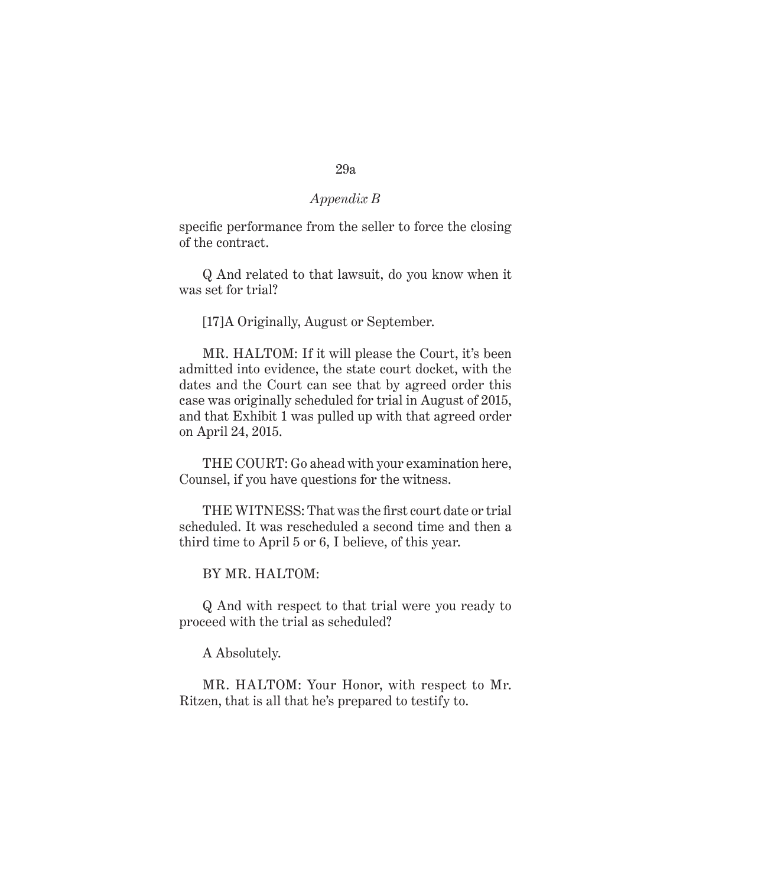specific performance from the seller to force the closing of the contract.

Q And related to that lawsuit, do you know when it was set for trial?

[17]A Originally, August or September.

MR. HALTOM: If it will please the Court, it's been admitted into evidence, the state court docket, with the dates and the Court can see that by agreed order this case was originally scheduled for trial in August of 2015, and that Exhibit 1 was pulled up with that agreed order on April 24, 2015.

THE COURT: Go ahead with your examination here, Counsel, if you have questions for the witness.

THE WITNESS: That was the first court date or trial scheduled. It was rescheduled a second time and then a third time to April 5 or 6, I believe, of this year.

BY MR. HALTOM:

Q And with respect to that trial were you ready to proceed with the trial as scheduled?

A Absolutely.

MR. HALTOM: Your Honor, with respect to Mr. Ritzen, that is all that he's prepared to testify to.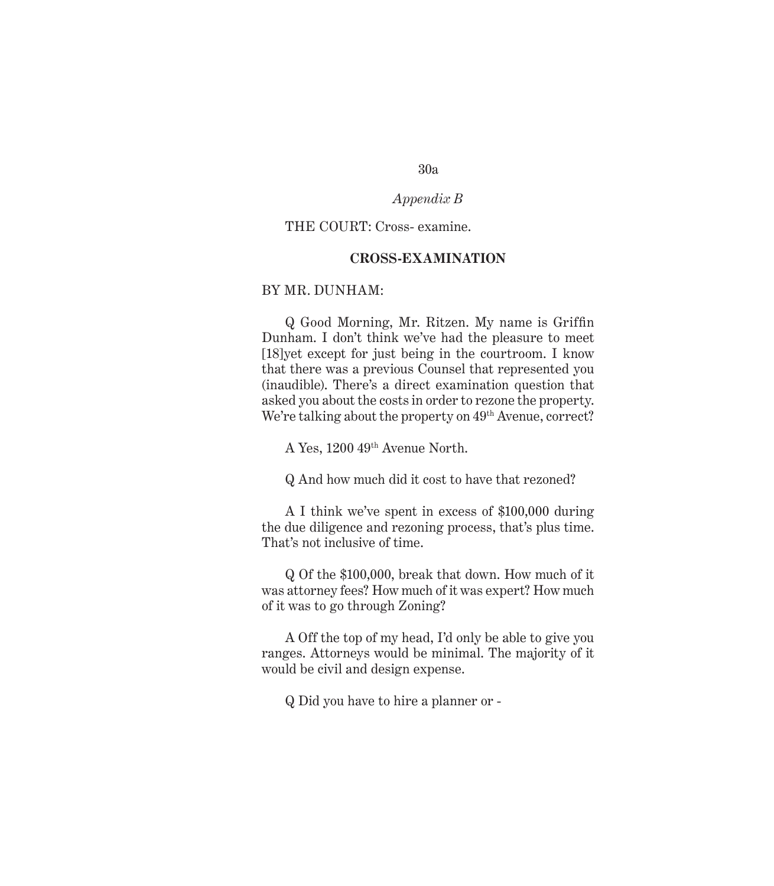# *Appendix B*

# THE COURT: Cross- examine.

# **CROSS-EXAMINATION**

# BY MR. DUNHAM:

Q Good Morning, Mr. Ritzen. My name is Griffin Dunham. I don't think we've had the pleasure to meet [18]yet except for just being in the courtroom. I know that there was a previous Counsel that represented you (inaudible). There's a direct examination question that asked you about the costs in order to rezone the property. We're talking about the property on 49<sup>th</sup> Avenue, correct?

A Yes, 1200 49th Avenue North.

Q And how much did it cost to have that rezoned?

A I think we've spent in excess of \$100,000 during the due diligence and rezoning process, that's plus time. That's not inclusive of time.

Q Of the \$100,000, break that down. How much of it was attorney fees? How much of it was expert? How much of it was to go through Zoning?

A Off the top of my head, I'd only be able to give you ranges. Attorneys would be minimal. The majority of it would be civil and design expense.

Q Did you have to hire a planner or -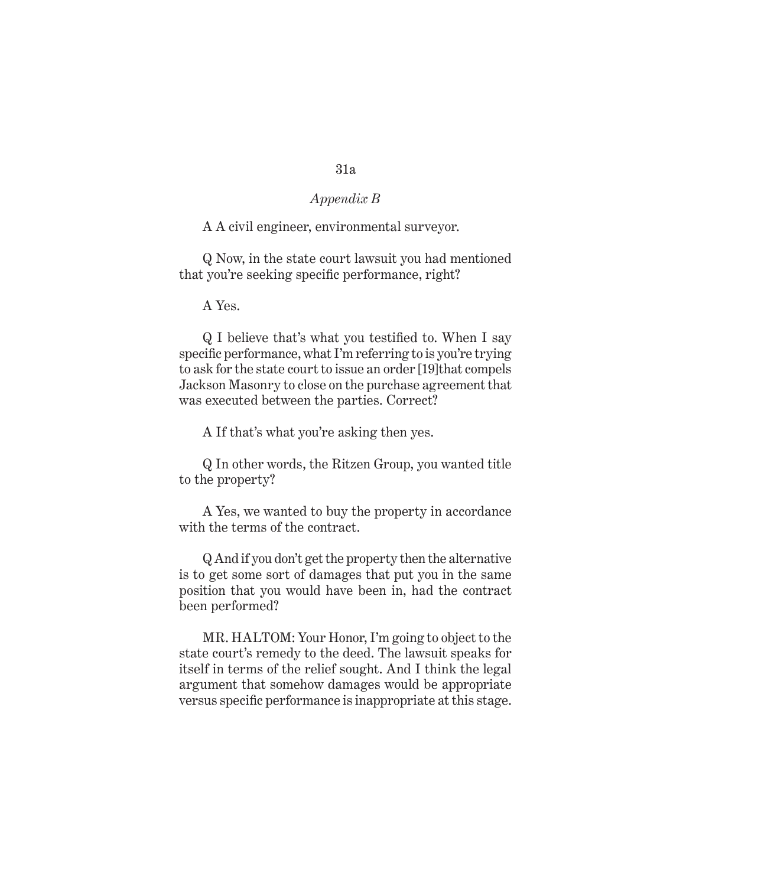# *Appendix B*

# A A civil engineer, environmental surveyor.

Q Now, in the state court lawsuit you had mentioned that you're seeking specific performance, right?

A Yes.

Q I believe that's what you testified to. When I say specific performance, what I'm referring to is you're trying to ask for the state court to issue an order [19]that compels Jackson Masonry to close on the purchase agreement that was executed between the parties. Correct?

A If that's what you're asking then yes.

Q In other words, the Ritzen Group, you wanted title to the property?

A Yes, we wanted to buy the property in accordance with the terms of the contract.

Q And if you don't get the property then the alternative is to get some sort of damages that put you in the same position that you would have been in, had the contract been performed?

MR. HALTOM: Your Honor, I'm going to object to the state court's remedy to the deed. The lawsuit speaks for itself in terms of the relief sought. And I think the legal argument that somehow damages would be appropriate versus specific performance is inappropriate at this stage.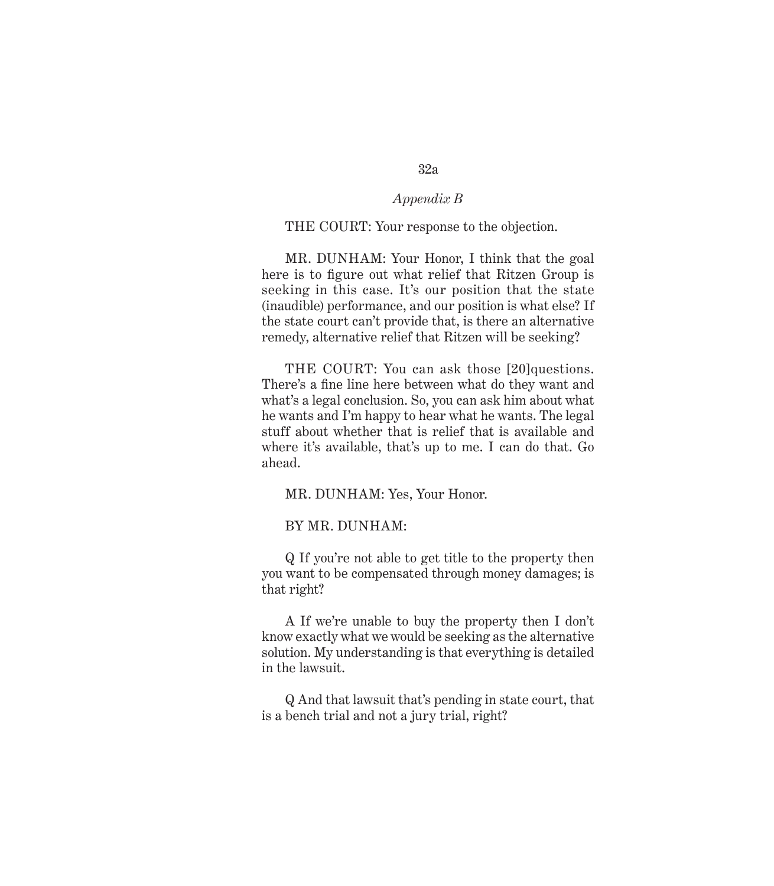# *Appendix B*

#### THE COURT: Your response to the objection.

MR. DUNHAM: Your Honor, I think that the goal here is to figure out what relief that Ritzen Group is seeking in this case. It's our position that the state (inaudible) performance, and our position is what else? If the state court can't provide that, is there an alternative remedy, alternative relief that Ritzen will be seeking?

THE COURT: You can ask those [20]questions. There's a fine line here between what do they want and what's a legal conclusion. So, you can ask him about what he wants and I'm happy to hear what he wants. The legal stuff about whether that is relief that is available and where it's available, that's up to me. I can do that. Go ahead.

MR. DUNHAM: Yes, Your Honor.

BY MR. DUNHAM:

Q If you're not able to get title to the property then you want to be compensated through money damages; is that right?

A If we're unable to buy the property then I don't know exactly what we would be seeking as the alternative solution. My understanding is that everything is detailed in the lawsuit.

Q And that lawsuit that's pending in state court, that is a bench trial and not a jury trial, right?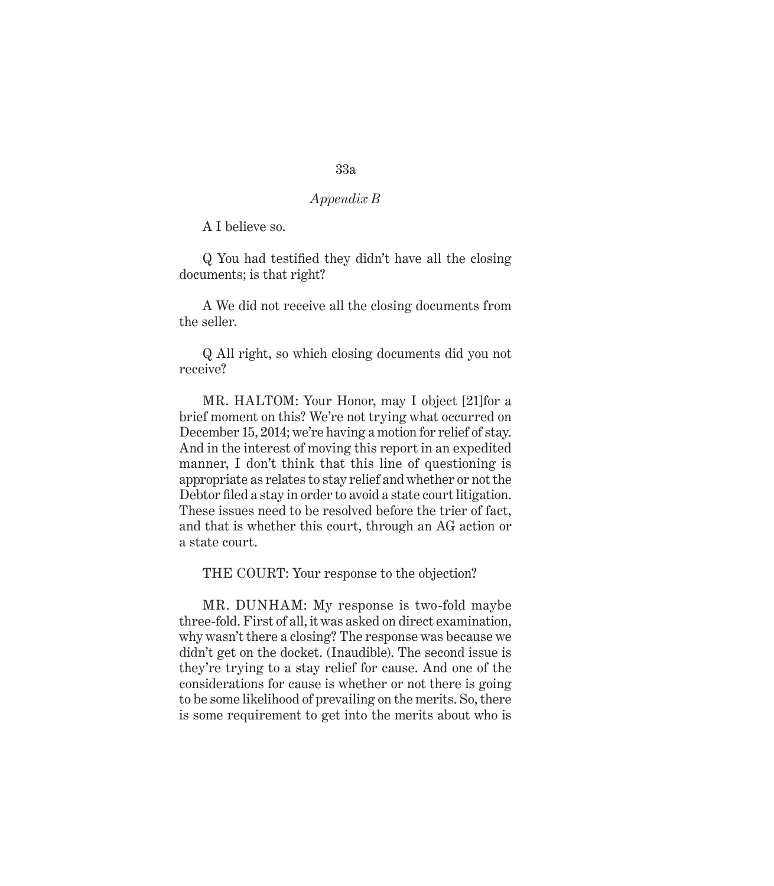A I believe so.

Q You had testified they didn't have all the closing documents; is that right?

A We did not receive all the closing documents from the seller.

Q All right, so which closing documents did you not receive?

MR. HALTOM: Your Honor, may I object [21]for a brief moment on this? We're not trying what occurred on December 15, 2014; we're having a motion for relief of stay. And in the interest of moving this report in an expedited manner, I don't think that this line of questioning is appropriate as relates to stay relief and whether or not the Debtor filed a stay in order to avoid a state court litigation. These issues need to be resolved before the trier of fact, and that is whether this court, through an AG action or a state court.

THE COURT: Your response to the objection?

MR. DUNHAM: My response is two-fold maybe three-fold. First of all, it was asked on direct examination, why wasn't there a closing? The response was because we didn't get on the docket. (Inaudible). The second issue is they're trying to a stay relief for cause. And one of the considerations for cause is whether or not there is going to be some likelihood of prevailing on the merits. So, there is some requirement to get into the merits about who is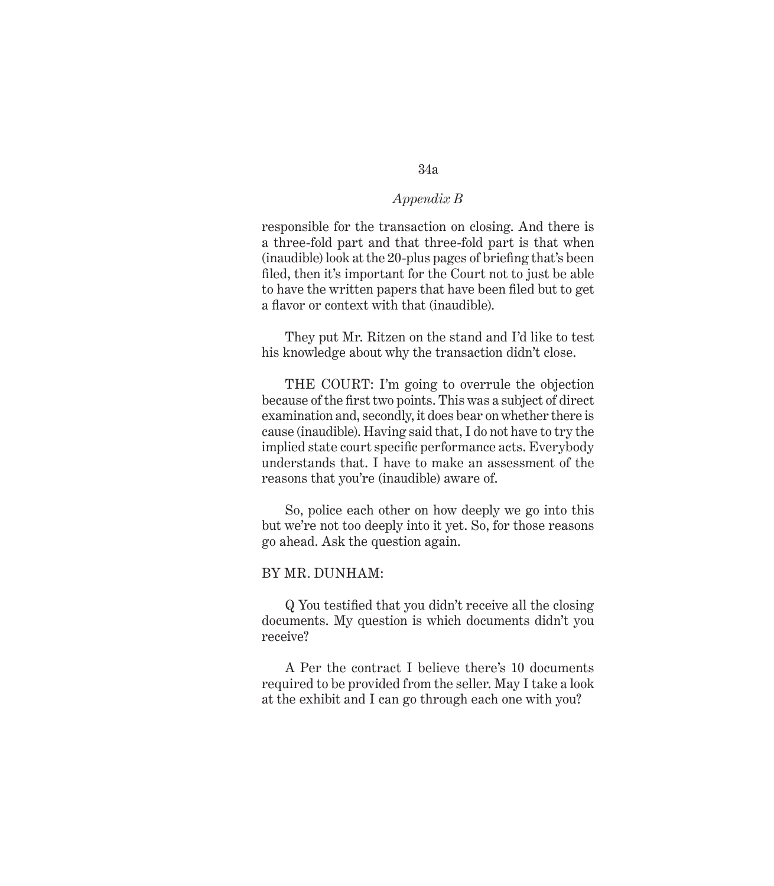responsible for the transaction on closing. And there is a three-fold part and that three-fold part is that when (inaudible) look at the 20-plus pages of briefing that's been filed, then it's important for the Court not to just be able to have the written papers that have been filed but to get a flavor or context with that (inaudible).

They put Mr. Ritzen on the stand and I'd like to test his knowledge about why the transaction didn't close.

THE COURT: I'm going to overrule the objection because of the first two points. This was a subject of direct examination and, secondly, it does bear on whether there is cause (inaudible). Having said that, I do not have to try the implied state court specific performance acts. Everybody understands that. I have to make an assessment of the reasons that you're (inaudible) aware of.

So, police each other on how deeply we go into this but we're not too deeply into it yet. So, for those reasons go ahead. Ask the question again.

#### BY MR. DUNHAM:

Q You testified that you didn't receive all the closing documents. My question is which documents didn't you receive?

A Per the contract I believe there's 10 documents required to be provided from the seller. May I take a look at the exhibit and I can go through each one with you?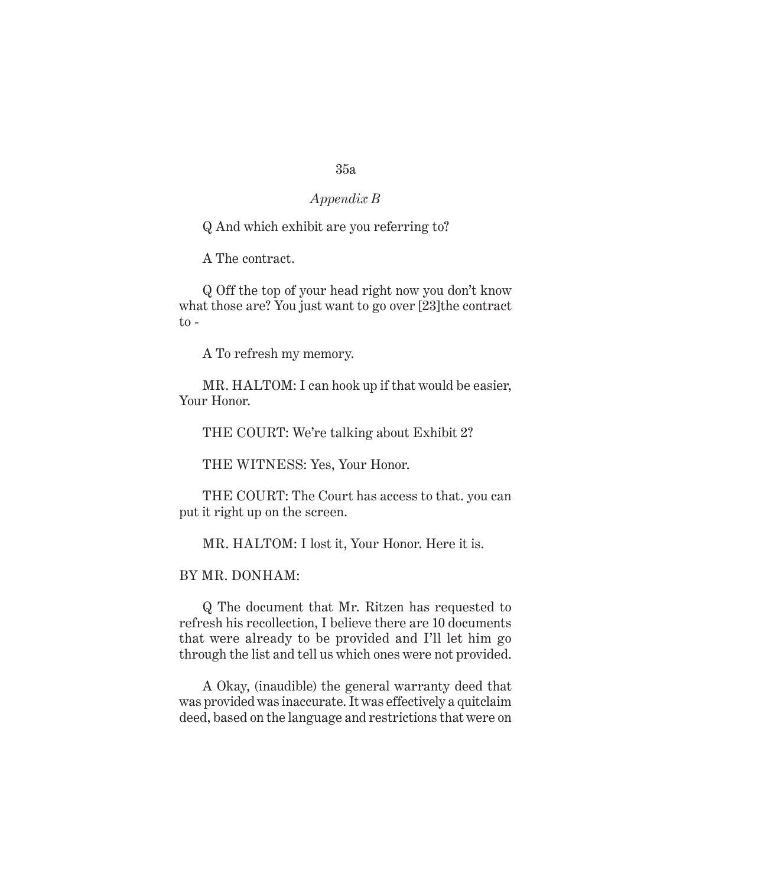# *Appendix B*

Q And which exhibit are you referring to?

A The contract.

Q Off the top of your head right now you don't know what those are? You just want to go over [23] the contract  $to$ -

A To refresh my memory.

MR. HALTOM: I can hook up if that would be easier, Your Honor.

THE COURT: We're talking about Exhibit 2?

THE WITNESS: Yes, Your Honor.

THE COURT: The Court has access to that. you can put it right up on the screen.

MR. HALTOM: I lost it, Your Honor. Here it is.

BY MR. DONHAM:

Q The document that Mr. Ritzen has requested to refresh his recollection, I believe there are 10 documents that were already to be provided and I'll let him go through the list and tell us which ones were not provided.

A Okay, (inaudible) the general warranty deed that was provided was inaccurate. It was effectively a quitclaim deed, based on the language and restrictions that were on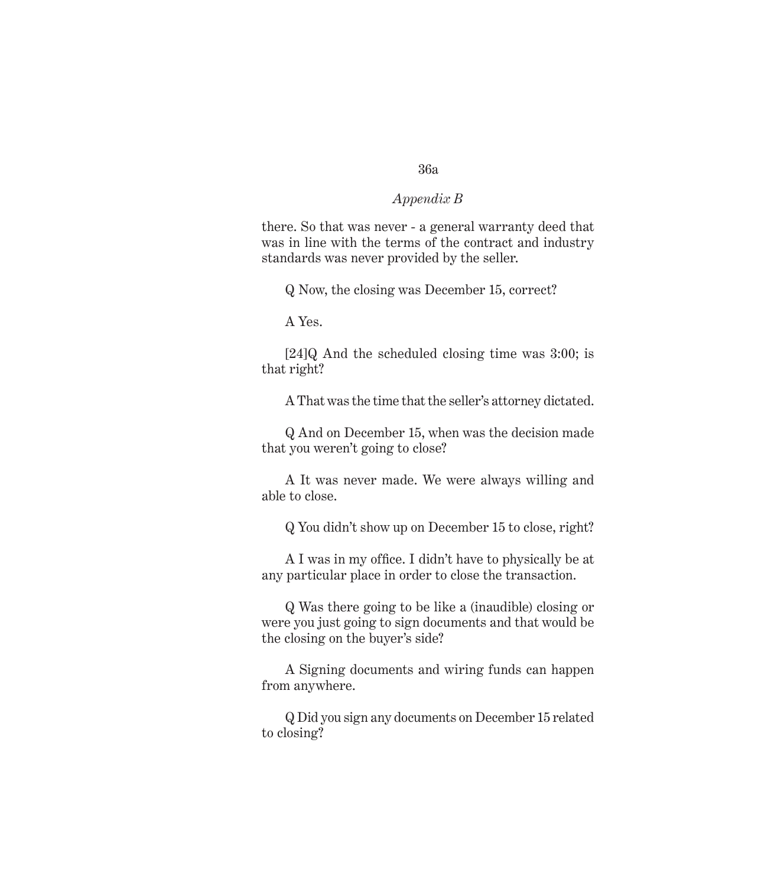# *Appendix B*

there. So that was never - a general warranty deed that was in line with the terms of the contract and industry standards was never provided by the seller.

Q Now, the closing was December 15, correct?

A Yes.

[24]Q And the scheduled closing time was 3:00; is that right?

A That was the time that the seller's attorney dictated.

Q And on December 15, when was the decision made that you weren't going to close?

A It was never made. We were always willing and able to close.

Q You didn't show up on December 15 to close, right?

A I was in my office. I didn't have to physically be at any particular place in order to close the transaction.

Q Was there going to be like a (inaudible) closing or were you just going to sign documents and that would be the closing on the buyer's side?

A Signing documents and wiring funds can happen from anywhere.

Q Did you sign any documents on December 15 related to closing?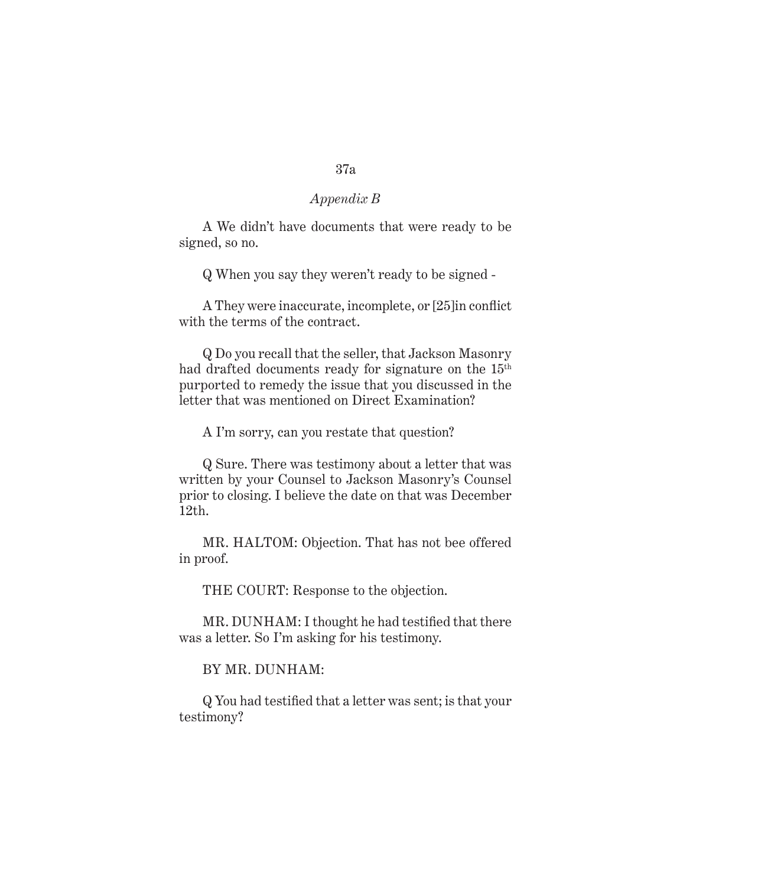A We didn't have documents that were ready to be signed, so no.

Q When you say they weren't ready to be signed -

A They were inaccurate, incomplete, or [25]in conflict with the terms of the contract.

Q Do you recall that the seller, that Jackson Masonry had drafted documents ready for signature on the 15th purported to remedy the issue that you discussed in the letter that was mentioned on Direct Examination?

A I'm sorry, can you restate that question?

Q Sure. There was testimony about a letter that was written by your Counsel to Jackson Masonry's Counsel prior to closing. I believe the date on that was December 12th.

MR. HALTOM: Objection. That has not bee offered in proof.

THE COURT: Response to the objection.

MR. DUNHAM: I thought he had testified that there was a letter. So I'm asking for his testimony.

# BY MR. DUNHAM:

Q You had testified that a letter was sent; is that your testimony?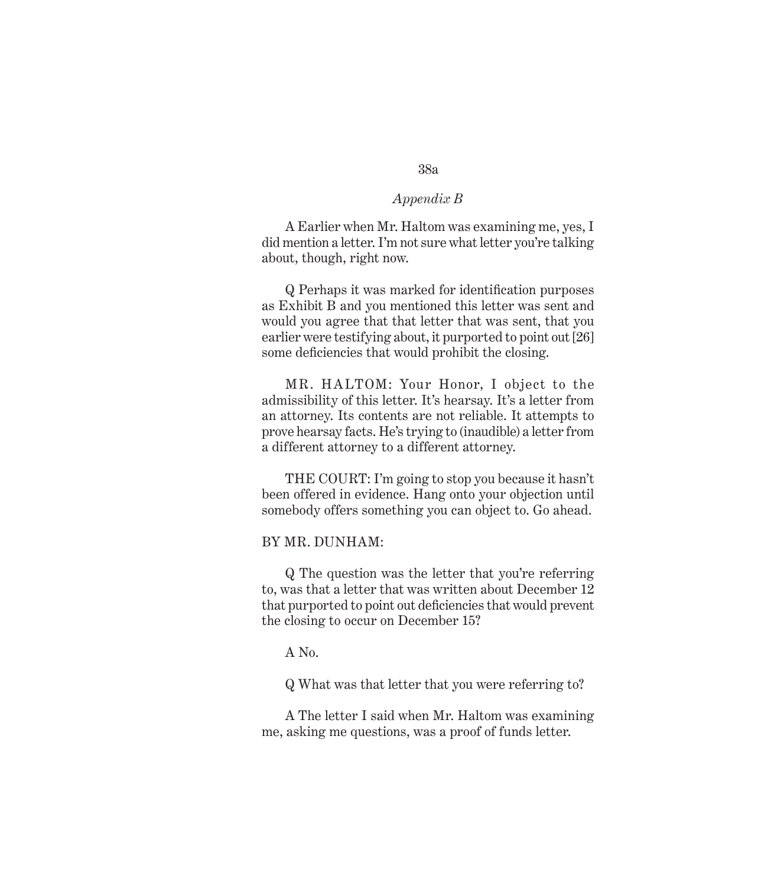A Earlier when Mr. Haltom was examining me, yes, I did mention a letter. I'm not sure what letter you're talking about, though, right now.

Q Perhaps it was marked for identification purposes as Exhibit B and you mentioned this letter was sent and would you agree that that letter that was sent, that you earlier were testifying about, it purported to point out [26] some deficiencies that would prohibit the closing.

MR. HALTOM: Your Honor, I object to the admissibility of this letter. It's hearsay. It's a letter from an attorney. Its contents are not reliable. It attempts to prove hearsay facts. He's trying to (inaudible) a letter from a different attorney to a different attorney.

THE COURT: I'm going to stop you because it hasn't been offered in evidence. Hang onto your objection until somebody offers something you can object to. Go ahead.

### BY MR. DUNHAM:

Q The question was the letter that you're referring to, was that a letter that was written about December 12 that purported to point out deficiencies that would prevent the closing to occur on December 15?

A No.

Q What was that letter that you were referring to?

A The letter I said when Mr. Haltom was examining me, asking me questions, was a proof of funds letter.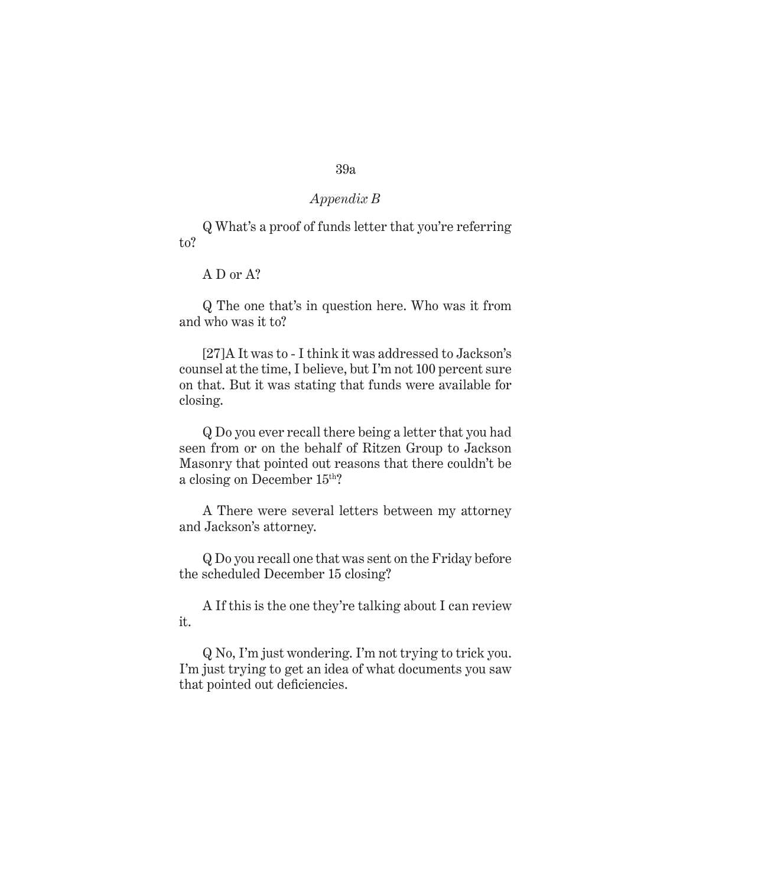# *Appendix B*

Q What's a proof of funds letter that you're referring to?

A D or A?

Q The one that's in question here. Who was it from and who was it to?

[27]A It was to - I think it was addressed to Jackson's counsel at the time, I believe, but I'm not 100 percent sure on that. But it was stating that funds were available for closing.

Q Do you ever recall there being a letter that you had seen from or on the behalf of Ritzen Group to Jackson Masonry that pointed out reasons that there couldn't be a closing on December 15th?

A There were several letters between my attorney and Jackson's attorney.

Q Do you recall one that was sent on the Friday before the scheduled December 15 closing?

A If this is the one they're talking about I can review it.

Q No, I'm just wondering. I'm not trying to trick you. I'm just trying to get an idea of what documents you saw that pointed out deficiencies.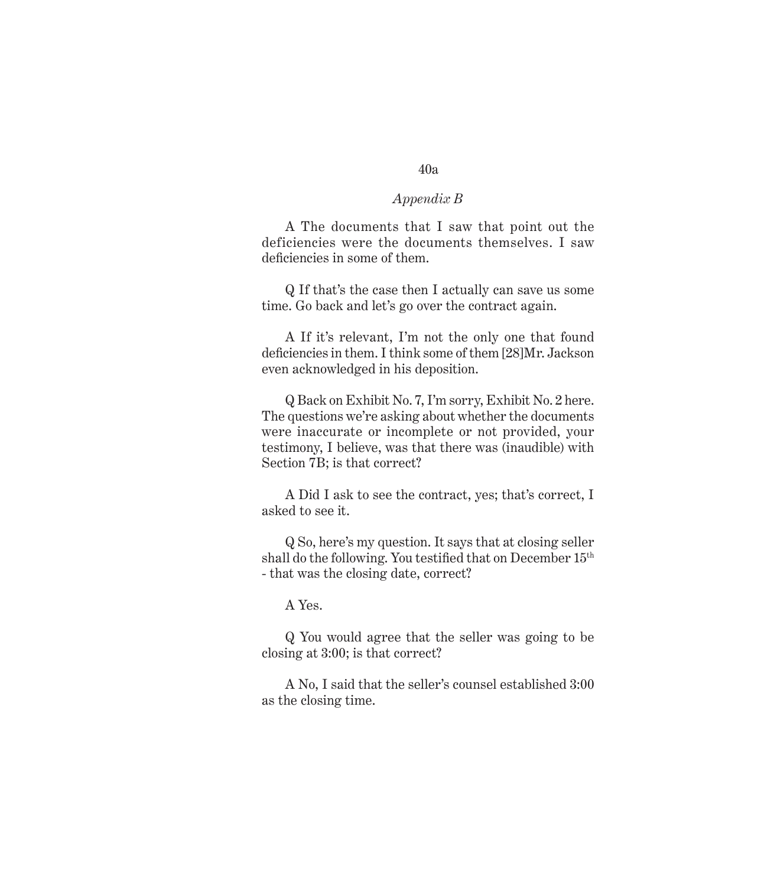A The documents that I saw that point out the deficiencies were the documents themselves. I saw deficiencies in some of them.

Q If that's the case then I actually can save us some time. Go back and let's go over the contract again.

A If it's relevant, I'm not the only one that found deficiencies in them. I think some of them [28]Mr. Jackson even acknowledged in his deposition.

Q Back on Exhibit No. 7, I'm sorry, Exhibit No. 2 here. The questions we're asking about whether the documents were inaccurate or incomplete or not provided, your testimony, I believe, was that there was (inaudible) with Section 7B; is that correct?

A Did I ask to see the contract, yes; that's correct, I asked to see it.

Q So, here's my question. It says that at closing seller shall do the following. You testified that on December  $15<sup>th</sup>$ - that was the closing date, correct?

A Yes.

Q You would agree that the seller was going to be closing at 3:00; is that correct?

A No, I said that the seller's counsel established 3:00 as the closing time.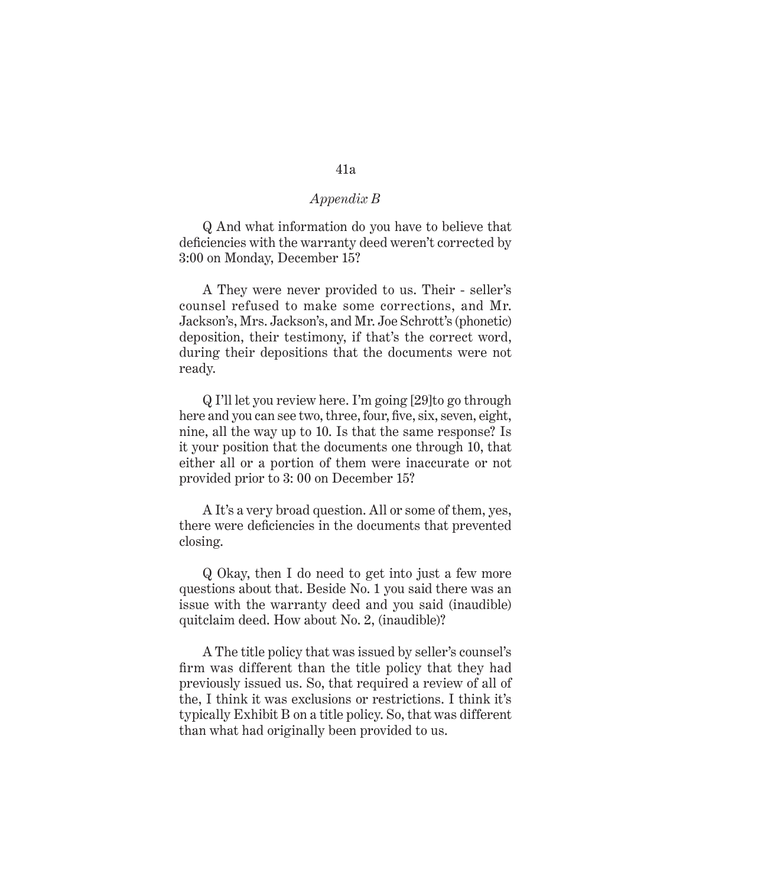Q And what information do you have to believe that deficiencies with the warranty deed weren't corrected by 3:00 on Monday, December 15?

A They were never provided to us. Their - seller's counsel refused to make some corrections, and Mr. Jackson's, Mrs. Jackson's, and Mr. Joe Schrott's (phonetic) deposition, their testimony, if that's the correct word, during their depositions that the documents were not ready.

Q I'll let you review here. I'm going [29]to go through here and you can see two, three, four, five, six, seven, eight, nine, all the way up to 10. Is that the same response? Is it your position that the documents one through 10, that either all or a portion of them were inaccurate or not provided prior to 3: 00 on December 15?

A It's a very broad question. All or some of them, yes, there were deficiencies in the documents that prevented closing.

Q Okay, then I do need to get into just a few more questions about that. Beside No. 1 you said there was an issue with the warranty deed and you said (inaudible) quitclaim deed. How about No. 2, (inaudible)?

A The title policy that was issued by seller's counsel's firm was different than the title policy that they had previously issued us. So, that required a review of all of the, I think it was exclusions or restrictions. I think it's typically Exhibit B on a title policy. So, that was different than what had originally been provided to us.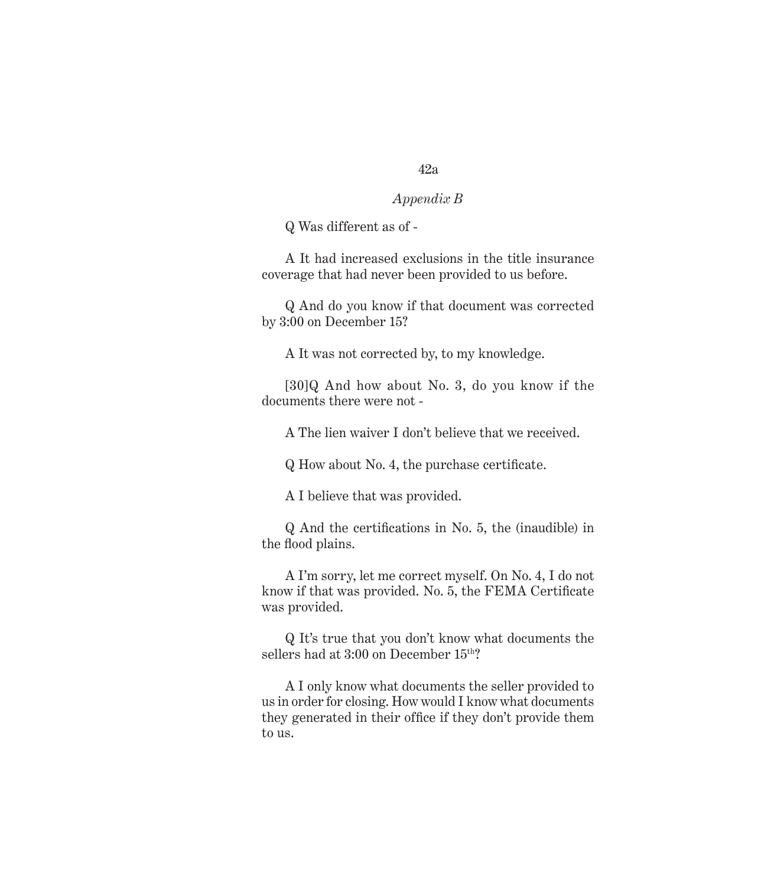# *Appendix B*

Q Was different as of -

A It had increased exclusions in the title insurance coverage that had never been provided to us before.

Q And do you know if that document was corrected by 3:00 on December 15?

A It was not corrected by, to my knowledge.

[30]Q And how about No. 3, do you know if the documents there were not -

A The lien waiver I don't believe that we received.

Q How about No. 4, the purchase certificate.

A I believe that was provided.

Q And the certifications in No. 5, the (inaudible) in the flood plains.

A I'm sorry, let me correct myself. On No. 4, I do not know if that was provided. No. 5, the FEMA Certificate was provided.

Q It's true that you don't know what documents the sellers had at 3:00 on December 15<sup>th</sup>?

A I only know what documents the seller provided to us in order for closing. How would I know what documents they generated in their office if they don't provide them to us.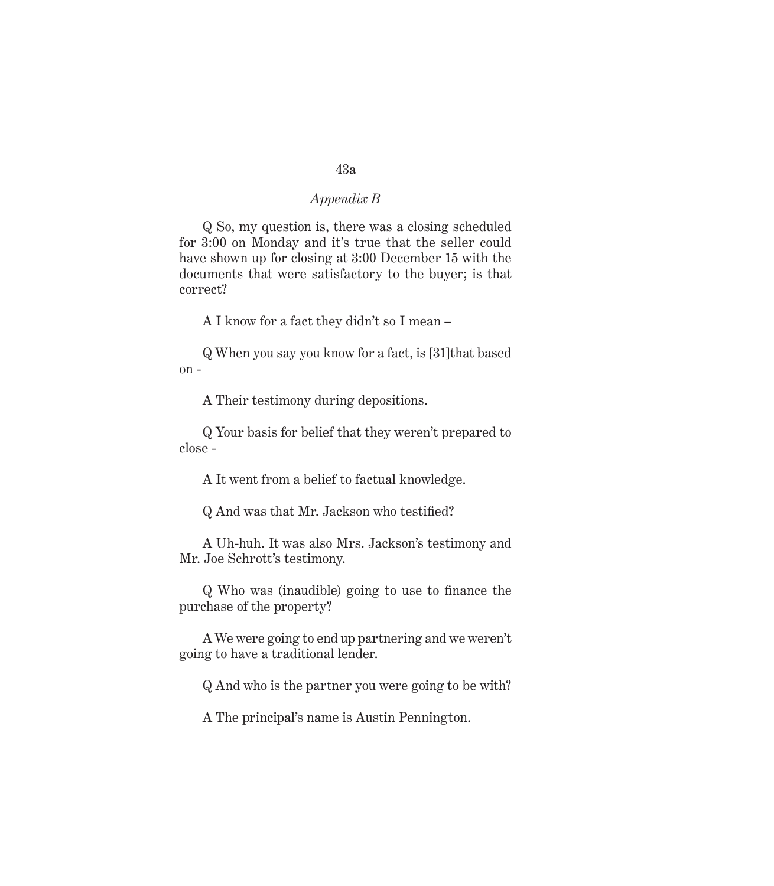Q So, my question is, there was a closing scheduled for 3:00 on Monday and it's true that the seller could have shown up for closing at 3:00 December 15 with the documents that were satisfactory to the buyer; is that correct?

A I know for a fact they didn't so I mean –

Q When you say you know for a fact, is [31]that based on -

A Their testimony during depositions.

Q Your basis for belief that they weren't prepared to close -

A It went from a belief to factual knowledge.

Q And was that Mr. Jackson who testified?

A Uh-huh. It was also Mrs. Jackson's testimony and Mr. Joe Schrott's testimony.

Q Who was (inaudible) going to use to finance the purchase of the property?

A We were going to end up partnering and we weren't going to have a traditional lender.

Q And who is the partner you were going to be with?

A The principal's name is Austin Pennington.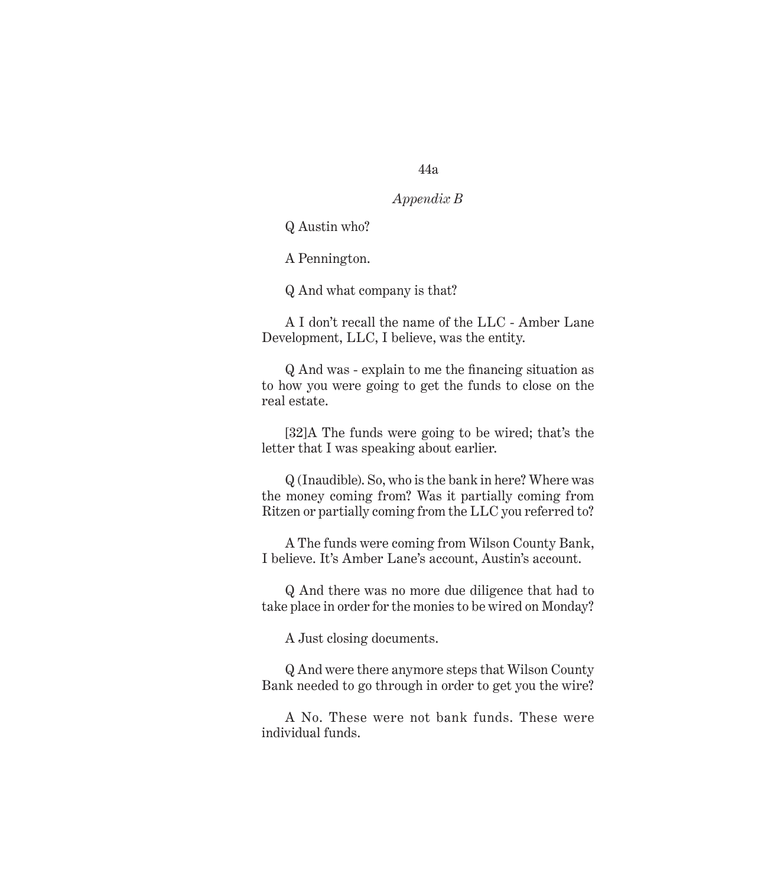# *Appendix B*

Q Austin who?

A Pennington.

Q And what company is that?

A I don't recall the name of the LLC - Amber Lane Development, LLC, I believe, was the entity.

Q And was - explain to me the financing situation as to how you were going to get the funds to close on the real estate.

[32]A The funds were going to be wired; that's the letter that I was speaking about earlier.

Q (Inaudible). So, who is the bank in here? Where was the money coming from? Was it partially coming from Ritzen or partially coming from the LLC you referred to?

A The funds were coming from Wilson County Bank, I believe. It's Amber Lane's account, Austin's account.

Q And there was no more due diligence that had to take place in order for the monies to be wired on Monday?

A Just closing documents.

Q And were there anymore steps that Wilson County Bank needed to go through in order to get you the wire?

A No. These were not bank funds. These were individual funds.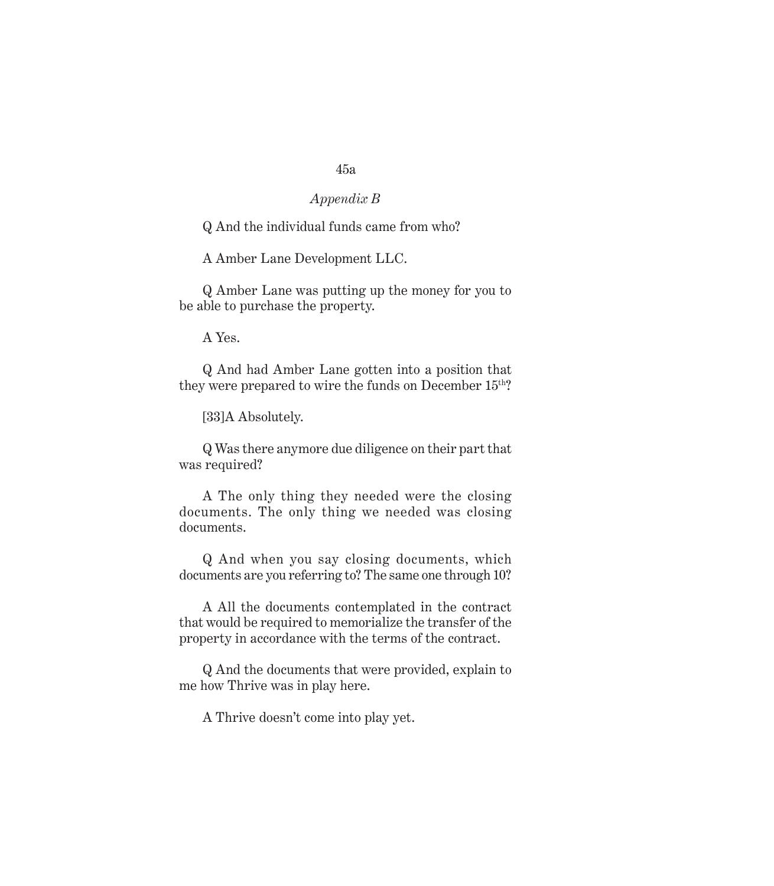# *Appendix B*

Q And the individual funds came from who?

A Amber Lane Development LLC.

Q Amber Lane was putting up the money for you to be able to purchase the property.

A Yes.

Q And had Amber Lane gotten into a position that they were prepared to wire the funds on December 15<sup>th</sup>?

[33]A Absolutely.

Q Was there anymore due diligence on their part that was required?

A The only thing they needed were the closing documents. The only thing we needed was closing documents.

Q And when you say closing documents, which documents are you referring to? The same one through 10?

A All the documents contemplated in the contract that would be required to memorialize the transfer of the property in accordance with the terms of the contract.

Q And the documents that were provided, explain to me how Thrive was in play here.

A Thrive doesn't come into play yet.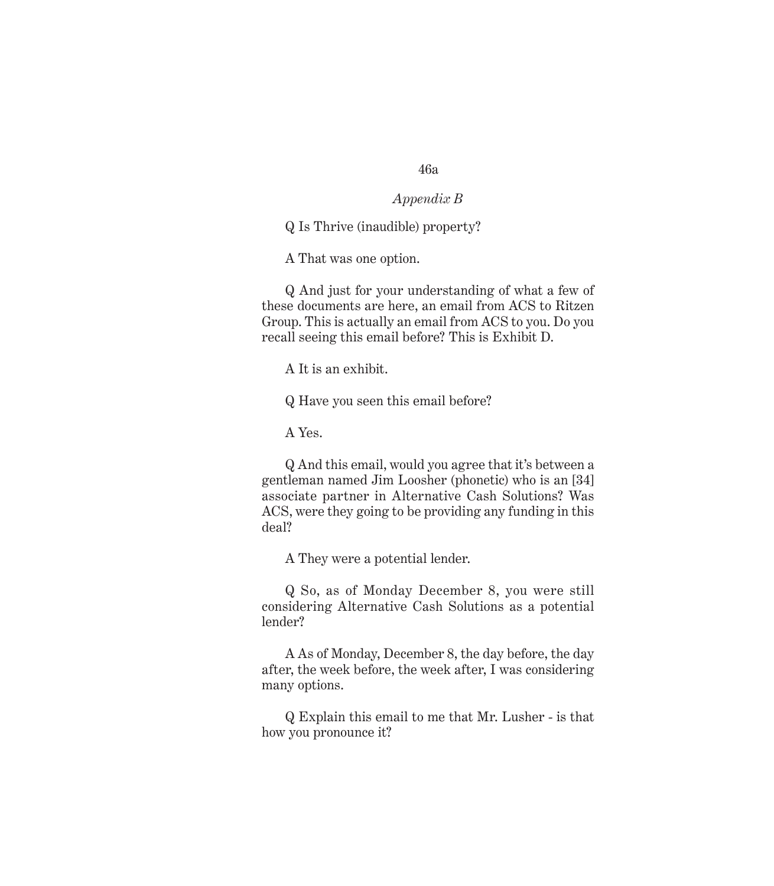# *Appendix B*

Q Is Thrive (inaudible) property?

A That was one option.

Q And just for your understanding of what a few of these documents are here, an email from ACS to Ritzen Group. This is actually an email from ACS to you. Do you recall seeing this email before? This is Exhibit D.

A It is an exhibit.

Q Have you seen this email before?

A Yes.

Q And this email, would you agree that it's between a gentleman named Jim Loosher (phonetic) who is an [34] associate partner in Alternative Cash Solutions? Was ACS, were they going to be providing any funding in this deal?

A They were a potential lender.

Q So, as of Monday December 8, you were still considering Alternative Cash Solutions as a potential lender?

A As of Monday, December 8, the day before, the day after, the week before, the week after, I was considering many options.

Q Explain this email to me that Mr. Lusher - is that how you pronounce it?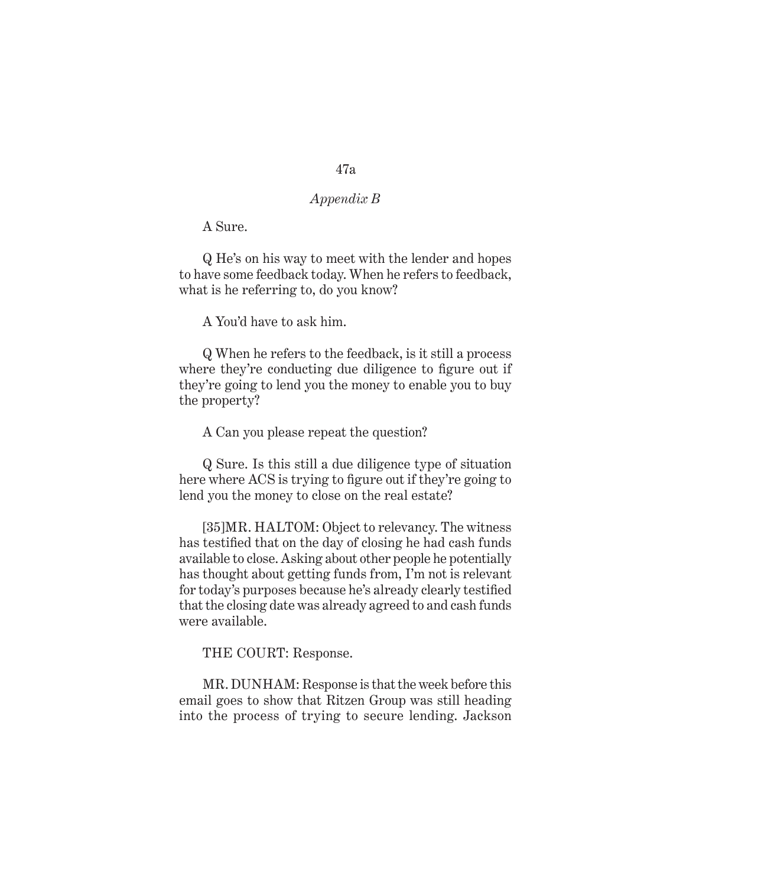# *Appendix B*

A Sure.

Q He's on his way to meet with the lender and hopes to have some feedback today. When he refers to feedback, what is he referring to, do you know?

A You'd have to ask him.

Q When he refers to the feedback, is it still a process where they're conducting due diligence to figure out if they're going to lend you the money to enable you to buy the property?

A Can you please repeat the question?

Q Sure. Is this still a due diligence type of situation here where ACS is trying to figure out if they're going to lend you the money to close on the real estate?

[35]MR. HALTOM: Object to relevancy. The witness has testified that on the day of closing he had cash funds available to close. Asking about other people he potentially has thought about getting funds from, I'm not is relevant for today's purposes because he's already clearly testified that the closing date was already agreed to and cash funds were available.

THE COURT: Response.

MR. DUNHAM: Response is that the week before this email goes to show that Ritzen Group was still heading into the process of trying to secure lending. Jackson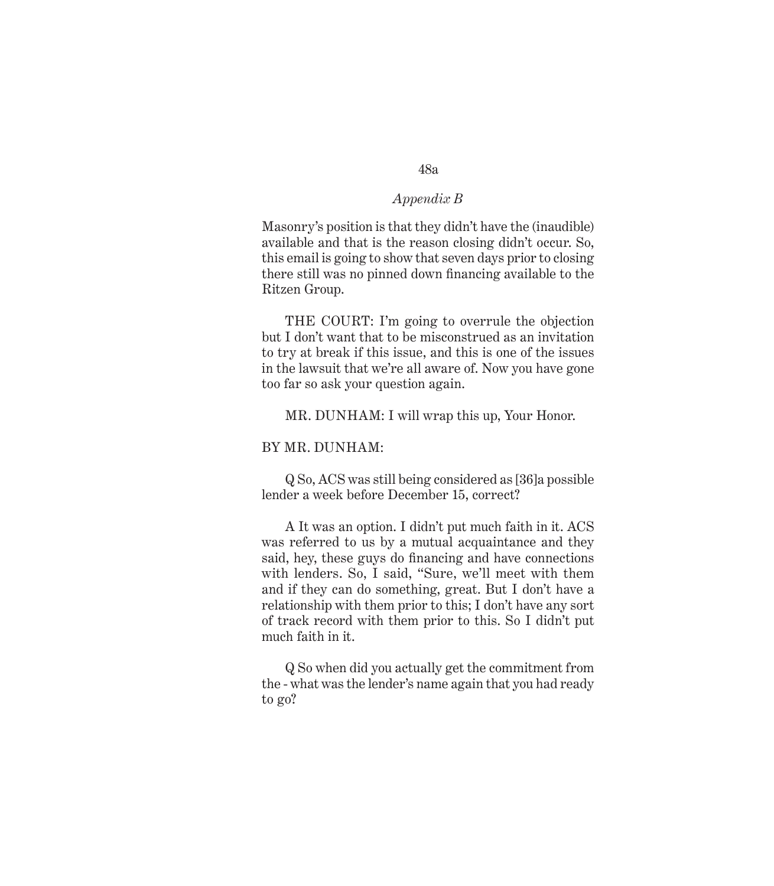Masonry's position is that they didn't have the (inaudible) available and that is the reason closing didn't occur. So, this email is going to show that seven days prior to closing there still was no pinned down financing available to the Ritzen Group.

THE COURT: I'm going to overrule the objection but I don't want that to be misconstrued as an invitation to try at break if this issue, and this is one of the issues in the lawsuit that we're all aware of. Now you have gone too far so ask your question again.

MR. DUNHAM: I will wrap this up, Your Honor.

#### BY MR. DUNHAM:

Q So, ACS was still being considered as [36]a possible lender a week before December 15, correct?

A It was an option. I didn't put much faith in it. ACS was referred to us by a mutual acquaintance and they said, hey, these guys do financing and have connections with lenders. So, I said, "Sure, we'll meet with them and if they can do something, great. But I don't have a relationship with them prior to this; I don't have any sort of track record with them prior to this. So I didn't put much faith in it.

Q So when did you actually get the commitment from the - what was the lender's name again that you had ready to go?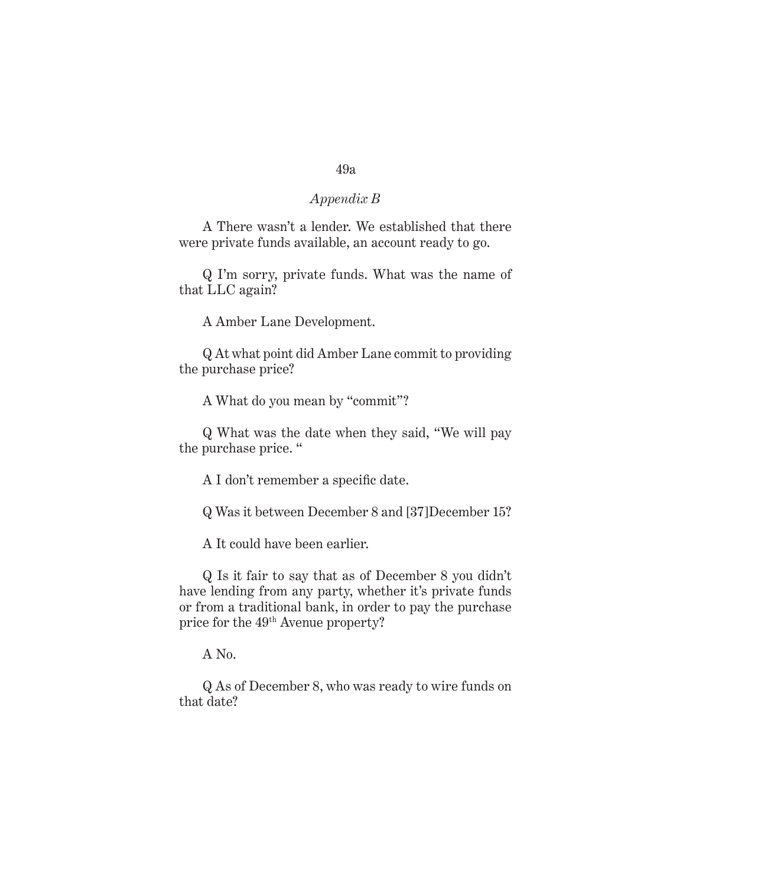# *Appendix B*

A There wasn't a lender. We established that there were private funds available, an account ready to go.

Q I'm sorry, private funds. What was the name of that LLC again?

A Amber Lane Development.

Q At what point did Amber Lane commit to providing the purchase price?

A What do you mean by "commit"?

Q What was the date when they said, "We will pay the purchase price. "

A I don't remember a specific date.

Q Was it between December 8 and [37]December 15?

A It could have been earlier.

Q Is it fair to say that as of December 8 you didn't have lending from any party, whether it's private funds or from a traditional bank, in order to pay the purchase price for the 49th Avenue property?

A No.

Q As of December 8, who was ready to wire funds on that date?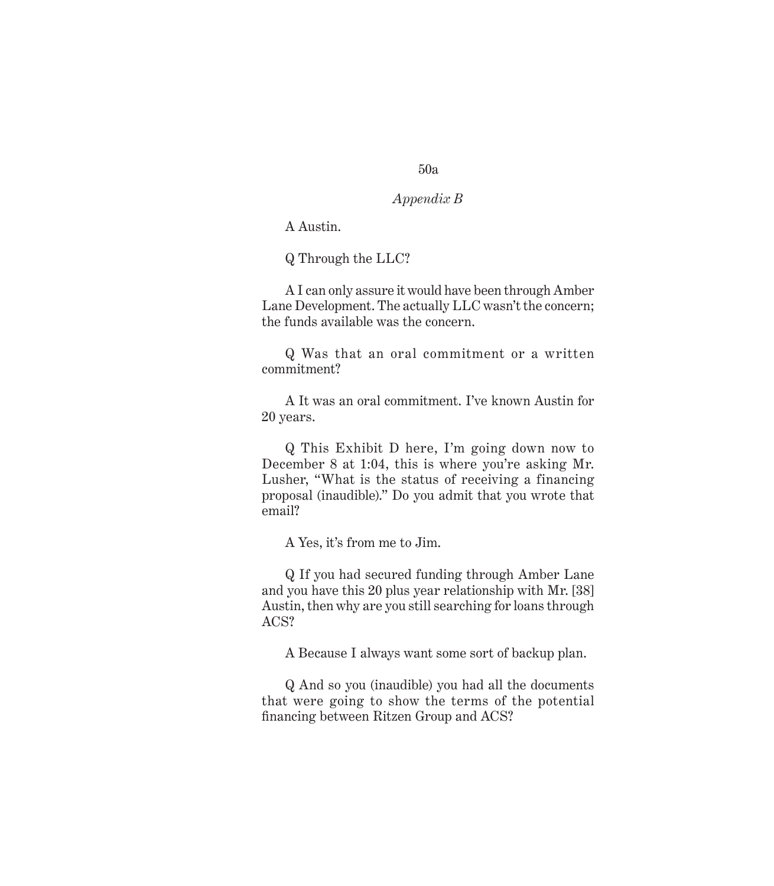# *Appendix B*

A Austin.

Q Through the LLC?

A I can only assure it would have been through Amber Lane Development. The actually LLC wasn't the concern; the funds available was the concern.

Q Was that an oral commitment or a written commitment?

A It was an oral commitment. I've known Austin for 20 years.

Q This Exhibit D here, I'm going down now to December 8 at 1:04, this is where you're asking Mr. Lusher, "What is the status of receiving a financing proposal (inaudible)." Do you admit that you wrote that email?

A Yes, it's from me to Jim.

Q If you had secured funding through Amber Lane and you have this 20 plus year relationship with Mr. [38] Austin, then why are you still searching for loans through ACS?

A Because I always want some sort of backup plan.

Q And so you (inaudible) you had all the documents that were going to show the terms of the potential financing between Ritzen Group and ACS?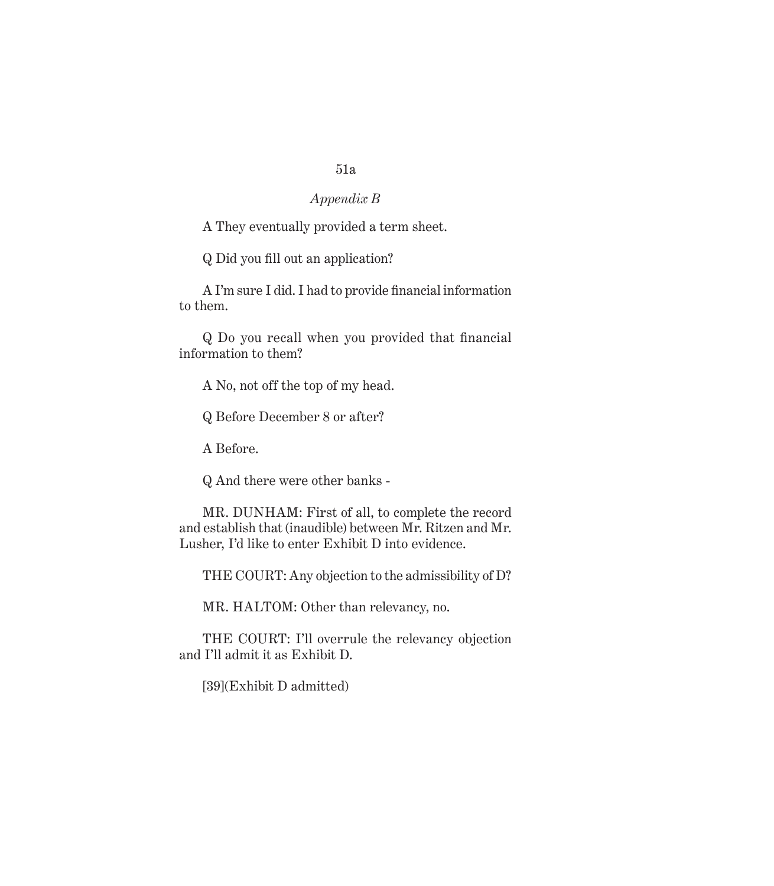# *Appendix B*

A They eventually provided a term sheet.

Q Did you fill out an application?

A I'm sure I did. I had to provide financial information to them.

Q Do you recall when you provided that financial information to them?

A No, not off the top of my head.

Q Before December 8 or after?

A Before.

Q And there were other banks -

MR. DUNHAM: First of all, to complete the record and establish that (inaudible) between Mr. Ritzen and Mr. Lusher, I'd like to enter Exhibit D into evidence.

THE COURT: Any objection to the admissibility of D?

MR. HALTOM: Other than relevancy, no.

THE COURT: I'll overrule the relevancy objection and I'll admit it as Exhibit D.

[39](Exhibit D admitted)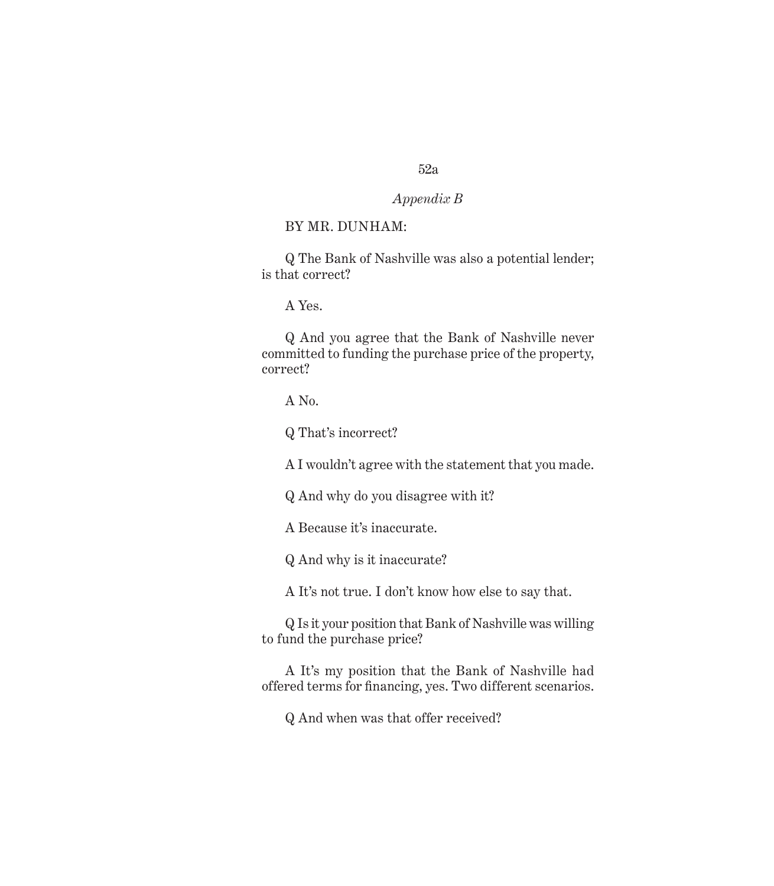# *Appendix B*

### BY MR. DUNHAM:

Q The Bank of Nashville was also a potential lender; is that correct?

A Yes.

Q And you agree that the Bank of Nashville never committed to funding the purchase price of the property, correct?

A No.

Q That's incorrect?

A I wouldn't agree with the statement that you made.

Q And why do you disagree with it?

A Because it's inaccurate.

Q And why is it inaccurate?

A It's not true. I don't know how else to say that.

Q Is it your position that Bank of Nashville was willing to fund the purchase price?

A It's my position that the Bank of Nashville had offered terms for financing, yes. Two different scenarios.

Q And when was that offer received?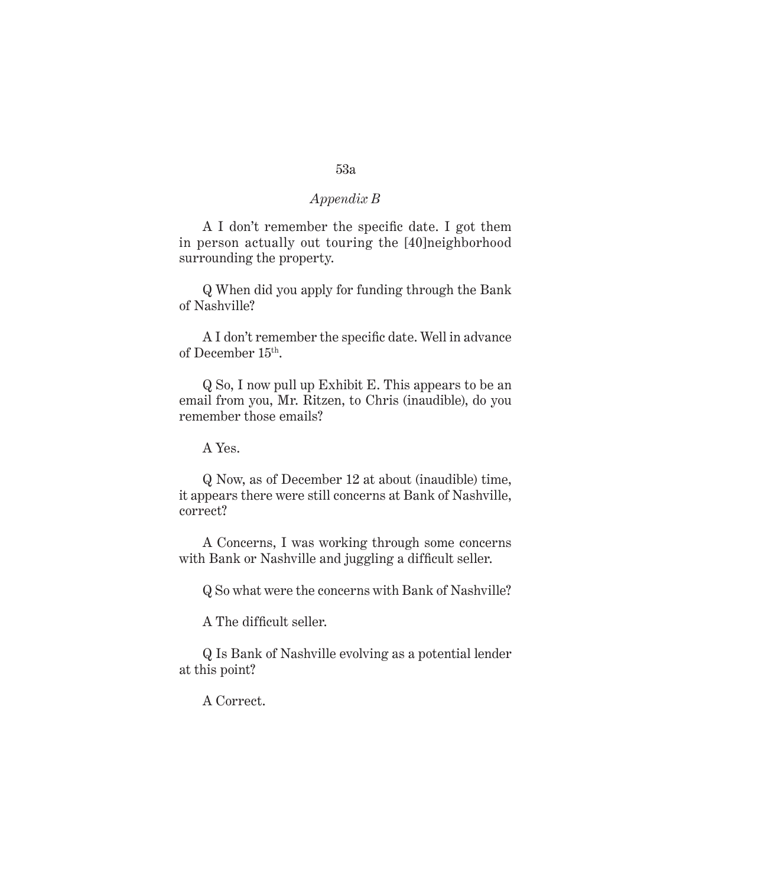A I don't remember the specific date. I got them in person actually out touring the [40]neighborhood surrounding the property.

Q When did you apply for funding through the Bank of Nashville?

A I don't remember the specific date. Well in advance of December 15th.

Q So, I now pull up Exhibit E. This appears to be an email from you, Mr. Ritzen, to Chris (inaudible), do you remember those emails?

A Yes.

Q Now, as of December 12 at about (inaudible) time, it appears there were still concerns at Bank of Nashville, correct?

A Concerns, I was working through some concerns with Bank or Nashville and juggling a difficult seller.

Q So what were the concerns with Bank of Nashville?

A The difficult seller.

Q Is Bank of Nashville evolving as a potential lender at this point?

A Correct.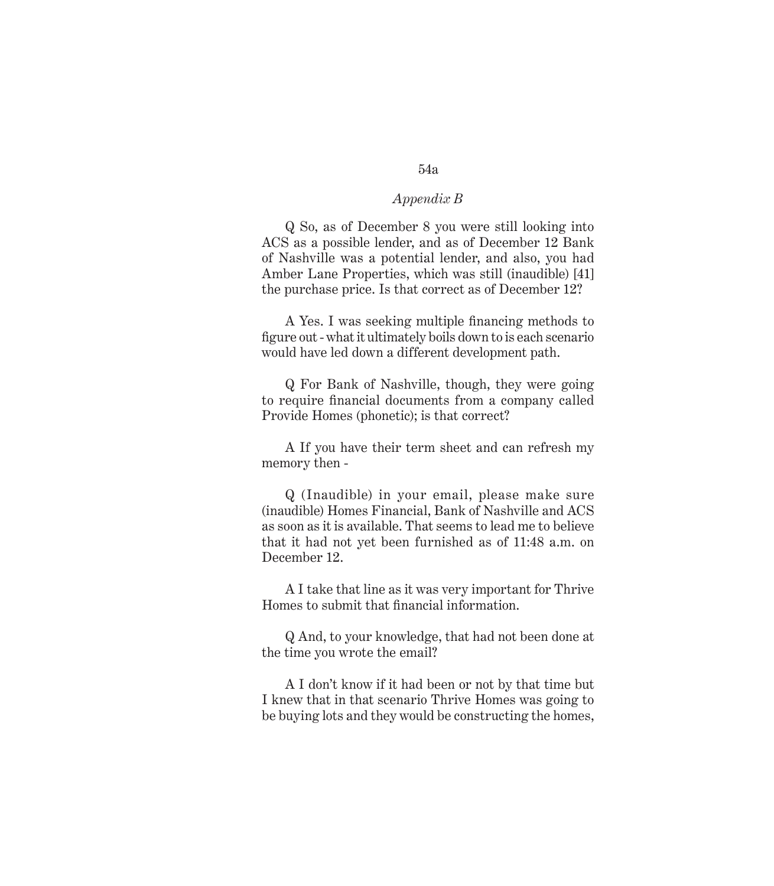Q So, as of December 8 you were still looking into ACS as a possible lender, and as of December 12 Bank of Nashville was a potential lender, and also, you had Amber Lane Properties, which was still (inaudible) [41] the purchase price. Is that correct as of December 12?

A Yes. I was seeking multiple financing methods to figure out - what it ultimately boils down to is each scenario would have led down a different development path.

Q For Bank of Nashville, though, they were going to require financial documents from a company called Provide Homes (phonetic); is that correct?

A If you have their term sheet and can refresh my memory then -

Q (Inaudible) in your email, please make sure (inaudible) Homes Financial, Bank of Nashville and ACS as soon as it is available. That seems to lead me to believe that it had not yet been furnished as of 11:48 a.m. on December 12.

A I take that line as it was very important for Thrive Homes to submit that financial information.

Q And, to your knowledge, that had not been done at the time you wrote the email?

A I don't know if it had been or not by that time but I knew that in that scenario Thrive Homes was going to be buying lots and they would be constructing the homes,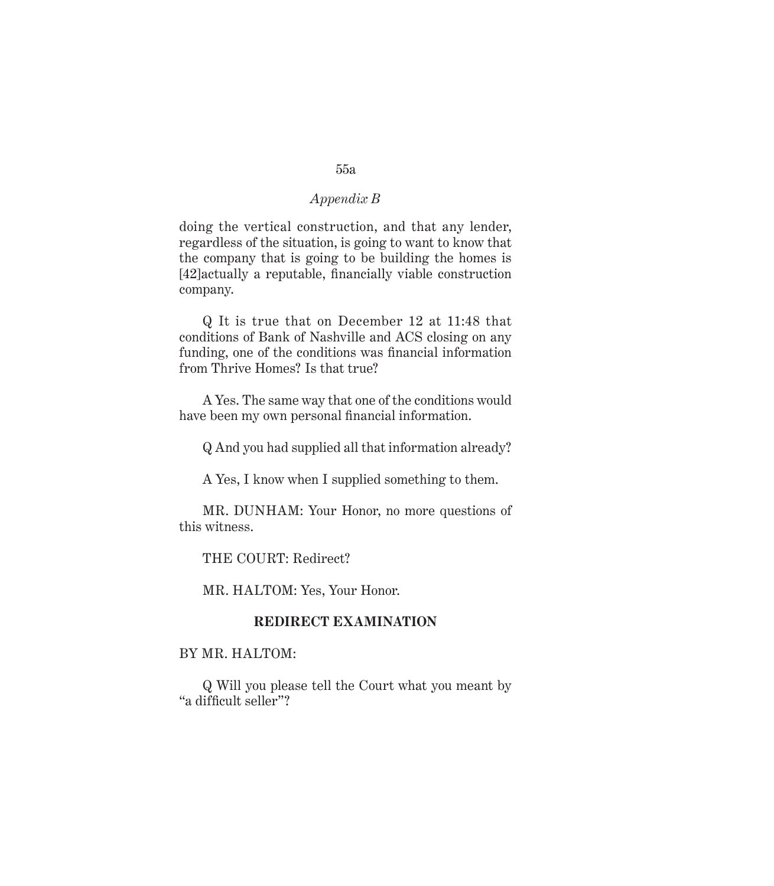doing the vertical construction, and that any lender, regardless of the situation, is going to want to know that the company that is going to be building the homes is [42]actually a reputable, financially viable construction company.

Q It is true that on December 12 at 11:48 that conditions of Bank of Nashville and ACS closing on any funding, one of the conditions was financial information from Thrive Homes? Is that true?

A Yes. The same way that one of the conditions would have been my own personal financial information.

Q And you had supplied all that information already?

A Yes, I know when I supplied something to them.

MR. DUNHAM: Your Honor, no more questions of this witness.

THE COURT: Redirect?

MR. HALTOM: Yes, Your Honor.

# **REDIRECT EXAMINATION**

BY MR. HALTOM:

Q Will you please tell the Court what you meant by "a difficult seller"?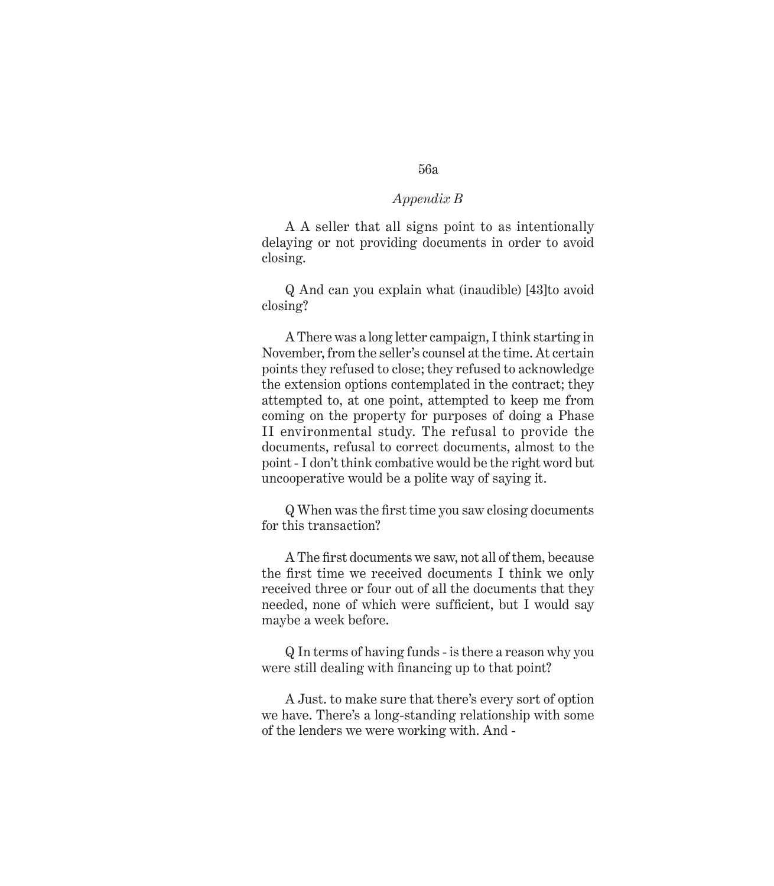A A seller that all signs point to as intentionally delaying or not providing documents in order to avoid closing.

Q And can you explain what (inaudible) [43]to avoid closing?

A There was a long letter campaign, I think starting in November, from the seller's counsel at the time. At certain points they refused to close; they refused to acknowledge the extension options contemplated in the contract; they attempted to, at one point, attempted to keep me from coming on the property for purposes of doing a Phase II environmental study. The refusal to provide the documents, refusal to correct documents, almost to the point - I don't think combative would be the right word but uncooperative would be a polite way of saying it.

Q When was the first time you saw closing documents for this transaction?

A The first documents we saw, not all of them, because the first time we received documents I think we only received three or four out of all the documents that they needed, none of which were sufficient, but I would say maybe a week before.

Q In terms of having funds - is there a reason why you were still dealing with financing up to that point?

A Just. to make sure that there's every sort of option we have. There's a long-standing relationship with some of the lenders we were working with. And -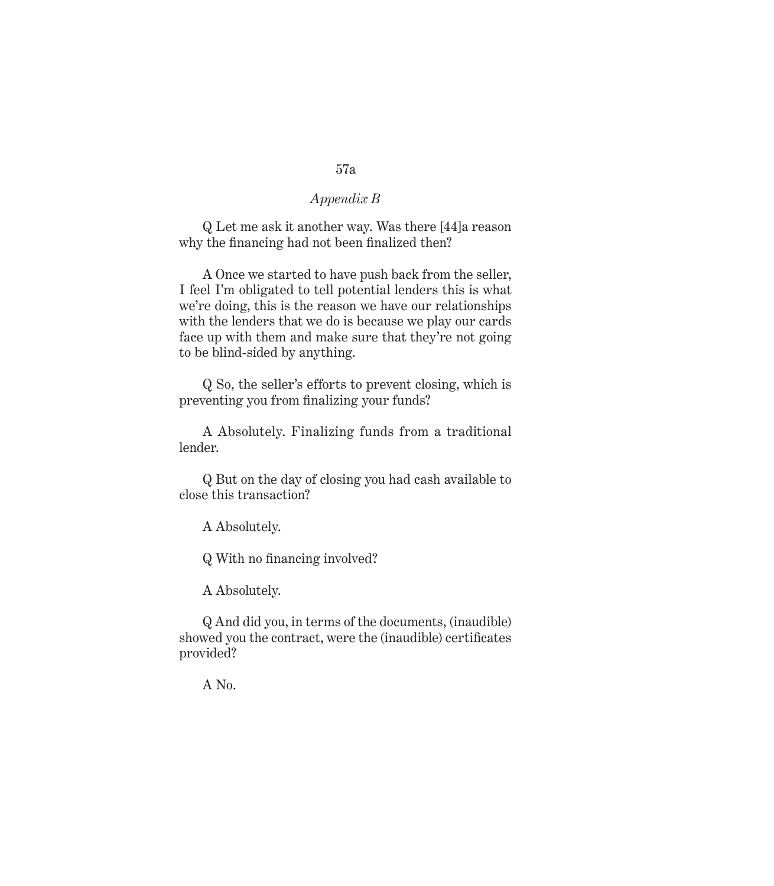Q Let me ask it another way. Was there [44]a reason why the financing had not been finalized then?

A Once we started to have push back from the seller, I feel I'm obligated to tell potential lenders this is what we're doing, this is the reason we have our relationships with the lenders that we do is because we play our cards face up with them and make sure that they're not going to be blind-sided by anything.

Q So, the seller's efforts to prevent closing, which is preventing you from finalizing your funds?

A Absolutely. Finalizing funds from a traditional lender.

Q But on the day of closing you had cash available to close this transaction?

A Absolutely.

Q With no financing involved?

A Absolutely.

Q And did you, in terms of the documents, (inaudible) showed you the contract, were the (inaudible) certificates provided?

A No.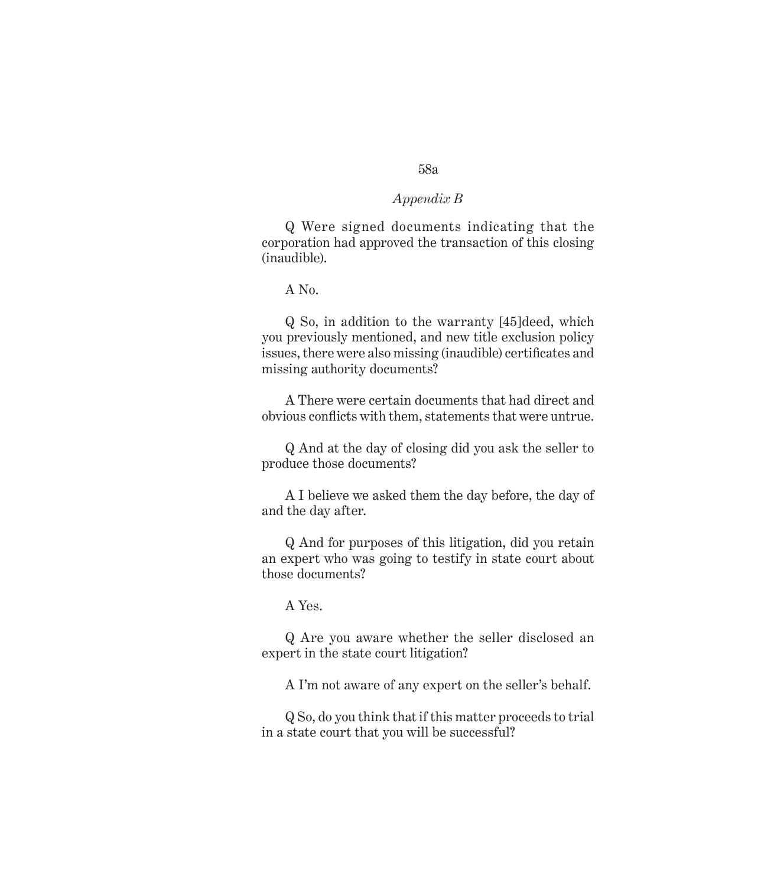# Q Were signed documents indicating that the corporation had approved the transaction of this closing (inaudible).

A No.

Q So, in addition to the warranty [45]deed, which you previously mentioned, and new title exclusion policy issues, there were also missing (inaudible) certificates and missing authority documents?

A There were certain documents that had direct and obvious conflicts with them, statements that were untrue.

Q And at the day of closing did you ask the seller to produce those documents?

A I believe we asked them the day before, the day of and the day after.

Q And for purposes of this litigation, did you retain an expert who was going to testify in state court about those documents?

A Yes.

Q Are you aware whether the seller disclosed an expert in the state court litigation?

A I'm not aware of any expert on the seller's behalf.

Q So, do you think that if this matter proceeds to trial in a state court that you will be successful?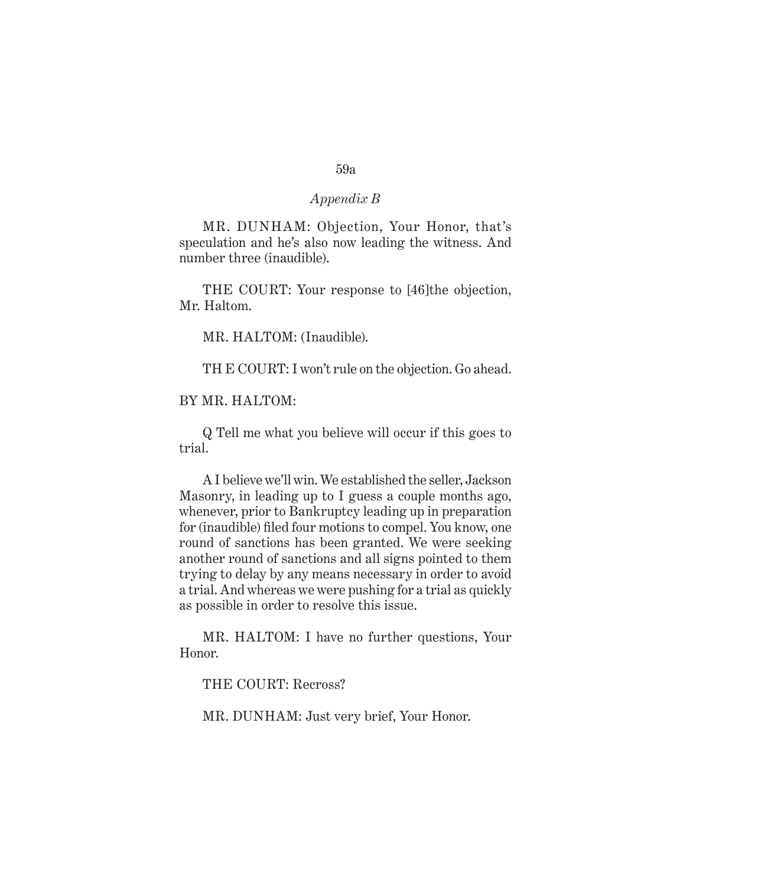MR. DUNHAM: Objection, Your Honor, that's speculation and he's also now leading the witness. And number three (inaudible).

THE COURT: Your response to [46]the objection, Mr. Haltom.

MR. HALTOM: (Inaudible).

TH E COURT: I won't rule on the objection. Go ahead.

#### BY MR. HALTOM:

Q Tell me what you believe will occur if this goes to trial.

A I believe we'll win. We established the seller, Jackson Masonry, in leading up to I guess a couple months ago, whenever, prior to Bankruptcy leading up in preparation for (inaudible) filed four motions to compel. You know, one round of sanctions has been granted. We were seeking another round of sanctions and all signs pointed to them trying to delay by any means necessary in order to avoid a trial. And whereas we were pushing for a trial as quickly as possible in order to resolve this issue.

MR. HALTOM: I have no further questions, Your Honor.

THE COURT: Recross?

MR. DUNHAM: Just very brief, Your Honor.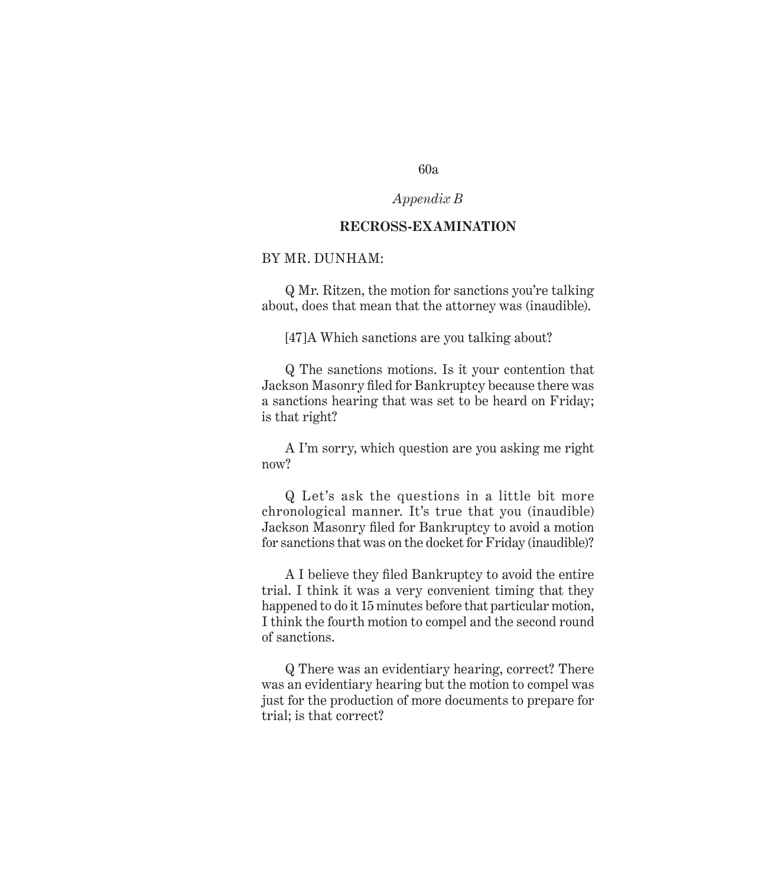# *Appendix B*

#### **RECROSS-EXAMINATION**

# BY MR. DUNHAM:

Q Mr. Ritzen, the motion for sanctions you're talking about, does that mean that the attorney was (inaudible).

[47]A Which sanctions are you talking about?

Q The sanctions motions. Is it your contention that Jackson Masonry filed for Bankruptcy because there was a sanctions hearing that was set to be heard on Friday; is that right?

A I'm sorry, which question are you asking me right now?

Q Let's ask the questions in a little bit more chronological manner. It's true that you (inaudible) Jackson Masonry filed for Bankruptcy to avoid a motion for sanctions that was on the docket for Friday (inaudible)?

A I believe they filed Bankruptcy to avoid the entire trial. I think it was a very convenient timing that they happened to do it 15 minutes before that particular motion, I think the fourth motion to compel and the second round of sanctions.

Q There was an evidentiary hearing, correct? There was an evidentiary hearing but the motion to compel was just for the production of more documents to prepare for trial; is that correct?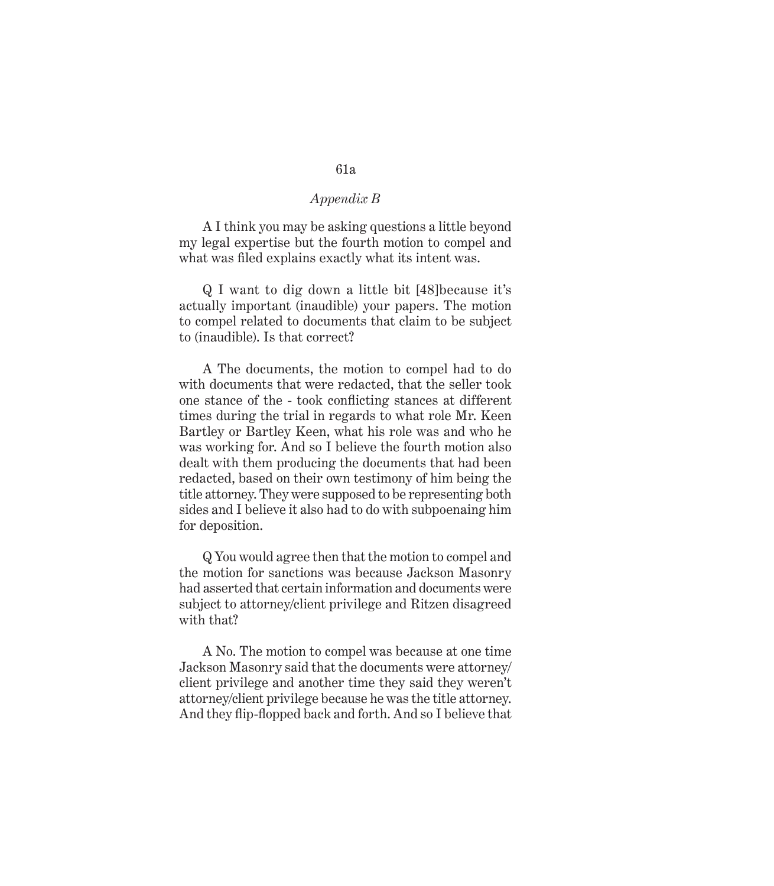A I think you may be asking questions a little beyond my legal expertise but the fourth motion to compel and what was filed explains exactly what its intent was.

Q I want to dig down a little bit [48]because it's actually important (inaudible) your papers. The motion to compel related to documents that claim to be subject to (inaudible). Is that correct?

A The documents, the motion to compel had to do with documents that were redacted, that the seller took one stance of the - took conflicting stances at different times during the trial in regards to what role Mr. Keen Bartley or Bartley Keen, what his role was and who he was working for. And so I believe the fourth motion also dealt with them producing the documents that had been redacted, based on their own testimony of him being the title attorney. They were supposed to be representing both sides and I believe it also had to do with subpoenaing him for deposition.

Q You would agree then that the motion to compel and the motion for sanctions was because Jackson Masonry had asserted that certain information and documents were subject to attorney/client privilege and Ritzen disagreed with that?

A No. The motion to compel was because at one time Jackson Masonry said that the documents were attorney/ client privilege and another time they said they weren't attorney/client privilege because he was the title attorney. And they flip-flopped back and forth. And so I believe that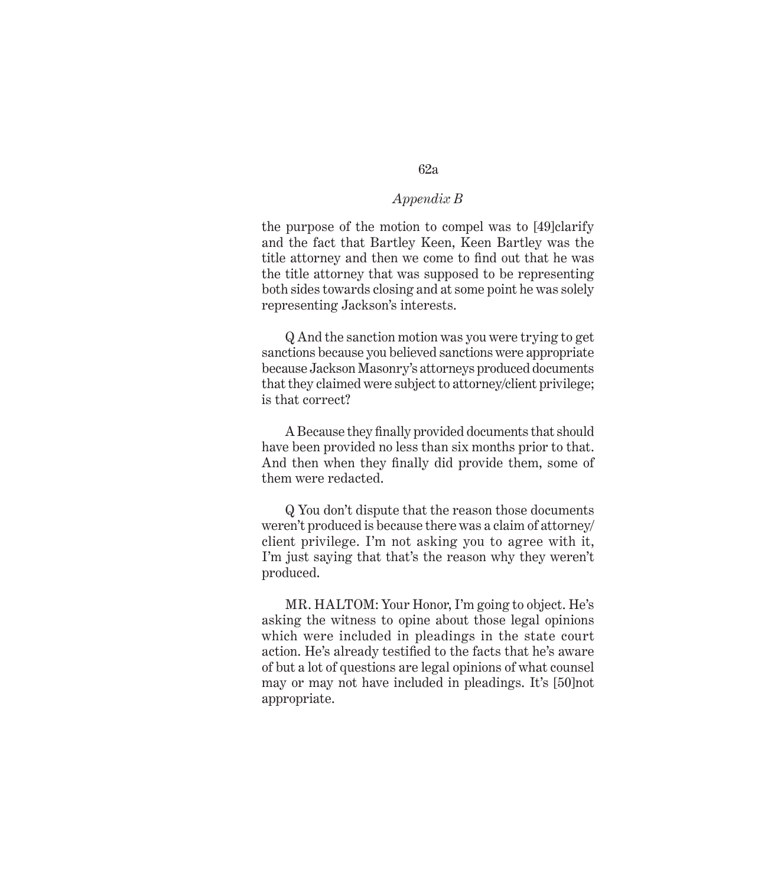the purpose of the motion to compel was to [49]clarify and the fact that Bartley Keen, Keen Bartley was the title attorney and then we come to find out that he was the title attorney that was supposed to be representing both sides towards closing and at some point he was solely representing Jackson's interests.

Q And the sanction motion was you were trying to get sanctions because you believed sanctions were appropriate because Jackson Masonry's attorneys produced documents that they claimed were subject to attorney/client privilege; is that correct?

A Because they finally provided documents that should have been provided no less than six months prior to that. And then when they finally did provide them, some of them were redacted.

Q You don't dispute that the reason those documents weren't produced is because there was a claim of attorney/ client privilege. I'm not asking you to agree with it, I'm just saying that that's the reason why they weren't produced.

MR. HALTOM: Your Honor, I'm going to object. He's asking the witness to opine about those legal opinions which were included in pleadings in the state court action. He's already testified to the facts that he's aware of but a lot of questions are legal opinions of what counsel may or may not have included in pleadings. It's [50]not appropriate.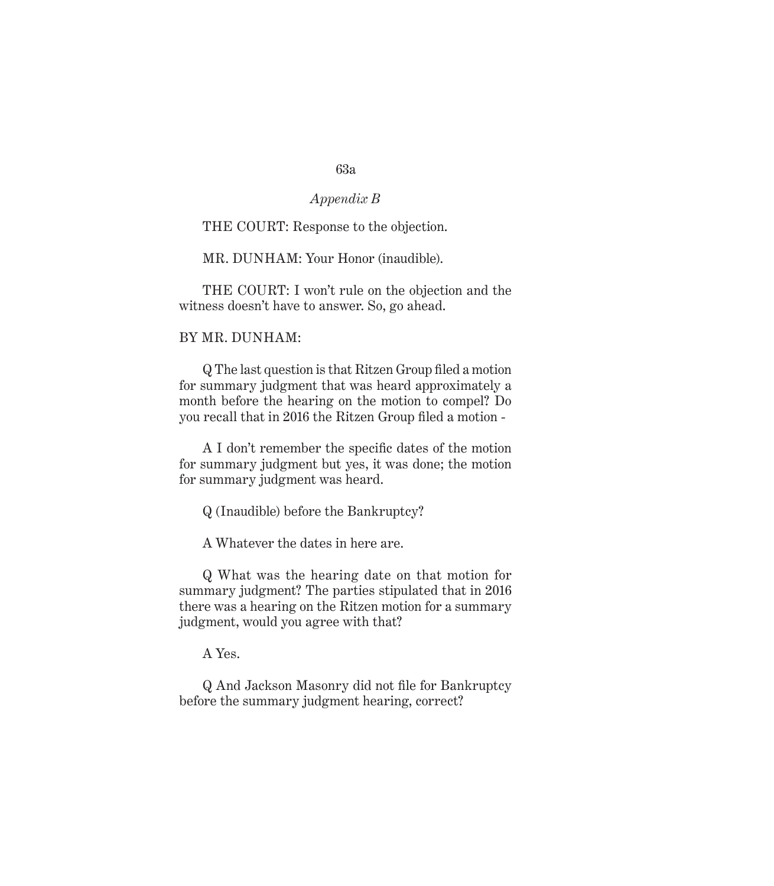# *Appendix B*

# THE COURT: Response to the objection.

MR. DUNHAM: Your Honor (inaudible).

THE COURT: I won't rule on the objection and the witness doesn't have to answer. So, go ahead.

#### BY MR. DUNHAM:

Q The last question is that Ritzen Group filed a motion for summary judgment that was heard approximately a month before the hearing on the motion to compel? Do you recall that in 2016 the Ritzen Group filed a motion -

A I don't remember the specific dates of the motion for summary judgment but yes, it was done; the motion for summary judgment was heard.

Q (Inaudible) before the Bankruptcy?

A Whatever the dates in here are.

Q What was the hearing date on that motion for summary judgment? The parties stipulated that in 2016 there was a hearing on the Ritzen motion for a summary judgment, would you agree with that?

A Yes.

Q And Jackson Masonry did not file for Bankruptcy before the summary judgment hearing, correct?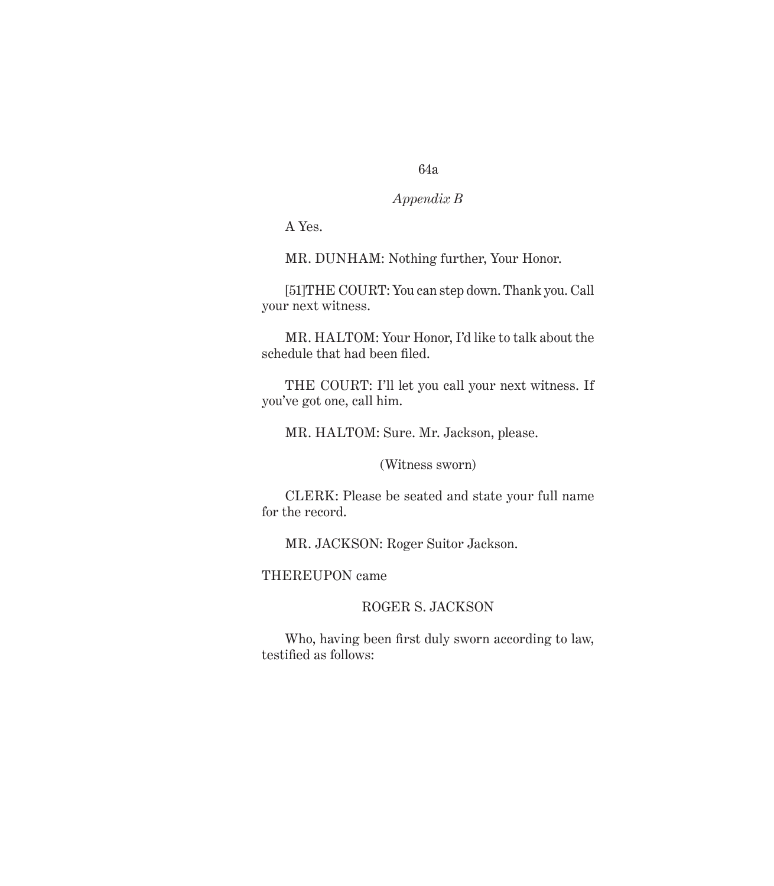# *Appendix B*

A Yes.

MR. DUNHAM: Nothing further, Your Honor.

[51]THE COURT: You can step down. Thank you. Call your next witness.

MR. HALTOM: Your Honor, I'd like to talk about the schedule that had been filed.

THE COURT: I'll let you call your next witness. If you've got one, call him.

MR. HALTOM: Sure. Mr. Jackson, please.

(Witness sworn)

CLERK: Please be seated and state your full name for the record.

MR. JACKSON: Roger Suitor Jackson.

THEREUPON came

# ROGER S. JACKSON

Who, having been first duly sworn according to law, testified as follows: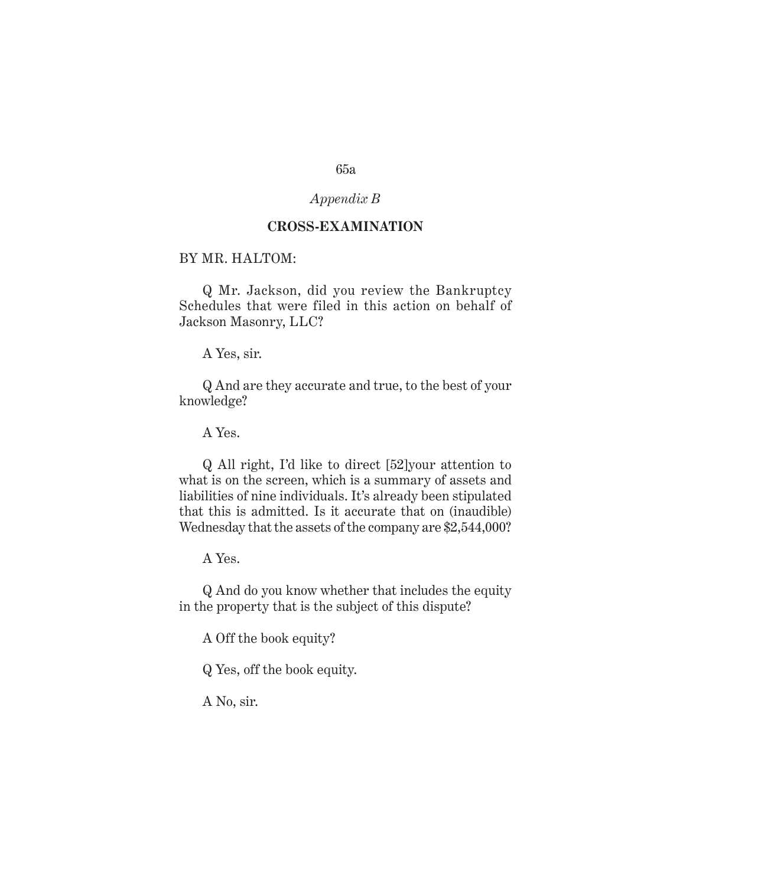# *Appendix B*

### **CROSS-EXAMINATION**

# BY MR. HALTOM:

Q Mr. Jackson, did you review the Bankruptcy Schedules that were filed in this action on behalf of Jackson Masonry, LLC?

A Yes, sir.

Q And are they accurate and true, to the best of your knowledge?

A Yes.

Q All right, I'd like to direct [52]your attention to what is on the screen, which is a summary of assets and liabilities of nine individuals. It's already been stipulated that this is admitted. Is it accurate that on (inaudible) Wednesday that the assets of the company are \$2,544,000?

A Yes.

Q And do you know whether that includes the equity in the property that is the subject of this dispute?

A Off the book equity?

Q Yes, off the book equity.

A No, sir.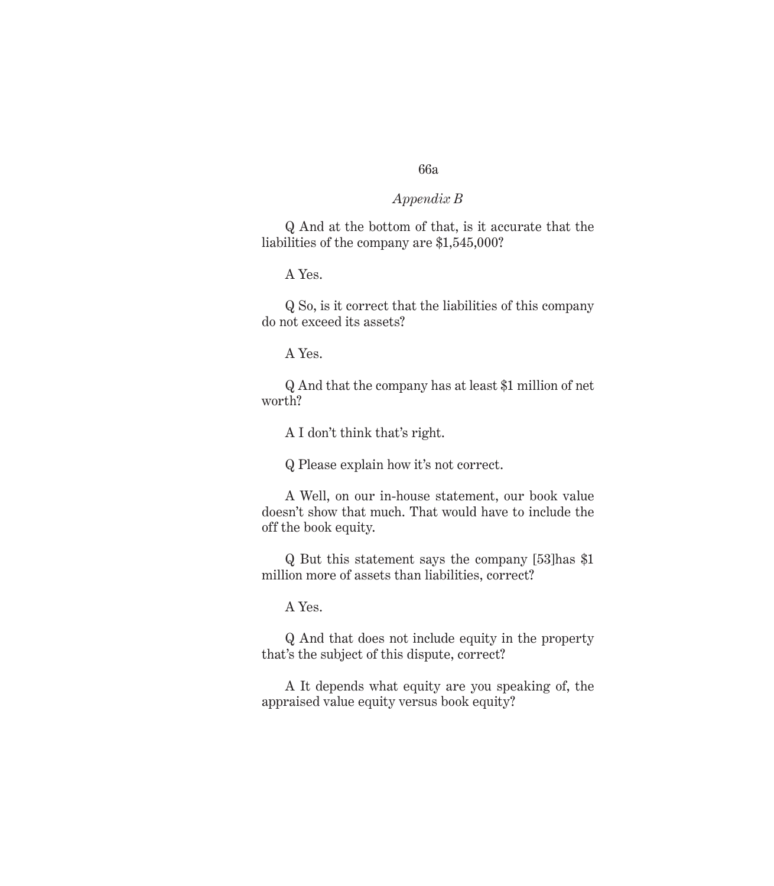# *Appendix B*

Q And at the bottom of that, is it accurate that the liabilities of the company are \$1,545,000?

A Yes.

Q So, is it correct that the liabilities of this company do not exceed its assets?

A Yes.

Q And that the company has at least \$1 million of net worth?

A I don't think that's right.

Q Please explain how it's not correct.

A Well, on our in-house statement, our book value doesn't show that much. That would have to include the off the book equity.

Q But this statement says the company [53]has \$1 million more of assets than liabilities, correct?

A Yes.

Q And that does not include equity in the property that's the subject of this dispute, correct?

A It depends what equity are you speaking of, the appraised value equity versus book equity?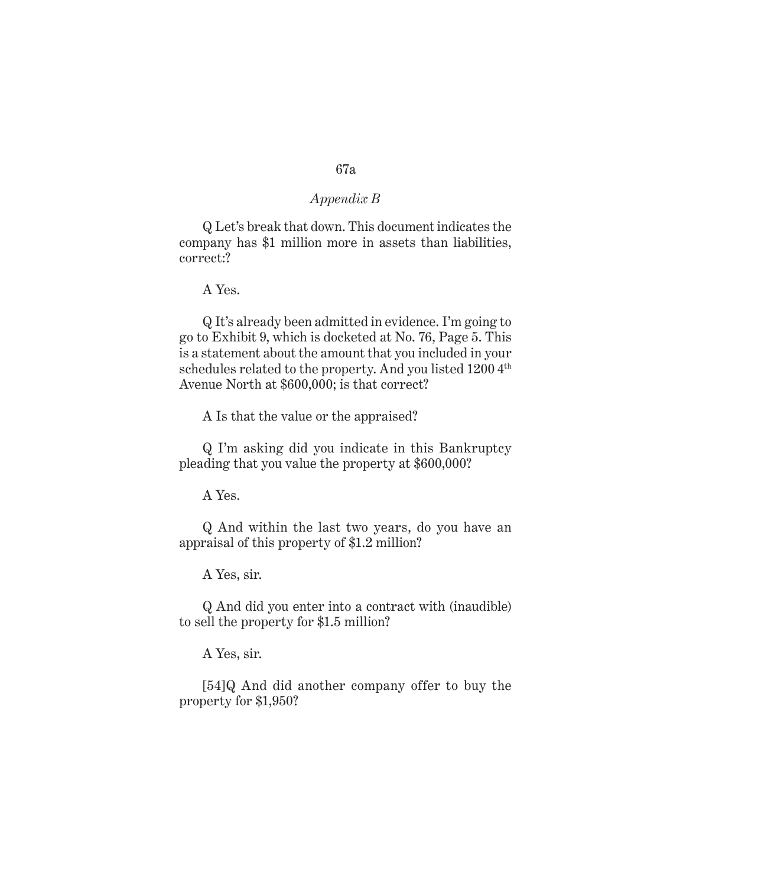Q Let's break that down. This document indicates the company has \$1 million more in assets than liabilities, correct:?

A Yes.

Q It's already been admitted in evidence. I'm going to go to Exhibit 9, which is docketed at No. 76, Page 5. This is a statement about the amount that you included in your schedules related to the property. And you listed 1200 4<sup>th</sup> Avenue North at \$600,000; is that correct?

A Is that the value or the appraised?

Q I'm asking did you indicate in this Bankruptcy pleading that you value the property at \$600,000?

A Yes.

Q And within the last two years, do you have an appraisal of this property of \$1.2 million?

A Yes, sir.

Q And did you enter into a contract with (inaudible) to sell the property for \$1.5 million?

A Yes, sir.

[54]Q And did another company offer to buy the property for \$1,950?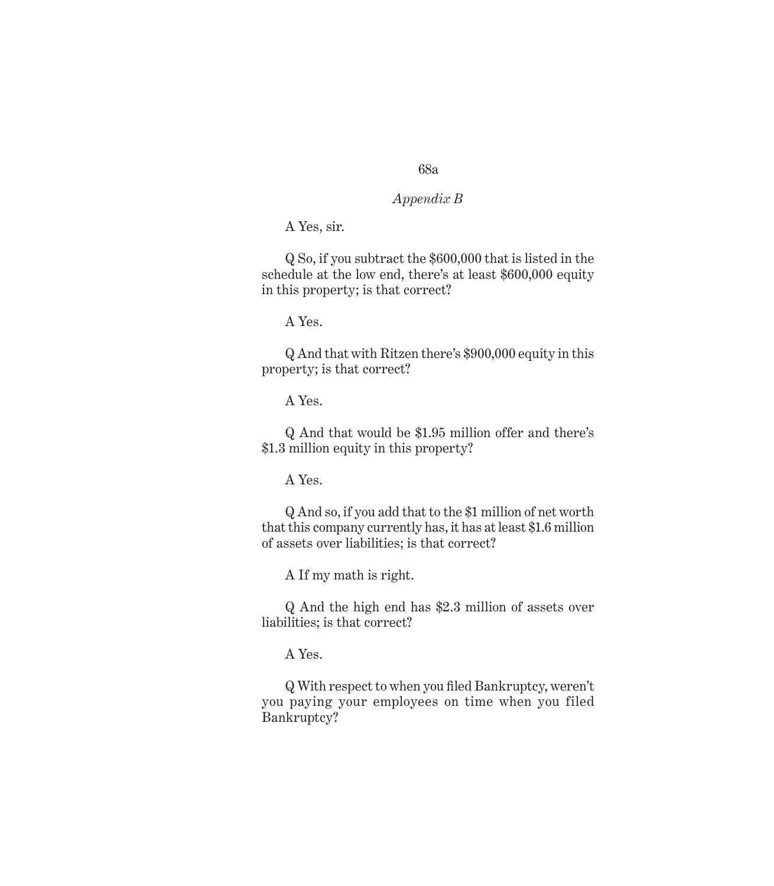# *Appendix B*

A Yes, sir.

Q So, if you subtract the \$600,000 that is listed in the schedule at the low end, there's at least \$600,000 equity in this property; is that correct?

A Yes.

Q And that with Ritzen there's \$900,000 equity in this property; is that correct?

A Yes.

Q And that would be \$1.95 million offer and there's \$1.3 million equity in this property?

A Yes.

Q And so, if you add that to the \$1 million of net worth that this company currently has, it has at least \$1.6 million of assets over liabilities; is that correct?

A If my math is right.

Q And the high end has \$2.3 million of assets over liabilities; is that correct?

A Yes.

Q With respect to when you filed Bankruptcy, weren't you paying your employees on time when you filed Bankruptcy?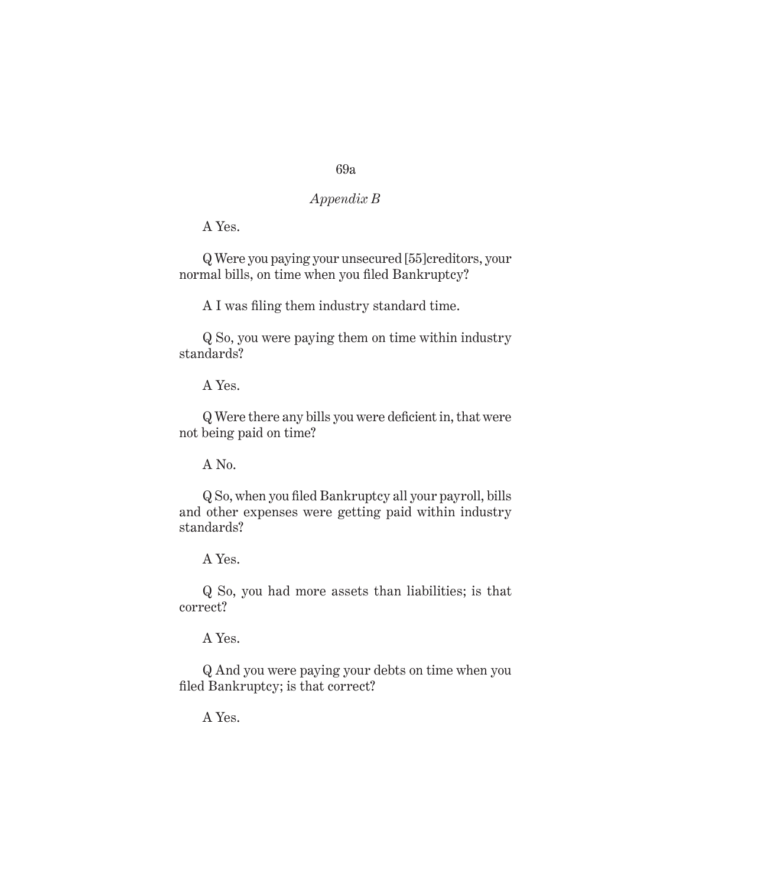# *Appendix B*

A Yes.

Q Were you paying your unsecured [55]creditors, your normal bills, on time when you filed Bankruptcy?

A I was filing them industry standard time.

Q So, you were paying them on time within industry standards?

A Yes.

Q Were there any bills you were deficient in, that were not being paid on time?

A No.

Q So, when you filed Bankruptcy all your payroll, bills and other expenses were getting paid within industry standards?

A Yes.

Q So, you had more assets than liabilities; is that correct?

A Yes.

Q And you were paying your debts on time when you filed Bankruptcy; is that correct?

A Yes.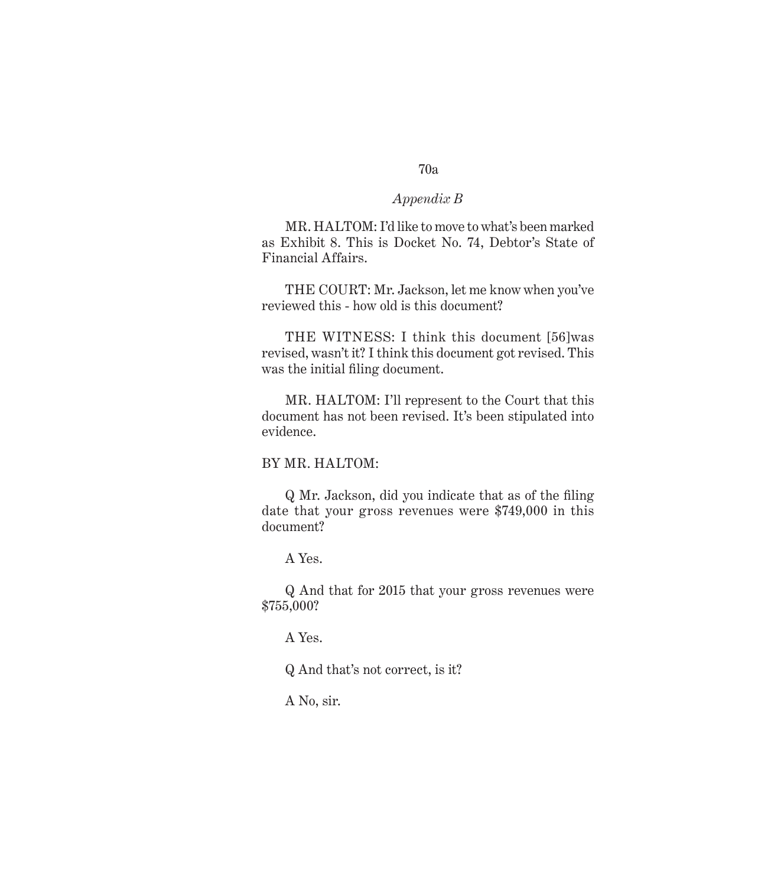#### *Appendix B*

MR. HALTOM: I'd like to move to what's been marked as Exhibit 8. This is Docket No. 74, Debtor's State of Financial Affairs.

THE COURT: Mr. Jackson, let me know when you've reviewed this - how old is this document?

THE WITNESS: I think this document [56]was revised, wasn't it? I think this document got revised. This was the initial filing document.

MR. HALTOM: I'll represent to the Court that this document has not been revised. It's been stipulated into evidence.

#### BY MR. HALTOM:

Q Mr. Jackson, did you indicate that as of the filing date that your gross revenues were \$749,000 in this document?

A Yes.

Q And that for 2015 that your gross revenues were \$755,000?

A Yes.

Q And that's not correct, is it?

A No, sir.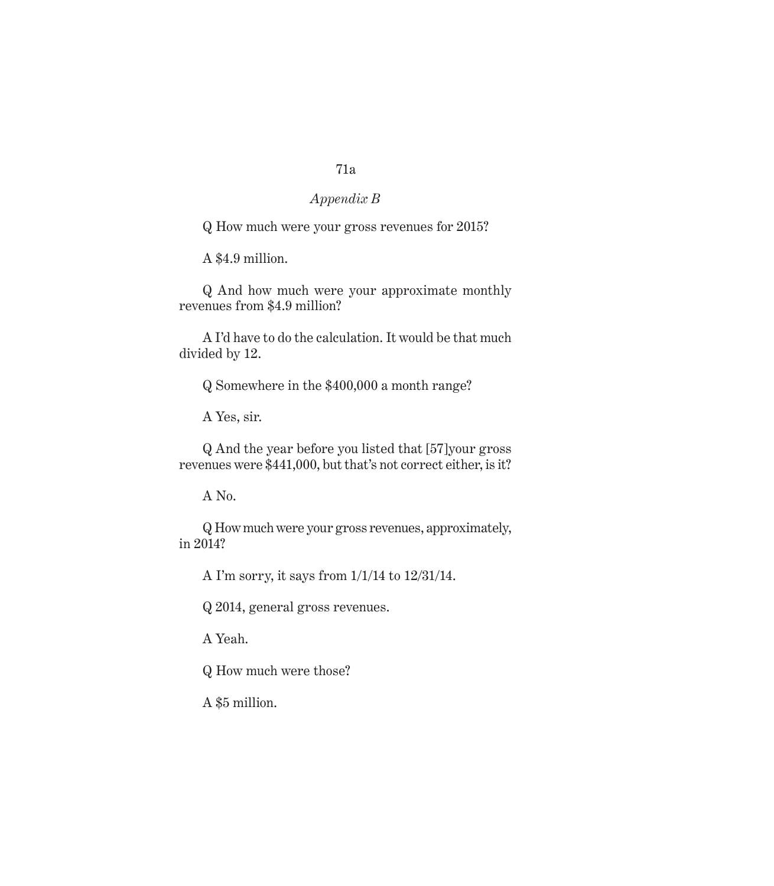# *Appendix B*

Q How much were your gross revenues for 2015?

A \$4.9 million.

Q And how much were your approximate monthly revenues from \$4.9 million?

A I'd have to do the calculation. It would be that much divided by 12.

Q Somewhere in the \$400,000 a month range?

A Yes, sir.

Q And the year before you listed that [57]your gross revenues were \$441,000, but that's not correct either, is it?

A No.

Q How much were your gross revenues, approximately, in 2014?

A I'm sorry, it says from 1/1/14 to 12/31/14.

Q 2014, general gross revenues.

A Yeah.

Q How much were those?

A \$5 million.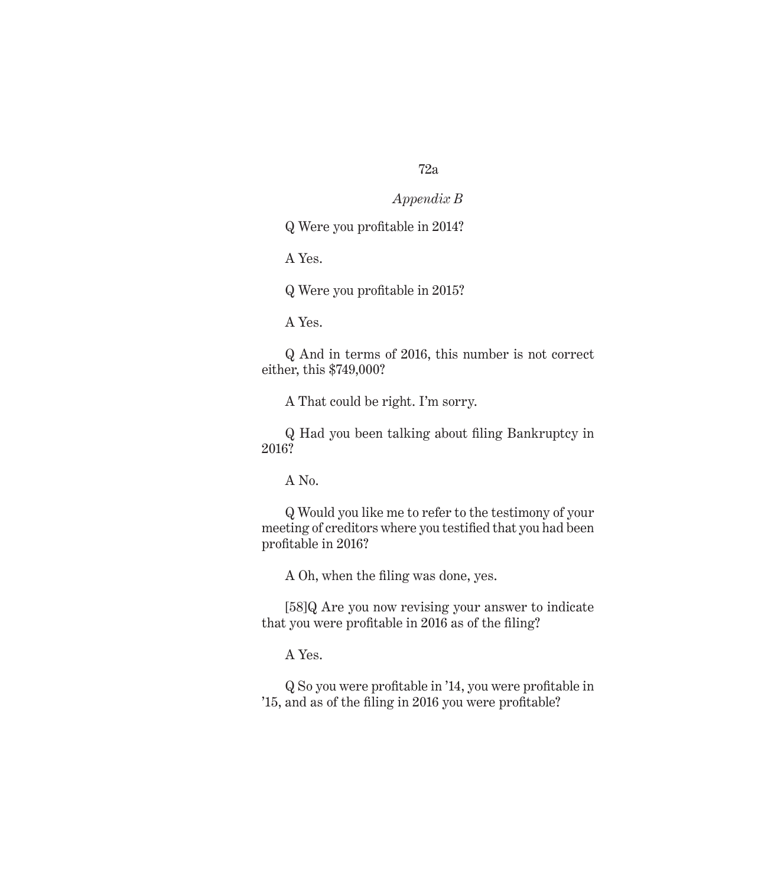#### *Appendix B*

Q Were you profitable in 2014?

A Yes.

Q Were you profitable in 2015?

A Yes.

Q And in terms of 2016, this number is not correct either, this \$749,000?

A That could be right. I'm sorry.

Q Had you been talking about filing Bankruptcy in 2016?

A No.

Q Would you like me to refer to the testimony of your meeting of creditors where you testified that you had been profitable in 2016?

A Oh, when the filing was done, yes.

[58]Q Are you now revising your answer to indicate that you were profitable in 2016 as of the filing?

A Yes.

Q So you were profitable in '14, you were profitable in '15, and as of the filing in 2016 you were profitable?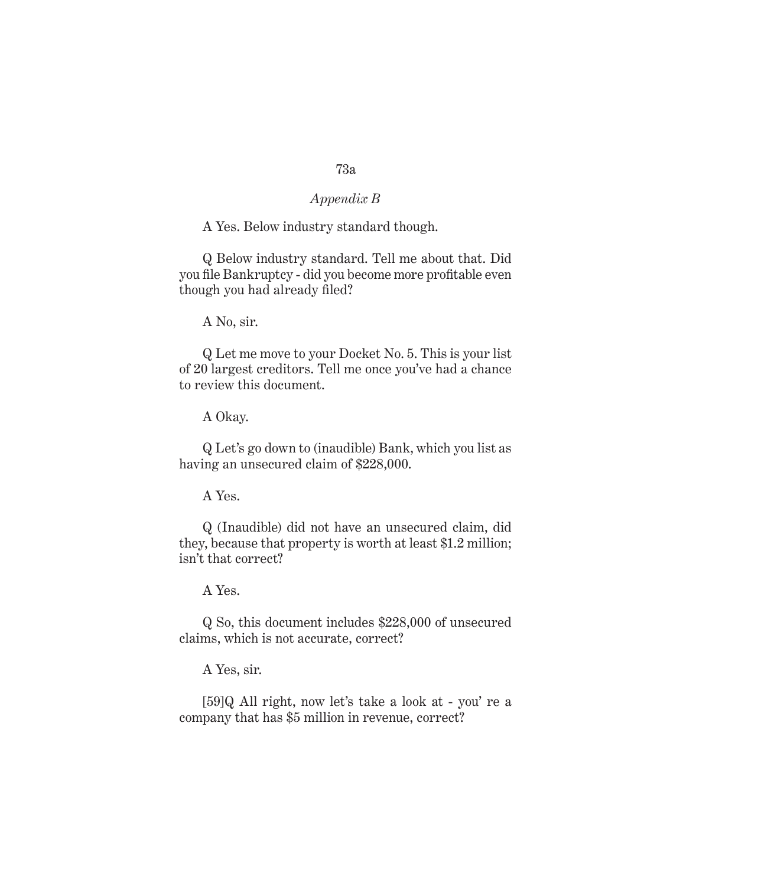## *Appendix B*

#### A Yes. Below industry standard though.

Q Below industry standard. Tell me about that. Did you file Bankruptcy - did you become more profitable even though you had already filed?

A No, sir.

Q Let me move to your Docket No. 5. This is your list of 20 largest creditors. Tell me once you've had a chance to review this document.

A Okay.

Q Let's go down to (inaudible) Bank, which you list as having an unsecured claim of \$228,000.

A Yes.

Q (Inaudible) did not have an unsecured claim, did they, because that property is worth at least \$1.2 million; isn't that correct?

A Yes.

Q So, this document includes \$228,000 of unsecured claims, which is not accurate, correct?

A Yes, sir.

[59]Q All right, now let's take a look at - you' re a company that has \$5 million in revenue, correct?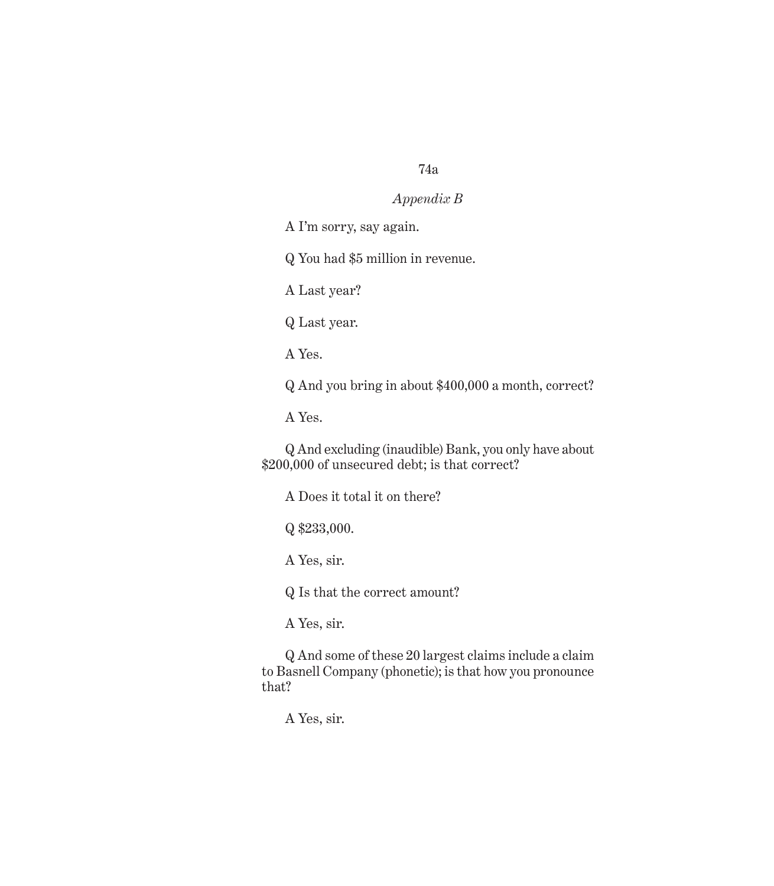#### *Appendix B*

A I'm sorry, say again.

Q You had \$5 million in revenue.

A Last year?

Q Last year.

A Yes.

Q And you bring in about \$400,000 a month, correct?

A Yes.

Q And excluding (inaudible) Bank, you only have about \$200,000 of unsecured debt; is that correct?

A Does it total it on there?

Q \$233,000.

A Yes, sir.

Q Is that the correct amount?

A Yes, sir.

Q And some of these 20 largest claims include a claim to Basnell Company (phonetic); is that how you pronounce that?

A Yes, sir.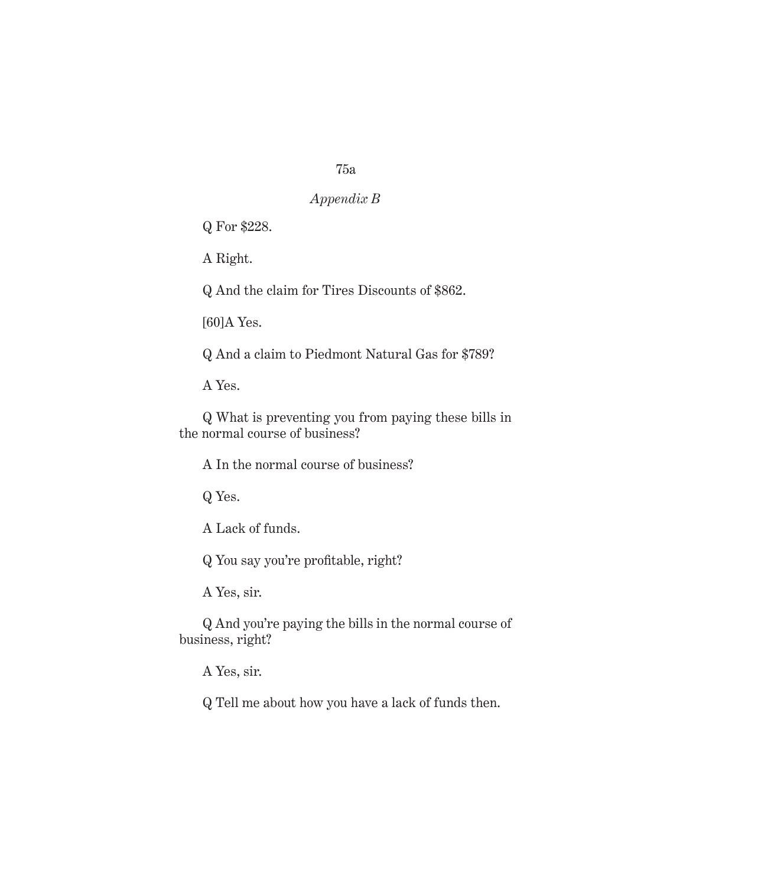# *Appendix B*

Q For \$228.

A Right.

Q And the claim for Tires Discounts of \$862.

[60]A Yes.

Q And a claim to Piedmont Natural Gas for \$789?

A Yes.

Q What is preventing you from paying these bills in the normal course of business?

A In the normal course of business?

Q Yes.

A Lack of funds.

Q You say you're profitable, right?

A Yes, sir.

Q And you're paying the bills in the normal course of business, right?

A Yes, sir.

Q Tell me about how you have a lack of funds then.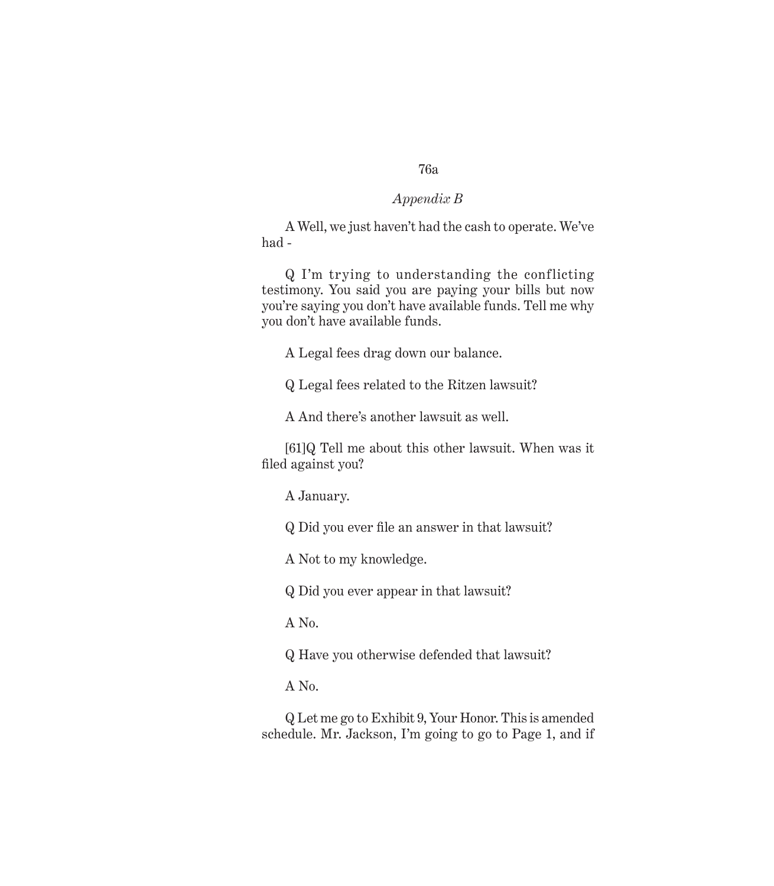### *Appendix B*

A Well, we just haven't had the cash to operate. We've had -

Q I'm trying to understanding the conflicting testimony. You said you are paying your bills but now you're saying you don't have available funds. Tell me why you don't have available funds.

A Legal fees drag down our balance.

Q Legal fees related to the Ritzen lawsuit?

A And there's another lawsuit as well.

[61]Q Tell me about this other lawsuit. When was it filed against you?

A January.

Q Did you ever file an answer in that lawsuit?

A Not to my knowledge.

Q Did you ever appear in that lawsuit?

A No.

Q Have you otherwise defended that lawsuit?

A No.

Q Let me go to Exhibit 9, Your Honor. This is amended schedule. Mr. Jackson, I'm going to go to Page 1, and if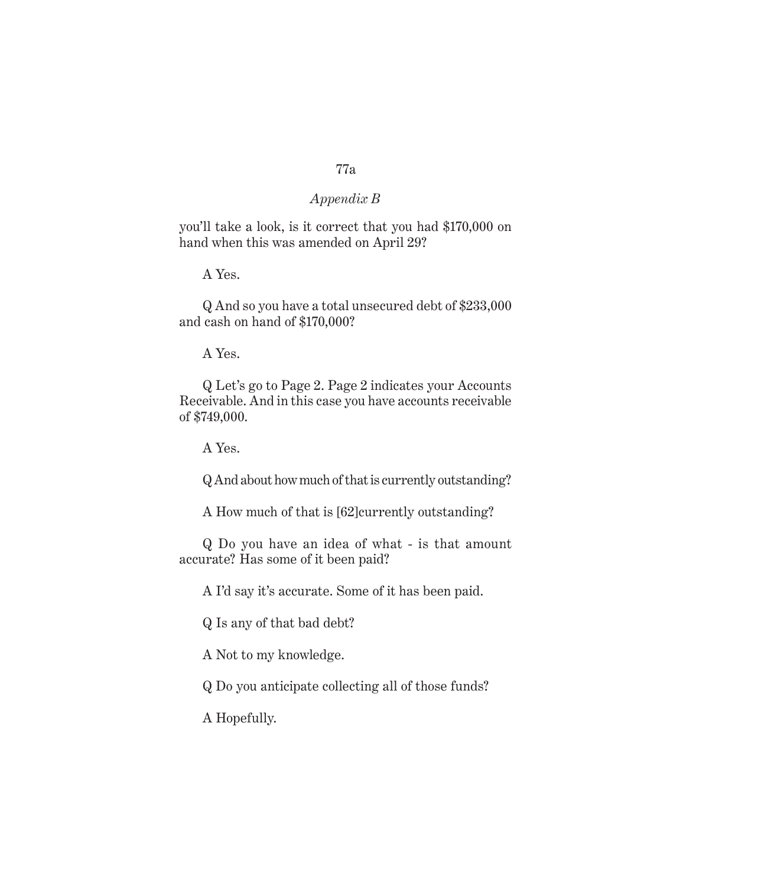#### *Appendix B*

you'll take a look, is it correct that you had \$170,000 on hand when this was amended on April 29?

A Yes.

Q And so you have a total unsecured debt of \$233,000 and cash on hand of \$170,000?

A Yes.

Q Let's go to Page 2. Page 2 indicates your Accounts Receivable. And in this case you have accounts receivable of \$749,000.

A Yes.

Q And about how much of that is currently outstanding?

A How much of that is [62]currently outstanding?

Q Do you have an idea of what - is that amount accurate? Has some of it been paid?

A I'd say it's accurate. Some of it has been paid.

Q Is any of that bad debt?

A Not to my knowledge.

Q Do you anticipate collecting all of those funds?

A Hopefully.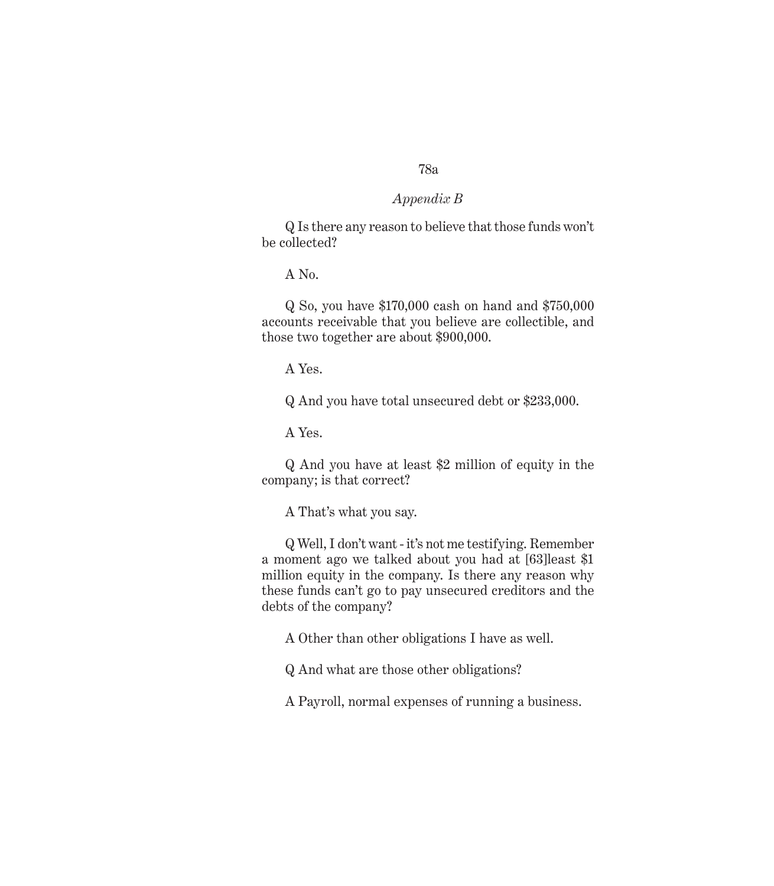#### *Appendix B*

Q Is there any reason to believe that those funds won't be collected?

A No.

Q So, you have \$170,000 cash on hand and \$750,000 accounts receivable that you believe are collectible, and those two together are about \$900,000.

A Yes.

Q And you have total unsecured debt or \$233,000.

A Yes.

Q And you have at least \$2 million of equity in the company; is that correct?

A That's what you say.

Q Well, I don't want - it's not me testifying. Remember a moment ago we talked about you had at [63]least \$1 million equity in the company. Is there any reason why these funds can't go to pay unsecured creditors and the debts of the company?

A Other than other obligations I have as well.

Q And what are those other obligations?

A Payroll, normal expenses of running a business.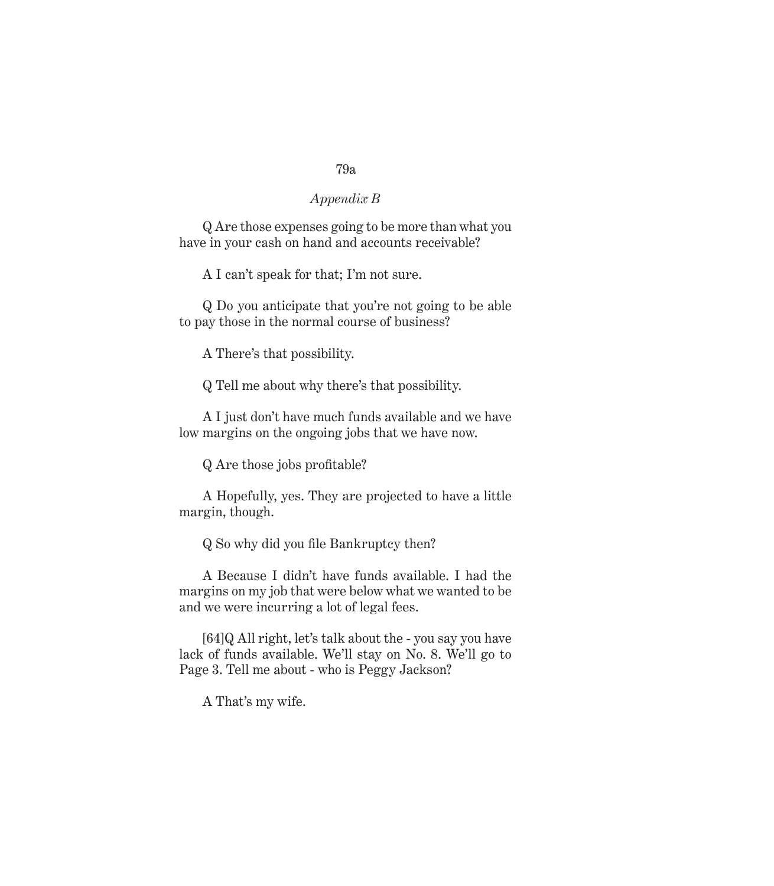### *Appendix B*

Q Are those expenses going to be more than what you have in your cash on hand and accounts receivable?

A I can't speak for that; I'm not sure.

Q Do you anticipate that you're not going to be able to pay those in the normal course of business?

A There's that possibility.

Q Tell me about why there's that possibility.

A I just don't have much funds available and we have low margins on the ongoing jobs that we have now.

Q Are those jobs profitable?

A Hopefully, yes. They are projected to have a little margin, though.

Q So why did you file Bankruptcy then?

A Because I didn't have funds available. I had the margins on my job that were below what we wanted to be and we were incurring a lot of legal fees.

[64]Q All right, let's talk about the - you say you have lack of funds available. We'll stay on No. 8. We'll go to Page 3. Tell me about - who is Peggy Jackson?

A That's my wife.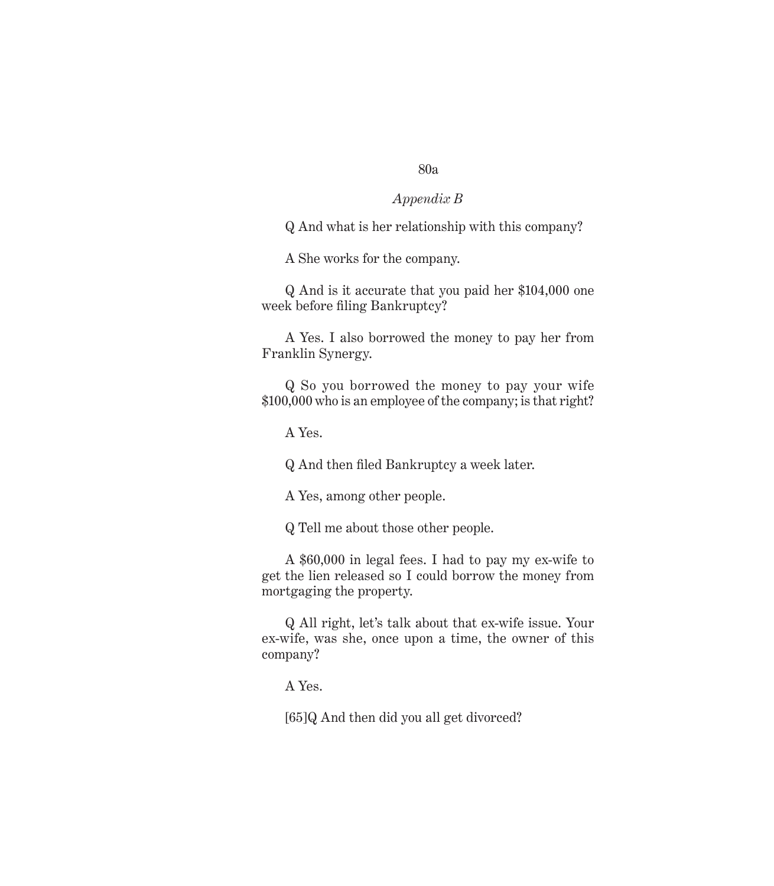#### *Appendix B*

Q And what is her relationship with this company?

A She works for the company.

Q And is it accurate that you paid her \$104,000 one week before filing Bankruptcy?

A Yes. I also borrowed the money to pay her from Franklin Synergy.

Q So you borrowed the money to pay your wife \$100,000 who is an employee of the company; is that right?

A Yes.

Q And then filed Bankruptcy a week later.

A Yes, among other people.

Q Tell me about those other people.

A \$60,000 in legal fees. I had to pay my ex-wife to get the lien released so I could borrow the money from mortgaging the property.

Q All right, let's talk about that ex-wife issue. Your ex-wife, was she, once upon a time, the owner of this company?

A Yes.

[65]Q And then did you all get divorced?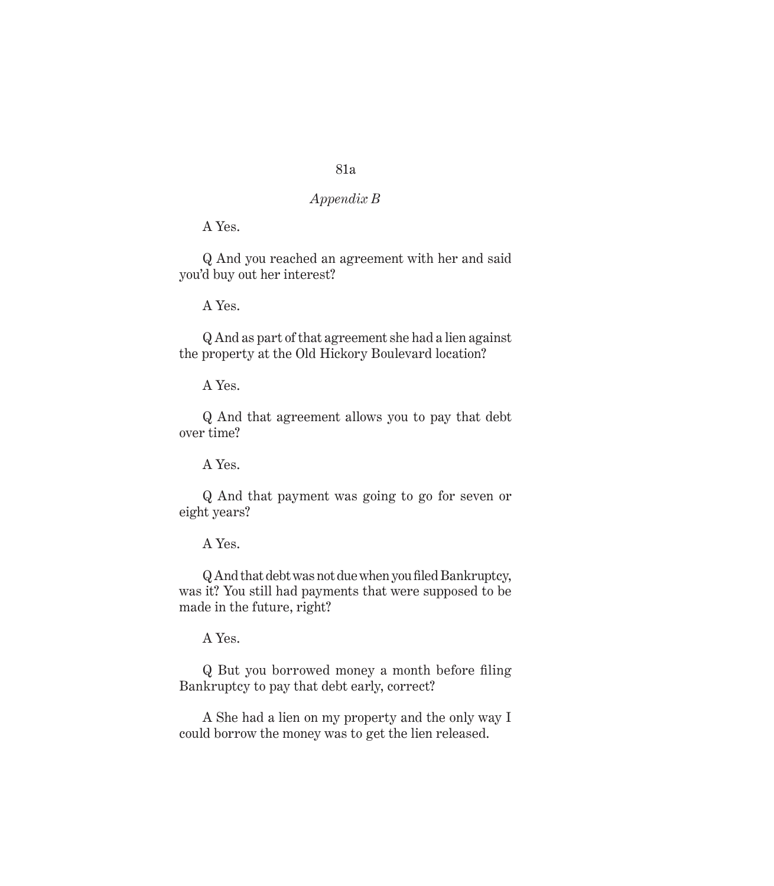## *Appendix B*

A Yes.

Q And you reached an agreement with her and said you'd buy out her interest?

A Yes.

Q And as part of that agreement she had a lien against the property at the Old Hickory Boulevard location?

A Yes.

Q And that agreement allows you to pay that debt over time?

A Yes.

Q And that payment was going to go for seven or eight years?

A Yes.

Q And that debt was not due when you filed Bankruptcy, was it? You still had payments that were supposed to be made in the future, right?

A Yes.

Q But you borrowed money a month before filing Bankruptcy to pay that debt early, correct?

A She had a lien on my property and the only way I could borrow the money was to get the lien released.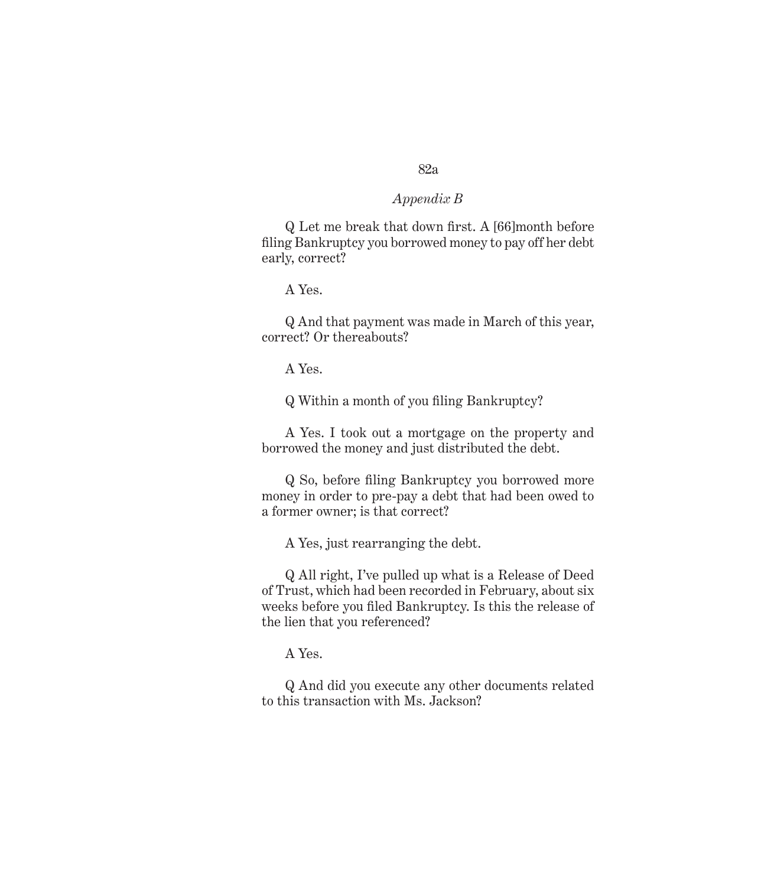#### *Appendix B*

Q Let me break that down first. A [66]month before filing Bankruptcy you borrowed money to pay off her debt early, correct?

A Yes.

Q And that payment was made in March of this year, correct? Or thereabouts?

A Yes.

Q Within a month of you filing Bankruptcy?

A Yes. I took out a mortgage on the property and borrowed the money and just distributed the debt.

Q So, before filing Bankruptcy you borrowed more money in order to pre-pay a debt that had been owed to a former owner; is that correct?

A Yes, just rearranging the debt.

Q All right, I've pulled up what is a Release of Deed of Trust, which had been recorded in February, about six weeks before you filed Bankruptcy. Is this the release of the lien that you referenced?

A Yes.

Q And did you execute any other documents related to this transaction with Ms. Jackson?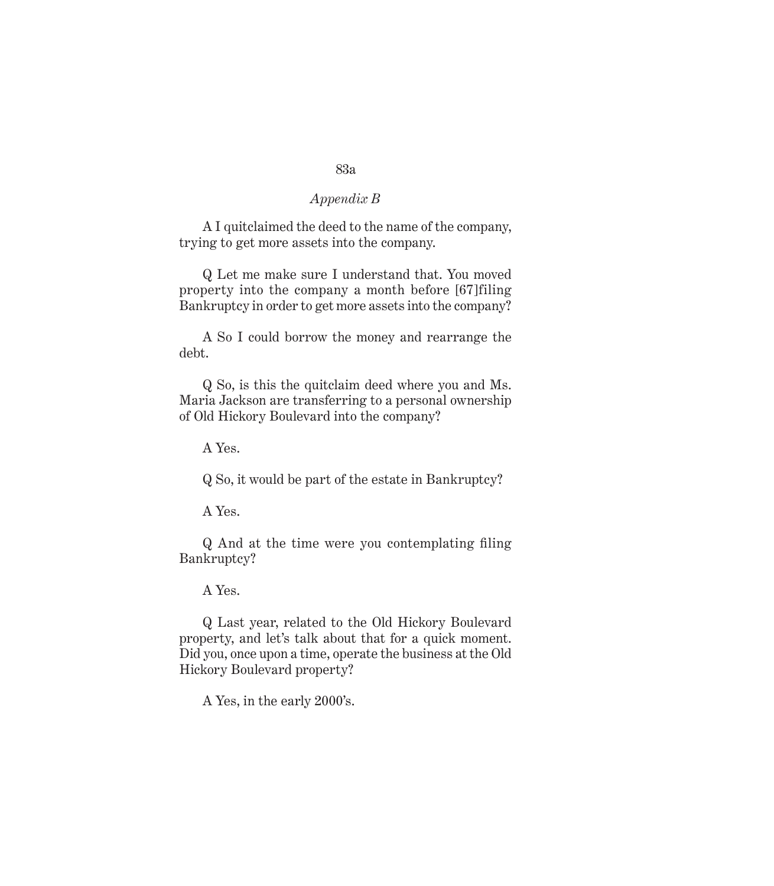# *Appendix B*

A I quitclaimed the deed to the name of the company, trying to get more assets into the company.

Q Let me make sure I understand that. You moved property into the company a month before [67]filing Bankruptcy in order to get more assets into the company?

A So I could borrow the money and rearrange the debt.

Q So, is this the quitclaim deed where you and Ms. Maria Jackson are transferring to a personal ownership of Old Hickory Boulevard into the company?

A Yes.

Q So, it would be part of the estate in Bankruptcy?

A Yes.

Q And at the time were you contemplating filing Bankruptcy?

A Yes.

Q Last year, related to the Old Hickory Boulevard property, and let's talk about that for a quick moment. Did you, once upon a time, operate the business at the Old Hickory Boulevard property?

A Yes, in the early 2000's.

#### 83a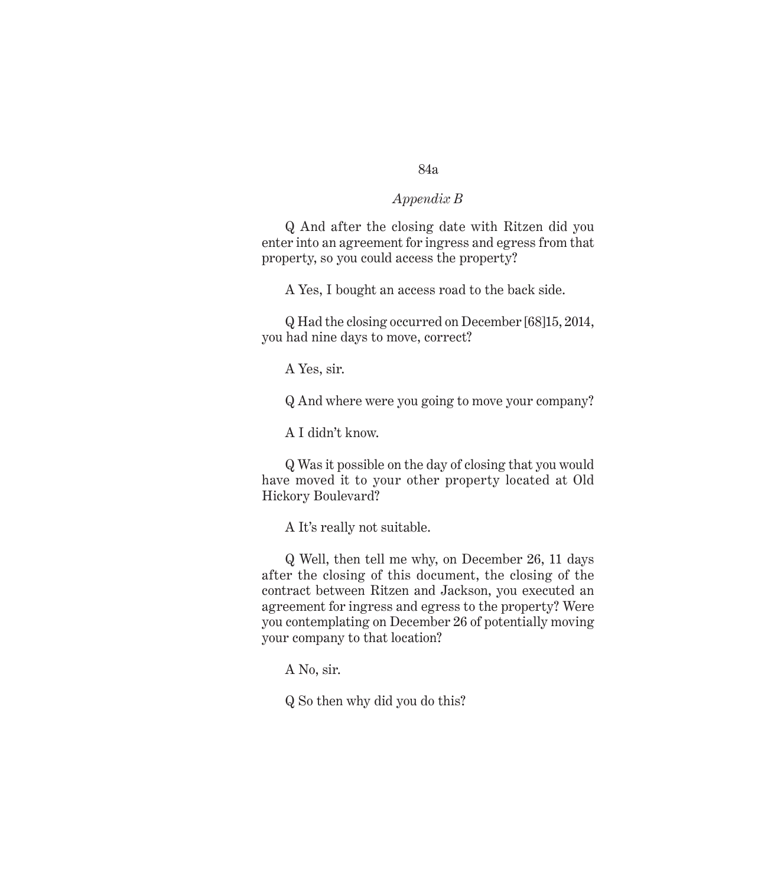#### *Appendix B*

Q And after the closing date with Ritzen did you enter into an agreement for ingress and egress from that property, so you could access the property?

A Yes, I bought an access road to the back side.

Q Had the closing occurred on December [68]15, 2014, you had nine days to move, correct?

A Yes, sir.

Q And where were you going to move your company?

A I didn't know.

Q Was it possible on the day of closing that you would have moved it to your other property located at Old Hickory Boulevard?

A It's really not suitable.

Q Well, then tell me why, on December 26, 11 days after the closing of this document, the closing of the contract between Ritzen and Jackson, you executed an agreement for ingress and egress to the property? Were you contemplating on December 26 of potentially moving your company to that location?

A No, sir.

Q So then why did you do this?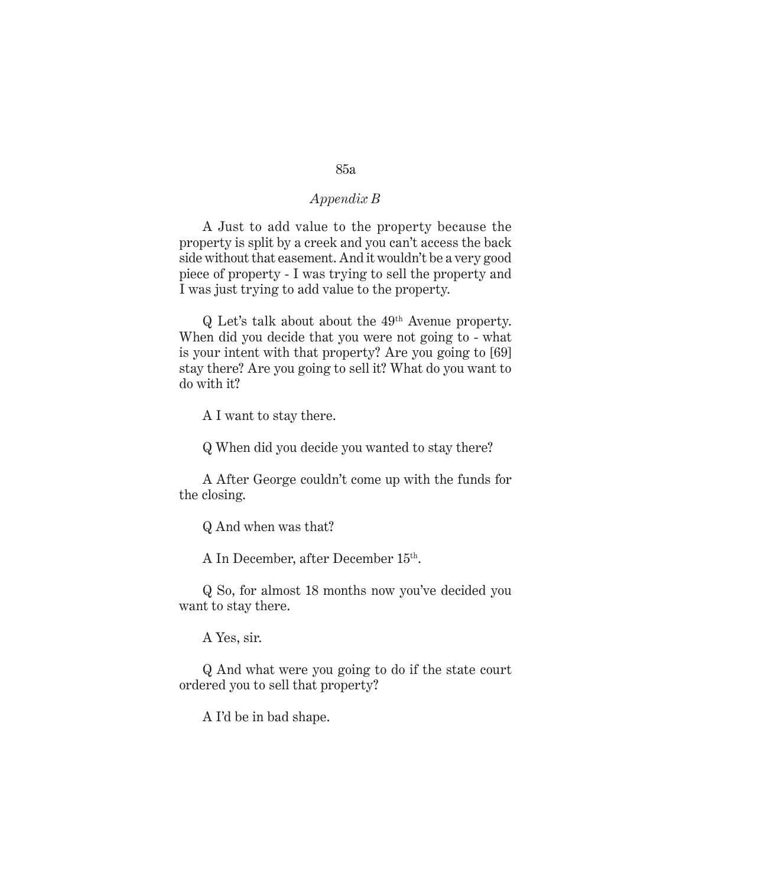#### *Appendix B*

A Just to add value to the property because the property is split by a creek and you can't access the back side without that easement. And it wouldn't be a very good piece of property - I was trying to sell the property and I was just trying to add value to the property.

Q Let's talk about about the 49th Avenue property. When did you decide that you were not going to - what is your intent with that property? Are you going to [69] stay there? Are you going to sell it? What do you want to do with it?

A I want to stay there.

Q When did you decide you wanted to stay there?

A After George couldn't come up with the funds for the closing.

Q And when was that?

A In December, after December 15th.

Q So, for almost 18 months now you've decided you want to stay there.

A Yes, sir.

Q And what were you going to do if the state court ordered you to sell that property?

A I'd be in bad shape.

#### 85a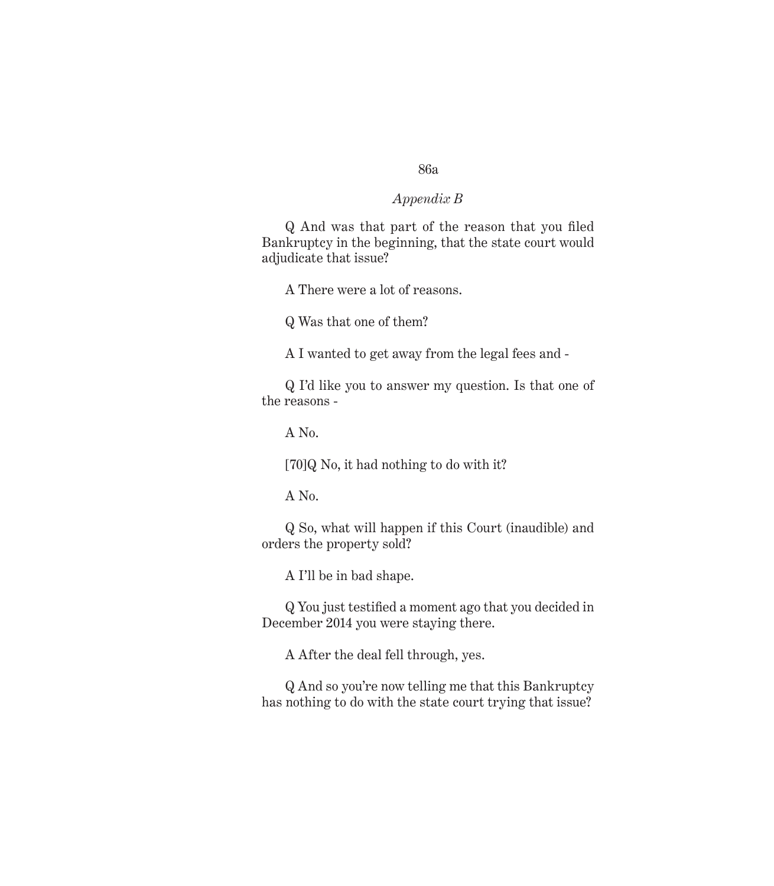#### *Appendix B*

Q And was that part of the reason that you filed Bankruptcy in the beginning, that the state court would adjudicate that issue?

A There were a lot of reasons.

Q Was that one of them?

A I wanted to get away from the legal fees and -

Q I'd like you to answer my question. Is that one of the reasons -

A No.

[70]Q No, it had nothing to do with it?

A No.

Q So, what will happen if this Court (inaudible) and orders the property sold?

A I'll be in bad shape.

Q You just testified a moment ago that you decided in December 2014 you were staying there.

A After the deal fell through, yes.

Q And so you're now telling me that this Bankruptcy has nothing to do with the state court trying that issue?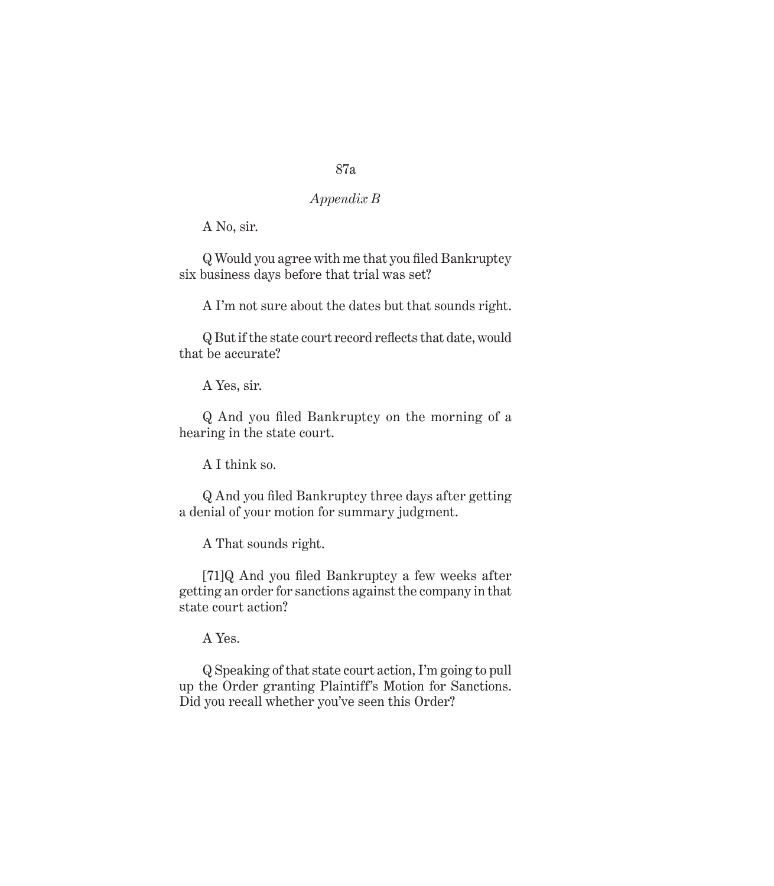# *Appendix B*

A No, sir.

Q Would you agree with me that you filed Bankruptcy six business days before that trial was set?

A I'm not sure about the dates but that sounds right.

Q But if the state court record reflects that date, would that be accurate?

A Yes, sir.

Q And you filed Bankruptcy on the morning of a hearing in the state court.

A I think so.

Q And you filed Bankruptcy three days after getting a denial of your motion for summary judgment.

A That sounds right.

[71]Q And you filed Bankruptcy a few weeks after getting an order for sanctions against the company in that state court action?

A Yes.

Q Speaking of that state court action, I'm going to pull up the Order granting Plaintiff's Motion for Sanctions. Did you recall whether you've seen this Order?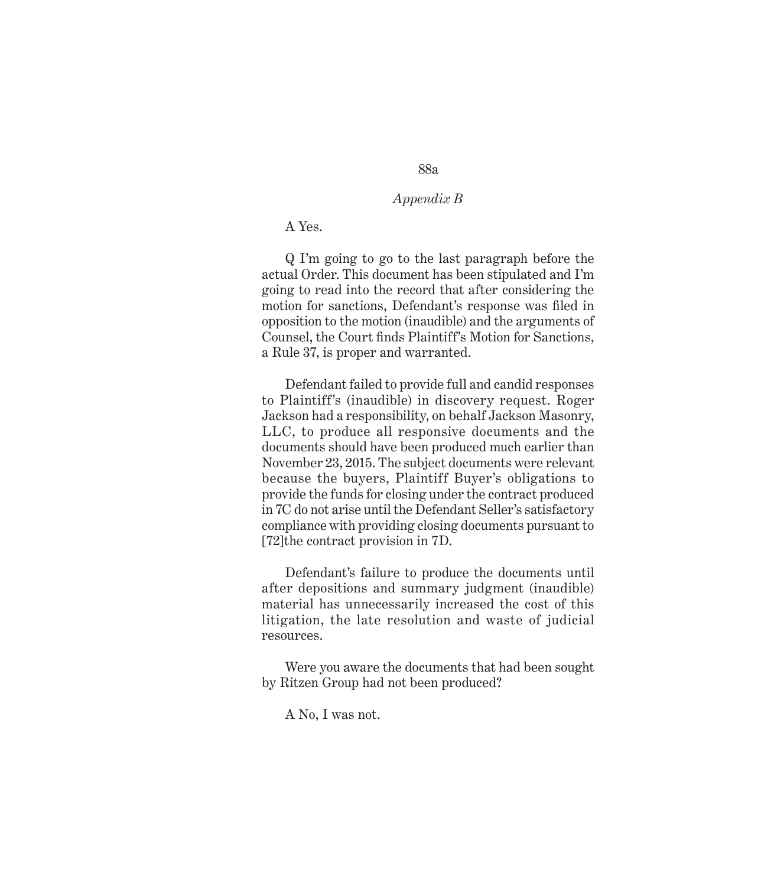## *Appendix B*

#### A Yes.

Q I'm going to go to the last paragraph before the actual Order. This document has been stipulated and I'm going to read into the record that after considering the motion for sanctions, Defendant's response was filed in opposition to the motion (inaudible) and the arguments of Counsel, the Court finds Plaintiff's Motion for Sanctions, a Rule 37, is proper and warranted.

Defendant failed to provide full and candid responses to Plaintiff's (inaudible) in discovery request. Roger Jackson had a responsibility, on behalf Jackson Masonry, LLC, to produce all responsive documents and the documents should have been produced much earlier than November 23, 2015. The subject documents were relevant because the buyers, Plaintiff Buyer's obligations to provide the funds for closing under the contract produced in 7C do not arise until the Defendant Seller's satisfactory compliance with providing closing documents pursuant to [72]the contract provision in 7D.

Defendant's failure to produce the documents until after depositions and summary judgment (inaudible) material has unnecessarily increased the cost of this litigation, the late resolution and waste of judicial resources.

Were you aware the documents that had been sought by Ritzen Group had not been produced?

A No, I was not.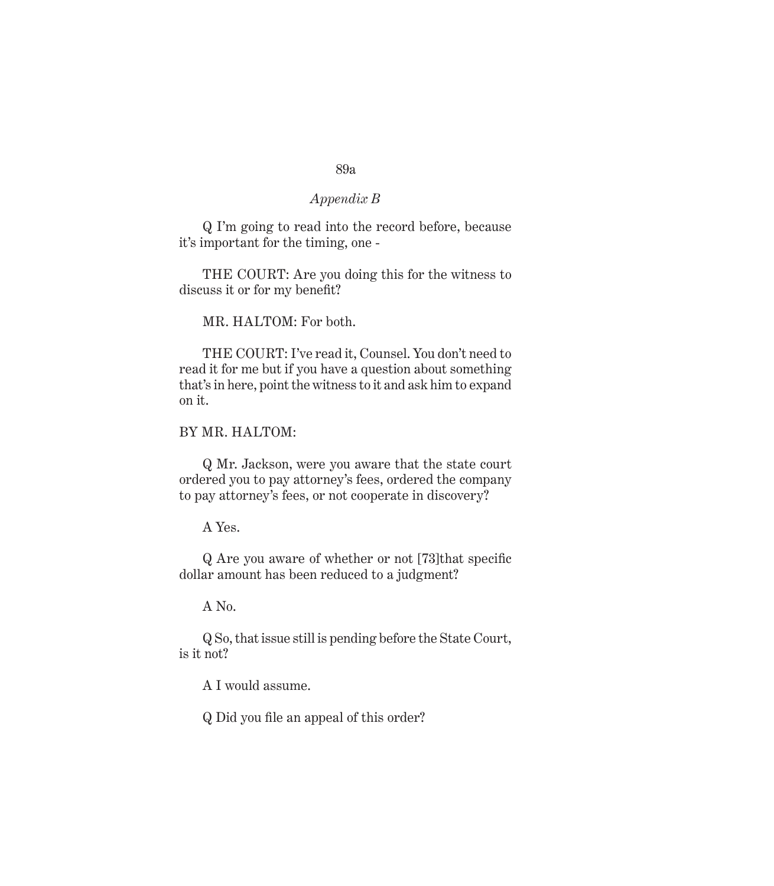# *Appendix B*

Q I'm going to read into the record before, because it's important for the timing, one -

THE COURT: Are you doing this for the witness to discuss it or for my benefit?

MR. HALTOM: For both.

THE COURT: I've read it, Counsel. You don't need to read it for me but if you have a question about something that's in here, point the witness to it and ask him to expand on it.

#### BY MR. HALTOM:

Q Mr. Jackson, were you aware that the state court ordered you to pay attorney's fees, ordered the company to pay attorney's fees, or not cooperate in discovery?

A Yes.

Q Are you aware of whether or not [73]that specific dollar amount has been reduced to a judgment?

A No.

Q So, that issue still is pending before the State Court, is it not?

A I would assume.

Q Did you file an appeal of this order?

#### 89a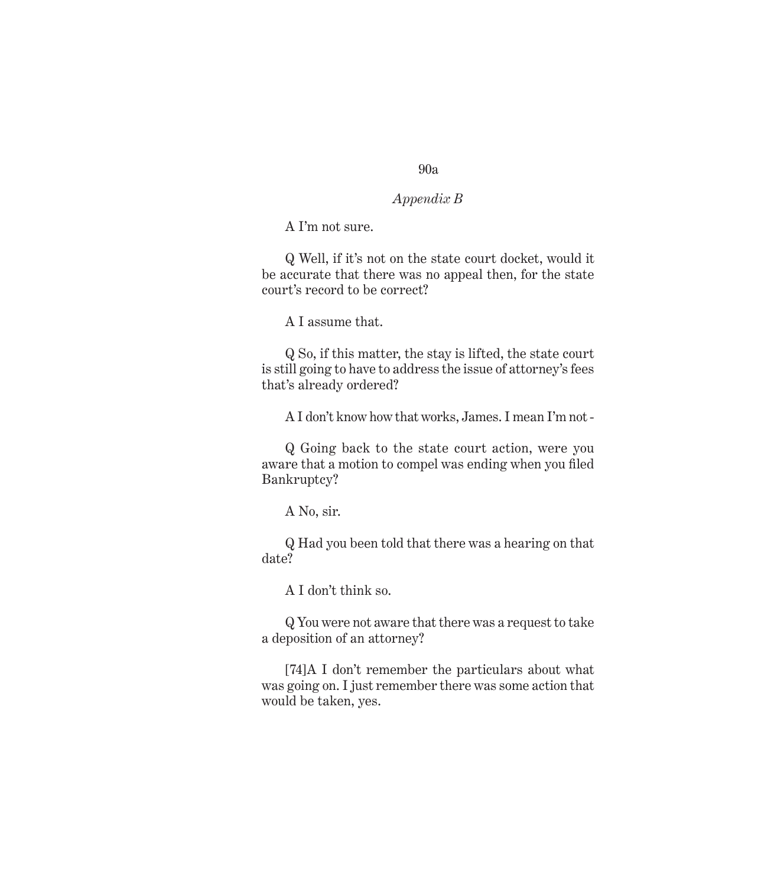#### *Appendix B*

A I'm not sure.

Q Well, if it's not on the state court docket, would it be accurate that there was no appeal then, for the state court's record to be correct?

A I assume that.

Q So, if this matter, the stay is lifted, the state court is still going to have to address the issue of attorney's fees that's already ordered?

A I don't know how that works, James. I mean I'm not -

Q Going back to the state court action, were you aware that a motion to compel was ending when you filed Bankruptcy?

A No, sir.

Q Had you been told that there was a hearing on that date?

A I don't think so.

Q You were not aware that there was a request to take a deposition of an attorney?

[74]A I don't remember the particulars about what was going on. I just remember there was some action that would be taken, yes.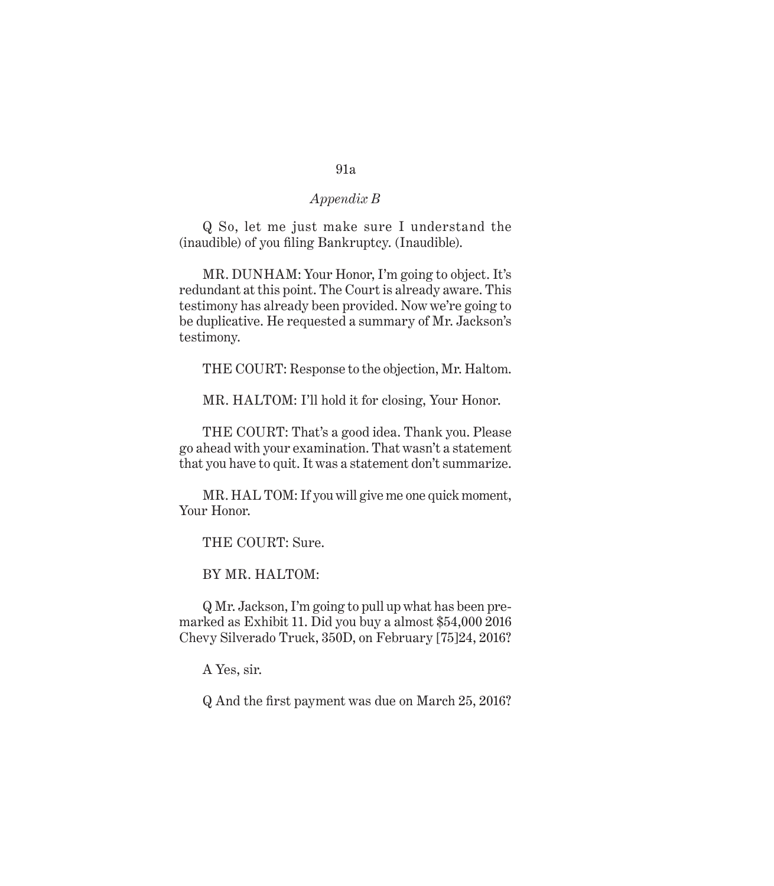# *Appendix B*

Q So, let me just make sure I understand the (inaudible) of you filing Bankruptcy. (Inaudible).

MR. DUNHAM: Your Honor, I'm going to object. It's redundant at this point. The Court is already aware. This testimony has already been provided. Now we're going to be duplicative. He requested a summary of Mr. Jackson's testimony.

THE COURT: Response to the objection, Mr. Haltom.

MR. HALTOM: I'll hold it for closing, Your Honor.

THE COURT: That's a good idea. Thank you. Please go ahead with your examination. That wasn't a statement that you have to quit. It was a statement don't summarize.

MR. HAL TOM: If you will give me one quick moment, Your Honor.

THE COURT: Sure.

BY MR. HALTOM:

Q Mr. Jackson, I'm going to pull up what has been premarked as Exhibit 11. Did you buy a almost \$54,000 2016 Chevy Silverado Truck, 350D, on February [75]24, 2016?

A Yes, sir.

Q And the first payment was due on March 25, 2016?

#### 91a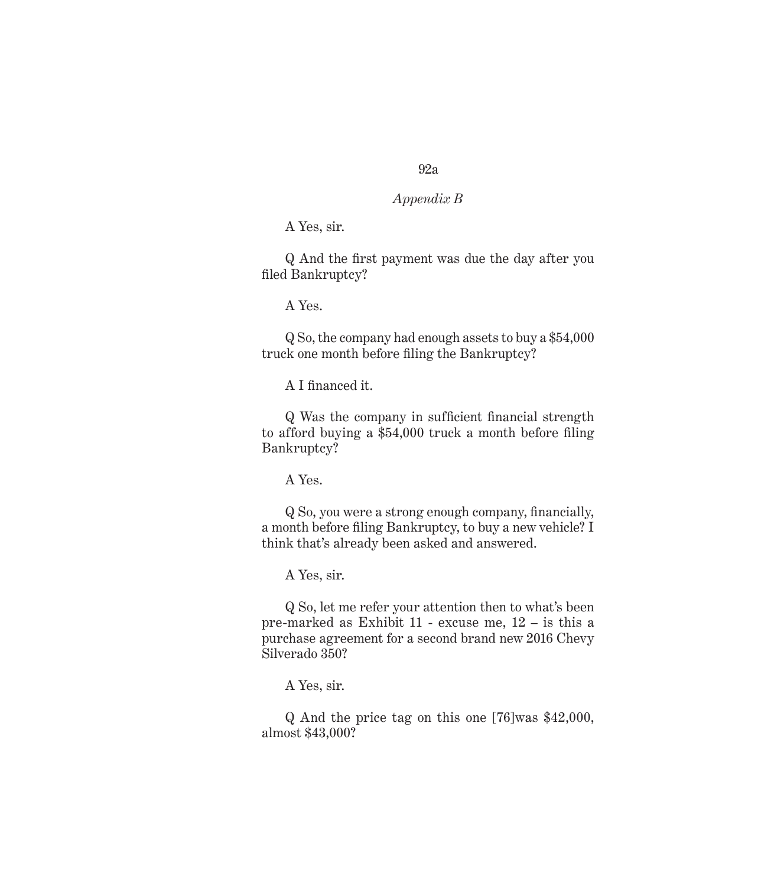#### *Appendix B*

A Yes, sir.

Q And the first payment was due the day after you filed Bankruptcy?

A Yes.

Q So, the company had enough assets to buy a \$54,000 truck one month before filing the Bankruptcy?

A I financed it.

Q Was the company in sufficient financial strength to afford buying a \$54,000 truck a month before filing Bankruptcy?

A Yes.

Q So, you were a strong enough company, financially, a month before filing Bankruptcy, to buy a new vehicle? I think that's already been asked and answered.

A Yes, sir.

Q So, let me refer your attention then to what's been pre-marked as Exhibit 11 - excuse me, 12 – is this a purchase agreement for a second brand new 2016 Chevy Silverado 350?

A Yes, sir.

Q And the price tag on this one [76]was \$42,000, almost \$43,000?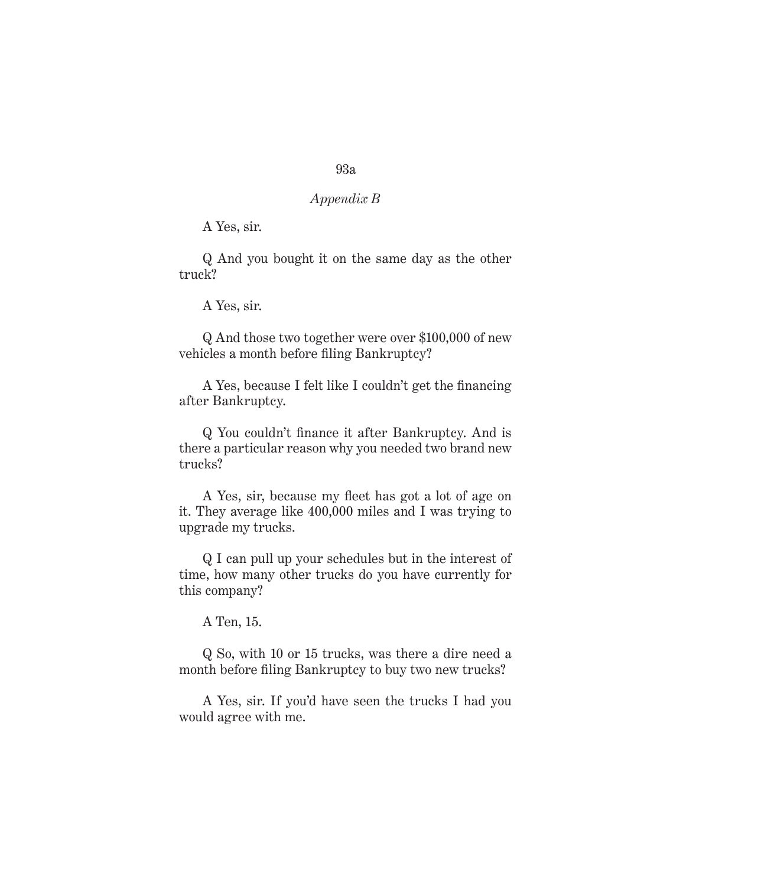### *Appendix B*

A Yes, sir.

Q And you bought it on the same day as the other truck?

A Yes, sir.

Q And those two together were over \$100,000 of new vehicles a month before filing Bankruptcy?

A Yes, because I felt like I couldn't get the financing after Bankruptcy.

Q You couldn't finance it after Bankruptcy. And is there a particular reason why you needed two brand new trucks?

A Yes, sir, because my fleet has got a lot of age on it. They average like 400,000 miles and I was trying to upgrade my trucks.

Q I can pull up your schedules but in the interest of time, how many other trucks do you have currently for this company?

A Ten, 15.

Q So, with 10 or 15 trucks, was there a dire need a month before filing Bankruptcy to buy two new trucks?

A Yes, sir. If you'd have seen the trucks I had you would agree with me.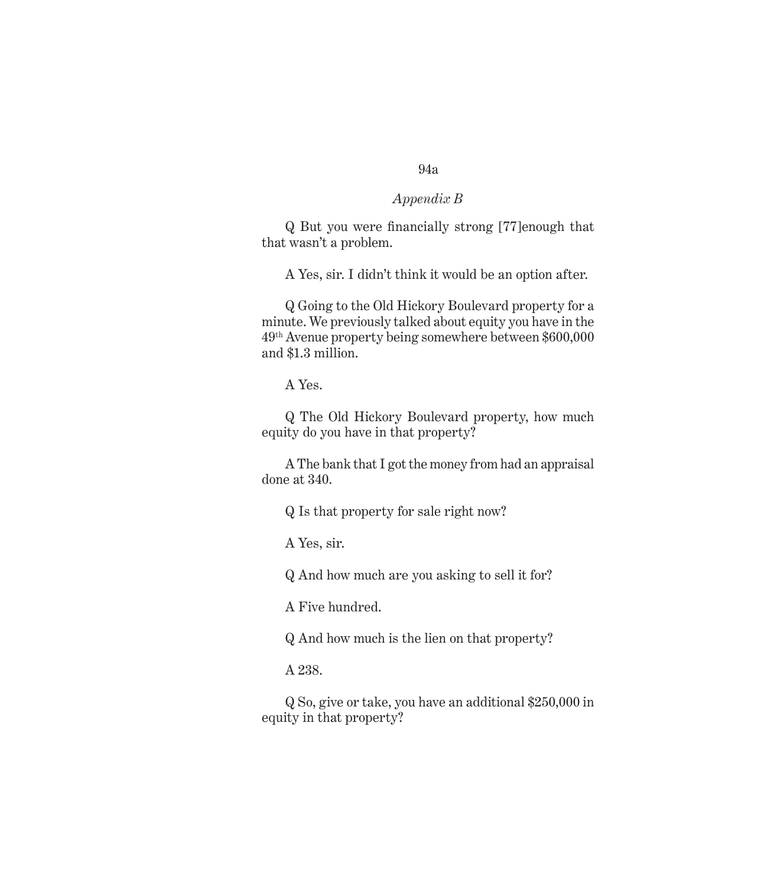## *Appendix B*

Q But you were financially strong [77]enough that that wasn't a problem.

A Yes, sir. I didn't think it would be an option after.

Q Going to the Old Hickory Boulevard property for a minute. We previously talked about equity you have in the 49th Avenue property being somewhere between \$600,000 and \$1.3 million.

A Yes.

Q The Old Hickory Boulevard property, how much equity do you have in that property?

A The bank that I got the money from had an appraisal done at 340.

Q Is that property for sale right now?

A Yes, sir.

Q And how much are you asking to sell it for?

A Five hundred.

Q And how much is the lien on that property?

A 238.

Q So, give or take, you have an additional \$250,000 in equity in that property?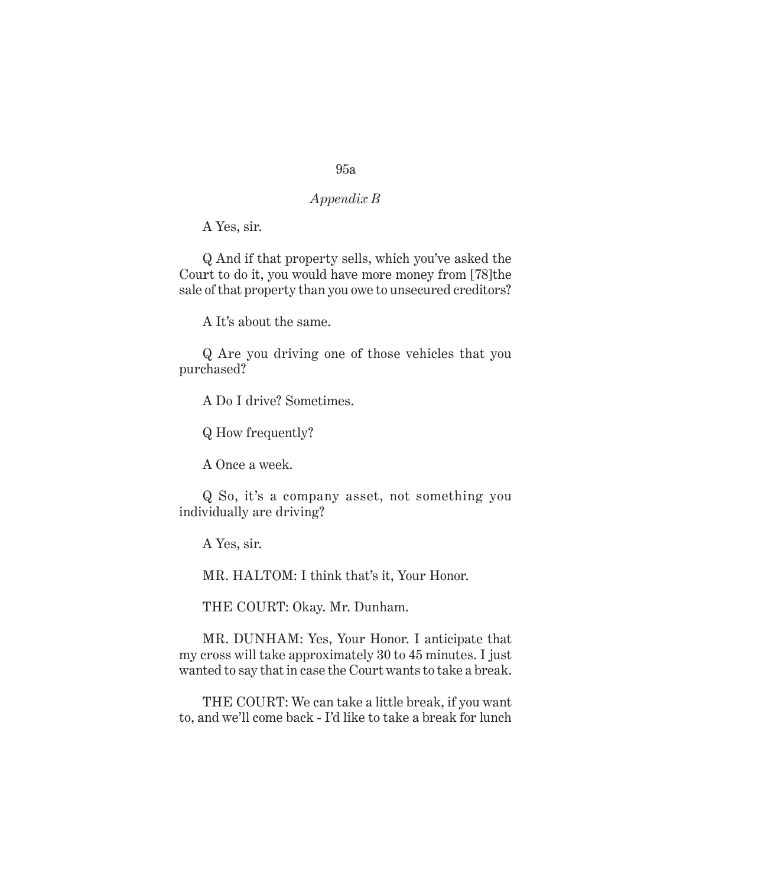# *Appendix B*

A Yes, sir.

Q And if that property sells, which you've asked the Court to do it, you would have more money from [78]the sale of that property than you owe to unsecured creditors?

A It's about the same.

Q Are you driving one of those vehicles that you purchased?

A Do I drive? Sometimes.

Q How frequently?

A Once a week.

Q So, it's a company asset, not something you individually are driving?

A Yes, sir.

MR. HALTOM: I think that's it, Your Honor.

THE COURT: Okay. Mr. Dunham.

MR. DUNHAM: Yes, Your Honor. I anticipate that my cross will take approximately 30 to 45 minutes. I just wanted to say that in case the Court wants to take a break.

THE COURT: We can take a little break, if you want to, and we'll come back - I'd like to take a break for lunch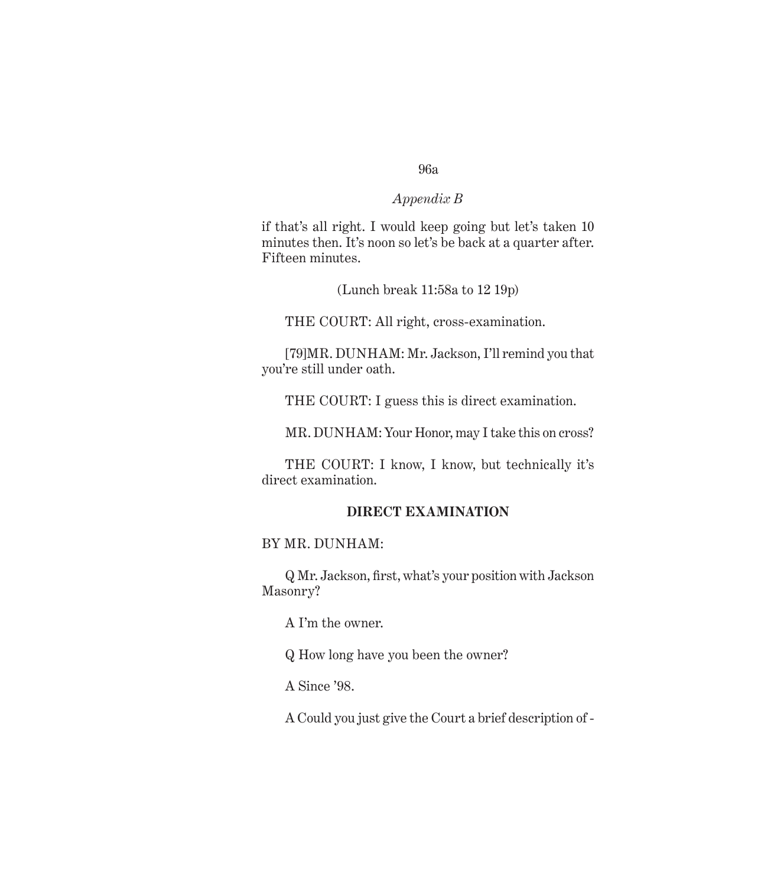#### *Appendix B*

if that's all right. I would keep going but let's taken 10 minutes then. It's noon so let's be back at a quarter after. Fifteen minutes.

(Lunch break 11:58a to 12 19p)

THE COURT: All right, cross-examination.

[79]MR. DUNHAM: Mr. Jackson, I'll remind you that you're still under oath.

THE COURT: I guess this is direct examination.

MR. DUNHAM: Your Honor, may I take this on cross?

THE COURT: I know, I know, but technically it's direct examination.

#### **DIRECT EXAMINATION**

## BY MR. DUNHAM:

Q Mr. Jackson, first, what's your position with Jackson Masonry?

A I'm the owner.

Q How long have you been the owner?

A Since '98.

A Could you just give the Court a brief description of -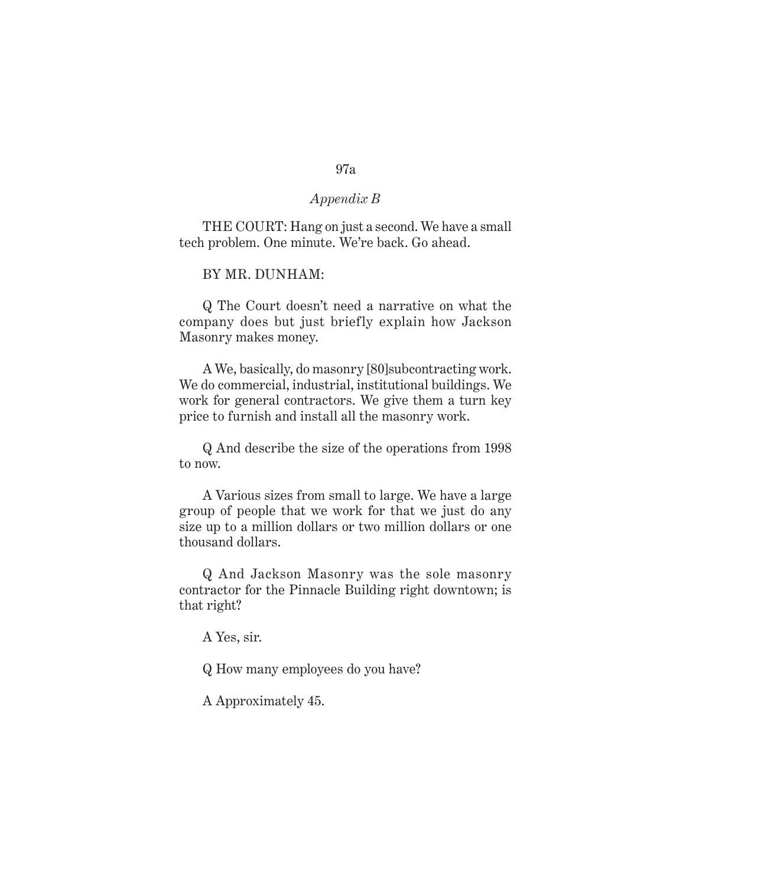#### *Appendix B*

THE COURT: Hang on just a second. We have a small tech problem. One minute. We're back. Go ahead.

BY MR. DUNHAM:

Q The Court doesn't need a narrative on what the company does but just briefly explain how Jackson Masonry makes money.

A We, basically, do masonry [80]subcontracting work. We do commercial, industrial, institutional buildings. We work for general contractors. We give them a turn key price to furnish and install all the masonry work.

Q And describe the size of the operations from 1998 to now.

A Various sizes from small to large. We have a large group of people that we work for that we just do any size up to a million dollars or two million dollars or one thousand dollars.

Q And Jackson Masonry was the sole masonry contractor for the Pinnacle Building right downtown; is that right?

A Yes, sir.

Q How many employees do you have?

A Approximately 45.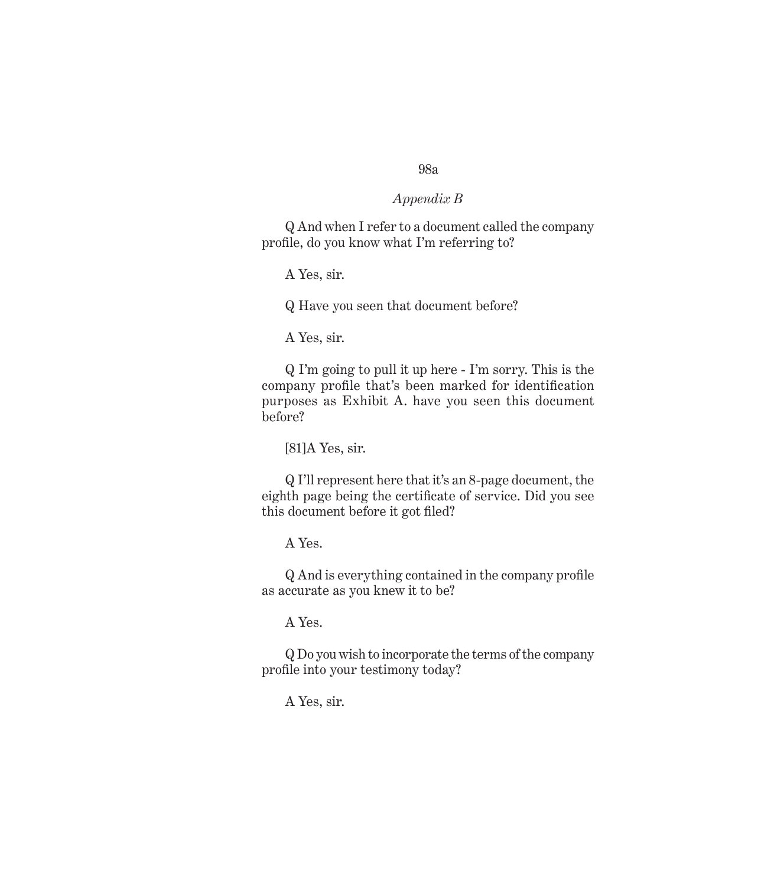#### *Appendix B*

Q And when I refer to a document called the company profile, do you know what I'm referring to?

A Yes, sir.

Q Have you seen that document before?

A Yes, sir.

Q I'm going to pull it up here - I'm sorry. This is the company profile that's been marked for identification purposes as Exhibit A. have you seen this document before?

[81]A Yes, sir.

Q I'll represent here that it's an 8-page document, the eighth page being the certificate of service. Did you see this document before it got filed?

A Yes.

Q And is everything contained in the company profile as accurate as you knew it to be?

A Yes.

Q Do you wish to incorporate the terms of the company profile into your testimony today?

A Yes, sir.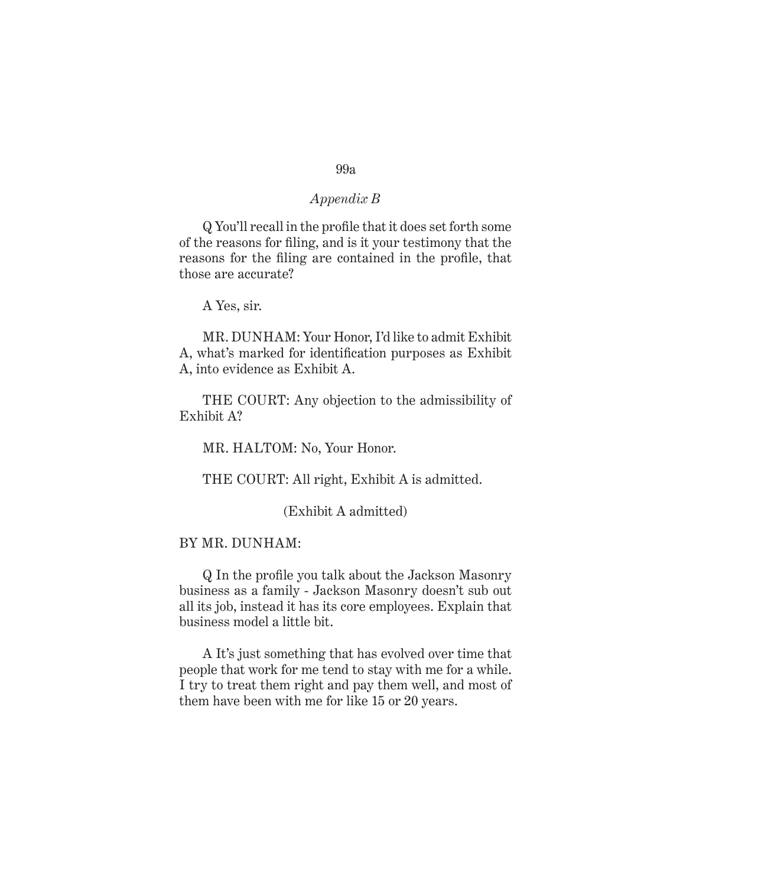# *Appendix B*

## Q You'll recall in the profile that it does set forth some of the reasons for filing, and is it your testimony that the reasons for the filing are contained in the profile, that those are accurate?

A Yes, sir.

MR. DUNHAM: Your Honor, I'd like to admit Exhibit A, what's marked for identification purposes as Exhibit A, into evidence as Exhibit A.

THE COURT: Any objection to the admissibility of Exhibit A?

MR. HALTOM: No, Your Honor.

THE COURT: All right, Exhibit A is admitted.

(Exhibit A admitted)

#### BY MR. DUNHAM:

Q In the profile you talk about the Jackson Masonry business as a family - Jackson Masonry doesn't sub out all its job, instead it has its core employees. Explain that business model a little bit.

A It's just something that has evolved over time that people that work for me tend to stay with me for a while. I try to treat them right and pay them well, and most of them have been with me for like 15 or 20 years.

# 99a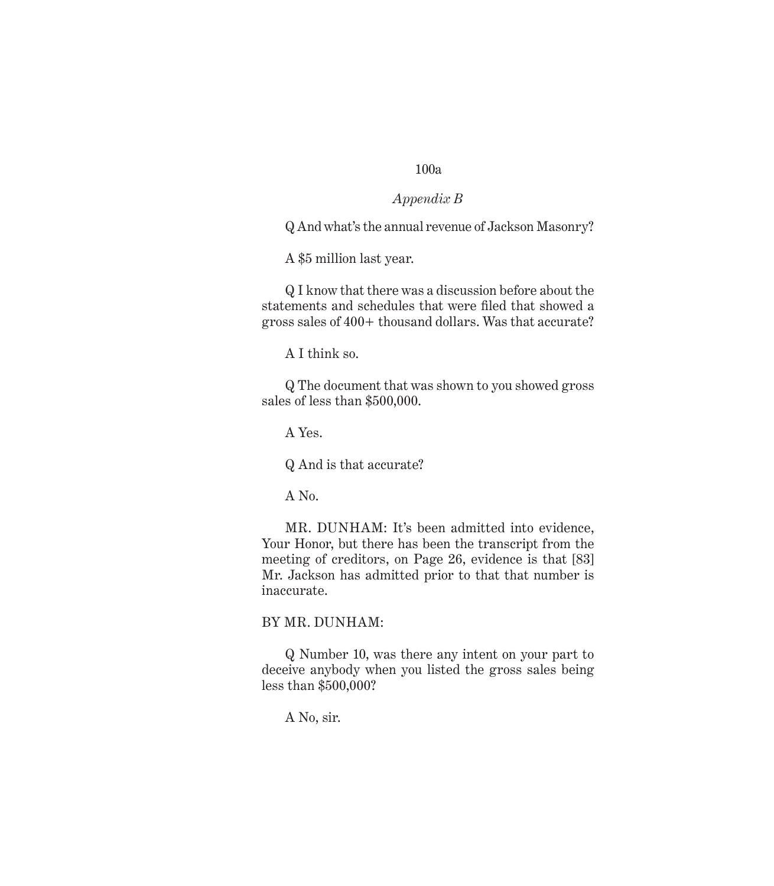### *Appendix B*

Q And what's the annual revenue of Jackson Masonry?

A \$5 million last year.

Q I know that there was a discussion before about the statements and schedules that were filed that showed a gross sales of 400+ thousand dollars. Was that accurate?

A I think so.

Q The document that was shown to you showed gross sales of less than \$500,000.

A Yes.

Q And is that accurate?

A No.

MR. DUNHAM: It's been admitted into evidence, Your Honor, but there has been the transcript from the meeting of creditors, on Page 26, evidence is that [83] Mr. Jackson has admitted prior to that that number is inaccurate.

#### BY MR. DUNHAM:

Q Number 10, was there any intent on your part to deceive anybody when you listed the gross sales being less than \$500,000?

A No, sir.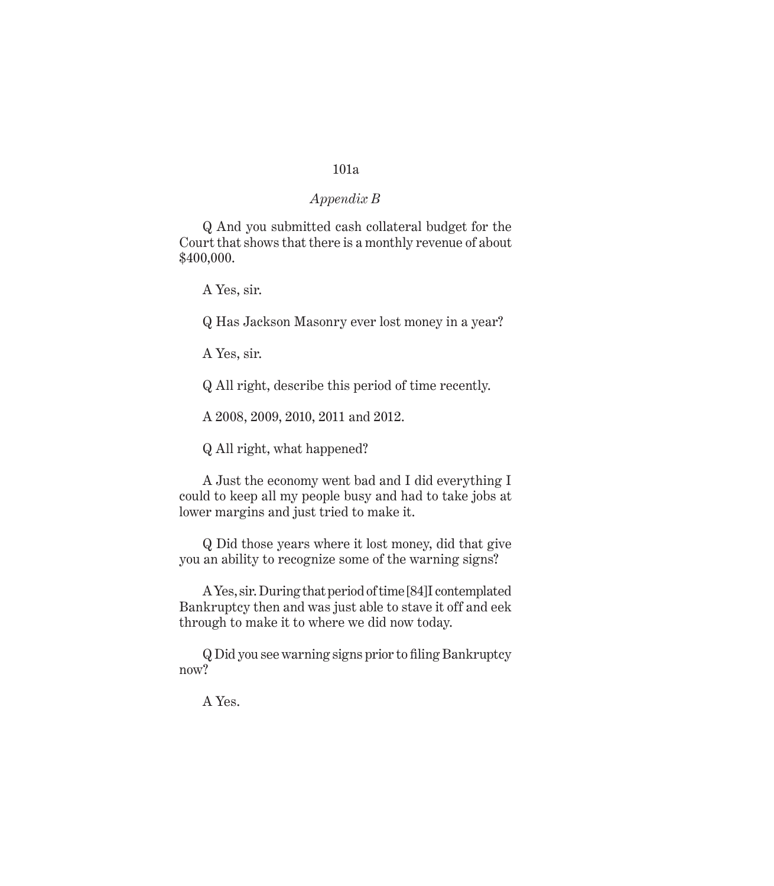#### *Appendix B*

Q And you submitted cash collateral budget for the Court that shows that there is a monthly revenue of about \$400,000.

A Yes, sir.

Q Has Jackson Masonry ever lost money in a year?

A Yes, sir.

Q All right, describe this period of time recently.

A 2008, 2009, 2010, 2011 and 2012.

Q All right, what happened?

A Just the economy went bad and I did everything I could to keep all my people busy and had to take jobs at lower margins and just tried to make it.

Q Did those years where it lost money, did that give you an ability to recognize some of the warning signs?

A Yes, sir. During that period of time [84]I contemplated Bankruptcy then and was just able to stave it off and eek through to make it to where we did now today.

Q Did you see warning signs prior to filing Bankruptcy now?

A Yes.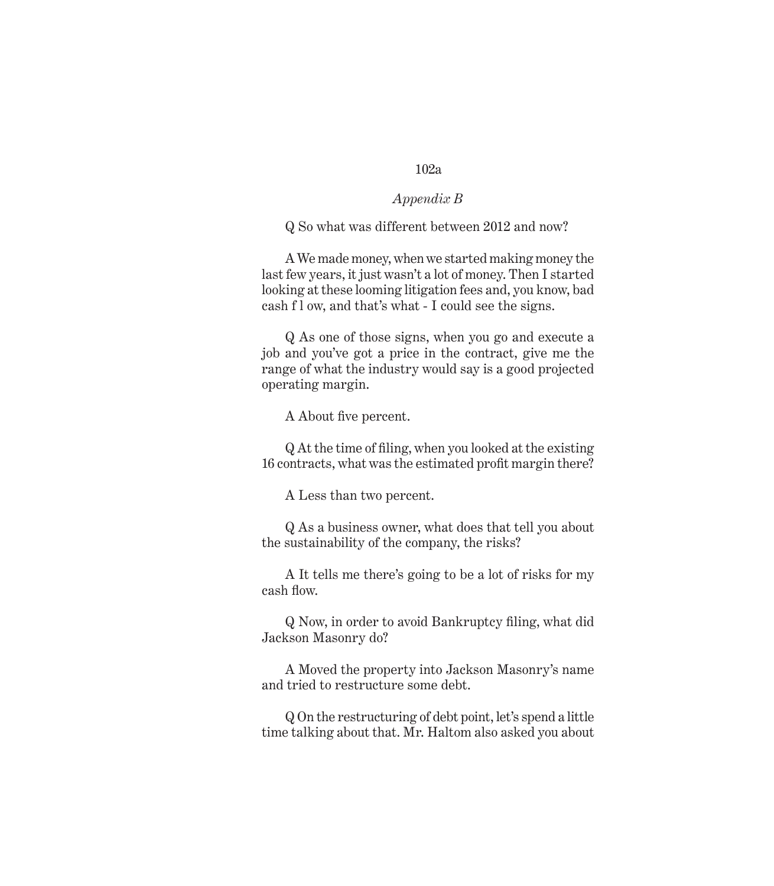### *Appendix B*

#### Q So what was different between 2012 and now?

A We made money, when we started making money the last few years, it just wasn't a lot of money. Then I started looking at these looming litigation fees and, you know, bad cash f l ow, and that's what - I could see the signs.

Q As one of those signs, when you go and execute a job and you've got a price in the contract, give me the range of what the industry would say is a good projected operating margin.

A About five percent.

Q At the time of filing, when you looked at the existing 16 contracts, what was the estimated profit margin there?

A Less than two percent.

Q As a business owner, what does that tell you about the sustainability of the company, the risks?

A It tells me there's going to be a lot of risks for my cash flow.

Q Now, in order to avoid Bankruptcy filing, what did Jackson Masonry do?

A Moved the property into Jackson Masonry's name and tried to restructure some debt.

Q On the restructuring of debt point, let's spend a little time talking about that. Mr. Haltom also asked you about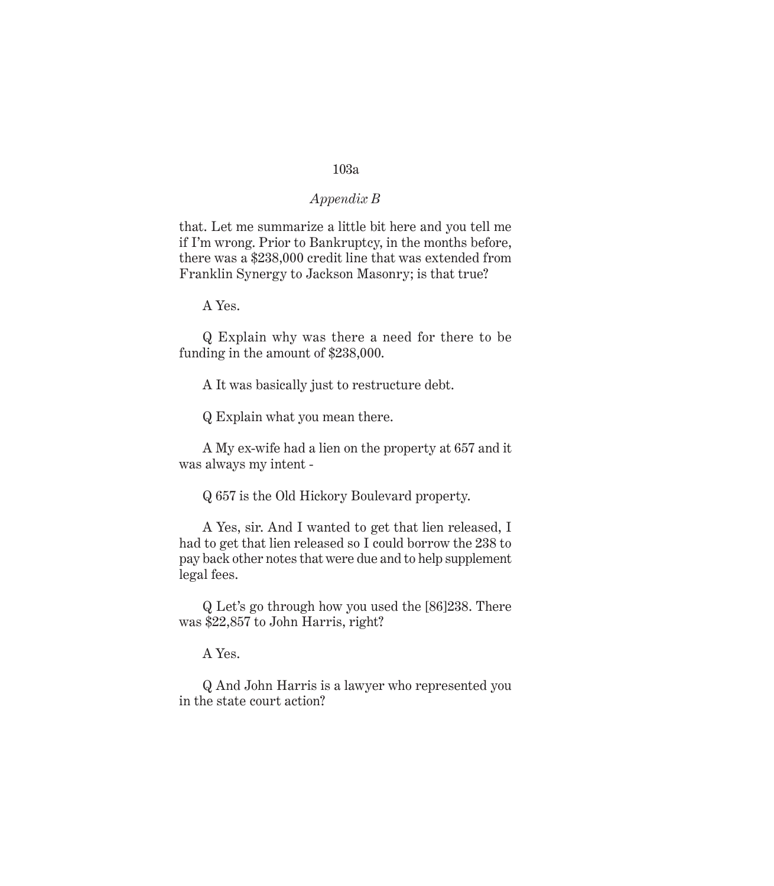#### *Appendix B*

that. Let me summarize a little bit here and you tell me if I'm wrong. Prior to Bankruptcy, in the months before, there was a \$238,000 credit line that was extended from Franklin Synergy to Jackson Masonry; is that true?

A Yes.

Q Explain why was there a need for there to be funding in the amount of \$238,000.

A It was basically just to restructure debt.

Q Explain what you mean there.

A My ex-wife had a lien on the property at 657 and it was always my intent -

Q 657 is the Old Hickory Boulevard property.

A Yes, sir. And I wanted to get that lien released, I had to get that lien released so I could borrow the 238 to pay back other notes that were due and to help supplement legal fees.

Q Let's go through how you used the [86]238. There was \$22,857 to John Harris, right?

A Yes.

Q And John Harris is a lawyer who represented you in the state court action?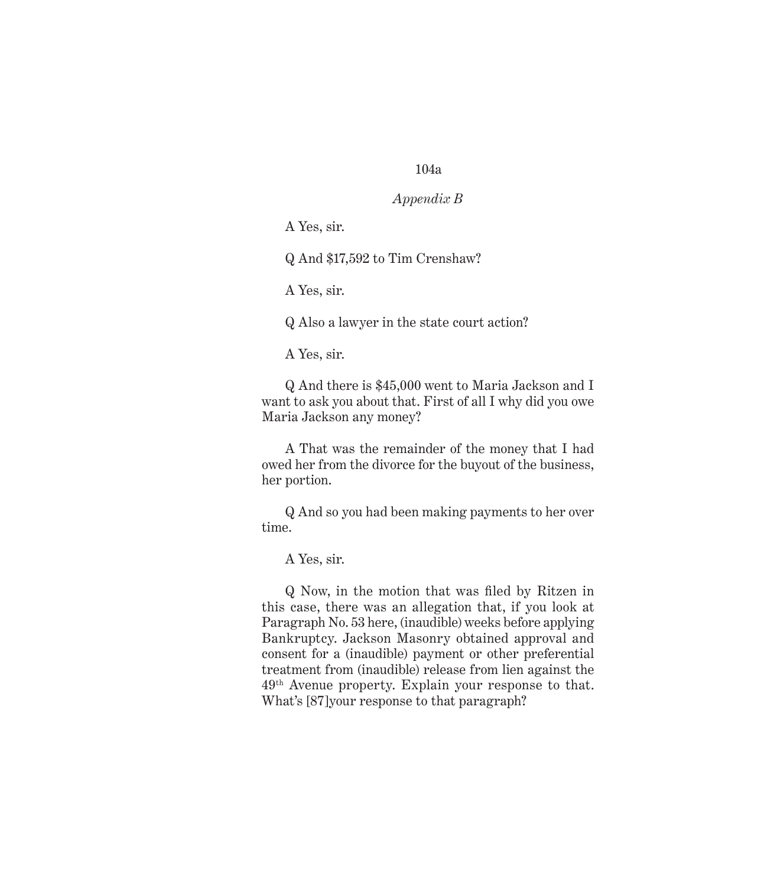#### *Appendix B*

A Yes, sir.

Q And \$17,592 to Tim Crenshaw?

A Yes, sir.

Q Also a lawyer in the state court action?

A Yes, sir.

Q And there is \$45,000 went to Maria Jackson and I want to ask you about that. First of all I why did you owe Maria Jackson any money?

A That was the remainder of the money that I had owed her from the divorce for the buyout of the business, her portion.

Q And so you had been making payments to her over time.

A Yes, sir.

Q Now, in the motion that was filed by Ritzen in this case, there was an allegation that, if you look at Paragraph No. 53 here, (inaudible) weeks before applying Bankruptcy. Jackson Masonry obtained approval and consent for a (inaudible) payment or other preferential treatment from (inaudible) release from lien against the 49th Avenue property. Explain your response to that. What's [87]your response to that paragraph?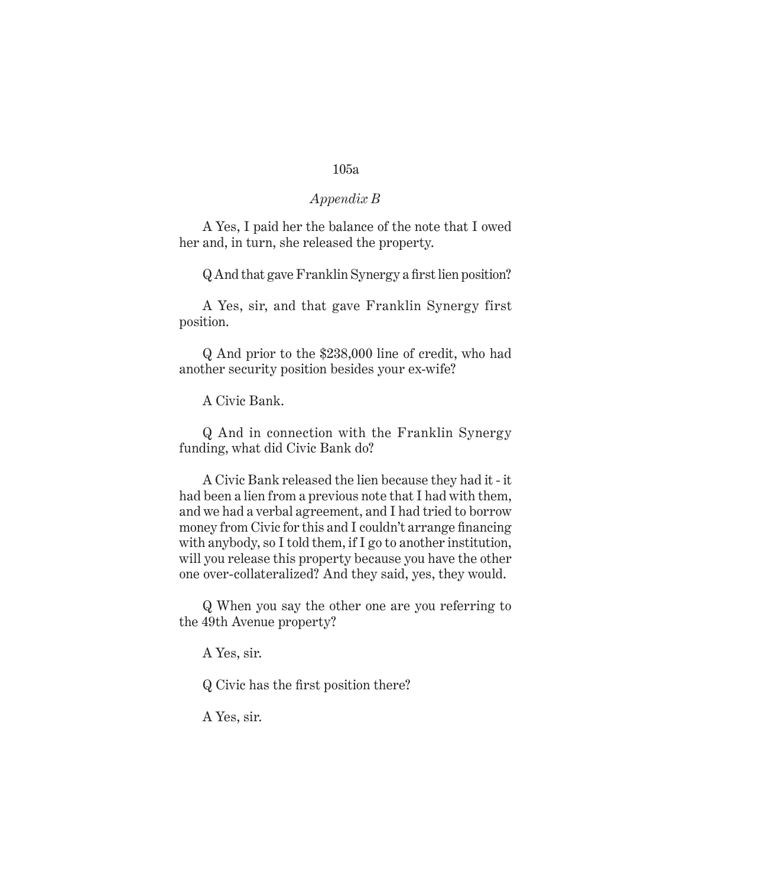#### *Appendix B*

A Yes, I paid her the balance of the note that I owed her and, in turn, she released the property.

Q And that gave Franklin Synergy a first lien position?

A Yes, sir, and that gave Franklin Synergy first position.

Q And prior to the \$238,000 line of credit, who had another security position besides your ex-wife?

A Civic Bank.

Q And in connection with the Franklin Synergy funding, what did Civic Bank do?

A Civic Bank released the lien because they had it - it had been a lien from a previous note that I had with them, and we had a verbal agreement, and I had tried to borrow money from Civic for this and I couldn't arrange financing with anybody, so I told them, if I go to another institution, will you release this property because you have the other one over-collateralized? And they said, yes, they would.

Q When you say the other one are you referring to the 49th Avenue property?

A Yes, sir.

Q Civic has the first position there?

A Yes, sir.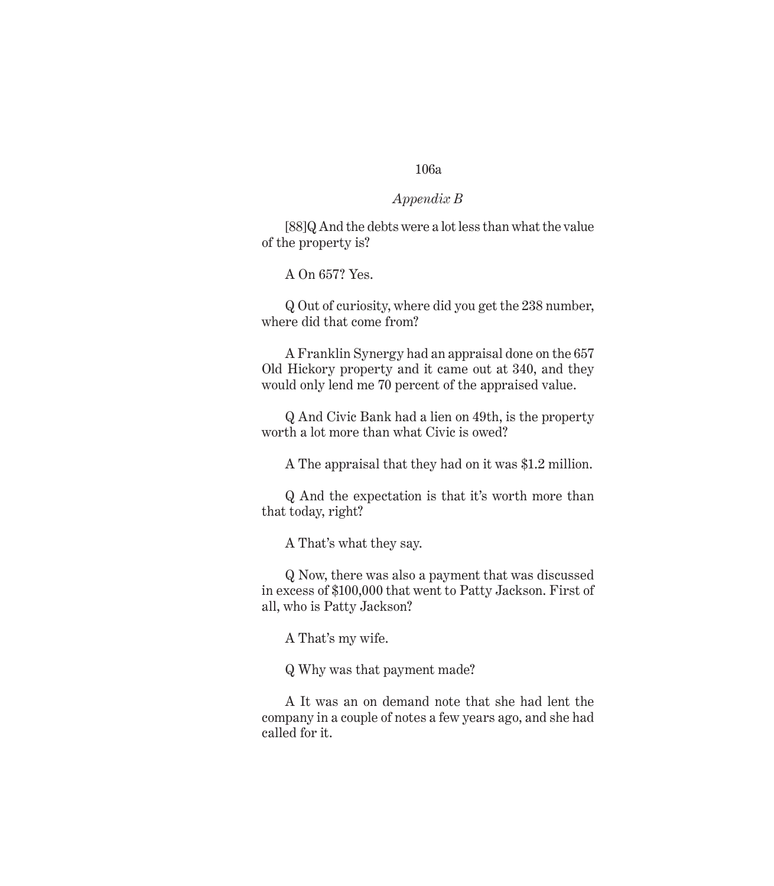#### *Appendix B*

[88]Q And the debts were a lot less than what the value of the property is?

A On 657? Yes.

Q Out of curiosity, where did you get the 238 number, where did that come from?

A Franklin Synergy had an appraisal done on the 657 Old Hickory property and it came out at 340, and they would only lend me 70 percent of the appraised value.

Q And Civic Bank had a lien on 49th, is the property worth a lot more than what Civic is owed?

A The appraisal that they had on it was \$1.2 million.

Q And the expectation is that it's worth more than that today, right?

A That's what they say.

Q Now, there was also a payment that was discussed in excess of \$100,000 that went to Patty Jackson. First of all, who is Patty Jackson?

A That's my wife.

Q Why was that payment made?

A It was an on demand note that she had lent the company in a couple of notes a few years ago, and she had called for it.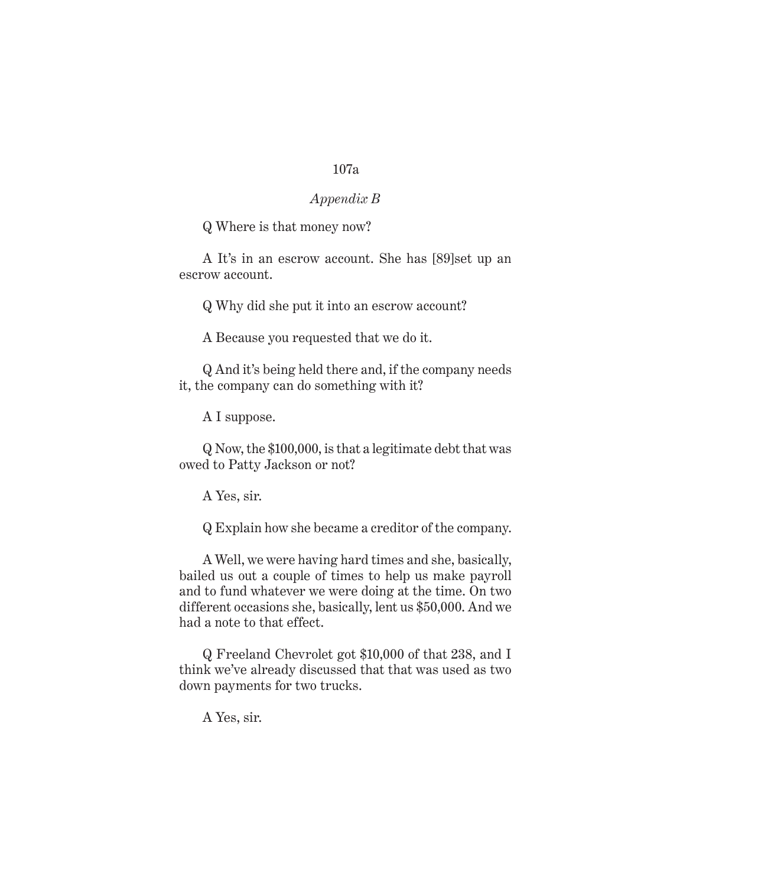## *Appendix B*

Q Where is that money now?

A It's in an escrow account. She has [89]set up an escrow account.

Q Why did she put it into an escrow account?

A Because you requested that we do it.

Q And it's being held there and, if the company needs it, the company can do something with it?

A I suppose.

Q Now, the \$100,000, is that a legitimate debt that was owed to Patty Jackson or not?

A Yes, sir.

Q Explain how she became a creditor of the company.

A Well, we were having hard times and she, basically, bailed us out a couple of times to help us make payroll and to fund whatever we were doing at the time. On two different occasions she, basically, lent us \$50,000. And we had a note to that effect.

Q Freeland Chevrolet got \$10,000 of that 238, and I think we've already discussed that that was used as two down payments for two trucks.

A Yes, sir.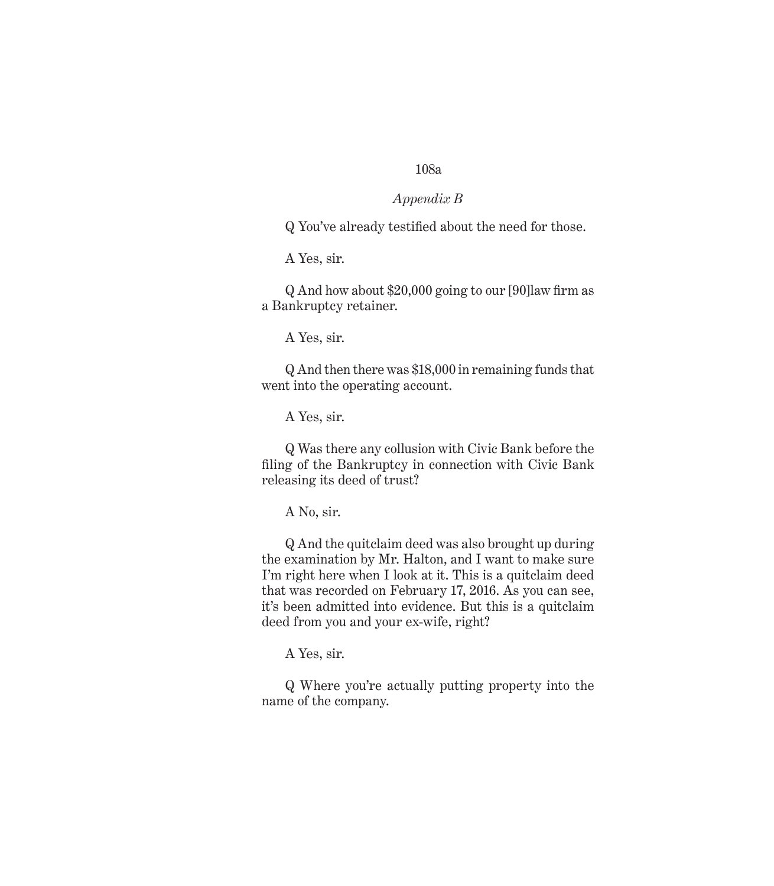#### *Appendix B*

Q You've already testified about the need for those.

A Yes, sir.

Q And how about \$20,000 going to our [90]law firm as a Bankruptcy retainer.

A Yes, sir.

Q And then there was \$18,000 in remaining funds that went into the operating account.

A Yes, sir.

Q Was there any collusion with Civic Bank before the filing of the Bankruptcy in connection with Civic Bank releasing its deed of trust?

A No, sir.

Q And the quitclaim deed was also brought up during the examination by Mr. Halton, and I want to make sure I'm right here when I look at it. This is a quitclaim deed that was recorded on February 17, 2016. As you can see, it's been admitted into evidence. But this is a quitclaim deed from you and your ex-wife, right?

A Yes, sir.

Q Where you're actually putting property into the name of the company.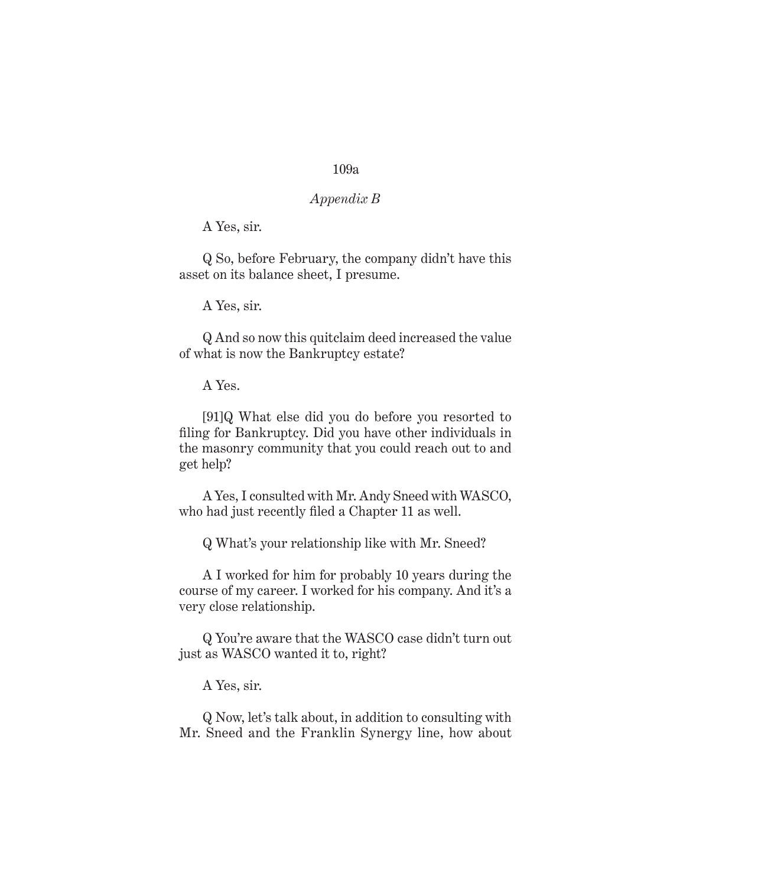## *Appendix B*

A Yes, sir.

Q So, before February, the company didn't have this asset on its balance sheet, I presume.

A Yes, sir.

Q And so now this quitclaim deed increased the value of what is now the Bankruptcy estate?

A Yes.

[91]Q What else did you do before you resorted to filing for Bankruptcy. Did you have other individuals in the masonry community that you could reach out to and get help?

A Yes, I consulted with Mr. Andy Sneed with WASCO, who had just recently filed a Chapter 11 as well.

Q What's your relationship like with Mr. Sneed?

A I worked for him for probably 10 years during the course of my career. I worked for his company. And it's a very close relationship.

Q You're aware that the WASCO case didn't turn out just as WASCO wanted it to, right?

A Yes, sir.

Q Now, let's talk about, in addition to consulting with Mr. Sneed and the Franklin Synergy line, how about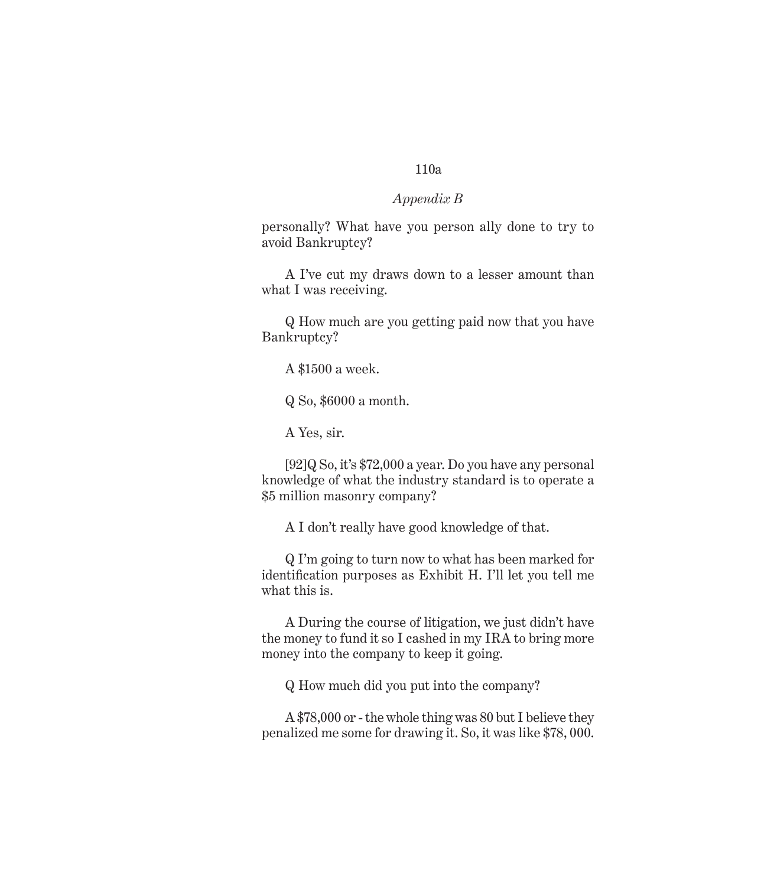### *Appendix B*

personally? What have you person ally done to try to avoid Bankruptcy?

A I've cut my draws down to a lesser amount than what I was receiving.

Q How much are you getting paid now that you have Bankruptcy?

A \$1500 a week.

Q So, \$6000 a month.

A Yes, sir.

[92]Q So, it's \$72,000 a year. Do you have any personal knowledge of what the industry standard is to operate a \$5 million masonry company?

A I don't really have good knowledge of that.

Q I'm going to turn now to what has been marked for identification purposes as Exhibit H. I'll let you tell me what this is.

A During the course of litigation, we just didn't have the money to fund it so I cashed in my IRA to bring more money into the company to keep it going.

Q How much did you put into the company?

A \$78,000 or - the whole thing was 80 but I believe they penalized me some for drawing it. So, it was like \$78, 000.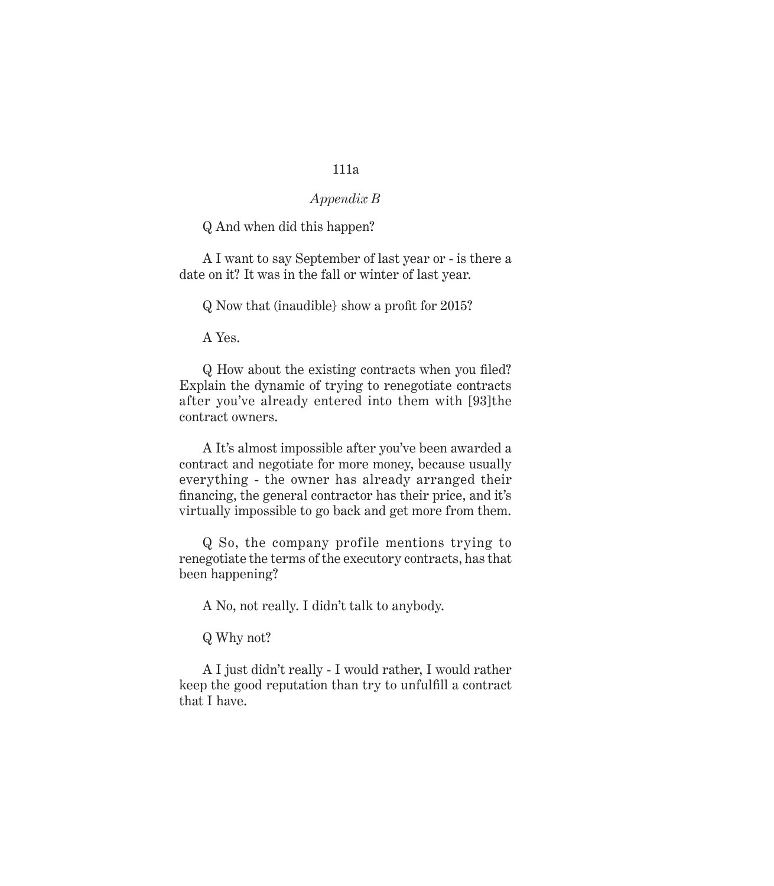## *Appendix B*

Q And when did this happen?

A I want to say September of last year or - is there a date on it? It was in the fall or winter of last year.

Q Now that (inaudible} show a profit for 2015?

A Yes.

Q How about the existing contracts when you filed? Explain the dynamic of trying to renegotiate contracts after you've already entered into them with [93]the contract owners.

A It's almost impossible after you've been awarded a contract and negotiate for more money, because usually everything - the owner has already arranged their financing, the general contractor has their price, and it's virtually impossible to go back and get more from them.

Q So, the company profile mentions trying to renegotiate the terms of the executory contracts, has that been happening?

A No, not really. I didn't talk to anybody.

Q Why not?

A I just didn't really - I would rather, I would rather keep the good reputation than try to unfulfill a contract that I have.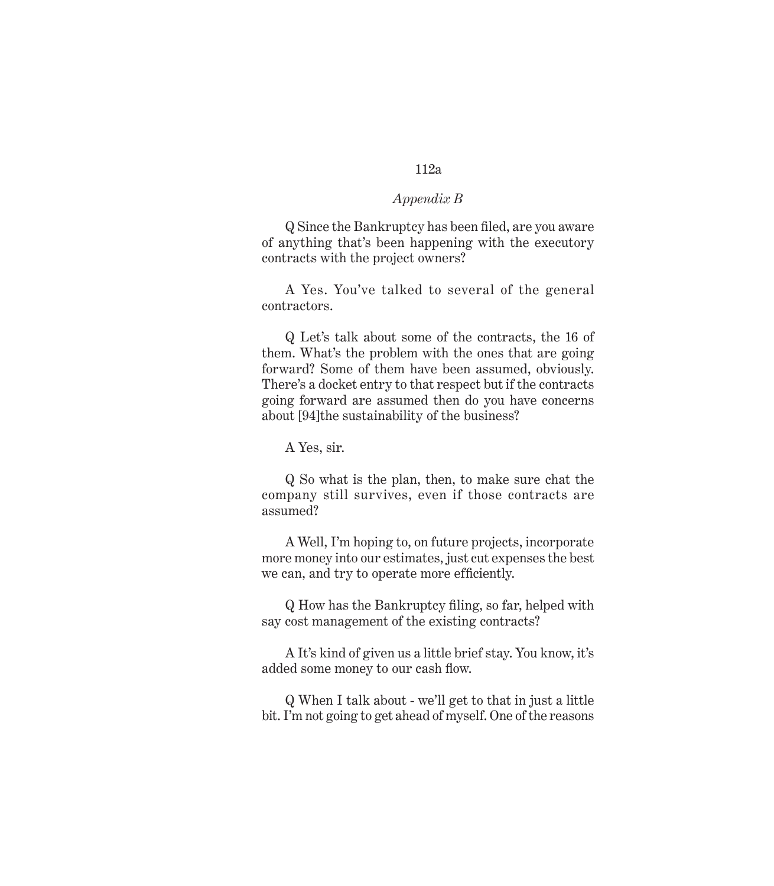### *Appendix B*

Q Since the Bankruptcy has been filed, are you aware of anything that's been happening with the executory contracts with the project owners?

A Yes. You've talked to several of the general contractors.

Q Let's talk about some of the contracts, the 16 of them. What's the problem with the ones that are going forward? Some of them have been assumed, obviously. There's a docket entry to that respect but if the contracts going forward are assumed then do you have concerns about [94]the sustainability of the business?

A Yes, sir.

Q So what is the plan, then, to make sure chat the company still survives, even if those contracts are assumed?

A Well, I'm hoping to, on future projects, incorporate more money into our estimates, just cut expenses the best we can, and try to operate more efficiently.

Q How has the Bankruptcy filing, so far, helped with say cost management of the existing contracts?

A It's kind of given us a little brief stay. You know, it's added some money to our cash flow.

Q When I talk about - we'll get to that in just a little bit. I'm not going to get ahead of myself. One of the reasons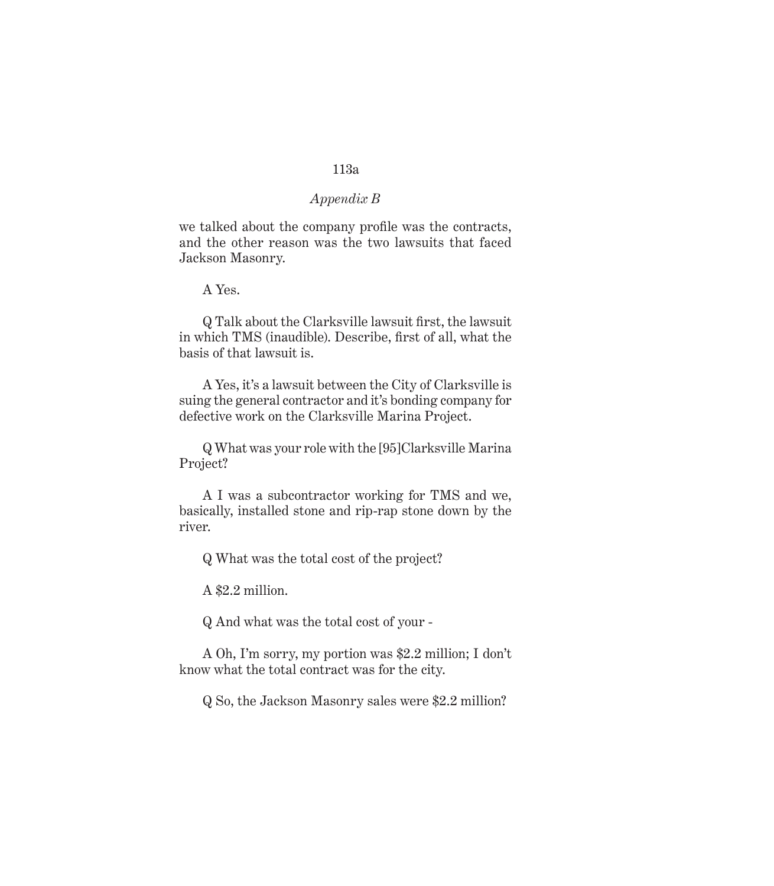### *Appendix B*

we talked about the company profile was the contracts, and the other reason was the two lawsuits that faced Jackson Masonry.

A Yes.

Q Talk about the Clarksville lawsuit first, the lawsuit in which TMS (inaudible). Describe, first of all, what the basis of that lawsuit is.

A Yes, it's a lawsuit between the City of Clarksville is suing the general contractor and it's bonding company for defective work on the Clarksville Marina Project.

Q What was your role with the [95]Clarksville Marina Project?

A I was a subcontractor working for TMS and we, basically, installed stone and rip-rap stone down by the river.

Q What was the total cost of the project?

A \$2.2 million.

Q And what was the total cost of your -

A Oh, I'm sorry, my portion was \$2.2 million; I don't know what the total contract was for the city.

Q So, the Jackson Masonry sales were \$2.2 million?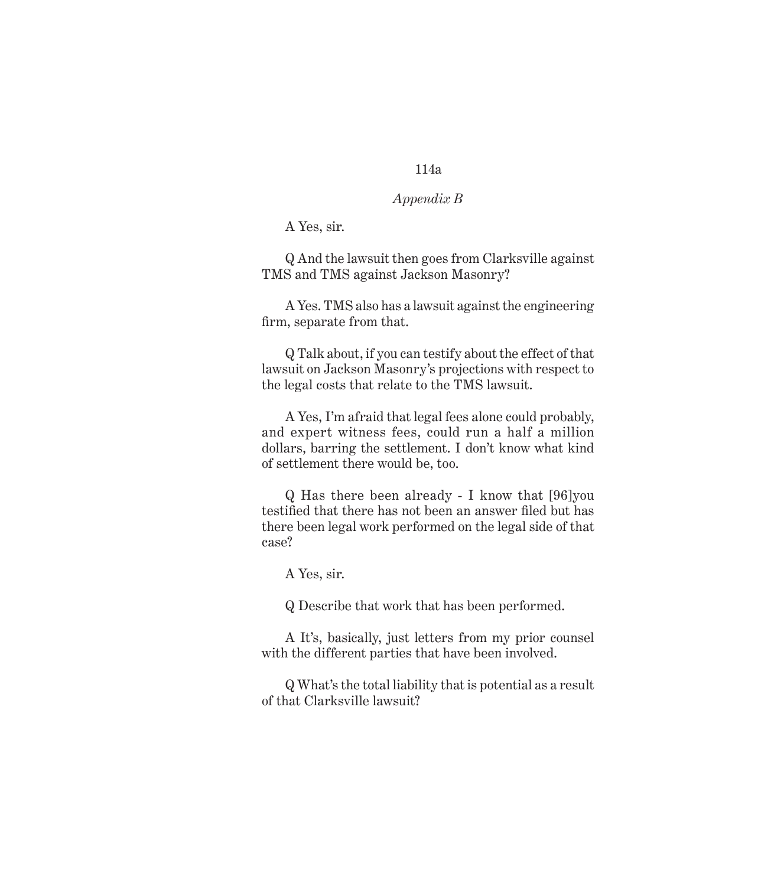## *Appendix B*

A Yes, sir.

Q And the lawsuit then goes from Clarksville against TMS and TMS against Jackson Masonry?

A Yes. TMS also has a lawsuit against the engineering firm, separate from that.

Q Talk about, if you can testify about the effect of that lawsuit on Jackson Masonry's projections with respect to the legal costs that relate to the TMS lawsuit.

A Yes, I'm afraid that legal fees alone could probably, and expert witness fees, could run a half a million dollars, barring the settlement. I don't know what kind of settlement there would be, too.

Q Has there been already - I know that [96]you testified that there has not been an answer filed but has there been legal work performed on the legal side of that case?

A Yes, sir.

Q Describe that work that has been performed.

A It's, basically, just letters from my prior counsel with the different parties that have been involved.

Q What's the total liability that is potential as a result of that Clarksville lawsuit?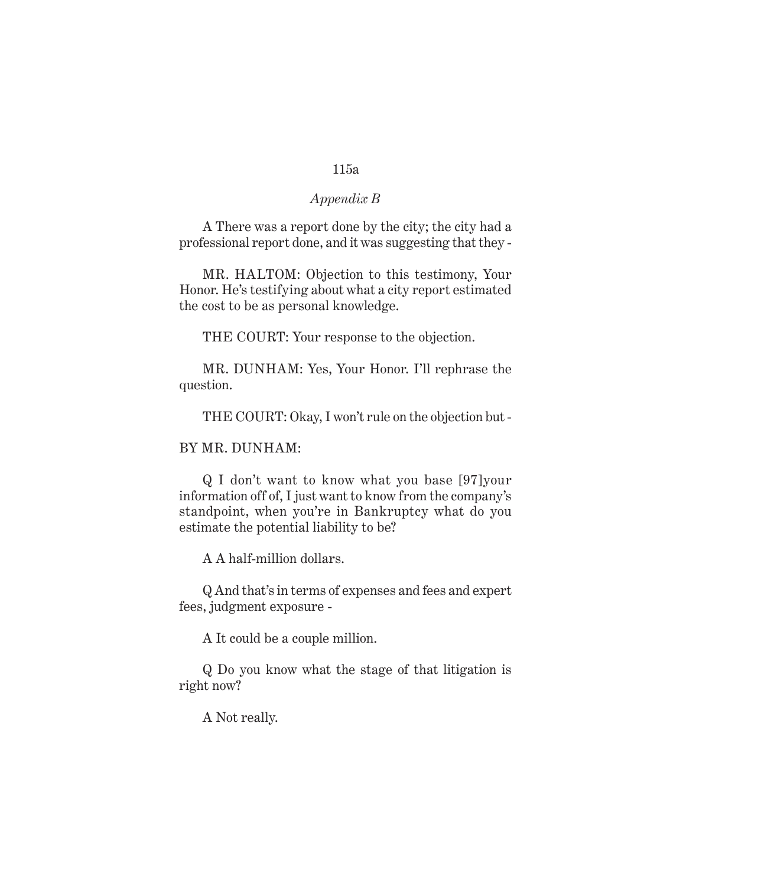### *Appendix B*

A There was a report done by the city; the city had a professional report done, and it was suggesting that they -

MR. HALTOM: Objection to this testimony, Your Honor. He's testifying about what a city report estimated the cost to be as personal knowledge.

THE COURT: Your response to the objection.

MR. DUNHAM: Yes, Your Honor. I'll rephrase the question.

THE COURT: Okay, I won't rule on the objection but -

#### BY MR. DUNHAM:

Q I don't want to know what you base [97]your information off of, I just want to know from the company's standpoint, when you're in Bankruptcy what do you estimate the potential liability to be?

A A half-million dollars.

Q And that's in terms of expenses and fees and expert fees, judgment exposure -

A It could be a couple million.

Q Do you know what the stage of that litigation is right now?

A Not really.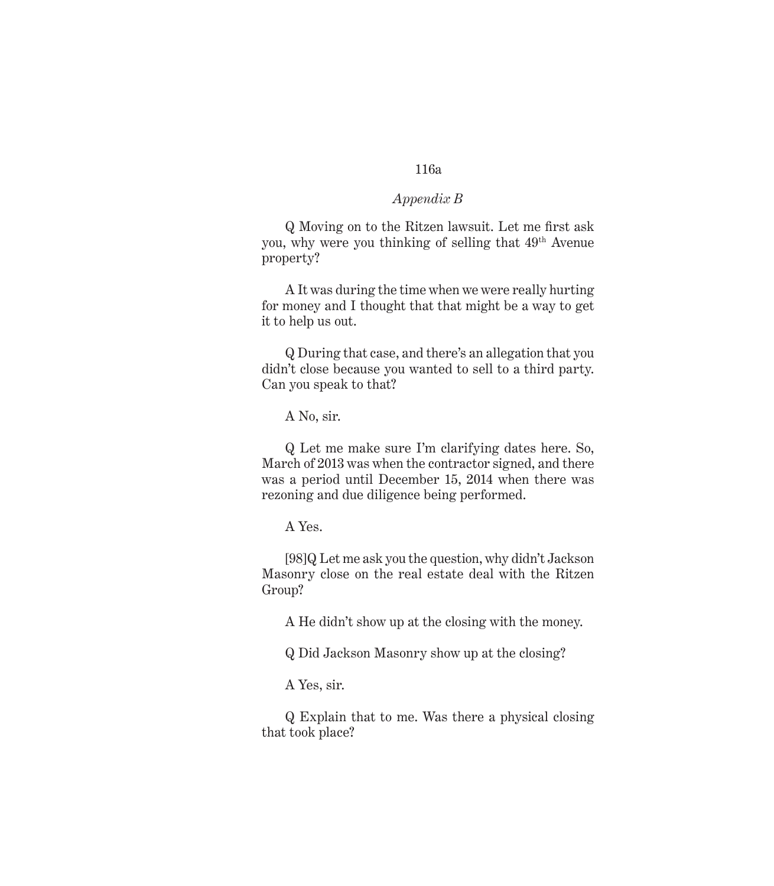### *Appendix B*

Q Moving on to the Ritzen lawsuit. Let me first ask you, why were you thinking of selling that 49<sup>th</sup> Avenue property?

A It was during the time when we were really hurting for money and I thought that that might be a way to get it to help us out.

Q During that case, and there's an allegation that you didn't close because you wanted to sell to a third party. Can you speak to that?

A No, sir.

Q Let me make sure I'm clarifying dates here. So, March of 2013 was when the contractor signed, and there was a period until December 15, 2014 when there was rezoning and due diligence being performed.

A Yes.

[98]Q Let me ask you the question, why didn't Jackson Masonry close on the real estate deal with the Ritzen Group?

A He didn't show up at the closing with the money.

Q Did Jackson Masonry show up at the closing?

A Yes, sir.

Q Explain that to me. Was there a physical closing that took place?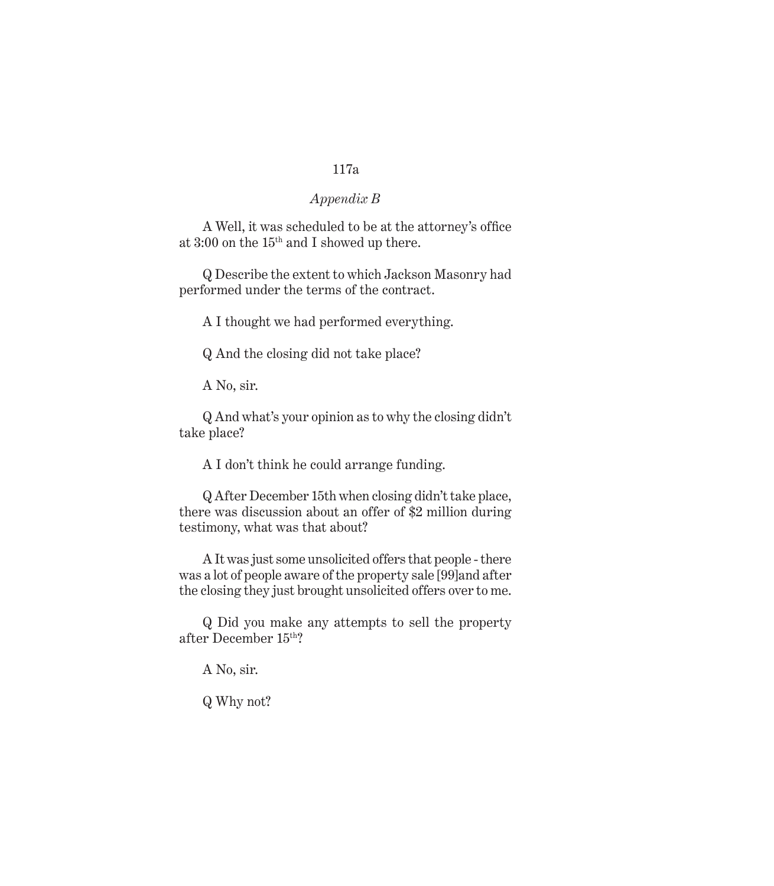## *Appendix B*

A Well, it was scheduled to be at the attorney's office at 3:00 on the 15th and I showed up there.

Q Describe the extent to which Jackson Masonry had performed under the terms of the contract.

A I thought we had performed everything.

Q And the closing did not take place?

A No, sir.

Q And what's your opinion as to why the closing didn't take place?

A I don't think he could arrange funding.

Q After December 15th when closing didn't take place, there was discussion about an offer of \$2 million during testimony, what was that about?

A It was just some unsolicited offers that people - there was a lot of people aware of the property sale [99]and after the closing they just brought unsolicited offers over to me.

Q Did you make any attempts to sell the property after December 15th?

A No, sir.

Q Why not?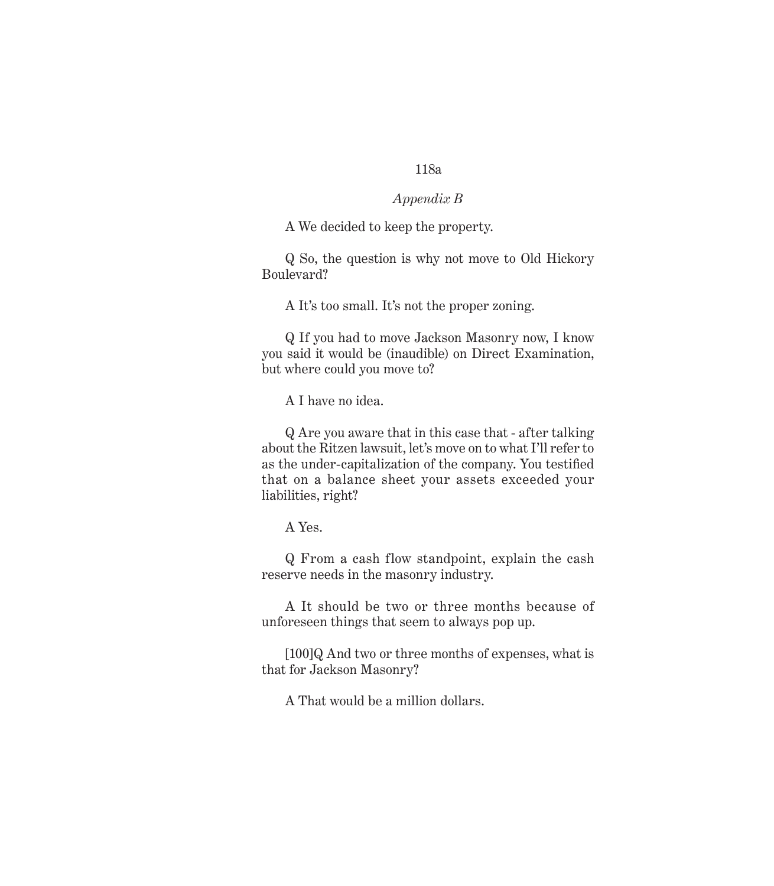### *Appendix B*

A We decided to keep the property.

Q So, the question is why not move to Old Hickory Boulevard?

A It's too small. It's not the proper zoning.

Q If you had to move Jackson Masonry now, I know you said it would be (inaudible) on Direct Examination, but where could you move to?

A I have no idea.

Q Are you aware that in this case that - after talking about the Ritzen lawsuit, let's move on to what I'll refer to as the under-capitalization of the company. You testified that on a balance sheet your assets exceeded your liabilities, right?

A Yes.

Q From a cash flow standpoint, explain the cash reserve needs in the masonry industry.

A It should be two or three months because of unforeseen things that seem to always pop up.

[100]Q And two or three months of expenses, what is that for Jackson Masonry?

A That would be a million dollars.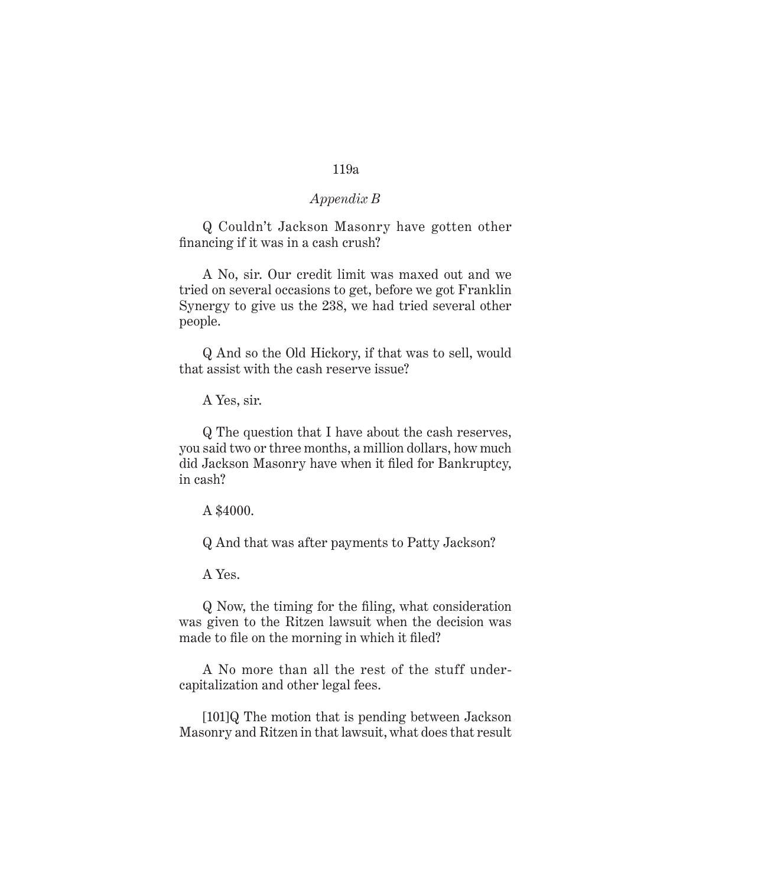### *Appendix B*

Q Couldn't Jackson Masonry have gotten other financing if it was in a cash crush?

A No, sir. Our credit limit was maxed out and we tried on several occasions to get, before we got Franklin Synergy to give us the 238, we had tried several other people.

Q And so the Old Hickory, if that was to sell, would that assist with the cash reserve issue?

A Yes, sir.

Q The question that I have about the cash reserves, you said two or three months, a million dollars, how much did Jackson Masonry have when it filed for Bankruptcy, in cash?

A \$4000.

Q And that was after payments to Patty Jackson?

A Yes.

Q Now, the timing for the filing, what consideration was given to the Ritzen lawsuit when the decision was made to file on the morning in which it filed?

A No more than all the rest of the stuff undercapitalization and other legal fees.

[101]Q The motion that is pending between Jackson Masonry and Ritzen in that lawsuit, what does that result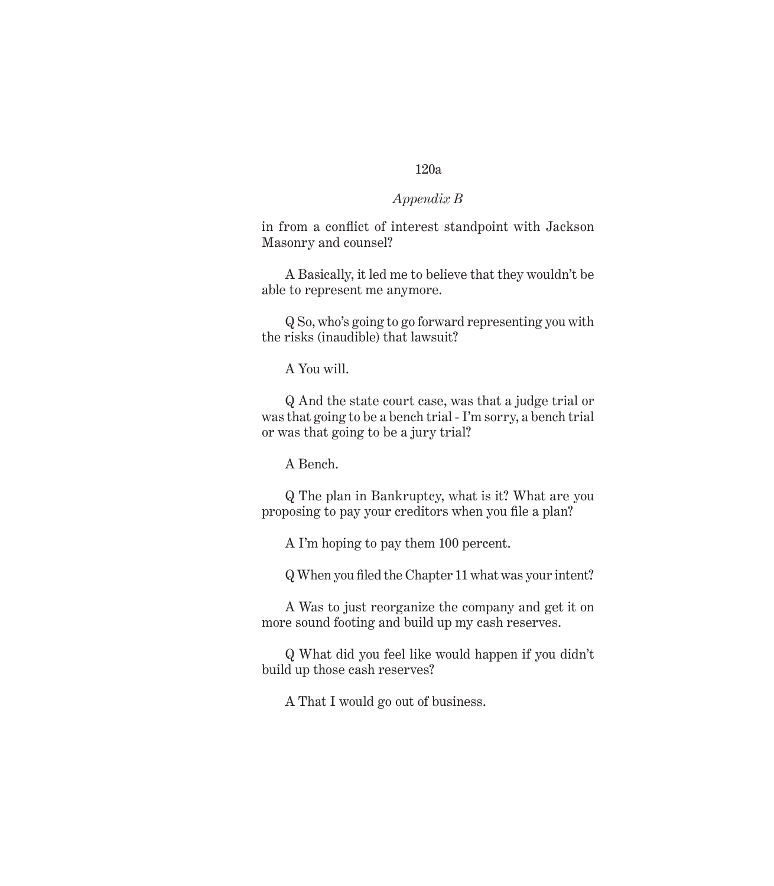## *Appendix B*

in from a conflict of interest standpoint with Jackson Masonry and counsel?

A Basically, it led me to believe that they wouldn't be able to represent me anymore.

Q So, who's going to go forward representing you with the risks (inaudible) that lawsuit?

A You will.

Q And the state court case, was that a judge trial or was that going to be a bench trial - I'm sorry, a bench trial or was that going to be a jury trial?

A Bench.

Q The plan in Bankruptcy, what is it? What are you proposing to pay your creditors when you file a plan?

A I'm hoping to pay them 100 percent.

Q When you filed the Chapter 11 what was your intent?

A Was to just reorganize the company and get it on more sound footing and build up my cash reserves.

Q What did you feel like would happen if you didn't build up those cash reserves?

A That I would go out of business.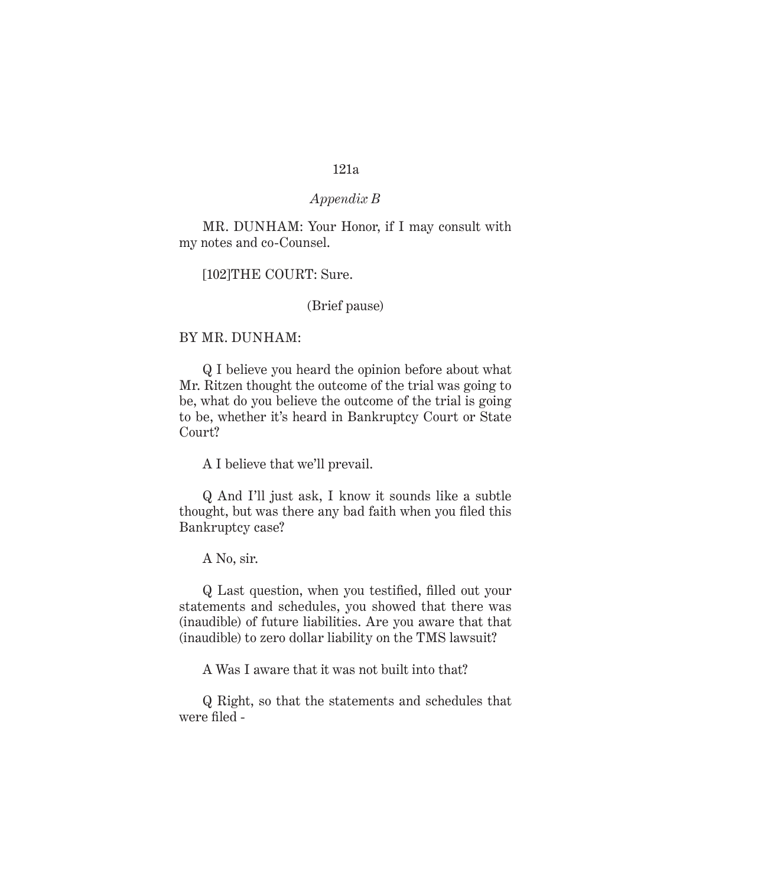### *Appendix B*

MR. DUNHAM: Your Honor, if I may consult with my notes and co-Counsel.

[102]THE COURT: Sure.

(Brief pause)

#### BY MR. DUNHAM:

Q I believe you heard the opinion before about what Mr. Ritzen thought the outcome of the trial was going to be, what do you believe the outcome of the trial is going to be, whether it's heard in Bankruptcy Court or State Court?

A I believe that we'll prevail.

Q And I'll just ask, I know it sounds like a subtle thought, but was there any bad faith when you filed this Bankruptcy case?

A No, sir.

Q Last question, when you testified, filled out your statements and schedules, you showed that there was (inaudible) of future liabilities. Are you aware that that (inaudible) to zero dollar liability on the TMS lawsuit?

A Was I aware that it was not built into that?

Q Right, so that the statements and schedules that were filed -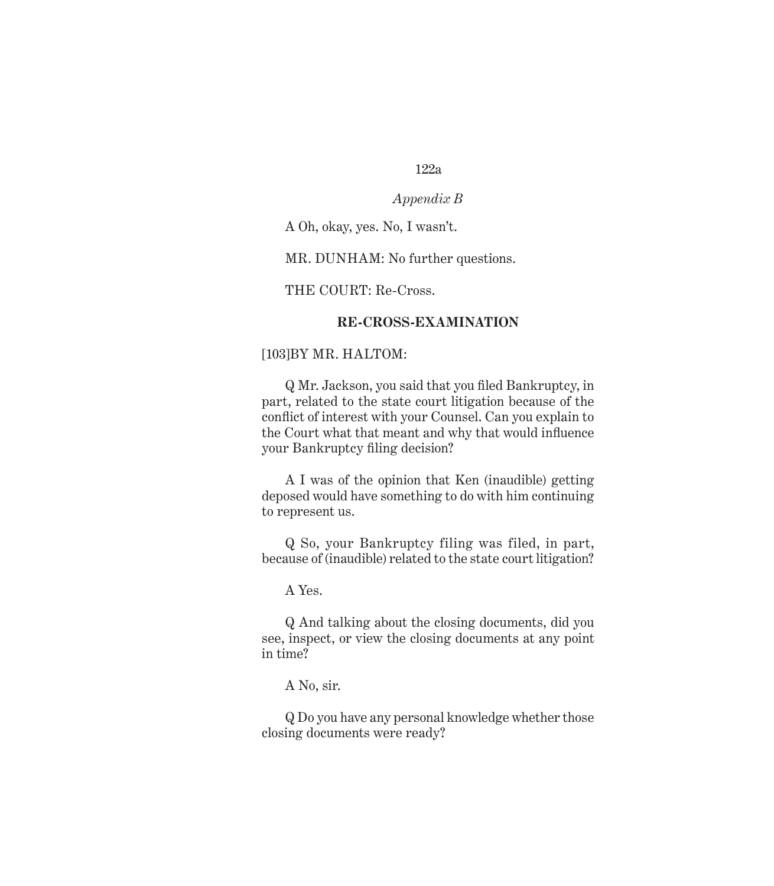## *Appendix B*

A Oh, okay, yes. No, I wasn't.

MR. DUNHAM: No further questions.

THE COURT: Re-Cross.

### **RE-CROSS-EXAMINATION**

### [103]BY MR. HALTOM:

Q Mr. Jackson, you said that you filed Bankruptcy, in part, related to the state court litigation because of the conflict of interest with your Counsel. Can you explain to the Court what that meant and why that would influence your Bankruptcy filing decision?

A I was of the opinion that Ken (inaudible) getting deposed would have something to do with him continuing to represent us.

Q So, your Bankruptcy filing was filed, in part, because of (inaudible) related to the state court litigation?

A Yes.

Q And talking about the closing documents, did you see, inspect, or view the closing documents at any point in time?

A No, sir.

Q Do you have any personal knowledge whether those closing documents were ready?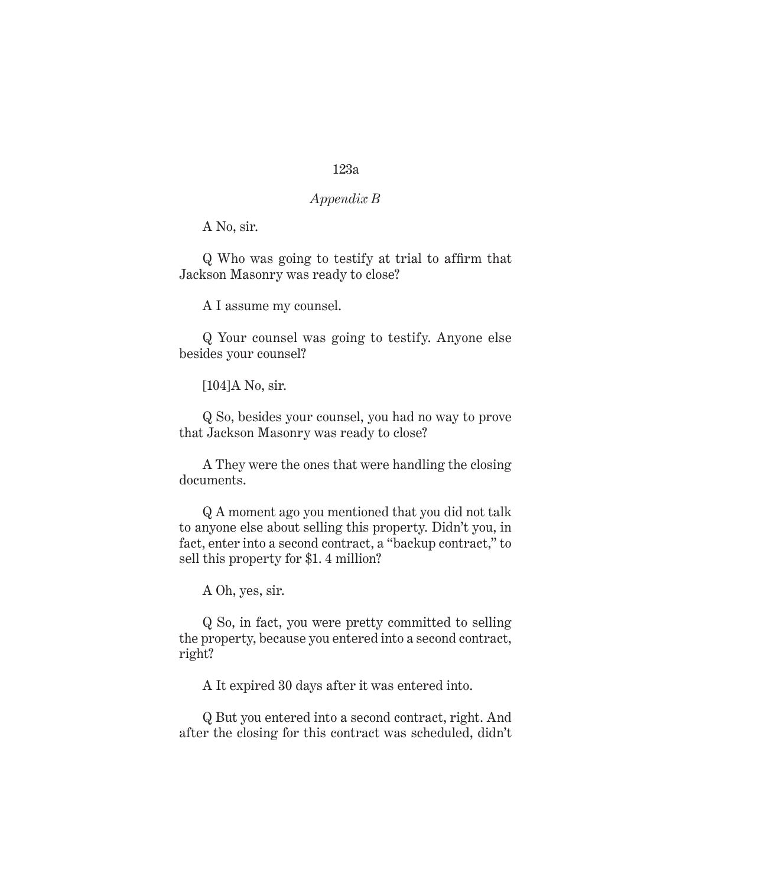## *Appendix B*

A No, sir.

Q Who was going to testify at trial to affirm that Jackson Masonry was ready to close?

A I assume my counsel.

Q Your counsel was going to testify. Anyone else besides your counsel?

[104]A No, sir.

Q So, besides your counsel, you had no way to prove that Jackson Masonry was ready to close?

A They were the ones that were handling the closing documents.

Q A moment ago you mentioned that you did not talk to anyone else about selling this property. Didn't you, in fact, enter into a second contract, a "backup contract," to sell this property for \$1. 4 million?

A Oh, yes, sir.

Q So, in fact, you were pretty committed to selling the property, because you entered into a second contract, right?

A It expired 30 days after it was entered into.

Q But you entered into a second contract, right. And after the closing for this contract was scheduled, didn't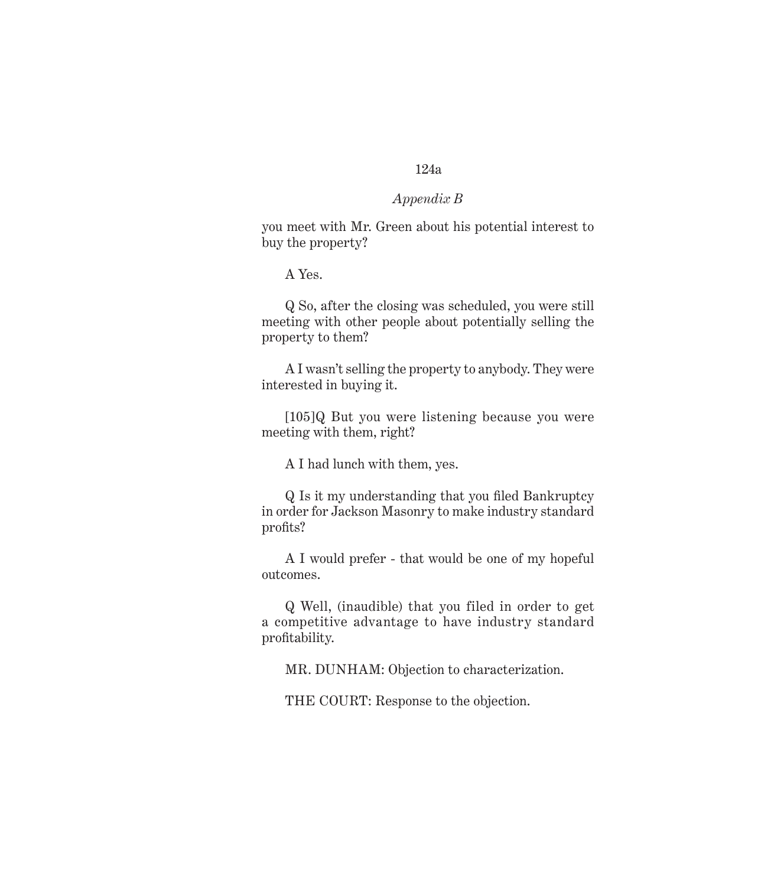### *Appendix B*

you meet with Mr. Green about his potential interest to buy the property?

A Yes.

Q So, after the closing was scheduled, you were still meeting with other people about potentially selling the property to them?

A I wasn't selling the property to anybody. They were interested in buying it.

[105]Q But you were listening because you were meeting with them, right?

A I had lunch with them, yes.

Q Is it my understanding that you filed Bankruptcy in order for Jackson Masonry to make industry standard profits?

A I would prefer - that would be one of my hopeful outcomes.

Q Well, (inaudible) that you filed in order to get a competitive advantage to have industry standard profitability.

MR. DUNHAM: Objection to characterization.

THE COURT: Response to the objection.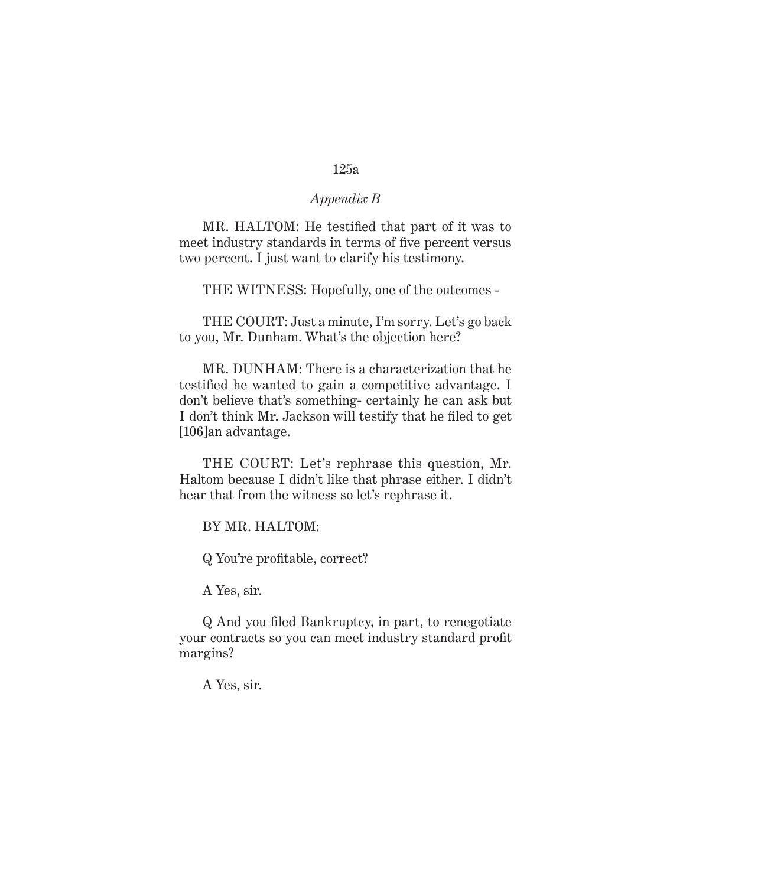#### *Appendix B*

MR. HALTOM: He testified that part of it was to meet industry standards in terms of five percent versus two percent. I just want to clarify his testimony.

THE WITNESS: Hopefully, one of the outcomes -

THE COURT: Just a minute, I'm sorry. Let's go back to you, Mr. Dunham. What's the objection here?

MR. DUNHAM: There is a characterization that he testified he wanted to gain a competitive advantage. I don't believe that's something- certainly he can ask but I don't think Mr. Jackson will testify that he filed to get [106]an advantage.

THE COURT: Let's rephrase this question, Mr. Haltom because I didn't like that phrase either. I didn't hear that from the witness so let's rephrase it.

BY MR. HALTOM:

Q You're profitable, correct?

A Yes, sir.

Q And you filed Bankruptcy, in part, to renegotiate your contracts so you can meet industry standard profit margins?

A Yes, sir.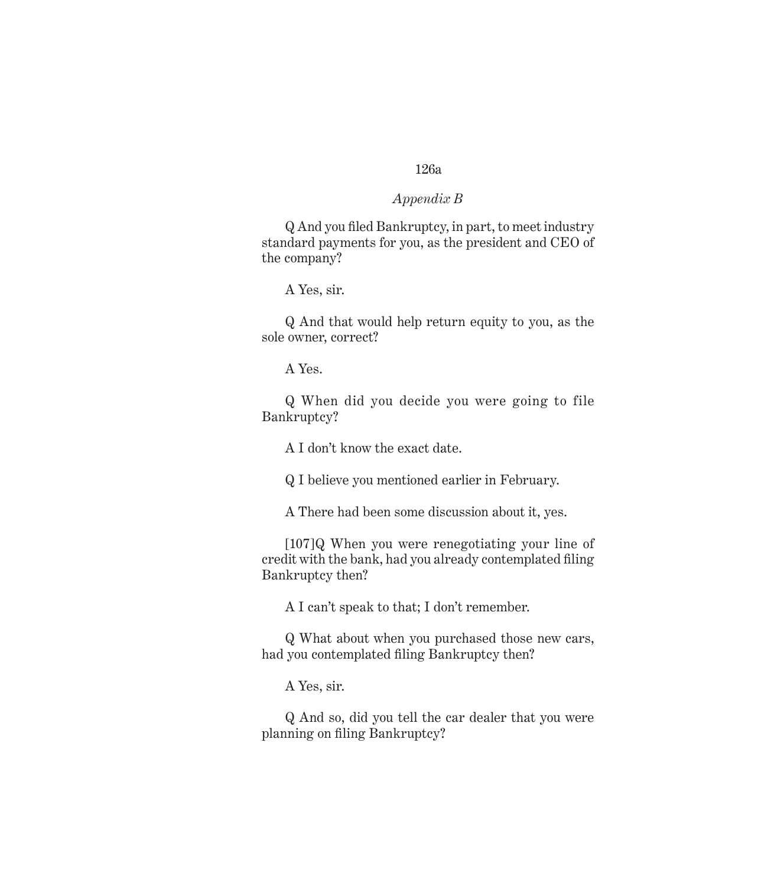#### *Appendix B*

Q And you filed Bankruptcy, in part, to meet industry standard payments for you, as the president and CEO of the company?

A Yes, sir.

Q And that would help return equity to you, as the sole owner, correct?

A Yes.

Q When did you decide you were going to file Bankruptcy?

A I don't know the exact date.

Q I believe you mentioned earlier in February.

A There had been some discussion about it, yes.

[107]Q When you were renegotiating your line of credit with the bank, had you already contemplated filing Bankruptcy then?

A I can't speak to that; I don't remember.

Q What about when you purchased those new cars, had you contemplated filing Bankruptcy then?

A Yes, sir.

Q And so, did you tell the car dealer that you were planning on filing Bankruptcy?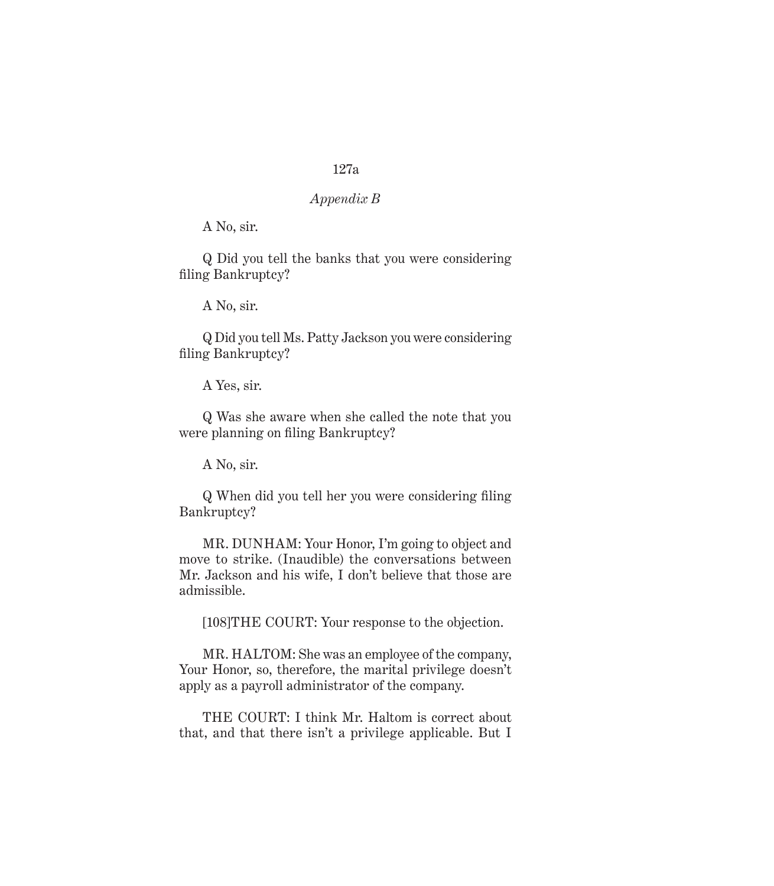## *Appendix B*

A No, sir.

Q Did you tell the banks that you were considering filing Bankruptcy?

A No, sir.

Q Did you tell Ms. Patty Jackson you were considering filing Bankruptcy?

A Yes, sir.

Q Was she aware when she called the note that you were planning on filing Bankruptcy?

A No, sir.

Q When did you tell her you were considering filing Bankruptcy?

MR. DUNHAM: Your Honor, I'm going to object and move to strike. (Inaudible) the conversations between Mr. Jackson and his wife, I don't believe that those are admissible.

[108]THE COURT: Your response to the objection.

MR. HALTOM: She was an employee of the company, Your Honor, so, therefore, the marital privilege doesn't apply as a payroll administrator of the company.

THE COURT: I think Mr. Haltom is correct about that, and that there isn't a privilege applicable. But I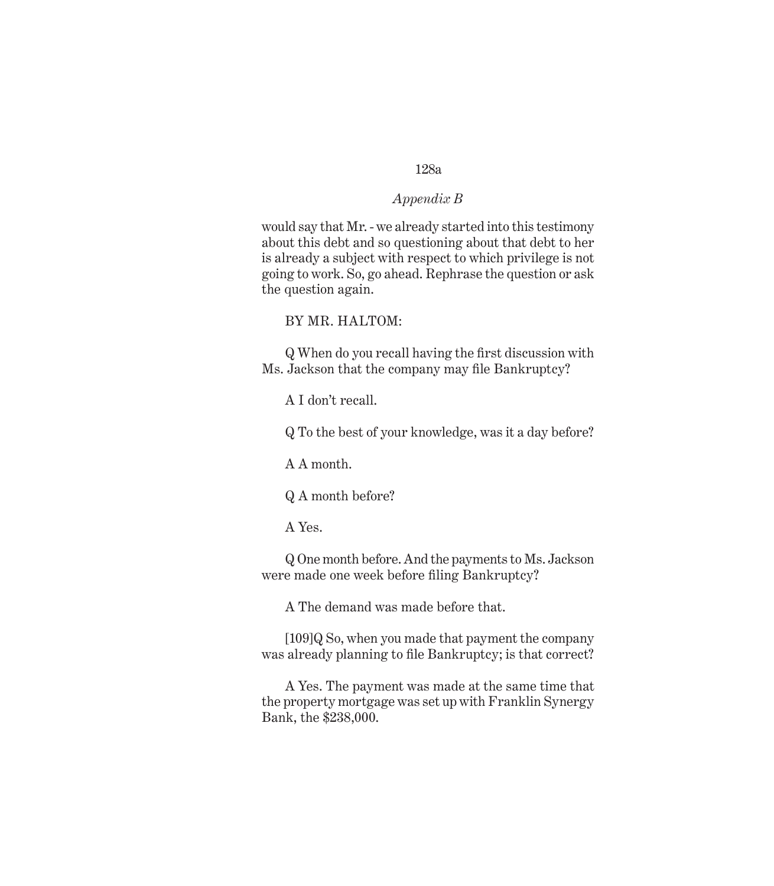#### *Appendix B*

would say that Mr. - we already started into this testimony about this debt and so questioning about that debt to her is already a subject with respect to which privilege is not going to work. So, go ahead. Rephrase the question or ask the question again.

BY MR. HALTOM:

Q When do you recall having the first discussion with Ms. Jackson that the company may file Bankruptcy?

A I don't recall.

Q To the best of your knowledge, was it a day before?

A A month.

Q A month before?

A Yes.

Q One month before. And the payments to Ms. Jackson were made one week before filing Bankruptcy?

A The demand was made before that.

[109]Q So, when you made that payment the company was already planning to file Bankruptcy; is that correct?

A Yes. The payment was made at the same time that the property mortgage was set up with Franklin Synergy Bank, the \$238,000.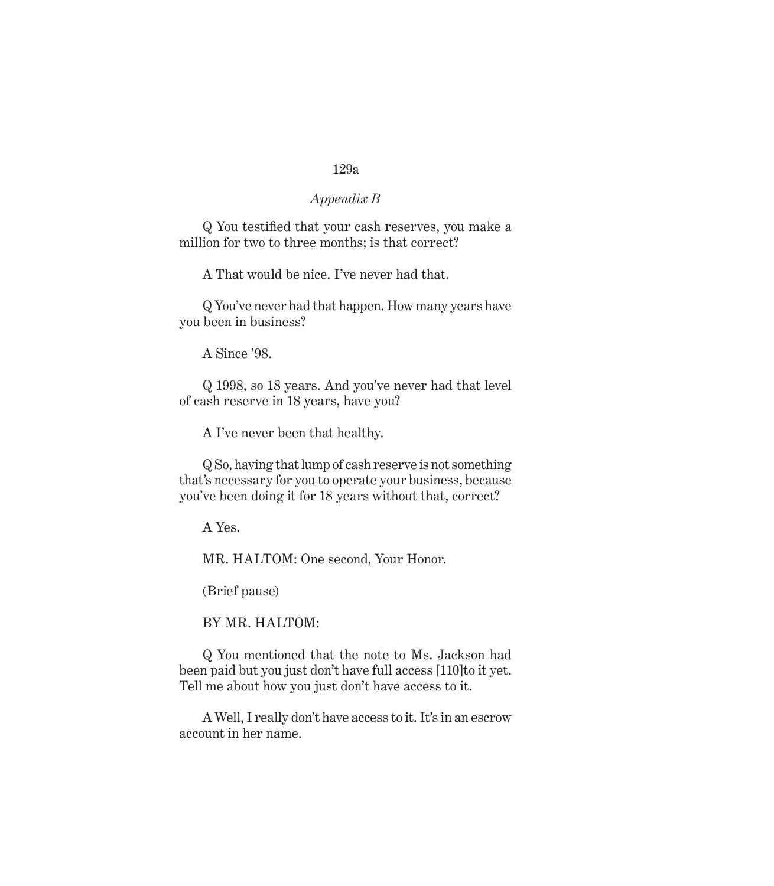### *Appendix B*

Q You testified that your cash reserves, you make a million for two to three months; is that correct?

A That would be nice. I've never had that.

Q You've never had that happen. How many years have you been in business?

A Since '98.

Q 1998, so 18 years. And you've never had that level of cash reserve in 18 years, have you?

A I've never been that healthy.

Q So, having that lump of cash reserve is not something that's necessary for you to operate your business, because you've been doing it for 18 years without that, correct?

A Yes.

MR. HALTOM: One second, Your Honor.

(Brief pause)

BY MR. HALTOM:

Q You mentioned that the note to Ms. Jackson had been paid but you just don't have full access [110]to it yet. Tell me about how you just don't have access to it.

A Well, I really don't have access to it. It's in an escrow account in her name.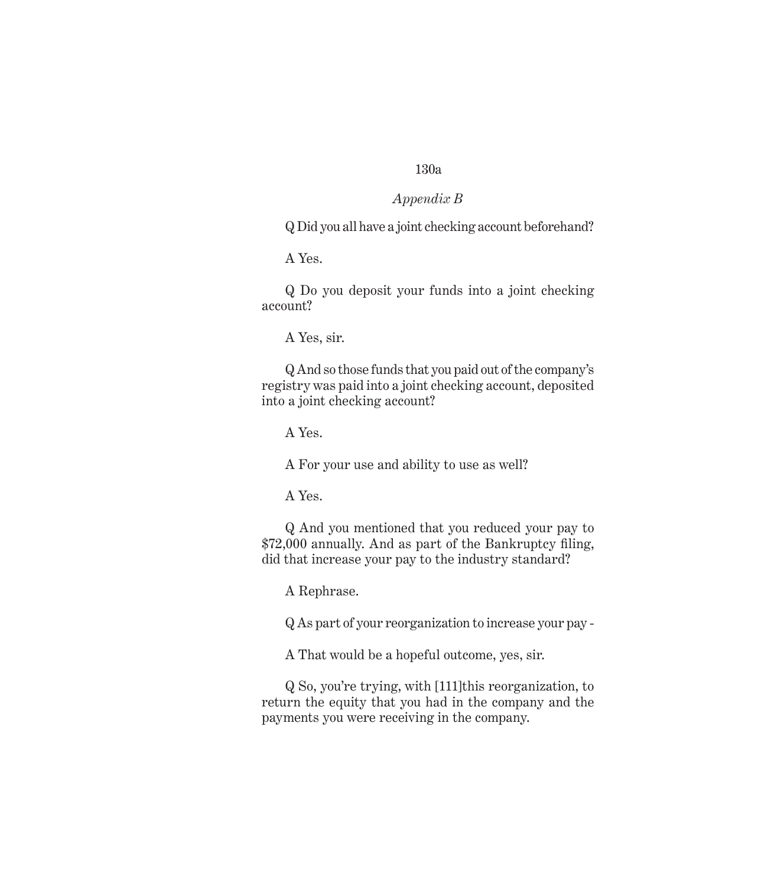### *Appendix B*

Q Did you all have a joint checking account beforehand?

A Yes.

Q Do you deposit your funds into a joint checking account?

A Yes, sir.

Q And so those funds that you paid out of the company's registry was paid into a joint checking account, deposited into a joint checking account?

A Yes.

A For your use and ability to use as well?

A Yes.

Q And you mentioned that you reduced your pay to \$72,000 annually. And as part of the Bankruptcy filing, did that increase your pay to the industry standard?

A Rephrase.

Q As part of your reorganization to increase your pay -

A That would be a hopeful outcome, yes, sir.

Q So, you're trying, with [111]this reorganization, to return the equity that you had in the company and the payments you were receiving in the company.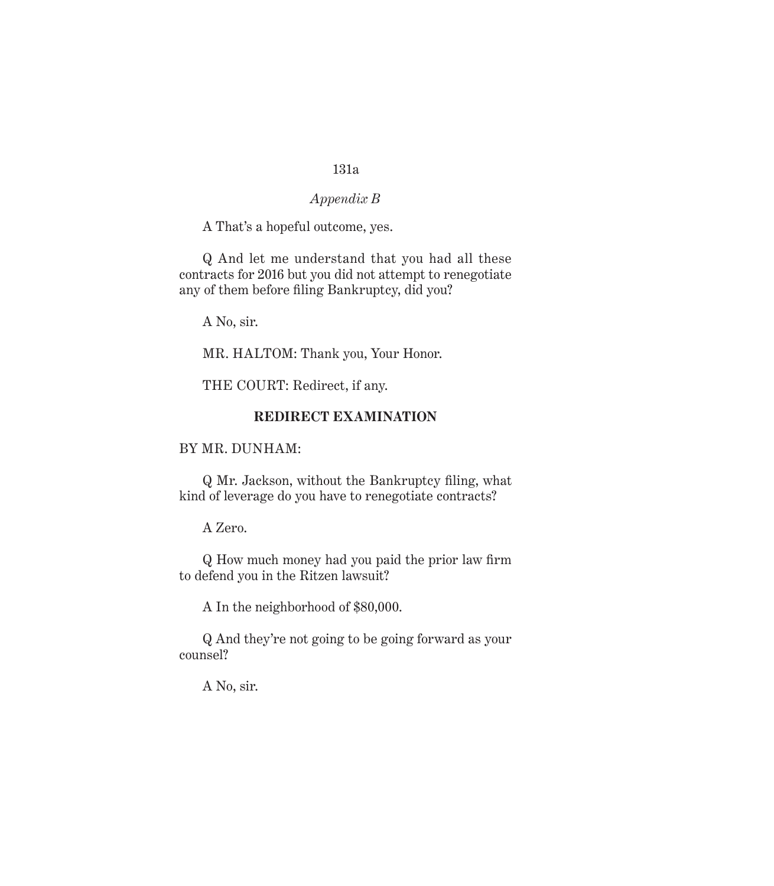### *Appendix B*

A That's a hopeful outcome, yes.

Q And let me understand that you had all these contracts for 2016 but you did not attempt to renegotiate any of them before filing Bankruptcy, did you?

A No, sir.

MR. HALTOM: Thank you, Your Honor.

THE COURT: Redirect, if any.

#### **REDIRECT EXAMINATION**

## BY MR. DUNHAM:

Q Mr. Jackson, without the Bankruptcy filing, what kind of leverage do you have to renegotiate contracts?

## A Zero.

Q How much money had you paid the prior law firm to defend you in the Ritzen lawsuit?

A In the neighborhood of \$80,000.

Q And they're not going to be going forward as your counsel?

A No, sir.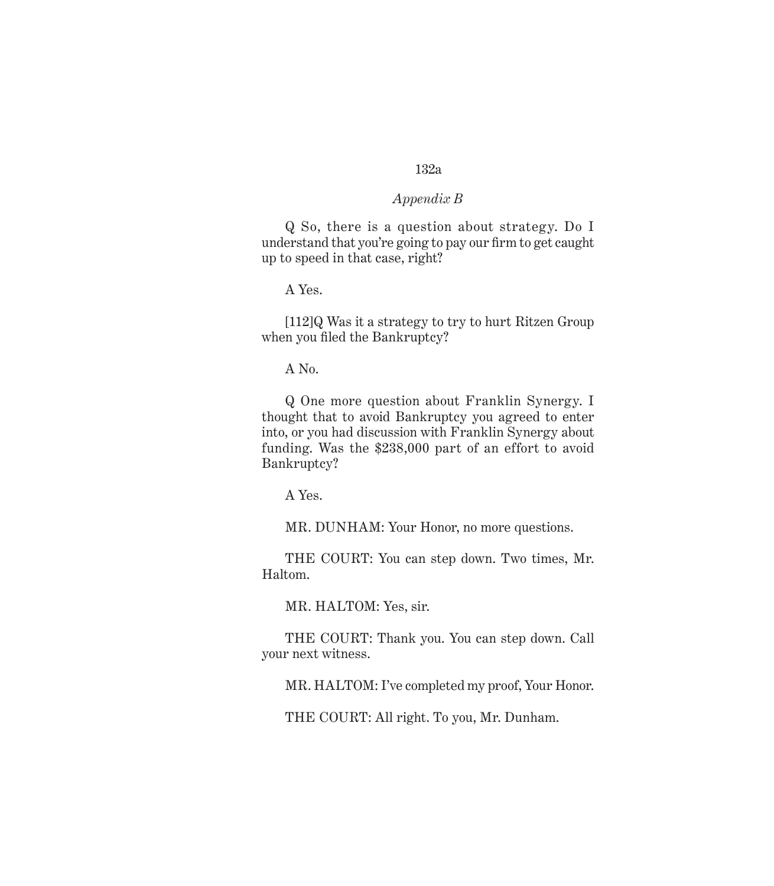#### *Appendix B*

Q So, there is a question about strategy. Do I understand that you're going to pay our firm to get caught up to speed in that case, right?

A Yes.

[112]Q Was it a strategy to try to hurt Ritzen Group when you filed the Bankruptcy?

A No.

Q One more question about Franklin Synergy. I thought that to avoid Bankruptcy you agreed to enter into, or you had discussion with Franklin Synergy about funding. Was the \$238,000 part of an effort to avoid Bankruptcy?

A Yes.

MR. DUNHAM: Your Honor, no more questions.

THE COURT: You can step down. Two times, Mr. Haltom.

MR. HALTOM: Yes, sir.

THE COURT: Thank you. You can step down. Call your next witness.

MR. HALTOM: I've completed my proof, Your Honor.

THE COURT: All right. To you, Mr. Dunham.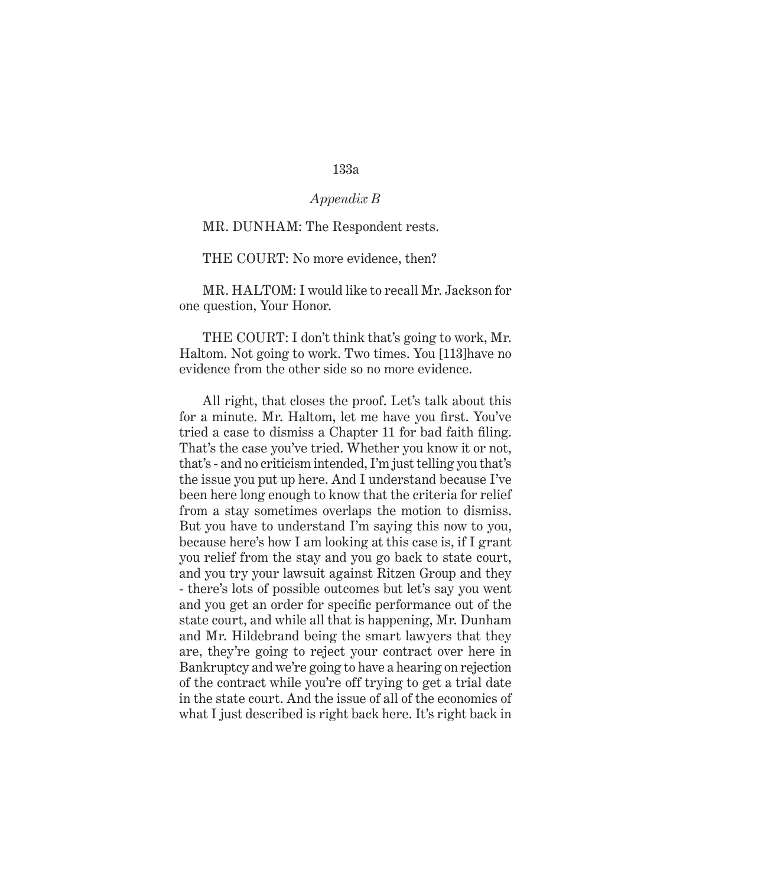### *Appendix B*

#### MR. DUNHAM: The Respondent rests.

THE COURT: No more evidence, then?

MR. HALTOM: I would like to recall Mr. Jackson for one question, Your Honor.

THE COURT: I don't think that's going to work, Mr. Haltom. Not going to work. Two times. You [113]have no evidence from the other side so no more evidence.

All right, that closes the proof. Let's talk about this for a minute. Mr. Haltom, let me have you first. You've tried a case to dismiss a Chapter 11 for bad faith filing. That's the case you've tried. Whether you know it or not, that's - and no criticism intended, I'm just telling you that's the issue you put up here. And I understand because I've been here long enough to know that the criteria for relief from a stay sometimes overlaps the motion to dismiss. But you have to understand I'm saying this now to you, because here's how I am looking at this case is, if I grant you relief from the stay and you go back to state court, and you try your lawsuit against Ritzen Group and they - there's lots of possible outcomes but let's say you went and you get an order for specific performance out of the state court, and while all that is happening, Mr. Dunham and Mr. Hildebrand being the smart lawyers that they are, they're going to reject your contract over here in Bankruptcy and we're going to have a hearing on rejection of the contract while you're off trying to get a trial date in the state court. And the issue of all of the economics of what I just described is right back here. It's right back in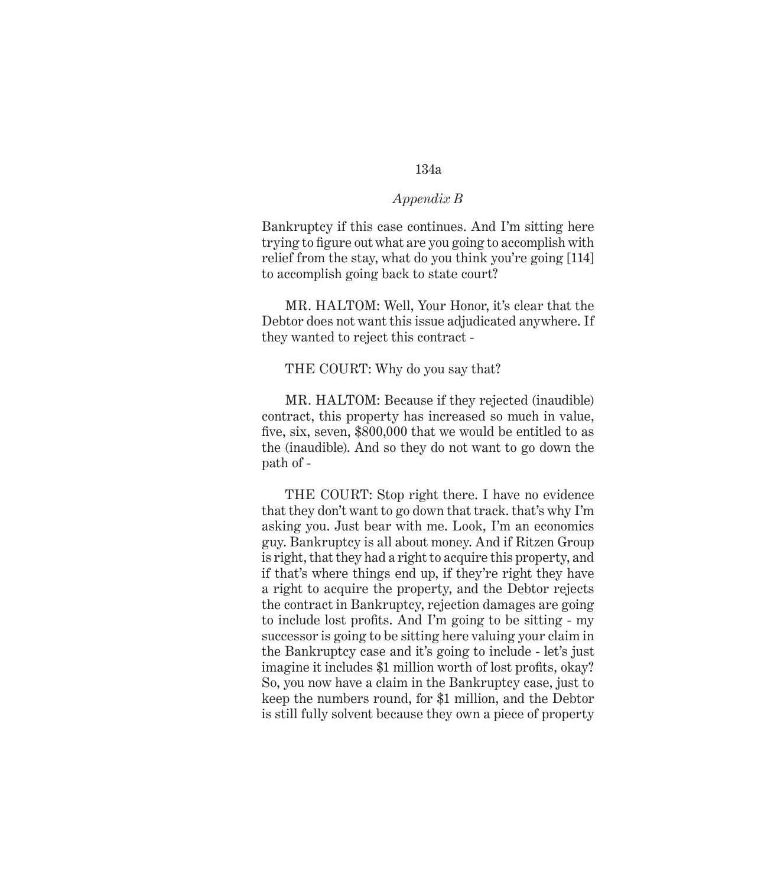### *Appendix B*

Bankruptcy if this case continues. And I'm sitting here trying to figure out what are you going to accomplish with relief from the stay, what do you think you're going [114] to accomplish going back to state court?

MR. HALTOM: Well, Your Honor, it's clear that the Debtor does not want this issue adjudicated anywhere. If they wanted to reject this contract -

#### THE COURT: Why do you say that?

MR. HALTOM: Because if they rejected (inaudible) contract, this property has increased so much in value, five, six, seven, \$800,000 that we would be entitled to as the (inaudible). And so they do not want to go down the path of -

THE COURT: Stop right there. I have no evidence that they don't want to go down that track. that's why I'm asking you. Just bear with me. Look, I'm an economics guy. Bankruptcy is all about money. And if Ritzen Group is right, that they had a right to acquire this property, and if that's where things end up, if they're right they have a right to acquire the property, and the Debtor rejects the contract in Bankruptcy, rejection damages are going to include lost profits. And I'm going to be sitting - my successor is going to be sitting here valuing your claim in the Bankruptcy case and it's going to include - let's just imagine it includes \$1 million worth of lost profits, okay? So, you now have a claim in the Bankruptcy case, just to keep the numbers round, for \$1 million, and the Debtor is still fully solvent because they own a piece of property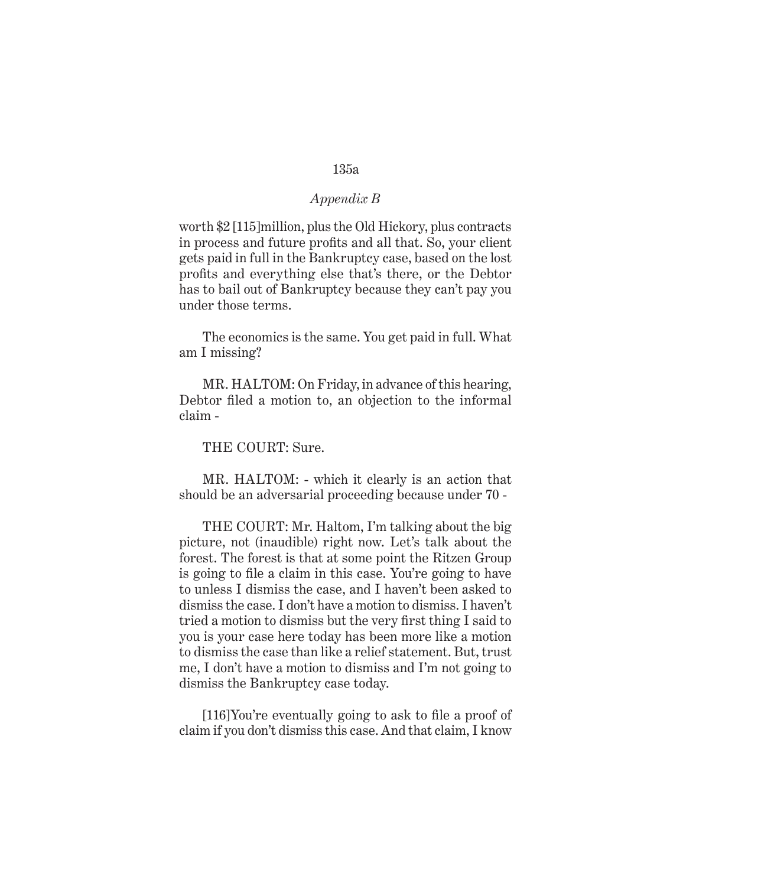### *Appendix B*

worth \$2 [115]million, plus the Old Hickory, plus contracts in process and future profits and all that. So, your client gets paid in full in the Bankruptcy case, based on the lost profits and everything else that's there, or the Debtor has to bail out of Bankruptcy because they can't pay you under those terms.

The economics is the same. You get paid in full. What am I missing?

MR. HALTOM: On Friday, in advance of this hearing, Debtor filed a motion to, an objection to the informal claim -

THE COURT: Sure.

MR. HALTOM: - which it clearly is an action that should be an adversarial proceeding because under 70 -

THE COURT: Mr. Haltom, I'm talking about the big picture, not (inaudible) right now. Let's talk about the forest. The forest is that at some point the Ritzen Group is going to file a claim in this case. You're going to have to unless I dismiss the case, and I haven't been asked to dismiss the case. I don't have a motion to dismiss. I haven't tried a motion to dismiss but the very first thing I said to you is your case here today has been more like a motion to dismiss the case than like a relief statement. But, trust me, I don't have a motion to dismiss and I'm not going to dismiss the Bankruptcy case today.

[116]You're eventually going to ask to file a proof of claim if you don't dismiss this case. And that claim, I know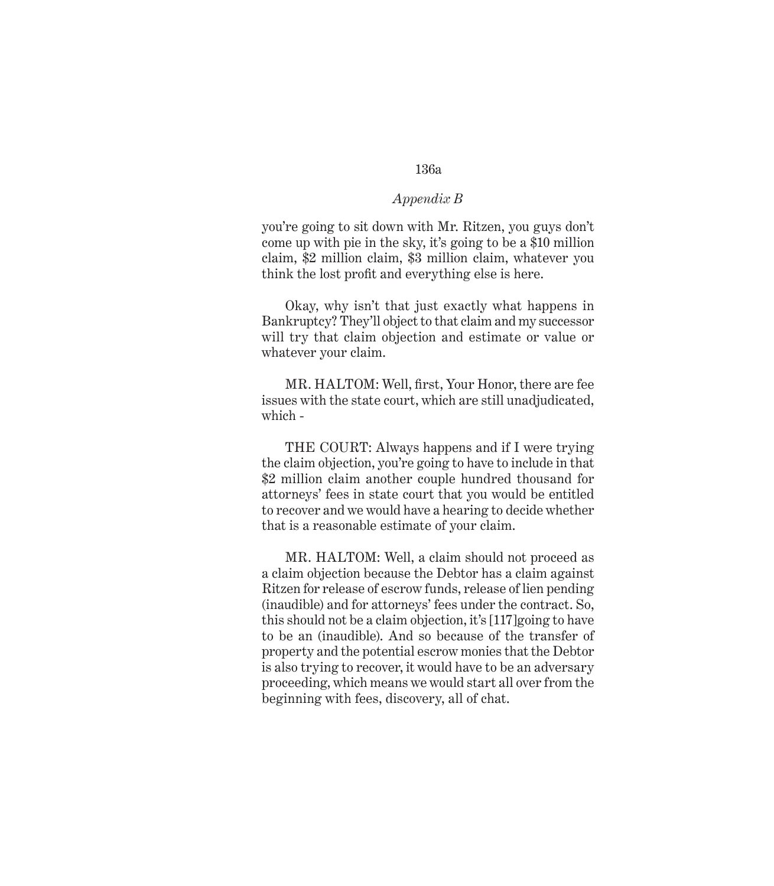#### *Appendix B*

you're going to sit down with Mr. Ritzen, you guys don't come up with pie in the sky, it's going to be a \$10 million claim, \$2 million claim, \$3 million claim, whatever you think the lost profit and everything else is here.

Okay, why isn't that just exactly what happens in Bankruptcy? They'll object to that claim and my successor will try that claim objection and estimate or value or whatever your claim.

MR. HALTOM: Well, first, Your Honor, there are fee issues with the state court, which are still unadjudicated, which -

THE COURT: Always happens and if I were trying the claim objection, you're going to have to include in that \$2 million claim another couple hundred thousand for attorneys' fees in state court that you would be entitled to recover and we would have a hearing to decide whether that is a reasonable estimate of your claim.

MR. HALTOM: Well, a claim should not proceed as a claim objection because the Debtor has a claim against Ritzen for release of escrow funds, release of lien pending (inaudible) and for attorneys' fees under the contract. So, this should not be a claim objection, it's [117]going to have to be an (inaudible). And so because of the transfer of property and the potential escrow monies that the Debtor is also trying to recover, it would have to be an adversary proceeding, which means we would start all over from the beginning with fees, discovery, all of chat.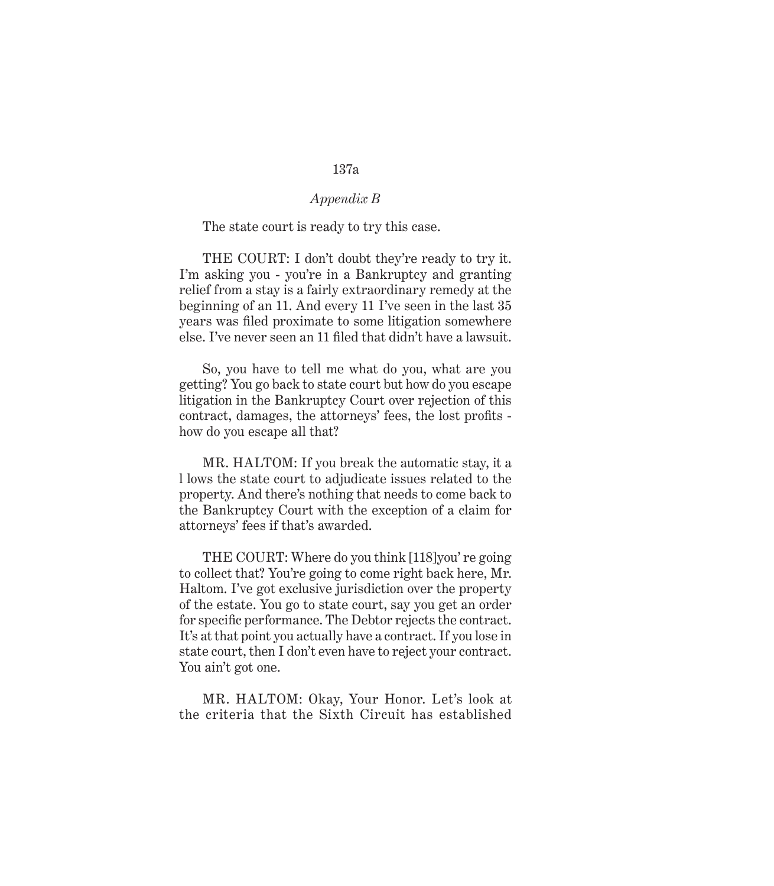#### *Appendix B*

#### The state court is ready to try this case.

THE COURT: I don't doubt they're ready to try it. I'm asking you - you're in a Bankruptcy and granting relief from a stay is a fairly extraordinary remedy at the beginning of an 11. And every 11 I've seen in the last 35 years was filed proximate to some litigation somewhere else. I've never seen an 11 filed that didn't have a lawsuit.

So, you have to tell me what do you, what are you getting? You go back to state court but how do you escape litigation in the Bankruptcy Court over rejection of this contract, damages, the attorneys' fees, the lost profits how do you escape all that?

MR. HALTOM: If you break the automatic stay, it a l lows the state court to adjudicate issues related to the property. And there's nothing that needs to come back to the Bankruptcy Court with the exception of a claim for attorneys' fees if that's awarded.

THE COURT: Where do you think [118]you' re going to collect that? You're going to come right back here, Mr. Haltom. I've got exclusive jurisdiction over the property of the estate. You go to state court, say you get an order for specific performance. The Debtor rejects the contract. It's at that point you actually have a contract. If you lose in state court, then I don't even have to reject your contract. You ain't got one.

MR. HALTOM: Okay, Your Honor. Let's look at the criteria that the Sixth Circuit has established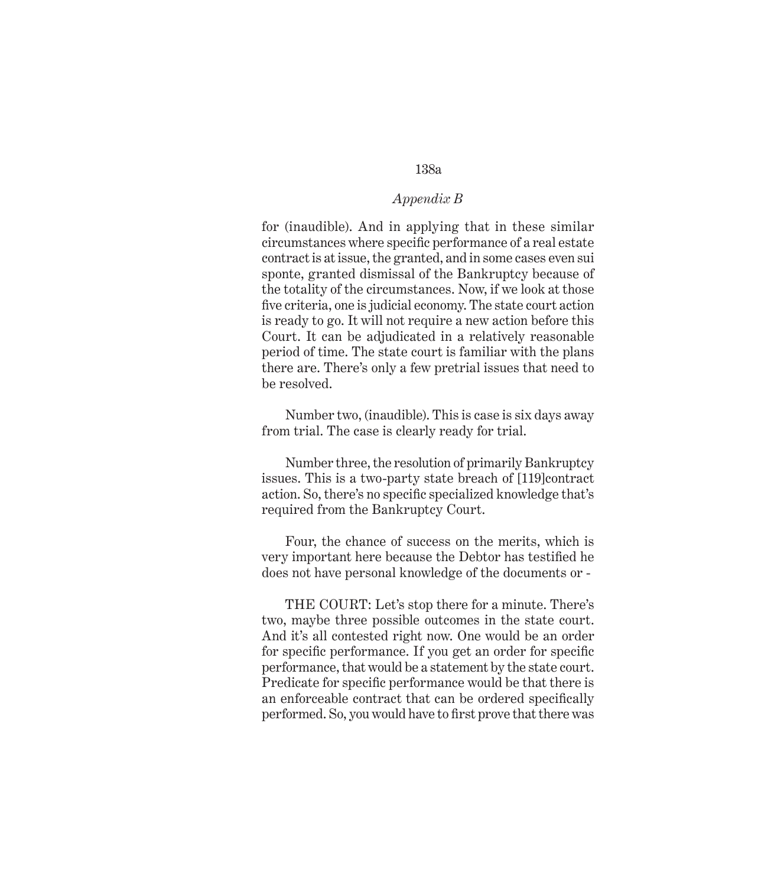## *Appendix B*

for (inaudible). And in applying that in these similar circumstances where specific performance of a real estate contract is at issue, the granted, and in some cases even sui sponte, granted dismissal of the Bankruptcy because of the totality of the circumstances. Now, if we look at those five criteria, one is judicial economy. The state court action is ready to go. It will not require a new action before this Court. It can be adjudicated in a relatively reasonable period of time. The state court is familiar with the plans there are. There's only a few pretrial issues that need to be resolved.

Number two, (inaudible). This is case is six days away from trial. The case is clearly ready for trial.

Number three, the resolution of primarily Bankruptcy issues. This is a two-party state breach of [119]contract action. So, there's no specific specialized knowledge that's required from the Bankruptcy Court.

Four, the chance of success on the merits, which is very important here because the Debtor has testified he does not have personal knowledge of the documents or -

THE COURT: Let's stop there for a minute. There's two, maybe three possible outcomes in the state court. And it's all contested right now. One would be an order for specific performance. If you get an order for specific performance, that would be a statement by the state court. Predicate for specific performance would be that there is an enforceable contract that can be ordered specifically performed. So, you would have to first prove that there was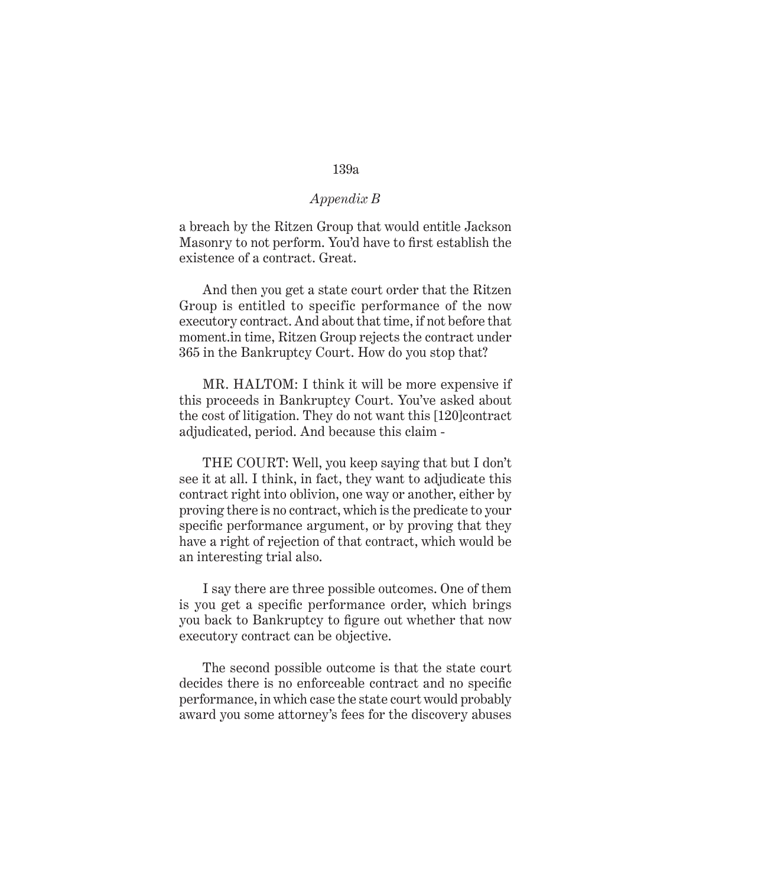#### *Appendix B*

a breach by the Ritzen Group that would entitle Jackson Masonry to not perform. You'd have to first establish the existence of a contract. Great.

And then you get a state court order that the Ritzen Group is entitled to specific performance of the now executory contract. And about that time, if not before that moment.in time, Ritzen Group rejects the contract under 365 in the Bankruptcy Court. How do you stop that?

MR. HALTOM: I think it will be more expensive if this proceeds in Bankruptcy Court. You've asked about the cost of litigation. They do not want this [120]contract adjudicated, period. And because this claim -

THE COURT: Well, you keep saying that but I don't see it at all. I think, in fact, they want to adjudicate this contract right into oblivion, one way or another, either by proving there is no contract, which is the predicate to your specific performance argument, or by proving that they have a right of rejection of that contract, which would be an interesting trial also.

I say there are three possible outcomes. One of them is you get a specific performance order, which brings you back to Bankruptcy to figure out whether that now executory contract can be objective.

The second possible outcome is that the state court decides there is no enforceable contract and no specific performance, in which case the state court would probably award you some attorney's fees for the discovery abuses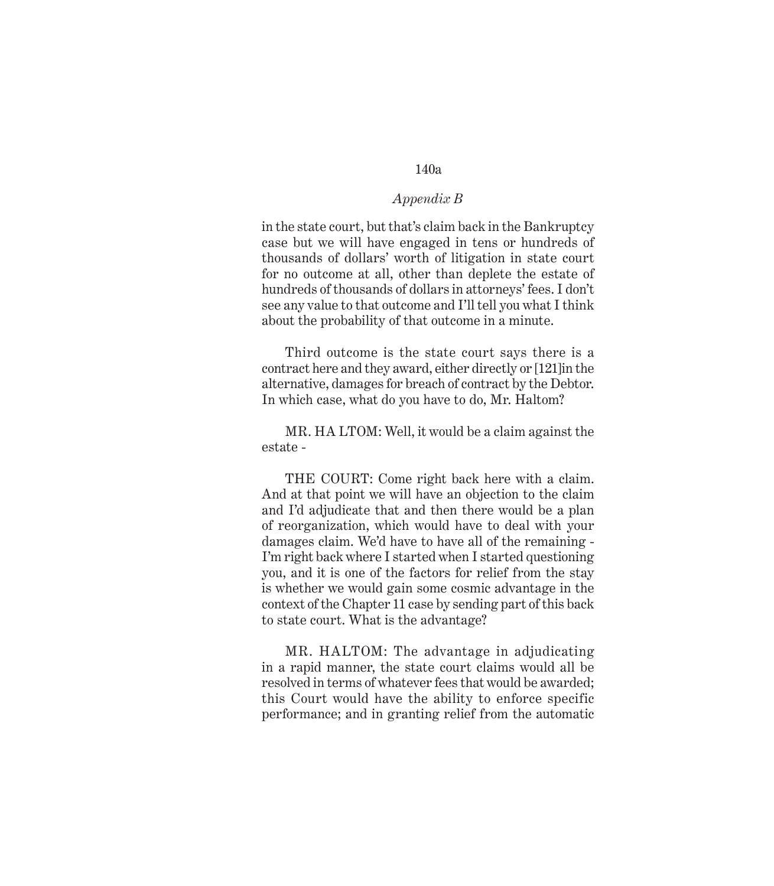## *Appendix B*

in the state court, but that's claim back in the Bankruptcy case but we will have engaged in tens or hundreds of thousands of dollars' worth of litigation in state court for no outcome at all, other than deplete the estate of hundreds of thousands of dollars in attorneys' fees. I don't see any value to that outcome and I'll tell you what I think about the probability of that outcome in a minute.

Third outcome is the state court says there is a contract here and they award, either directly or [121]in the alternative, damages for breach of contract by the Debtor. In which case, what do you have to do, Mr. Haltom?

MR. HA LTOM: Well, it would be a claim against the estate -

THE COURT: Come right back here with a claim. And at that point we will have an objection to the claim and I'd adjudicate that and then there would be a plan of reorganization, which would have to deal with your damages claim. We'd have to have all of the remaining - I'm right back where I started when I started questioning you, and it is one of the factors for relief from the stay is whether we would gain some cosmic advantage in the context of the Chapter 11 case by sending part of this back to state court. What is the advantage?

MR. HALTOM: The advantage in adjudicating in a rapid manner, the state court claims would all be resolved in terms of whatever fees that would be awarded; this Court would have the ability to enforce specific performance; and in granting relief from the automatic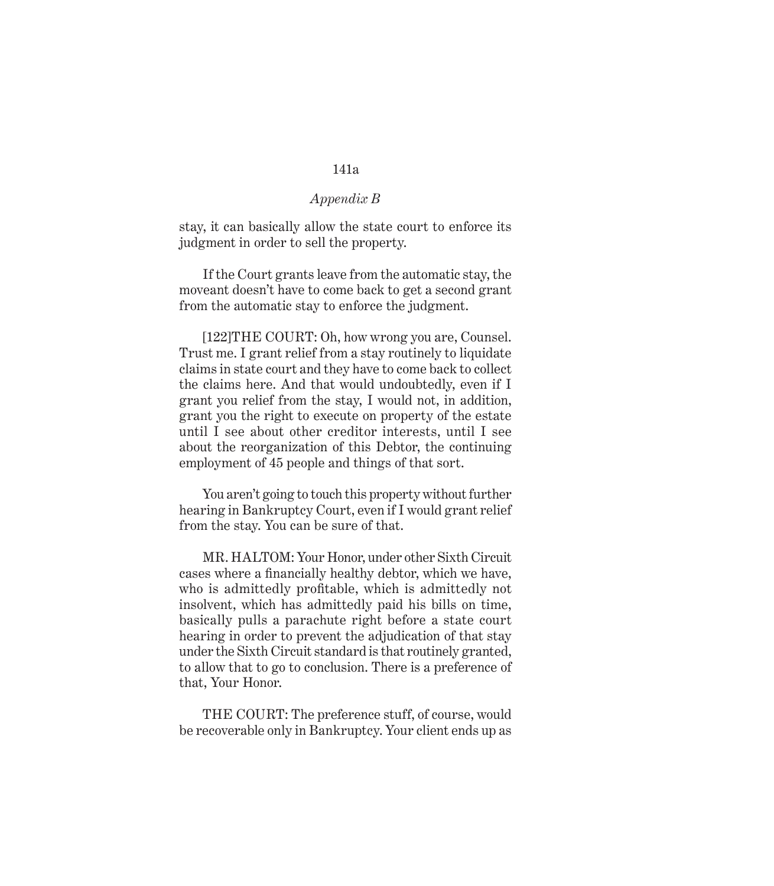### *Appendix B*

stay, it can basically allow the state court to enforce its judgment in order to sell the property.

If the Court grants leave from the automatic stay, the moveant doesn't have to come back to get a second grant from the automatic stay to enforce the judgment.

[122]THE COURT: Oh, how wrong you are, Counsel. Trust me. I grant relief from a stay routinely to liquidate claims in state court and they have to come back to collect the claims here. And that would undoubtedly, even if I grant you relief from the stay, I would not, in addition, grant you the right to execute on property of the estate until I see about other creditor interests, until I see about the reorganization of this Debtor, the continuing employment of 45 people and things of that sort.

You aren't going to touch this property without further hearing in Bankruptcy Court, even if I would grant relief from the stay. You can be sure of that.

MR. HALTOM: Your Honor, under other Sixth Circuit cases where a financially healthy debtor, which we have, who is admittedly profitable, which is admittedly not insolvent, which has admittedly paid his bills on time, basically pulls a parachute right before a state court hearing in order to prevent the adjudication of that stay under the Sixth Circuit standard is that routinely granted, to allow that to go to conclusion. There is a preference of that, Your Honor.

THE COURT: The preference stuff, of course, would be recoverable only in Bankruptcy. Your client ends up as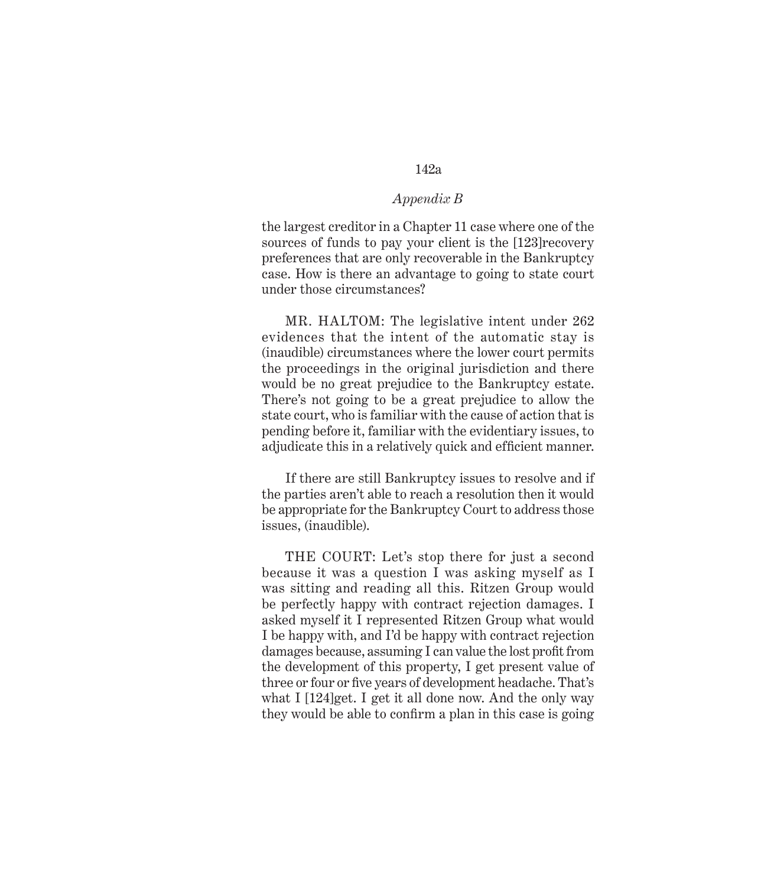# *Appendix B*

the largest creditor in a Chapter 11 case where one of the sources of funds to pay your client is the [123]recovery preferences that are only recoverable in the Bankruptcy case. How is there an advantage to going to state court under those circumstances?

MR. HALTOM: The legislative intent under 262 evidences that the intent of the automatic stay is (inaudible) circumstances where the lower court permits the proceedings in the original jurisdiction and there would be no great prejudice to the Bankruptcy estate. There's not going to be a great prejudice to allow the state court, who is familiar with the cause of action that is pending before it, familiar with the evidentiary issues, to adjudicate this in a relatively quick and efficient manner.

If there are still Bankruptcy issues to resolve and if the parties aren't able to reach a resolution then it would be appropriate for the Bankruptcy Court to address those issues, (inaudible).

THE COURT: Let's stop there for just a second because it was a question I was asking myself as I was sitting and reading all this. Ritzen Group would be perfectly happy with contract rejection damages. I asked myself it I represented Ritzen Group what would I be happy with, and I'd be happy with contract rejection damages because, assuming I can value the lost profit from the development of this property, I get present value of three or four or five years of development headache. That's what I [124]get. I get it all done now. And the only way they would be able to confirm a plan in this case is going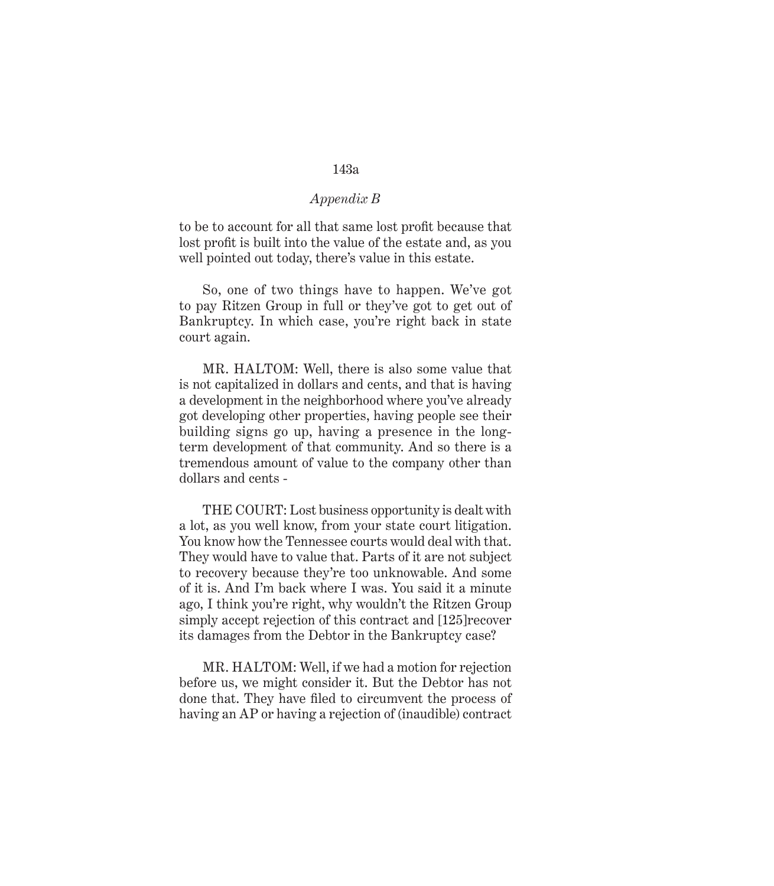# *Appendix B*

to be to account for all that same lost profit because that lost profit is built into the value of the estate and, as you well pointed out today, there's value in this estate.

So, one of two things have to happen. We've got to pay Ritzen Group in full or they've got to get out of Bankruptcy. In which case, you're right back in state court again.

MR. HALTOM: Well, there is also some value that is not capitalized in dollars and cents, and that is having a development in the neighborhood where you've already got developing other properties, having people see their building signs go up, having a presence in the longterm development of that community. And so there is a tremendous amount of value to the company other than dollars and cents -

THE COURT: Lost business opportunity is dealt with a lot, as you well know, from your state court litigation. You know how the Tennessee courts would deal with that. They would have to value that. Parts of it are not subject to recovery because they're too unknowable. And some of it is. And I'm back where I was. You said it a minute ago, I think you're right, why wouldn't the Ritzen Group simply accept rejection of this contract and [125]recover its damages from the Debtor in the Bankruptcy case?

MR. HALTOM: Well, if we had a motion for rejection before us, we might consider it. But the Debtor has not done that. They have filed to circumvent the process of having an AP or having a rejection of (inaudible) contract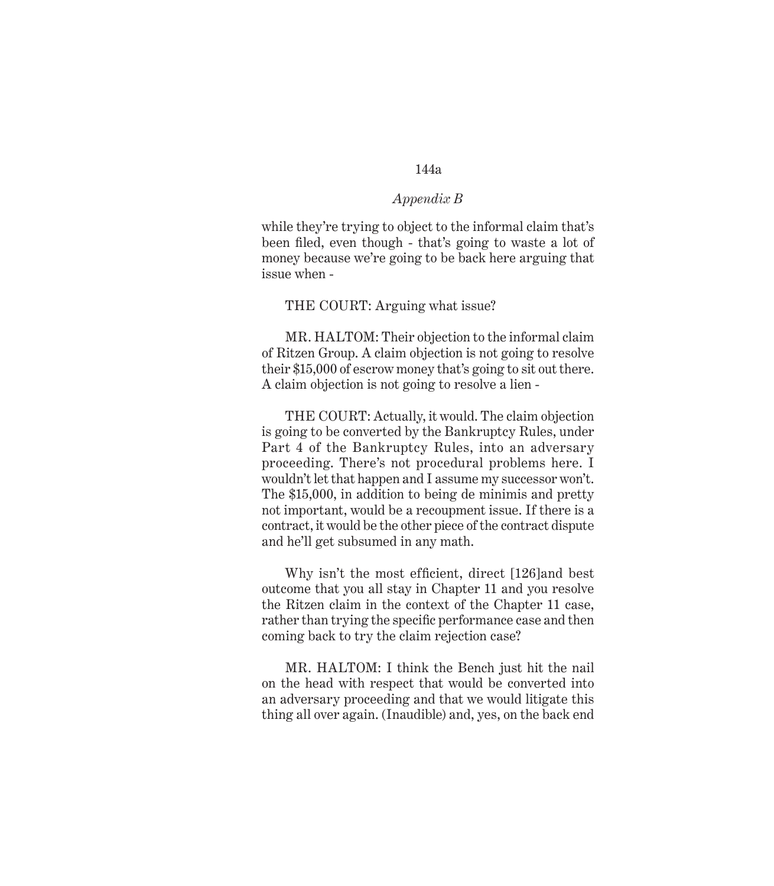#### *Appendix B*

while they're trying to object to the informal claim that's been filed, even though - that's going to waste a lot of money because we're going to be back here arguing that issue when -

#### THE COURT: Arguing what issue?

MR. HALTOM: Their objection to the informal claim of Ritzen Group. A claim objection is not going to resolve their \$15,000 of escrow money that's going to sit out there. A claim objection is not going to resolve a lien -

THE COURT: Actually, it would. The claim objection is going to be converted by the Bankruptcy Rules, under Part 4 of the Bankruptcy Rules, into an adversary proceeding. There's not procedural problems here. I wouldn't let that happen and I assume my successor won't. The \$15,000, in addition to being de minimis and pretty not important, would be a recoupment issue. If there is a contract, it would be the other piece of the contract dispute and he'll get subsumed in any math.

Why isn't the most efficient, direct [126]and best outcome that you all stay in Chapter 11 and you resolve the Ritzen claim in the context of the Chapter 11 case, rather than trying the specific performance case and then coming back to try the claim rejection case?

MR. HALTOM: I think the Bench just hit the nail on the head with respect that would be converted into an adversary proceeding and that we would litigate this thing all over again. (Inaudible) and, yes, on the back end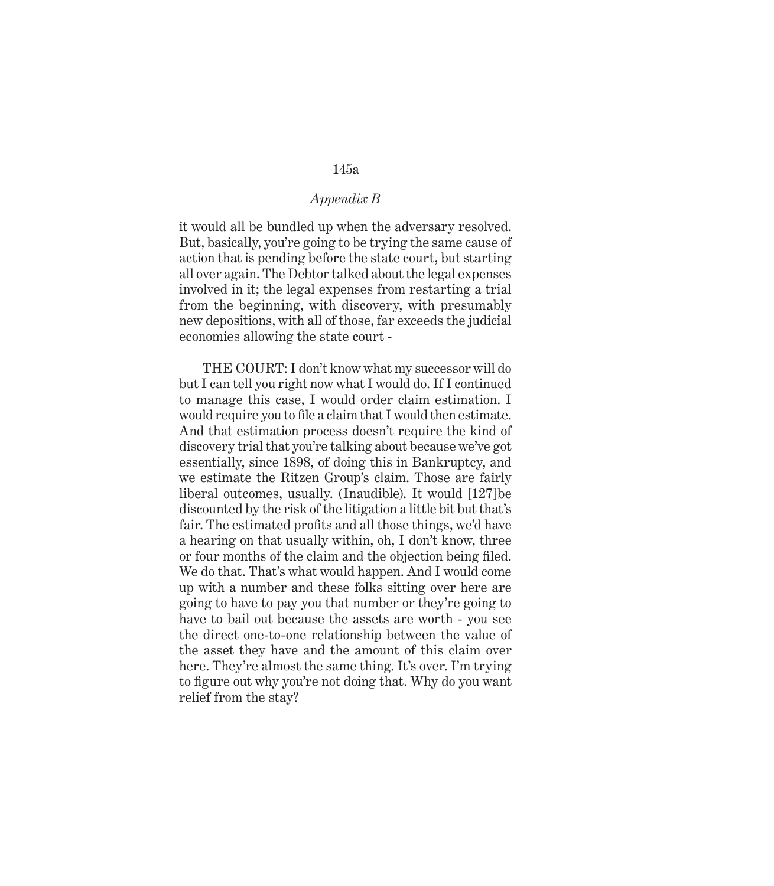## *Appendix B*

it would all be bundled up when the adversary resolved. But, basically, you're going to be trying the same cause of action that is pending before the state court, but starting all over again. The Debtor talked about the legal expenses involved in it; the legal expenses from restarting a trial from the beginning, with discovery, with presumably new depositions, with all of those, far exceeds the judicial economies allowing the state court -

THE COURT: I don't know what my successor will do but I can tell you right now what I would do. If I continued to manage this case, I would order claim estimation. I would require you to file a claim that I would then estimate. And that estimation process doesn't require the kind of discovery trial that you're talking about because we've got essentially, since 1898, of doing this in Bankruptcy, and we estimate the Ritzen Group's claim. Those are fairly liberal outcomes, usually. (Inaudible). It would [127]be discounted by the risk of the litigation a little bit but that's fair. The estimated profits and all those things, we'd have a hearing on that usually within, oh, I don't know, three or four months of the claim and the objection being filed. We do that. That's what would happen. And I would come up with a number and these folks sitting over here are going to have to pay you that number or they're going to have to bail out because the assets are worth - you see the direct one-to-one relationship between the value of the asset they have and the amount of this claim over here. They're almost the same thing. It's over. I'm trying to figure out why you're not doing that. Why do you want relief from the stay?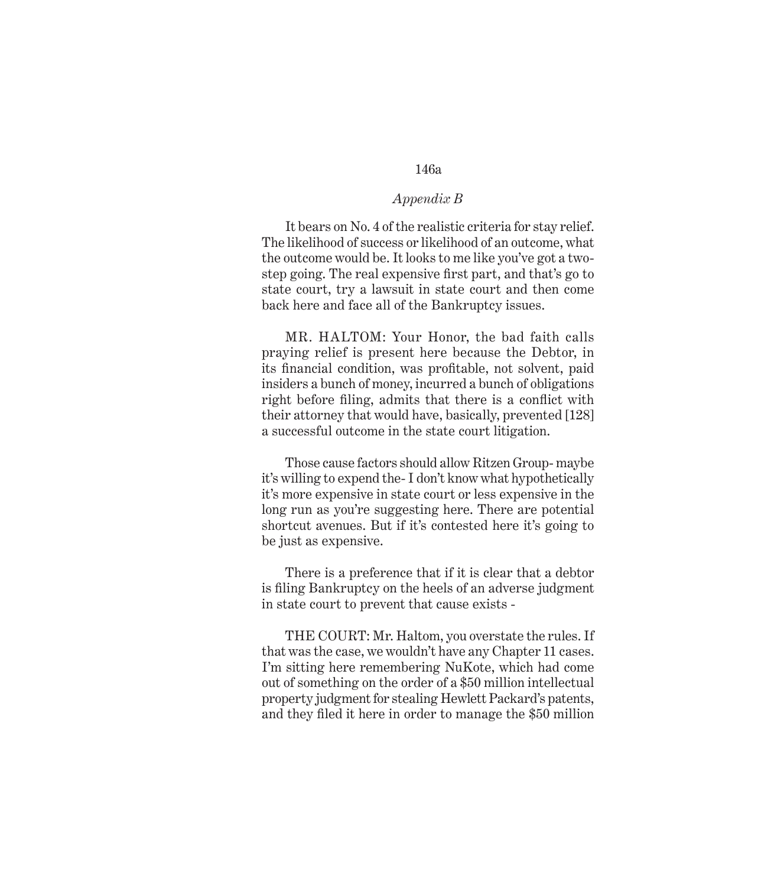## *Appendix B*

It bears on No. 4 of the realistic criteria for stay relief. The likelihood of success or likelihood of an outcome, what the outcome would be. It looks to me like you've got a twostep going. The real expensive first part, and that's go to state court, try a lawsuit in state court and then come back here and face all of the Bankruptcy issues.

MR. HALTOM: Your Honor, the bad faith calls praying relief is present here because the Debtor, in its financial condition, was profitable, not solvent, paid insiders a bunch of money, incurred a bunch of obligations right before filing, admits that there is a conflict with their attorney that would have, basically, prevented [128] a successful outcome in the state court litigation.

Those cause factors should allow Ritzen Group- maybe it's willing to expend the- I don't know what hypothetically it's more expensive in state court or less expensive in the long run as you're suggesting here. There are potential shortcut avenues. But if it's contested here it's going to be just as expensive.

There is a preference that if it is clear that a debtor is filing Bankruptcy on the heels of an adverse judgment in state court to prevent that cause exists -

THE COURT: Mr. Haltom, you overstate the rules. If that was the case, we wouldn't have any Chapter 11 cases. I'm sitting here remembering NuKote, which had come out of something on the order of a \$50 million intellectual property judgment for stealing Hewlett Packard's patents, and they filed it here in order to manage the \$50 million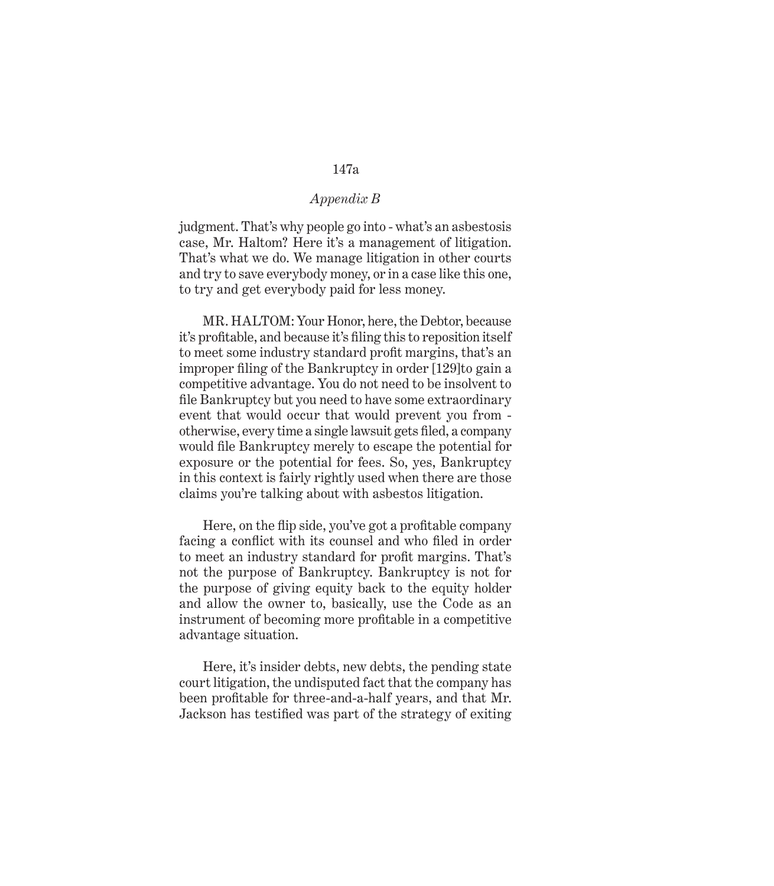## *Appendix B*

judgment. That's why people go into - what's an asbestosis case, Mr. Haltom? Here it's a management of litigation. That's what we do. We manage litigation in other courts and try to save everybody money, or in a case like this one, to try and get everybody paid for less money.

MR. HALTOM: Your Honor, here, the Debtor, because it's profitable, and because it's filing this to reposition itself to meet some industry standard profit margins, that's an improper filing of the Bankruptcy in order [129]to gain a competitive advantage. You do not need to be insolvent to file Bankruptcy but you need to have some extraordinary event that would occur that would prevent you from otherwise, every time a single lawsuit gets filed, a company would file Bankruptcy merely to escape the potential for exposure or the potential for fees. So, yes, Bankruptcy in this context is fairly rightly used when there are those claims you're talking about with asbestos litigation.

Here, on the flip side, you've got a profitable company facing a conflict with its counsel and who filed in order to meet an industry standard for profit margins. That's not the purpose of Bankruptcy. Bankruptcy is not for the purpose of giving equity back to the equity holder and allow the owner to, basically, use the Code as an instrument of becoming more profitable in a competitive advantage situation.

Here, it's insider debts, new debts, the pending state court litigation, the undisputed fact that the company has been profitable for three-and-a-half years, and that Mr. Jackson has testified was part of the strategy of exiting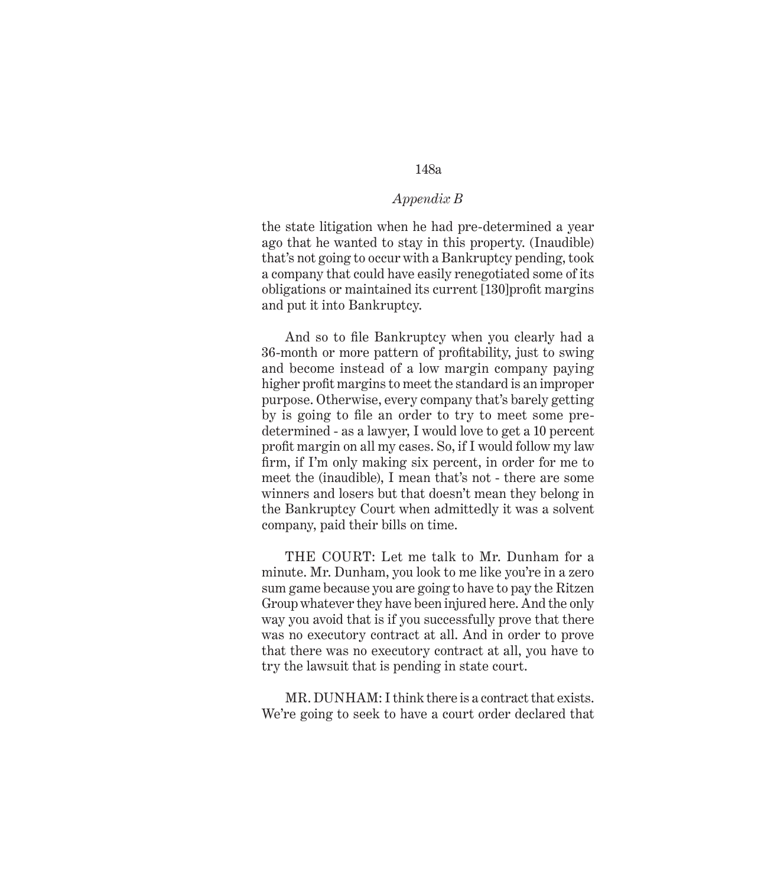# *Appendix B*

the state litigation when he had pre-determined a year ago that he wanted to stay in this property. (Inaudible) that's not going to occur with a Bankruptcy pending, took a company that could have easily renegotiated some of its obligations or maintained its current [130]profit margins and put it into Bankruptcy.

And so to file Bankruptcy when you clearly had a 36-month or more pattern of profitability, just to swing and become instead of a low margin company paying higher profit margins to meet the standard is an improper purpose. Otherwise, every company that's barely getting by is going to file an order to try to meet some predetermined - as a lawyer, I would love to get a 10 percent profit margin on all my cases. So, if I would follow my law firm, if I'm only making six percent, in order for me to meet the (inaudible), I mean that's not - there are some winners and losers but that doesn't mean they belong in the Bankruptcy Court when admittedly it was a solvent company, paid their bills on time.

THE COURT: Let me talk to Mr. Dunham for a minute. Mr. Dunham, you look to me like you're in a zero sum game because you are going to have to pay the Ritzen Group whatever they have been injured here. And the only way you avoid that is if you successfully prove that there was no executory contract at all. And in order to prove that there was no executory contract at all, you have to try the lawsuit that is pending in state court.

MR. DUNHAM: I think there is a contract that exists. We're going to seek to have a court order declared that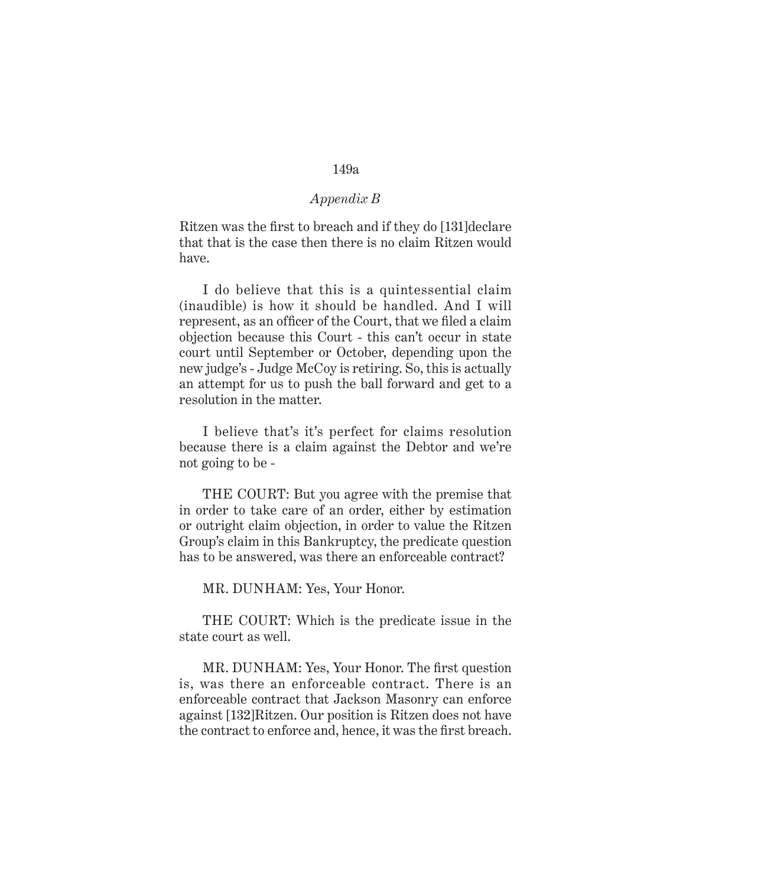## *Appendix B*

Ritzen was the first to breach and if they do [131]declare that that is the case then there is no claim Ritzen would have.

I do believe that this is a quintessential claim (inaudible) is how it should be handled. And I will represent, as an officer of the Court, that we filed a claim objection because this Court - this can't occur in state court until September or October, depending upon the new judge's - Judge McCoy is retiring. So, this is actually an attempt for us to push the ball forward and get to a resolution in the matter.

I believe that's it's perfect for claims resolution because there is a claim against the Debtor and we're not going to be -

THE COURT: But you agree with the premise that in order to take care of an order, either by estimation or outright claim objection, in order to value the Ritzen Group's claim in this Bankruptcy, the predicate question has to be answered, was there an enforceable contract?

MR. DUNHAM: Yes, Your Honor.

THE COURT: Which is the predicate issue in the state court as well.

MR. DUNHAM: Yes, Your Honor. The first question is, was there an enforceable contract. There is an enforceable contract that Jackson Masonry can enforce against [132]Ritzen. Our position is Ritzen does not have the contract to enforce and, hence, it was the first breach.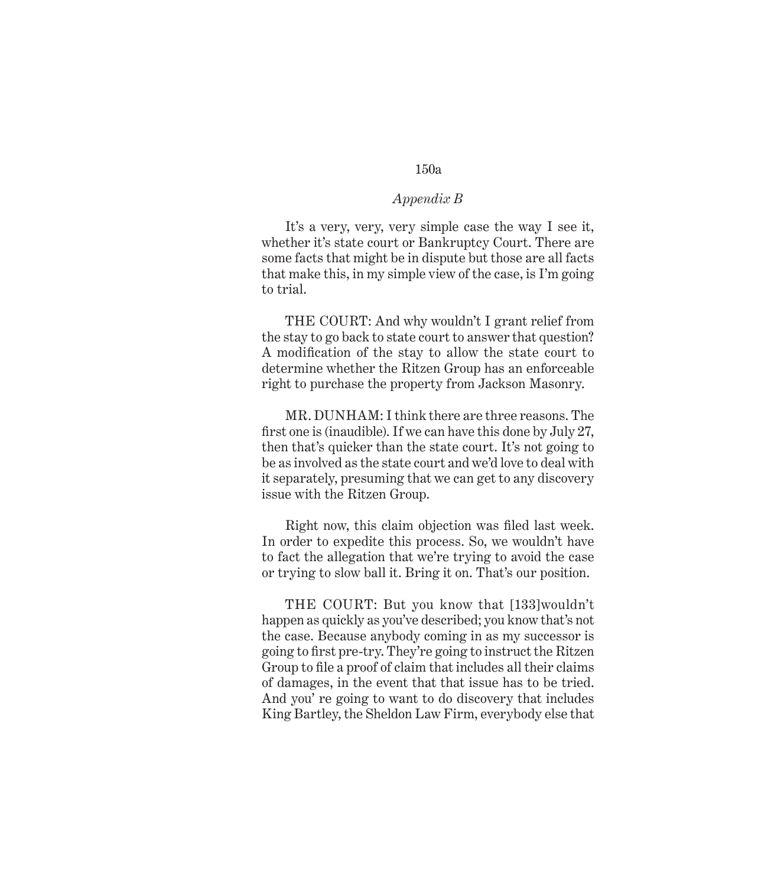#### *Appendix B*

It's a very, very, very simple case the way I see it, whether it's state court or Bankruptcy Court. There are some facts that might be in dispute but those are all facts that make this, in my simple view of the case, is I'm going to trial.

THE COURT: And why wouldn't I grant relief from the stay to go back to state court to answer that question? A modification of the stay to allow the state court to determine whether the Ritzen Group has an enforceable right to purchase the property from Jackson Masonry.

MR. DUNHAM: I think there are three reasons. The first one is (inaudible). If we can have this done by July 27, then that's quicker than the state court. It's not going to be as involved as the state court and we'd love to deal with it separately, presuming that we can get to any discovery issue with the Ritzen Group.

Right now, this claim objection was filed last week. In order to expedite this process. So, we wouldn't have to fact the allegation that we're trying to avoid the case or trying to slow ball it. Bring it on. That's our position.

THE COURT: But you know that [133]wouldn't happen as quickly as you've described; you know that's not the case. Because anybody coming in as my successor is going to first pre-try. They're going to instruct the Ritzen Group to file a proof of claim that includes all their claims of damages, in the event that that issue has to be tried. And you' re going to want to do discovery that includes King Bartley, the Sheldon Law Firm, everybody else that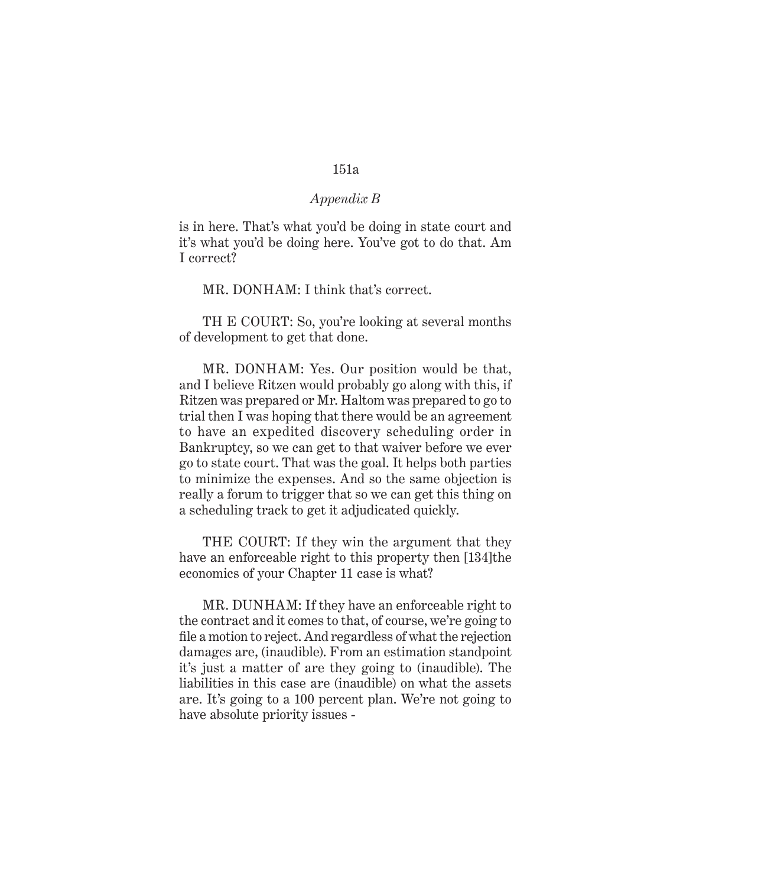#### *Appendix B*

is in here. That's what you'd be doing in state court and it's what you'd be doing here. You've got to do that. Am I correct?

MR. DONHAM: I think that's correct.

TH E COURT: So, you're looking at several months of development to get that done.

MR. DONHAM: Yes. Our position would be that, and I believe Ritzen would probably go along with this, if Ritzen was prepared or Mr. Haltom was prepared to go to trial then I was hoping that there would be an agreement to have an expedited discovery scheduling order in Bankruptcy, so we can get to that waiver before we ever go to state court. That was the goal. It helps both parties to minimize the expenses. And so the same objection is really a forum to trigger that so we can get this thing on a scheduling track to get it adjudicated quickly.

THE COURT: If they win the argument that they have an enforceable right to this property then [134]the economics of your Chapter 11 case is what?

MR. DUNHAM: If they have an enforceable right to the contract and it comes to that, of course, we're going to file a motion to reject. And regardless of what the rejection damages are, (inaudible). From an estimation standpoint it's just a matter of are they going to (inaudible). The liabilities in this case are (inaudible) on what the assets are. It's going to a 100 percent plan. We're not going to have absolute priority issues -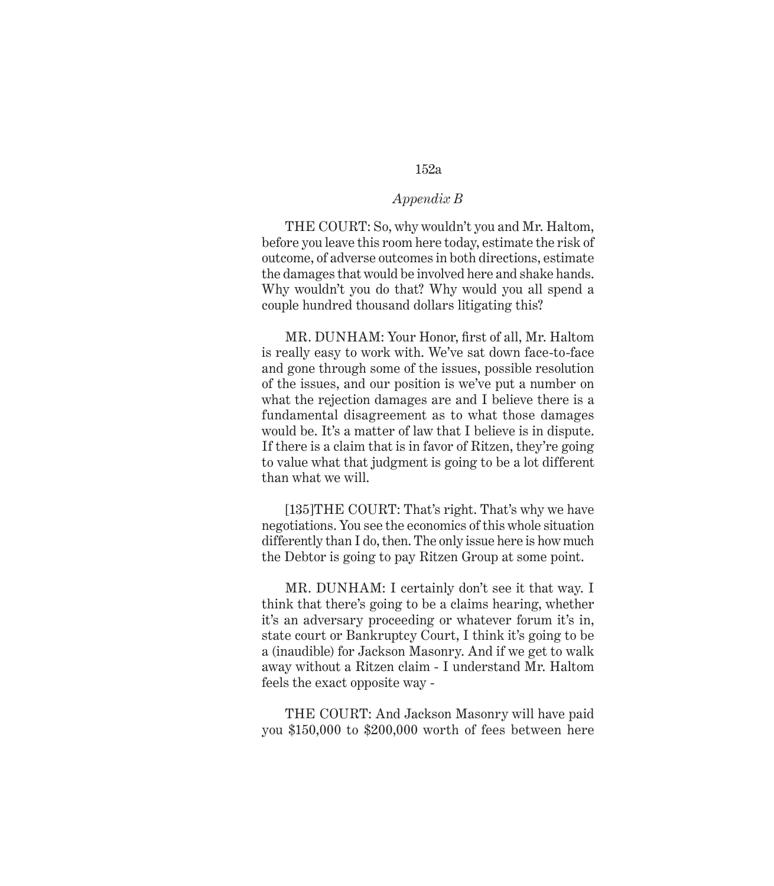## *Appendix B*

THE COURT: So, why wouldn't you and Mr. Haltom, before you leave this room here today, estimate the risk of outcome, of adverse outcomes in both directions, estimate the damages that would be involved here and shake hands. Why wouldn't you do that? Why would you all spend a couple hundred thousand dollars litigating this?

MR. DUNHAM: Your Honor, first of all, Mr. Haltom is really easy to work with. We've sat down face-to-face and gone through some of the issues, possible resolution of the issues, and our position is we've put a number on what the rejection damages are and I believe there is a fundamental disagreement as to what those damages would be. It's a matter of law that I believe is in dispute. If there is a claim that is in favor of Ritzen, they're going to value what that judgment is going to be a lot different than what we will.

[135]THE COURT: That's right. That's why we have negotiations. You see the economics of this whole situation differently than I do, then. The only issue here is how much the Debtor is going to pay Ritzen Group at some point.

MR. DUNHAM: I certainly don't see it that way. I think that there's going to be a claims hearing, whether it's an adversary proceeding or whatever forum it's in, state court or Bankruptcy Court, I think it's going to be a (inaudible) for Jackson Masonry. And if we get to walk away without a Ritzen claim - I understand Mr. Haltom feels the exact opposite way -

THE COURT: And Jackson Masonry will have paid you \$150,000 to \$200,000 worth of fees between here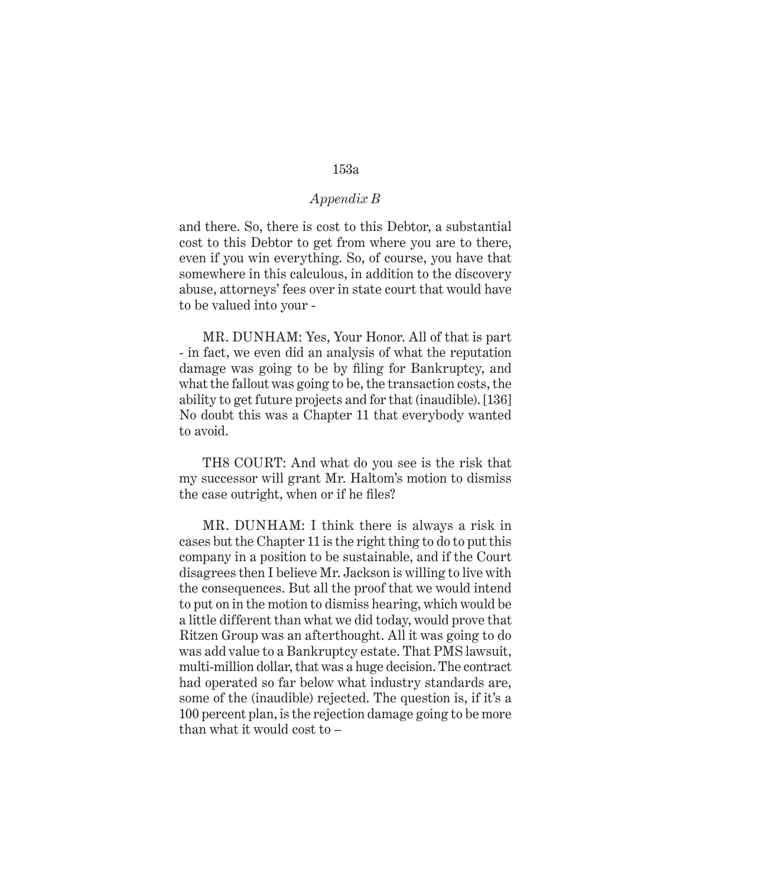## *Appendix B*

and there. So, there is cost to this Debtor, a substantial cost to this Debtor to get from where you are to there, even if you win everything. So, of course, you have that somewhere in this calculous, in addition to the discovery abuse, attorneys' fees over in state court that would have to be valued into your -

MR. DUNHAM: Yes, Your Honor. All of that is part - in fact, we even did an analysis of what the reputation damage was going to be by filing for Bankruptcy, and what the fallout was going to be, the transaction costs, the ability to get future projects and for that (inaudible). [136] No doubt this was a Chapter 11 that everybody wanted to avoid.

TH8 COURT: And what do you see is the risk that my successor will grant Mr. Haltom's motion to dismiss the case outright, when or if he files?

MR. DUNHAM: I think there is always a risk in cases but the Chapter 11 is the right thing to do to put this company in a position to be sustainable, and if the Court disagrees then I believe Mr. Jackson is willing to live with the consequences. But all the proof that we would intend to put on in the motion to dismiss hearing, which would be a little different than what we did today, would prove that Ritzen Group was an afterthought. All it was going to do was add value to a Bankruptcy estate. That PMS lawsuit, multi-million dollar, that was a huge decision. The contract had operated so far below what industry standards are, some of the (inaudible) rejected. The question is, if it's a 100 percent plan, is the rejection damage going to be more than what it would cost to –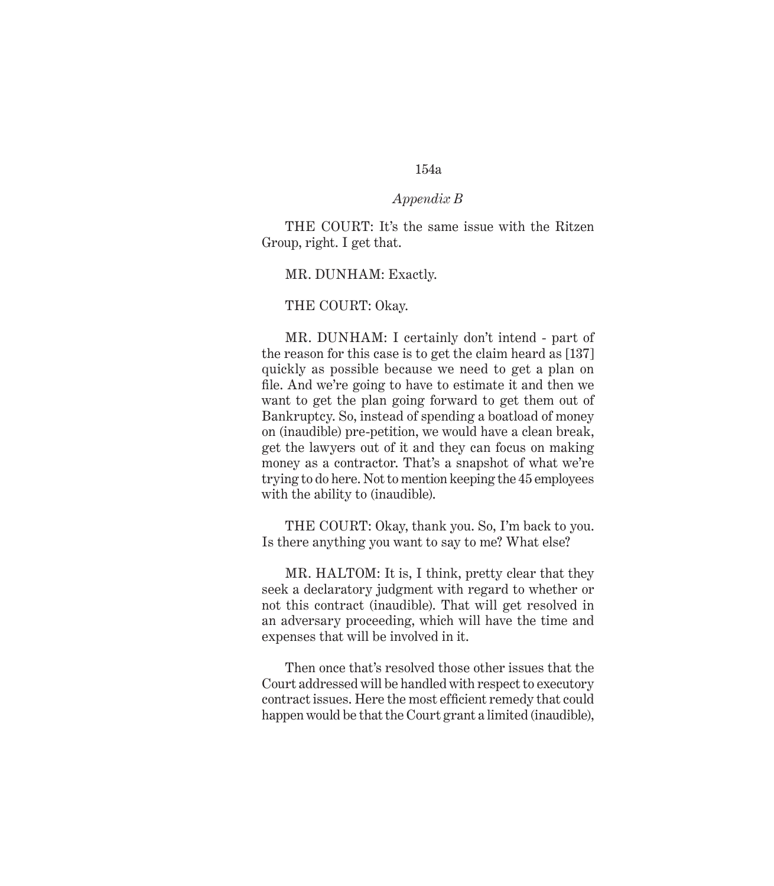## *Appendix B*

THE COURT: It's the same issue with the Ritzen Group, right. I get that.

MR. DUNHAM: Exactly.

#### THE COURT: Okay.

MR. DUNHAM: I certainly don't intend - part of the reason for this case is to get the claim heard as [137] quickly as possible because we need to get a plan on file. And we're going to have to estimate it and then we want to get the plan going forward to get them out of Bankruptcy. So, instead of spending a boatload of money on (inaudible) pre-petition, we would have a clean break, get the lawyers out of it and they can focus on making money as a contractor. That's a snapshot of what we're trying to do here. Not to mention keeping the 45 employees with the ability to *(inaudible)*.

THE COURT: Okay, thank you. So, I'm back to you. Is there anything you want to say to me? What else?

MR. HALTOM: It is, I think, pretty clear that they seek a declaratory judgment with regard to whether or not this contract (inaudible). That will get resolved in an adversary proceeding, which will have the time and expenses that will be involved in it.

Then once that's resolved those other issues that the Court addressed will be handled with respect to executory contract issues. Here the most efficient remedy that could happen would be that the Court grant a limited (inaudible),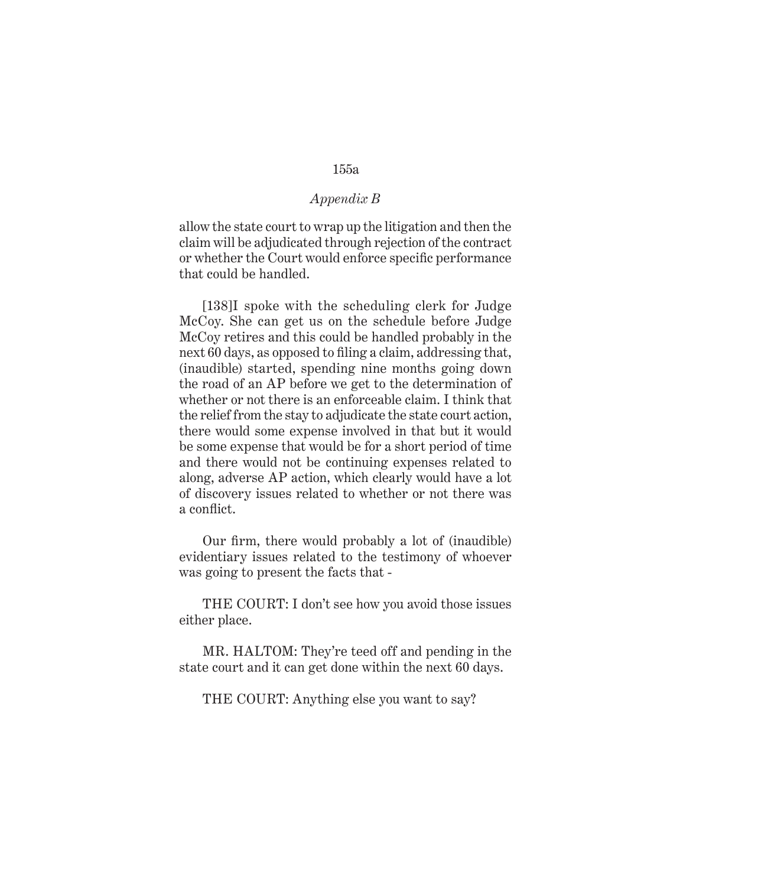# *Appendix B*

allow the state court to wrap up the litigation and then the claim will be adjudicated through rejection of the contract or whether the Court would enforce specific performance that could be handled.

[138]I spoke with the scheduling clerk for Judge McCoy. She can get us on the schedule before Judge McCoy retires and this could be handled probably in the next 60 days, as opposed to filing a claim, addressing that, (inaudible) started, spending nine months going down the road of an AP before we get to the determination of whether or not there is an enforceable claim. I think that the relief from the stay to adjudicate the state court action, there would some expense involved in that but it would be some expense that would be for a short period of time and there would not be continuing expenses related to along, adverse AP action, which clearly would have a lot of discovery issues related to whether or not there was a conflict.

Our firm, there would probably a lot of (inaudible) evidentiary issues related to the testimony of whoever was going to present the facts that -

THE COURT: I don't see how you avoid those issues either place.

MR. HALTOM: They're teed off and pending in the state court and it can get done within the next 60 days.

THE COURT: Anything else you want to say?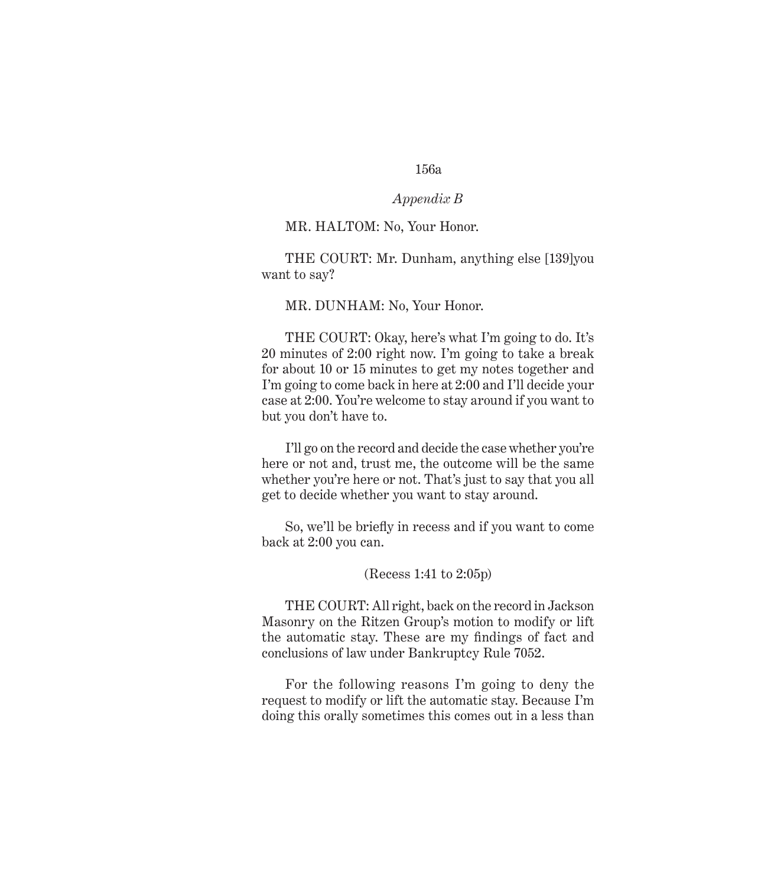#### *Appendix B*

#### MR. HALTOM: No, Your Honor.

THE COURT: Mr. Dunham, anything else [139]you want to say?

#### MR. DUNHAM: No, Your Honor.

THE COURT: Okay, here's what I'm going to do. It's 20 minutes of 2:00 right now. I'm going to take a break for about 10 or 15 minutes to get my notes together and I'm going to come back in here at 2:00 and I'll decide your case at 2:00. You're welcome to stay around if you want to but you don't have to.

I'll go on the record and decide the case whether you're here or not and, trust me, the outcome will be the same whether you're here or not. That's just to say that you all get to decide whether you want to stay around.

So, we'll be briefly in recess and if you want to come back at 2:00 you can.

#### (Recess 1:41 to 2:05p)

THE COURT: All right, back on the record in Jackson Masonry on the Ritzen Group's motion to modify or lift the automatic stay. These are my findings of fact and conclusions of law under Bankruptcy Rule 7052.

For the following reasons I'm going to deny the request to modify or lift the automatic stay. Because I'm doing this orally sometimes this comes out in a less than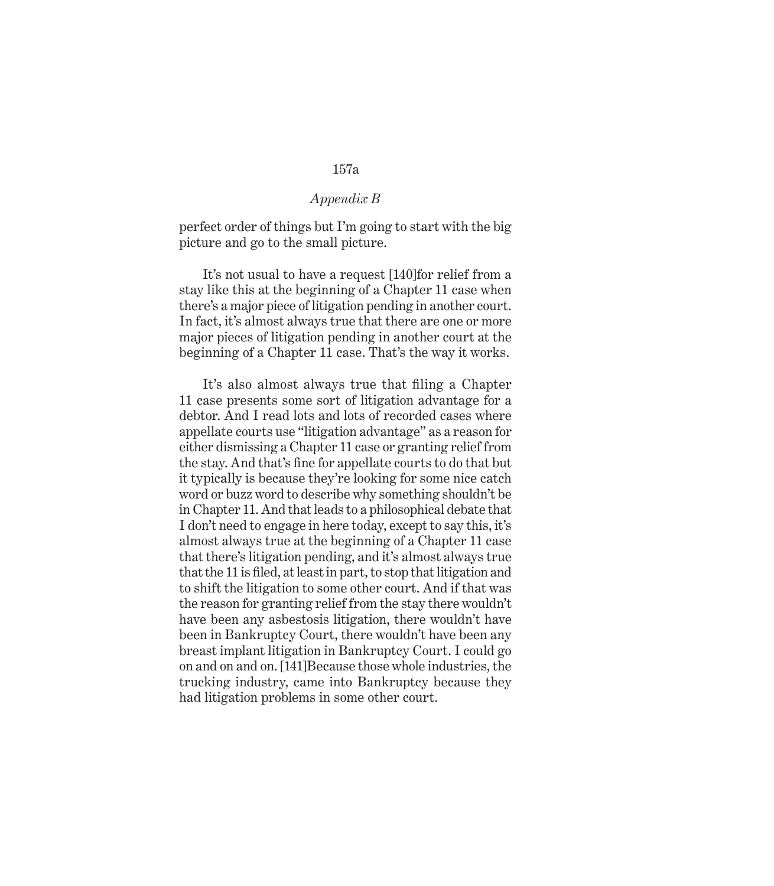## *Appendix B*

perfect order of things but I'm going to start with the big picture and go to the small picture.

It's not usual to have a request [140]for relief from a stay like this at the beginning of a Chapter 11 case when there's a major piece of litigation pending in another court. In fact, it's almost always true that there are one or more major pieces of litigation pending in another court at the beginning of a Chapter 11 case. That's the way it works.

It's also almost always true that filing a Chapter 11 case presents some sort of litigation advantage for a debtor. And I read lots and lots of recorded cases where appellate courts use "litigation advantage" as a reason for either dismissing a Chapter 11 case or granting relief from the stay. And that's fine for appellate courts to do that but it typically is because they're looking for some nice catch word or buzz word to describe why something shouldn't be in Chapter 11. And that leads to a philosophical debate that I don't need to engage in here today, except to say this, it's almost always true at the beginning of a Chapter 11 case that there's litigation pending, and it's almost always true that the 11 is filed, at least in part, to stop that litigation and to shift the litigation to some other court. And if that was the reason for granting relief from the stay there wouldn't have been any asbestosis litigation, there wouldn't have been in Bankruptcy Court, there wouldn't have been any breast implant litigation in Bankruptcy Court. I could go on and on and on. [141]Because those whole industries, the trucking industry, came into Bankruptcy because they had litigation problems in some other court.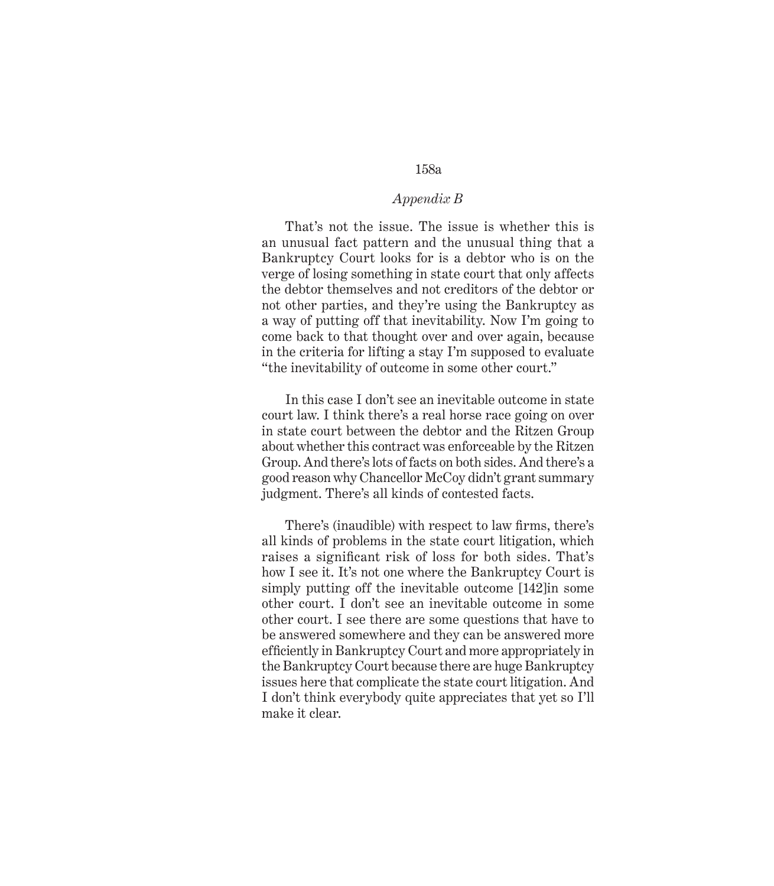## *Appendix B*

That's not the issue. The issue is whether this is an unusual fact pattern and the unusual thing that a Bankruptcy Court looks for is a debtor who is on the verge of losing something in state court that only affects the debtor themselves and not creditors of the debtor or not other parties, and they're using the Bankruptcy as a way of putting off that inevitability. Now I'm going to come back to that thought over and over again, because in the criteria for lifting a stay I'm supposed to evaluate "the inevitability of outcome in some other court."

In this case I don't see an inevitable outcome in state court law. I think there's a real horse race going on over in state court between the debtor and the Ritzen Group about whether this contract was enforceable by the Ritzen Group. And there's lots of facts on both sides. And there's a good reason why Chancellor McCoy didn't grant summary judgment. There's all kinds of contested facts.

There's (inaudible) with respect to law firms, there's all kinds of problems in the state court litigation, which raises a significant risk of loss for both sides. That's how I see it. It's not one where the Bankruptcy Court is simply putting off the inevitable outcome [142]in some other court. I don't see an inevitable outcome in some other court. I see there are some questions that have to be answered somewhere and they can be answered more efficiently in Bankruptcy Court and more appropriately in the Bankruptcy Court because there are huge Bankruptcy issues here that complicate the state court litigation. And I don't think everybody quite appreciates that yet so I'll make it clear.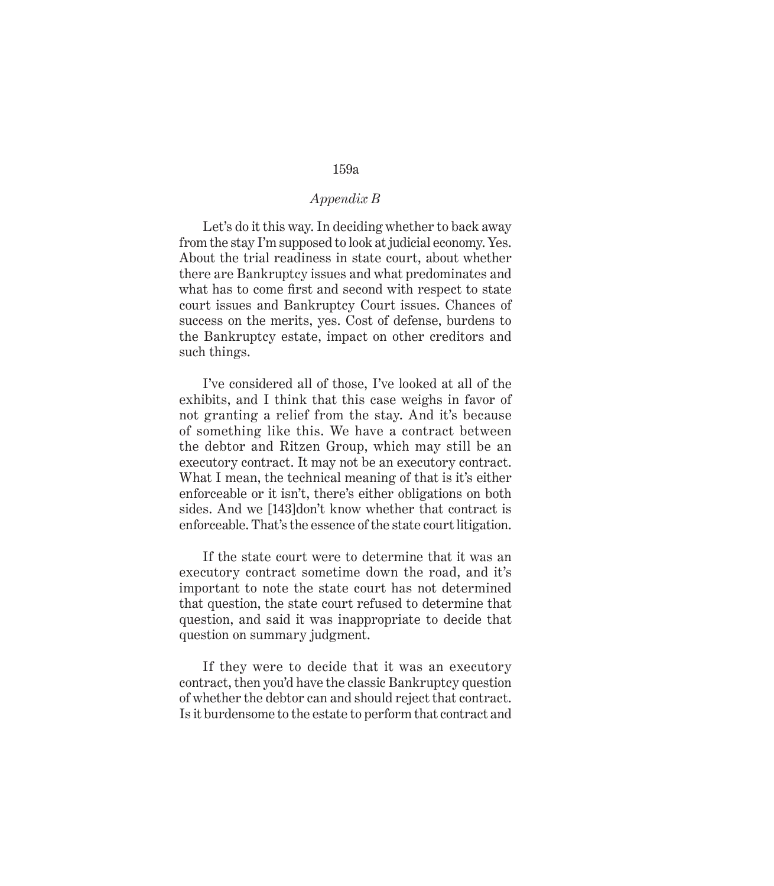## *Appendix B*

Let's do it this way. In deciding whether to back away from the stay I'm supposed to look at judicial economy. Yes. About the trial readiness in state court, about whether there are Bankruptcy issues and what predominates and what has to come first and second with respect to state court issues and Bankruptcy Court issues. Chances of success on the merits, yes. Cost of defense, burdens to the Bankruptcy estate, impact on other creditors and such things.

I've considered all of those, I've looked at all of the exhibits, and I think that this case weighs in favor of not granting a relief from the stay. And it's because of something like this. We have a contract between the debtor and Ritzen Group, which may still be an executory contract. It may not be an executory contract. What I mean, the technical meaning of that is it's either enforceable or it isn't, there's either obligations on both sides. And we [143]don't know whether that contract is enforceable. That's the essence of the state court litigation.

If the state court were to determine that it was an executory contract sometime down the road, and it's important to note the state court has not determined that question, the state court refused to determine that question, and said it was inappropriate to decide that question on summary judgment.

If they were to decide that it was an executory contract, then you'd have the classic Bankruptcy question of whether the debtor can and should reject that contract. Is it burdensome to the estate to perform that contract and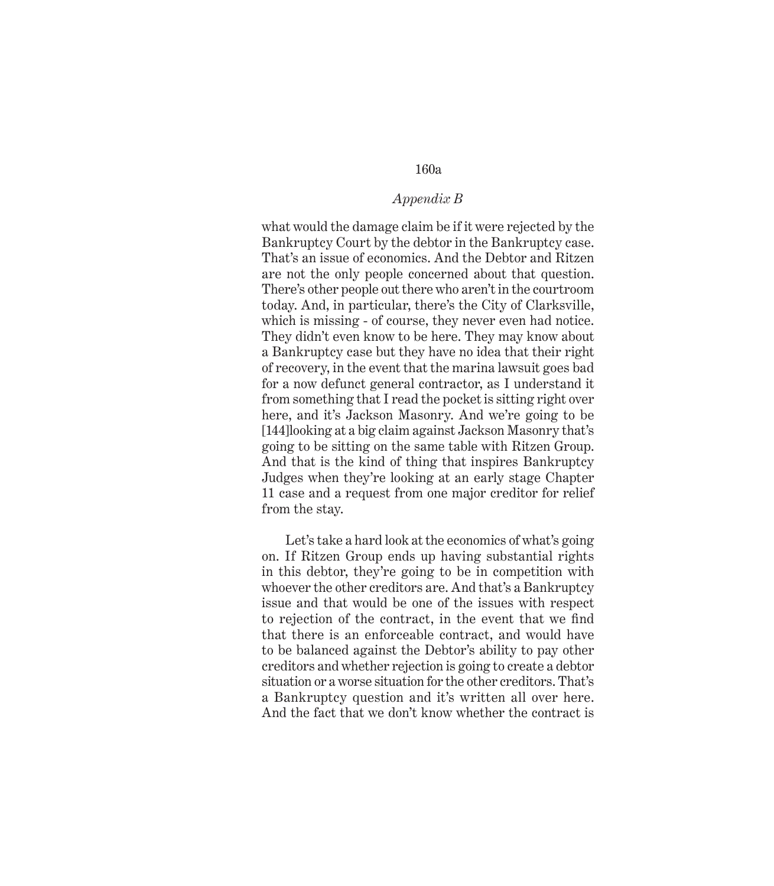## *Appendix B*

what would the damage claim be if it were rejected by the Bankruptcy Court by the debtor in the Bankruptcy case. That's an issue of economics. And the Debtor and Ritzen are not the only people concerned about that question. There's other people out there who aren't in the courtroom today. And, in particular, there's the City of Clarksville, which is missing - of course, they never even had notice. They didn't even know to be here. They may know about a Bankruptcy case but they have no idea that their right of recovery, in the event that the marina lawsuit goes bad for a now defunct general contractor, as I understand it from something that I read the pocket is sitting right over here, and it's Jackson Masonry. And we're going to be [144]looking at a big claim against Jackson Masonry that's going to be sitting on the same table with Ritzen Group. And that is the kind of thing that inspires Bankruptcy Judges when they're looking at an early stage Chapter 11 case and a request from one major creditor for relief from the stay.

Let's take a hard look at the economics of what's going on. If Ritzen Group ends up having substantial rights in this debtor, they're going to be in competition with whoever the other creditors are. And that's a Bankruptcy issue and that would be one of the issues with respect to rejection of the contract, in the event that we find that there is an enforceable contract, and would have to be balanced against the Debtor's ability to pay other creditors and whether rejection is going to create a debtor situation or a worse situation for the other creditors. That's a Bankruptcy question and it's written all over here. And the fact that we don't know whether the contract is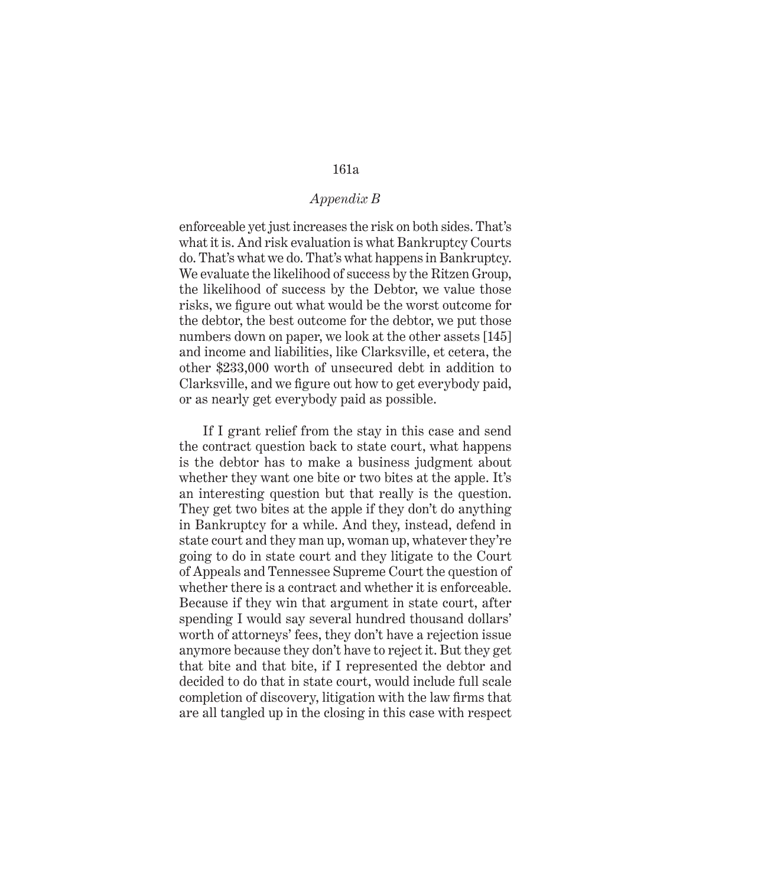## *Appendix B*

enforceable yet just increases the risk on both sides. That's what it is. And risk evaluation is what Bankruptcy Courts do. That's what we do. That's what happens in Bankruptcy. We evaluate the likelihood of success by the Ritzen Group, the likelihood of success by the Debtor, we value those risks, we figure out what would be the worst outcome for the debtor, the best outcome for the debtor, we put those numbers down on paper, we look at the other assets [145] and income and liabilities, like Clarksville, et cetera, the other \$233,000 worth of unsecured debt in addition to Clarksville, and we figure out how to get everybody paid, or as nearly get everybody paid as possible.

If I grant relief from the stay in this case and send the contract question back to state court, what happens is the debtor has to make a business judgment about whether they want one bite or two bites at the apple. It's an interesting question but that really is the question. They get two bites at the apple if they don't do anything in Bankruptcy for a while. And they, instead, defend in state court and they man up, woman up, whatever they're going to do in state court and they litigate to the Court of Appeals and Tennessee Supreme Court the question of whether there is a contract and whether it is enforceable. Because if they win that argument in state court, after spending I would say several hundred thousand dollars' worth of attorneys' fees, they don't have a rejection issue anymore because they don't have to reject it. But they get that bite and that bite, if I represented the debtor and decided to do that in state court, would include full scale completion of discovery, litigation with the law firms that are all tangled up in the closing in this case with respect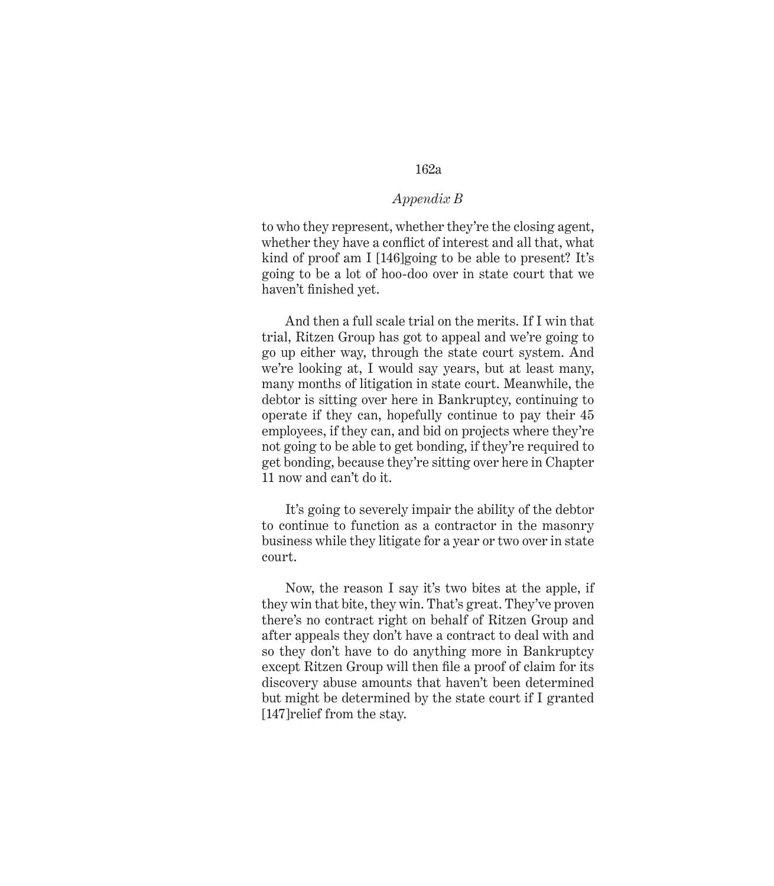### *Appendix B*

to who they represent, whether they're the closing agent, whether they have a conflict of interest and all that, what kind of proof am I [146]going to be able to present? It's going to be a lot of hoo-doo over in state court that we haven't finished yet.

And then a full scale trial on the merits. If I win that trial, Ritzen Group has got to appeal and we're going to go up either way, through the state court system. And we're looking at, I would say years, but at least many, many months of litigation in state court. Meanwhile, the debtor is sitting over here in Bankruptcy, continuing to operate if they can, hopefully continue to pay their 45 employees, if they can, and bid on projects where they're not going to be able to get bonding, if they're required to get bonding, because they're sitting over here in Chapter 11 now and can't do it.

It's going to severely impair the ability of the debtor to continue to function as a contractor in the masonry business while they litigate for a year or two over in state court.

Now, the reason I say it's two bites at the apple, if they win that bite, they win. That's great. They've proven there's no contract right on behalf of Ritzen Group and after appeals they don't have a contract to deal with and so they don't have to do anything more in Bankruptcy except Ritzen Group will then file a proof of claim for its discovery abuse amounts that haven't been determined but might be determined by the state court if I granted [147]relief from the stay.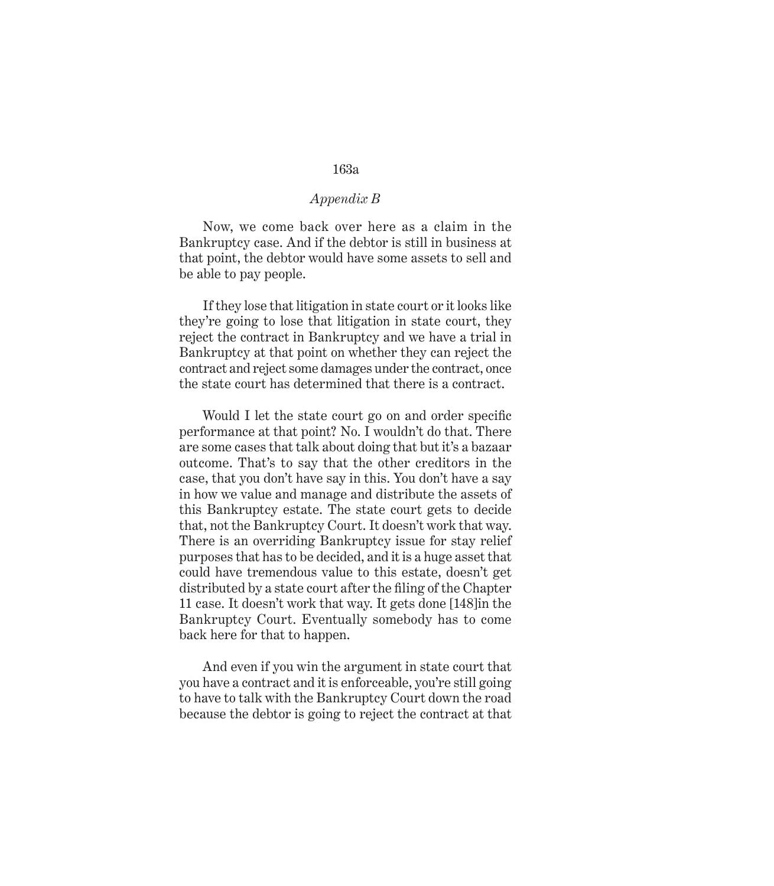## *Appendix B*

Now, we come back over here as a claim in the Bankruptcy case. And if the debtor is still in business at that point, the debtor would have some assets to sell and be able to pay people.

If they lose that litigation in state court or it looks like they're going to lose that litigation in state court, they reject the contract in Bankruptcy and we have a trial in Bankruptcy at that point on whether they can reject the contract and reject some damages under the contract, once the state court has determined that there is a contract.

Would I let the state court go on and order specific performance at that point? No. I wouldn't do that. There are some cases that talk about doing that but it's a bazaar outcome. That's to say that the other creditors in the case, that you don't have say in this. You don't have a say in how we value and manage and distribute the assets of this Bankruptcy estate. The state court gets to decide that, not the Bankruptcy Court. It doesn't work that way. There is an overriding Bankruptcy issue for stay relief purposes that has to be decided, and it is a huge asset that could have tremendous value to this estate, doesn't get distributed by a state court after the filing of the Chapter 11 case. It doesn't work that way. It gets done [148]in the Bankruptcy Court. Eventually somebody has to come back here for that to happen.

And even if you win the argument in state court that you have a contract and it is enforceable, you're still going to have to talk with the Bankruptcy Court down the road because the debtor is going to reject the contract at that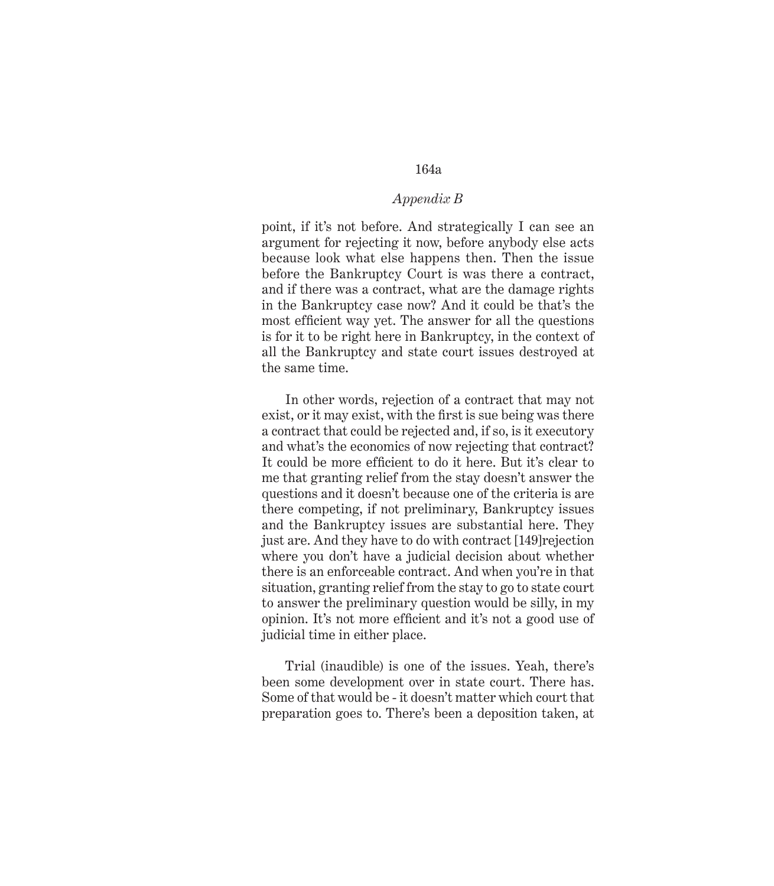## *Appendix B*

point, if it's not before. And strategically I can see an argument for rejecting it now, before anybody else acts because look what else happens then. Then the issue before the Bankruptcy Court is was there a contract, and if there was a contract, what are the damage rights in the Bankruptcy case now? And it could be that's the most efficient way yet. The answer for all the questions is for it to be right here in Bankruptcy, in the context of all the Bankruptcy and state court issues destroyed at the same time.

In other words, rejection of a contract that may not exist, or it may exist, with the first is sue being was there a contract that could be rejected and, if so, is it executory and what's the economics of now rejecting that contract? It could be more efficient to do it here. But it's clear to me that granting relief from the stay doesn't answer the questions and it doesn't because one of the criteria is are there competing, if not preliminary, Bankruptcy issues and the Bankruptcy issues are substantial here. They just are. And they have to do with contract [149]rejection where you don't have a judicial decision about whether there is an enforceable contract. And when you're in that situation, granting relief from the stay to go to state court to answer the preliminary question would be silly, in my opinion. It's not more efficient and it's not a good use of judicial time in either place.

Trial (inaudible) is one of the issues. Yeah, there's been some development over in state court. There has. Some of that would be - it doesn't matter which court that preparation goes to. There's been a deposition taken, at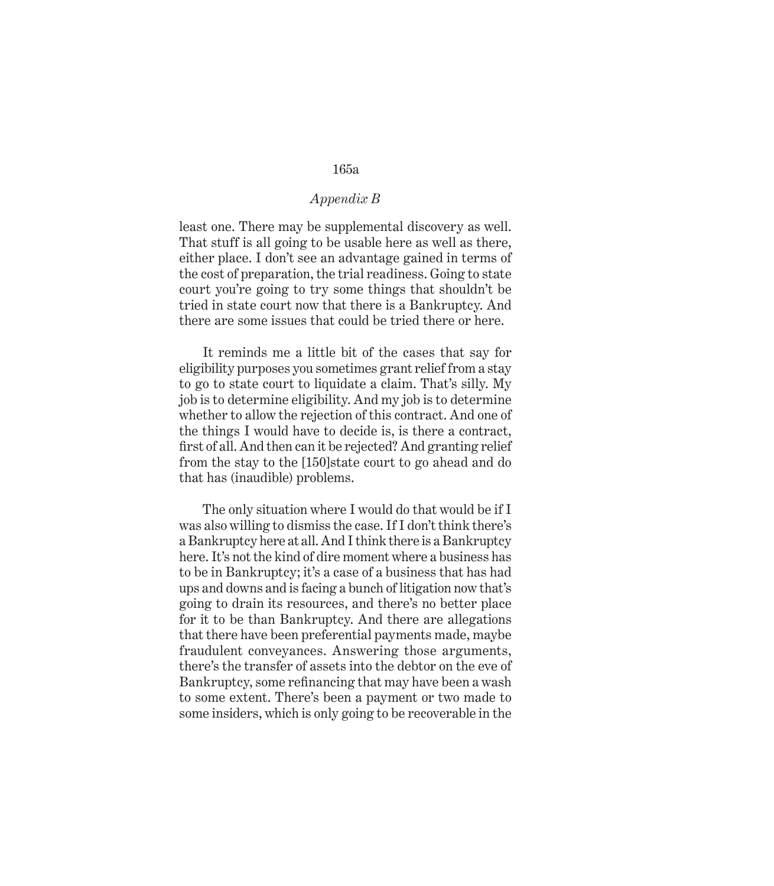# *Appendix B*

least one. There may be supplemental discovery as well. That stuff is all going to be usable here as well as there, either place. I don't see an advantage gained in terms of the cost of preparation, the trial readiness. Going to state court you're going to try some things that shouldn't be tried in state court now that there is a Bankruptcy. And there are some issues that could be tried there or here.

It reminds me a little bit of the cases that say for eligibility purposes you sometimes grant relief from a stay to go to state court to liquidate a claim. That's silly. My job is to determine eligibility. And my job is to determine whether to allow the rejection of this contract. And one of the things I would have to decide is, is there a contract, first of all. And then can it be rejected? And granting relief from the stay to the [150]state court to go ahead and do that has (inaudible) problems.

The only situation where I would do that would be if I was also willing to dismiss the case. If I don't think there's a Bankruptcy here at all. And I think there is a Bankruptcy here. It's not the kind of dire moment where a business has to be in Bankruptcy; it's a case of a business that has had ups and downs and is facing a bunch of litigation now that's going to drain its resources, and there's no better place for it to be than Bankruptcy. And there are allegations that there have been preferential payments made, maybe fraudulent conveyances. Answering those arguments, there's the transfer of assets into the debtor on the eve of Bankruptcy, some refinancing that may have been a wash to some extent. There's been a payment or two made to some insiders, which is only going to be recoverable in the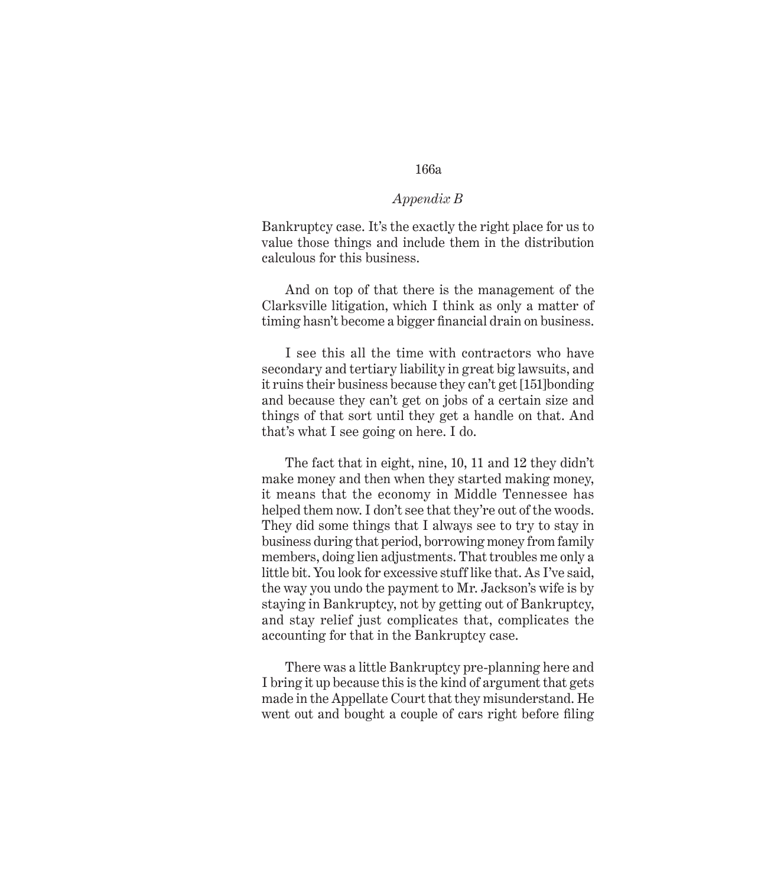# *Appendix B*

Bankruptcy case. It's the exactly the right place for us to value those things and include them in the distribution calculous for this business.

And on top of that there is the management of the Clarksville litigation, which I think as only a matter of timing hasn't become a bigger financial drain on business.

I see this all the time with contractors who have secondary and tertiary liability in great big lawsuits, and it ruins their business because they can't get [151]bonding and because they can't get on jobs of a certain size and things of that sort until they get a handle on that. And that's what I see going on here. I do.

The fact that in eight, nine, 10, 11 and 12 they didn't make money and then when they started making money, it means that the economy in Middle Tennessee has helped them now. I don't see that they're out of the woods. They did some things that I always see to try to stay in business during that period, borrowing money from family members, doing lien adjustments. That troubles me only a little bit. You look for excessive stuff like that. As I've said, the way you undo the payment to Mr. Jackson's wife is by staying in Bankruptcy, not by getting out of Bankruptcy, and stay relief just complicates that, complicates the accounting for that in the Bankruptcy case.

There was a little Bankruptcy pre-planning here and I bring it up because this is the kind of argument that gets made in the Appellate Court that they misunderstand. He went out and bought a couple of cars right before filing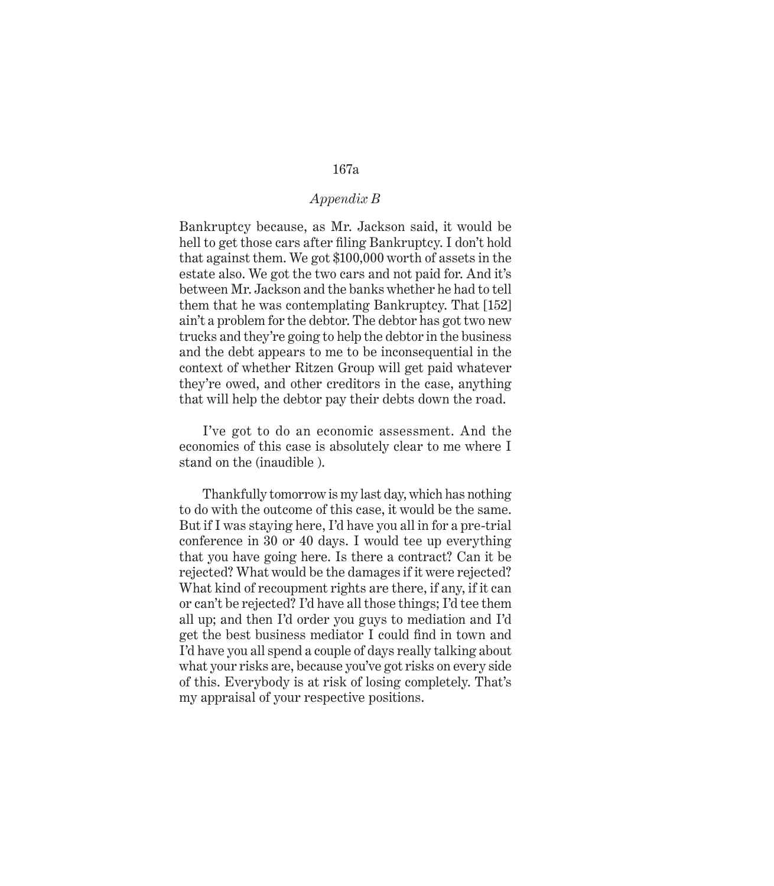## *Appendix B*

Bankruptcy because, as Mr. Jackson said, it would be hell to get those cars after filing Bankruptcy. I don't hold that against them. We got \$100,000 worth of assets in the estate also. We got the two cars and not paid for. And it's between Mr. Jackson and the banks whether he had to tell them that he was contemplating Bankruptcy. That [152] ain't a problem for the debtor. The debtor has got two new trucks and they're going to help the debtor in the business and the debt appears to me to be inconsequential in the context of whether Ritzen Group will get paid whatever they're owed, and other creditors in the case, anything that will help the debtor pay their debts down the road.

I've got to do an economic assessment. And the economics of this case is absolutely clear to me where I stand on the (inaudible ).

Thankfully tomorrow is my last day, which has nothing to do with the outcome of this case, it would be the same. But if I was staying here, I'd have you all in for a pre-trial conference in 30 or 40 days. I would tee up everything that you have going here. Is there a contract? Can it be rejected? What would be the damages if it were rejected? What kind of recoupment rights are there, if any, if it can or can't be rejected? I'd have all those things; I'd tee them all up; and then I'd order you guys to mediation and I'd get the best business mediator I could find in town and I'd have you all spend a couple of days really talking about what your risks are, because you've got risks on every side of this. Everybody is at risk of losing completely. That's my appraisal of your respective positions.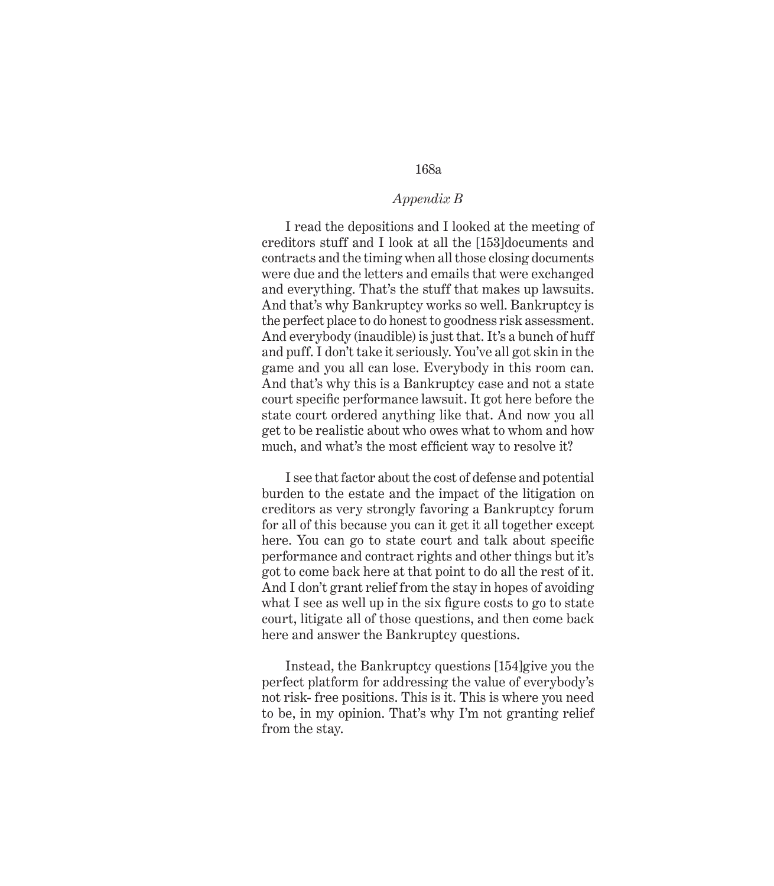# *Appendix B*

I read the depositions and I looked at the meeting of creditors stuff and I look at all the [153]documents and contracts and the timing when all those closing documents were due and the letters and emails that were exchanged and everything. That's the stuff that makes up lawsuits. And that's why Bankruptcy works so well. Bankruptcy is the perfect place to do honest to goodness risk assessment. And everybody (inaudible) is just that. It's a bunch of huff and puff. I don't take it seriously. You've all got skin in the game and you all can lose. Everybody in this room can. And that's why this is a Bankruptcy case and not a state court specific performance lawsuit. It got here before the state court ordered anything like that. And now you all get to be realistic about who owes what to whom and how much, and what's the most efficient way to resolve it?

I see that factor about the cost of defense and potential burden to the estate and the impact of the litigation on creditors as very strongly favoring a Bankruptcy forum for all of this because you can it get it all together except here. You can go to state court and talk about specific performance and contract rights and other things but it's got to come back here at that point to do all the rest of it. And I don't grant relief from the stay in hopes of avoiding what I see as well up in the six figure costs to go to state court, litigate all of those questions, and then come back here and answer the Bankruptcy questions.

Instead, the Bankruptcy questions [154]give you the perfect platform for addressing the value of everybody's not risk- free positions. This is it. This is where you need to be, in my opinion. That's why I'm not granting relief from the stay.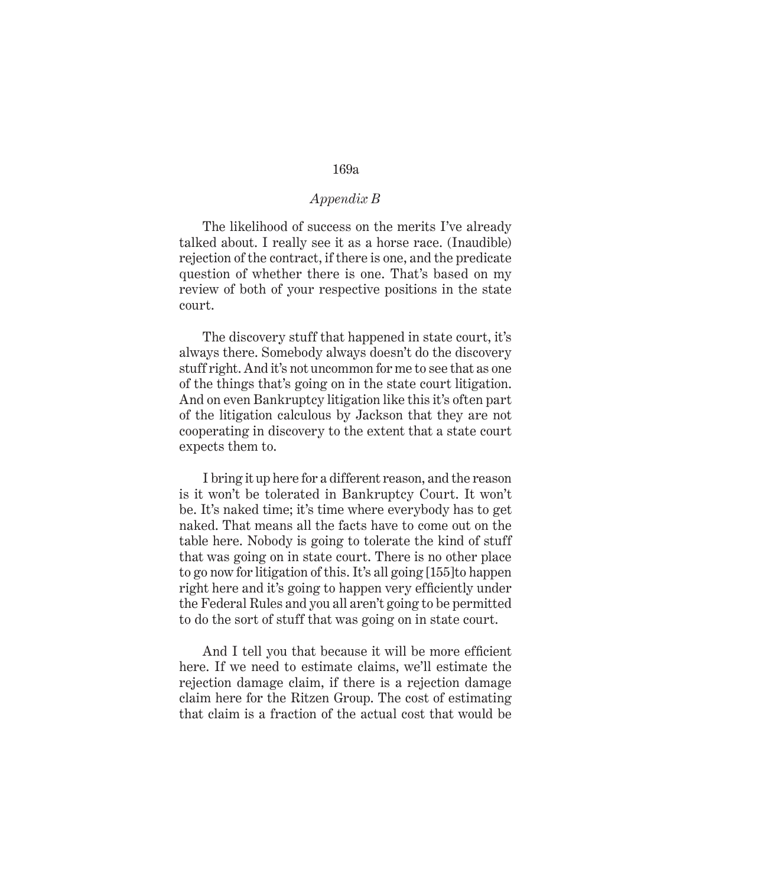# *Appendix B*

The likelihood of success on the merits I've already talked about. I really see it as a horse race. (Inaudible) rejection of the contract, if there is one, and the predicate question of whether there is one. That's based on my review of both of your respective positions in the state court.

The discovery stuff that happened in state court, it's always there. Somebody always doesn't do the discovery stuff right. And it's not uncommon for me to see that as one of the things that's going on in the state court litigation. And on even Bankruptcy litigation like this it's often part of the litigation calculous by Jackson that they are not cooperating in discovery to the extent that a state court expects them to.

I bring it up here for a different reason, and the reason is it won't be tolerated in Bankruptcy Court. It won't be. It's naked time; it's time where everybody has to get naked. That means all the facts have to come out on the table here. Nobody is going to tolerate the kind of stuff that was going on in state court. There is no other place to go now for litigation of this. It's all going [155]to happen right here and it's going to happen very efficiently under the Federal Rules and you all aren't going to be permitted to do the sort of stuff that was going on in state court.

And I tell you that because it will be more efficient here. If we need to estimate claims, we'll estimate the rejection damage claim, if there is a rejection damage claim here for the Ritzen Group. The cost of estimating that claim is a fraction of the actual cost that would be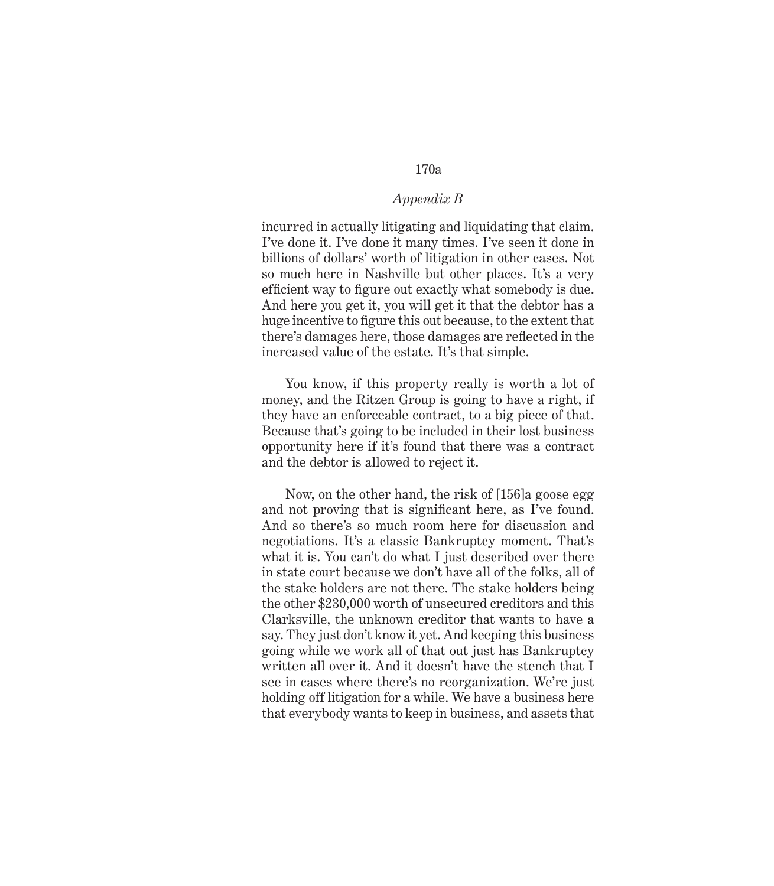### *Appendix B*

incurred in actually litigating and liquidating that claim. I've done it. I've done it many times. I've seen it done in billions of dollars' worth of litigation in other cases. Not so much here in Nashville but other places. It's a very efficient way to figure out exactly what somebody is due. And here you get it, you will get it that the debtor has a huge incentive to figure this out because, to the extent that there's damages here, those damages are reflected in the increased value of the estate. It's that simple.

You know, if this property really is worth a lot of money, and the Ritzen Group is going to have a right, if they have an enforceable contract, to a big piece of that. Because that's going to be included in their lost business opportunity here if it's found that there was a contract and the debtor is allowed to reject it.

Now, on the other hand, the risk of [156]a goose egg and not proving that is significant here, as I've found. And so there's so much room here for discussion and negotiations. It's a classic Bankruptcy moment. That's what it is. You can't do what I just described over there in state court because we don't have all of the folks, all of the stake holders are not there. The stake holders being the other \$230,000 worth of unsecured creditors and this Clarksville, the unknown creditor that wants to have a say. They just don't know it yet. And keeping this business going while we work all of that out just has Bankruptcy written all over it. And it doesn't have the stench that I see in cases where there's no reorganization. We're just holding off litigation for a while. We have a business here that everybody wants to keep in business, and assets that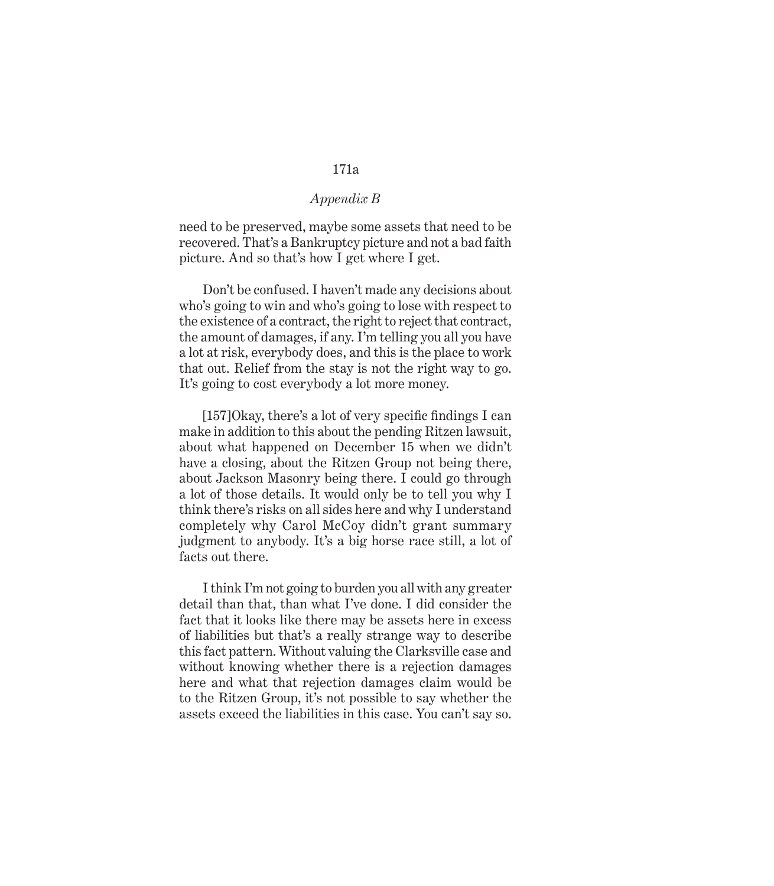## *Appendix B*

need to be preserved, maybe some assets that need to be recovered. That's a Bankruptcy picture and not a bad faith picture. And so that's how I get where I get.

Don't be confused. I haven't made any decisions about who's going to win and who's going to lose with respect to the existence of a contract, the right to reject that contract, the amount of damages, if any. I'm telling you all you have a lot at risk, everybody does, and this is the place to work that out. Relief from the stay is not the right way to go. It's going to cost everybody a lot more money.

[157]Okay, there's a lot of very specific findings I can make in addition to this about the pending Ritzen lawsuit, about what happened on December 15 when we didn't have a closing, about the Ritzen Group not being there, about Jackson Masonry being there. I could go through a lot of those details. It would only be to tell you why I think there's risks on all sides here and why I understand completely why Carol McCoy didn't grant summary judgment to anybody. It's a big horse race still, a lot of facts out there.

I think I'm not going to burden you all with any greater detail than that, than what I've done. I did consider the fact that it looks like there may be assets here in excess of liabilities but that's a really strange way to describe this fact pattern. Without valuing the Clarksville case and without knowing whether there is a rejection damages here and what that rejection damages claim would be to the Ritzen Group, it's not possible to say whether the assets exceed the liabilities in this case. You can't say so.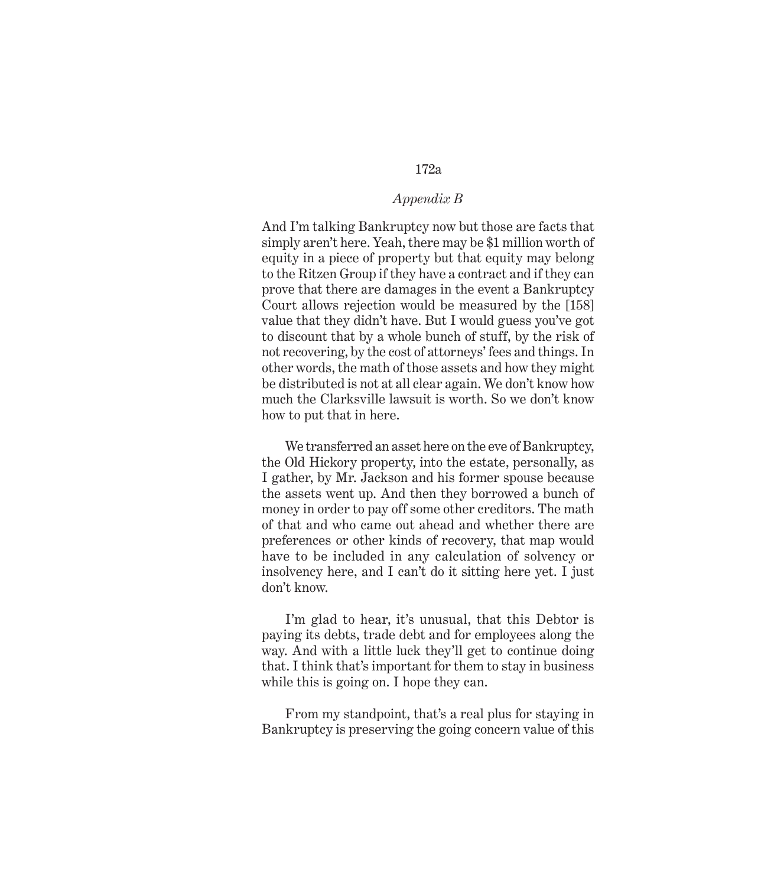## *Appendix B*

And I'm talking Bankruptcy now but those are facts that simply aren't here. Yeah, there may be \$1 million worth of equity in a piece of property but that equity may belong to the Ritzen Group if they have a contract and if they can prove that there are damages in the event a Bankruptcy Court allows rejection would be measured by the [158] value that they didn't have. But I would guess you've got to discount that by a whole bunch of stuff, by the risk of not recovering, by the cost of attorneys' fees and things. In other words, the math of those assets and how they might be distributed is not at all clear again. We don't know how much the Clarksville lawsuit is worth. So we don't know how to put that in here.

We transferred an asset here on the eve of Bankruptcy, the Old Hickory property, into the estate, personally, as I gather, by Mr. Jackson and his former spouse because the assets went up. And then they borrowed a bunch of money in order to pay off some other creditors. The math of that and who came out ahead and whether there are preferences or other kinds of recovery, that map would have to be included in any calculation of solvency or insolvency here, and I can't do it sitting here yet. I just don't know.

I'm glad to hear, it's unusual, that this Debtor is paying its debts, trade debt and for employees along the way. And with a little luck they'll get to continue doing that. I think that's important for them to stay in business while this is going on. I hope they can.

From my standpoint, that's a real plus for staying in Bankruptcy is preserving the going concern value of this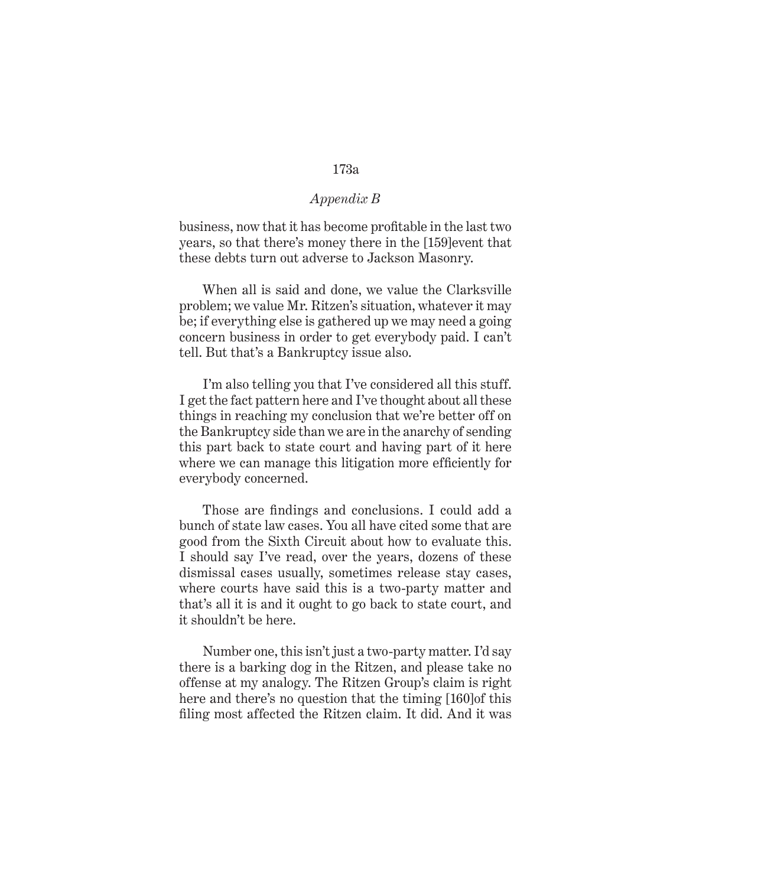## *Appendix B*

business, now that it has become profitable in the last two years, so that there's money there in the [159]event that these debts turn out adverse to Jackson Masonry.

When all is said and done, we value the Clarksville problem; we value Mr. Ritzen's situation, whatever it may be; if everything else is gathered up we may need a going concern business in order to get everybody paid. I can't tell. But that's a Bankruptcy issue also.

I'm also telling you that I've considered all this stuff. I get the fact pattern here and I've thought about all these things in reaching my conclusion that we're better off on the Bankruptcy side than we are in the anarchy of sending this part back to state court and having part of it here where we can manage this litigation more efficiently for everybody concerned.

Those are findings and conclusions. I could add a bunch of state law cases. You all have cited some that are good from the Sixth Circuit about how to evaluate this. I should say I've read, over the years, dozens of these dismissal cases usually, sometimes release stay cases, where courts have said this is a two-party matter and that's all it is and it ought to go back to state court, and it shouldn't be here.

Number one, this isn't just a two-party matter. I'd say there is a barking dog in the Ritzen, and please take no offense at my analogy. The Ritzen Group's claim is right here and there's no question that the timing [160]of this filing most affected the Ritzen claim. It did. And it was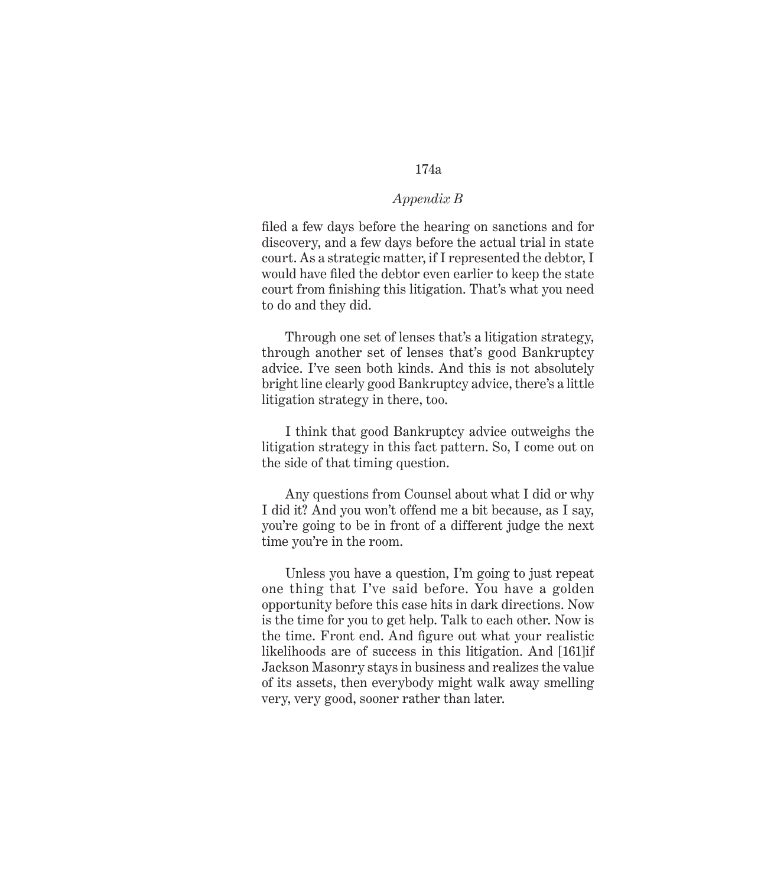# *Appendix B*

filed a few days before the hearing on sanctions and for discovery, and a few days before the actual trial in state court. As a strategic matter, if I represented the debtor, I would have filed the debtor even earlier to keep the state court from finishing this litigation. That's what you need to do and they did.

Through one set of lenses that's a litigation strategy, through another set of lenses that's good Bankruptcy advice. I've seen both kinds. And this is not absolutely bright line clearly good Bankruptcy advice, there's a little litigation strategy in there, too.

I think that good Bankruptcy advice outweighs the litigation strategy in this fact pattern. So, I come out on the side of that timing question.

Any questions from Counsel about what I did or why I did it? And you won't offend me a bit because, as I say, you're going to be in front of a different judge the next time you're in the room.

Unless you have a question, I'm going to just repeat one thing that I've said before. You have a golden opportunity before this case hits in dark directions. Now is the time for you to get help. Talk to each other. Now is the time. Front end. And figure out what your realistic likelihoods are of success in this litigation. And [161]if Jackson Masonry stays in business and realizes the value of its assets, then everybody might walk away smelling very, very good, sooner rather than later.